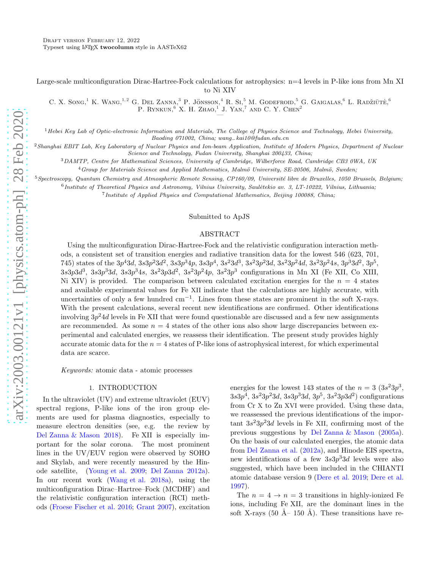Large-scale multiconfiguration Dirac-Hartree-Fock calculations for astrophysics: n=4 levels in P-like ions from Mn XI to Ni XIV

C. X. Song,<sup>1</sup> K. Wang,<sup>1,2</sup> G. Del Zanna,<sup>3</sup> P. Jönsson,<sup>4</sup> R. Si,<sup>5</sup> M. Godefroid,<sup>5</sup> G. Gaigalas,<sup>6</sup> L. Radžiūtė,<sup>6</sup> P. RYNKUN,  $\overset{6}{\sim}$  X. H. ZHAO,  $\overset{1}{\sim}$  J. YAN,  $\overset{7}{\sim}$  AND C. Y. CHEN<sup>2</sup>

 $<sup>1</sup>$ Hebei Key Lab of Optic-electronic Information and Materials, The College of Physics Science and Technology, Hebei University,</sup> Baoding 071002, China; wang−kai10@fudan.edu.cn

<sup>2</sup>Shanghai EBIT Lab, Key Laboratory of Nuclear Physics and Ion-beam Application, Institute of Modern Physics, Department of Nuclear Science and Technology, Fudan University, Shanghai 200433, China;

<sup>3</sup>DAMTP, Centre for Mathematical Sciences, University of Cambridge, Wilberforce Road, Cambridge CB3 0WA, UK

<sup>4</sup>Group for Materials Science and Applied Mathematics, Malmö University, SE-20506, Malmö, Sweden;

 $5$ Spectroscopy, Quantum Chemistry and Atmospheric Remote Sensing, CP160/09, Université libre de Bruxelles, 1050 Brussels, Belgium;

 $^6$  Institute of Theoretical Physics and Astronomy, Vilnius University, Saulėtekio av. 3, LT-10222, Vilnius, Lithuania;

<sup>7</sup> Institute of Applied Physics and Computational Mathematics, Beijing 100088, China;

### Submitted to ApJS

## ABSTRACT

Using the multiconfiguration Dirac-Hartree-Fock and the relativistic configuration interaction methods, a consistent set of transition energies and radiative transition data for the lowest 546 (623, 701, 745) states of the  $3p^43d$ ,  $3s3p^23d^2$ ,  $3s3p^34p$ ,  $3s3p^4$ ,  $3s^23d^3$ ,  $3s^23p^23d$ ,  $3s^23p^24d$ ,  $3s^23p^24s$ ,  $3p^33d^2$ ,  $3p^5$ ,  $3s3p3d^3$ ,  $3s3p^33d$ ,  $3s3p^34s$ ,  $3s^23p3d^2$ ,  $3s^23p^24p$ ,  $3s^23p^3$  configurations in Mn XI (Fe XII, Co XIII, Ni XIV) is provided. The comparison between calculated excitation energies for the  $n = 4$  states and available experimental values for Fe XII indicate that the calculations are highly accurate, with uncertainties of only a few hundred cm<sup>−</sup><sup>1</sup> . Lines from these states are prominent in the soft X-rays. With the present calculations, several recent new identifications are confirmed. Other identifications involving  $3p^24d$  levels in Fe XII that were found questionable are discussed and a few new assignments are recommended. As some  $n = 4$  states of the other ions also show large discrepancies between experimental and calculated energies, we reassess their identification. The present study provides highly accurate atomic data for the  $n = 4$  states of P-like ions of astrophysical interest, for which experimental data are scarce.

Keywords: atomic data - atomic processes

### 1. INTRODUCTION

In the ultraviolet (UV) and extreme ultraviolet (EUV) spectral regions, P-like ions of the iron group elements are used for plasma diagnostics, especially to measure electron densities (see, e.g. the review by [Del Zanna & Mason 2018\)](#page-6-0). Fe XII is especially important for the solar corona. The most prominent lines in the UV/EUV region were observed by SOHO and Skylab, and were recently measured by the Hinode satellite, [\(Young et al. 2009;](#page-7-0) [Del Zanna 2012a\)](#page-6-1). In our recent work [\(Wang et al. 2018a\)](#page-6-2), using the multiconfiguration Dirac–Hartree–Fock (MCDHF) and the relativistic configuration interaction (RCI) methods [\(Froese Fischer et al. 2016;](#page-6-3) [Grant 2007](#page-6-4)), excitation

energies for the lowest 143 states of the  $n = 3 (3s^23p^3,$  $3s3p^4$ ,  $3s^23p^23d$ ,  $3s3p^33d$ ,  $3p^5$ ,  $3s^23p3d^2$ ) configurations from Cr X to Zn XVI were provided. Using these data, we reassessed the previous identifications of the important  $3s^23p^23d$  levels in Fe XII, confirming most of the previous suggestions by [Del Zanna & Mason](#page-6-5) [\(2005a\)](#page-6-5). On the basis of our calculated energies, the atomic data from [Del Zanna et al.](#page-6-6) [\(2012a\)](#page-6-6), and Hinode EIS spectra, new identifications of a few  $3s3p^33d$  levels were also suggested, which have been included in the CHIANTI atomic database version 9 [\(Dere et al. 2019](#page-6-7); [Dere et al.](#page-6-8) [1997\)](#page-6-8).

The  $n = 4 \rightarrow n = 3$  transitions in highly-ionized Fe ions, including Fe XII, are the dominant lines in the soft X-rays (50 Å– 150 Å). These transitions have re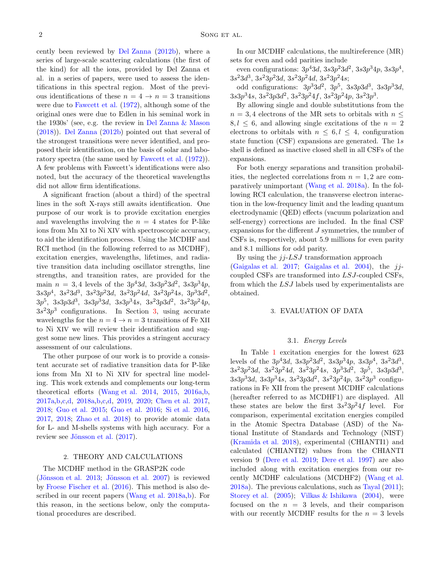cently been reviewed by [Del Zanna](#page-6-9) [\(2012b\)](#page-6-9), where a series of large-scale scattering calculations (the first of the kind) for all the ions, provided by Del Zanna et al. in a series of papers, were used to assess the identifications in this spectral region. Most of the previous identifications of these  $n = 4 \rightarrow n = 3$  transitions were due to [Fawcett et al.](#page-6-10) [\(1972\)](#page-6-10), although some of the original ones were due to Edlen in his seminal work in the 1930s' (see, e.g. the review in [Del Zanna & Mason](#page-6-0) [\(2018\)](#page-6-0)). [Del Zanna](#page-6-9) [\(2012b](#page-6-9)) pointed out that several of the strongest transitions were never identified, and proposed their identification, on the basis of solar and laboratory spectra (the same used by [Fawcett et al.](#page-6-10) [\(1972\)](#page-6-10)). A few problems with Fawcett's identifications were also noted, but the accuracy of the theoretical wavelengths did not allow firm identifications.

A significant fraction (about a third) of the spectral lines in the soft X-rays still awaits identification. One purpose of our work is to provide excitation energies and wavelengths involving the  $n = 4$  states for P-like ions from Mn XI to Ni XIV with spectroscopic accuracy, to aid the identification process. Using the MCDHF and RCI method (in the following referred to as MCDHF), excitation energies, wavelengths, lifetimes, and radiative transition data including oscillator strengths, line strengths, and transition rates, are provided for the main  $n = 3, 4$  levels of the  $3p^43d, 3s3p^23d^2, 3s3p^34p,$  $3s3p^4$ ,  $3s^23d^3$ ,  $3s^23p^23d$ ,  $3s^23p^24d$ ,  $3s^23p^24s$ ,  $3p^33d^2$ ,  $3p^5$ ,  $3s3p3d^3$ ,  $3s3p^33d$ ,  $3s3p^34s$ ,  $3s^23p3d^2$ ,  $3s^23p^24p$ ,  $3s<sup>2</sup>3p<sup>3</sup>$  configurations. In Section [3,](#page-1-0) using accurate wavelengths for the  $n = 4 \rightarrow n = 3$  transitions of Fe XII to Ni XIV we will review their identification and suggest some new lines. This provides a stringent accuracy assessment of our calculations.

The other purpose of our work is to provide a consistent accurate set of radiative transition data for P-like ions from Mn XI to Ni XIV for spectral line modeling. This work extends and complements our long-term theoretical efforts [\(Wang et al. 2014,](#page-7-1) [2015,](#page-7-2) [2016a](#page-7-3)[,b](#page-7-4), [2017a](#page-6-11)[,b](#page-6-12)[,c](#page-7-5)[,d](#page-7-6), [2018a](#page-6-2)[,b](#page-7-7)[,c](#page-7-8)[,d](#page-7-9), [2019,](#page-6-13) [2020;](#page-6-14) [Chen et al. 2017,](#page-6-15) [2018;](#page-6-16) [Guo et al. 2015;](#page-6-17) [Guo et al. 2016](#page-6-18); [Si et al. 2016,](#page-6-19) [2017,](#page-6-20) [2018;](#page-6-21) [Zhao et al. 2018\)](#page-7-10) to provide atomic data for L- and M-shells systems with high accuracy. For a review see Jönsson et al. [\(2017\)](#page-6-22).

### 2. THEORY AND CALCULATIONS

#### The MCDHF method in the GRASP2K code

 $(J\ddot{o}nsson et al. 2013; J\ddot{o}nsson et al. 2007)$  is reviewed by [Froese Fischer et al.](#page-6-3) [\(2016](#page-6-3)). This method is also de-scribed in our recent papers [\(Wang et al. 2018a](#page-6-2), b). For this reason, in the sections below, only the computational procedures are described.

In our MCDHF calculations, the multireference (MR) sets for even and odd parities include

even configurations:  $3p^43d, 3s3p^23d^2, 3s3p^34p, 3s3p^4,$  $3s^23d^3$ ,  $3s^23p^23d$ ,  $3s^23p^24d$ ,  $3s^23p^24s$ ;

odd configurations:  $3p^33d^2$ ,  $3p^5$ ,  $3s3p3d^3$ ,  $3s3p^33d$ ,  $3s3p<sup>3</sup>4s$ ,  $3s<sup>2</sup>3p3d<sup>2</sup>$ ,  $3s<sup>2</sup>3p<sup>2</sup>4f$ ,  $3s<sup>2</sup>3p<sup>2</sup>4p$ ,  $3s<sup>2</sup>3p<sup>3</sup>$ .

By allowing single and double substitutions from the  $n = 3, 4$  electrons of the MR sets to orbitals with  $n \leq$  $8, l \leq 6$ , and allowing single excitations of the  $n = 2$ electrons to orbitals with  $n \leq 6, l \leq 4$ , configuration state function (CSF) expansions are generated. The 1s shell is defined as inactive closed shell in all CSFs of the expansions.

For both energy separations and transition probabilities, the neglected correlations from  $n = 1, 2$  are comparatively unimportant [\(Wang et al. 2018a\)](#page-6-2). In the following RCI calculation, the transverse electron interaction in the low-frequency limit and the leading quantum electrodynamic (QED) effects (vacuum polarization and self-energy) corrections are included. In the final CSF expansions for the different J symmetries, the number of CSFs is, respectively, about 5.9 millions for even parity and 8.1 millions for odd parity.

By using the  $jj$ -LSJ transformation approach [\(Gaigalas et al. 2017](#page-6-25); [Gaigalas et al. 2004\)](#page-6-26), the  $ij$ coupled CSFs are transformed into LSJ-coupled CSFs, from which the LSJ labels used by experimentalists are obtained.

### <span id="page-1-0"></span>3. EVALUATION OF DATA

### 3.1. Energy Levels

In Table [1](#page-8-0) excitation energies for the lowest 623 levels of the  $3p^43d$ ,  $3s3p^23d^2$ ,  $3s3p^34p$ ,  $3s3p^4$ ,  $3s^23d^3$ ,  $3s^23p^23d$ ,  $3s^23p^24d$ ,  $3s^23p^24s$ ,  $3p^33d^2$ ,  $3p^5$ ,  $3s3p3d^3$ ,  $3s3p^33d$ ,  $3s3p^34s$ ,  $3s^23p3d^2$ ,  $3s^23p^24p$ ,  $3s^23p^3$  configurations in Fe XII from the present MCDHF calculations (hereafter referred to as MCDHF1) are displayed. All these states are below the first  $3s^23p^24f$  level. For comparison, experimental excitation energies compiled in the Atomic Spectra Database (ASD) of the National Institute of Standards and Technology (NIST) [\(Kramida et al. 2018\)](#page-6-27), experimental (CHIANTI1) and calculated (CHIANTI2) values from the CHIANTI version 9 [\(Dere et al. 2019](#page-6-7); [Dere et al. 1997\)](#page-6-8) are also included along with excitation energies from our recently MCDHF calculations (MCDHF2) [\(Wang et al.](#page-6-2) [2018a\)](#page-6-2). The previous calculations, such as [Tayal](#page-6-28) [\(2011](#page-6-28)); [Storey et al.](#page-6-29) [\(2005\)](#page-6-29); [Vilkas & Ishikawa](#page-6-30) [\(2004\)](#page-6-30), were focused on the  $n = 3$  levels, and their comparison with our recently MCDHF results for the  $n = 3$  levels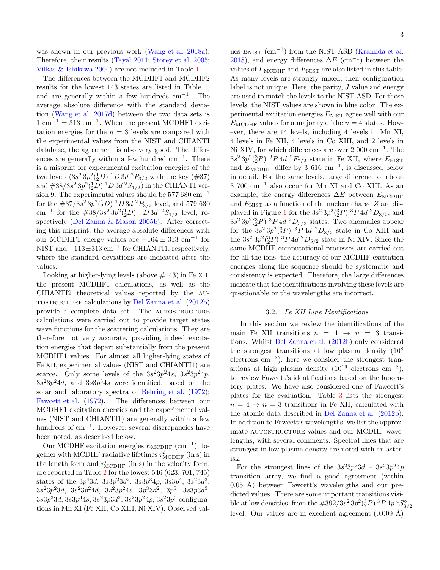was shown in our previous work [\(Wang et al. 2018a\)](#page-6-2). Therefore, their results [\(Tayal 2011](#page-6-28); [Storey et al. 2005;](#page-6-29) [Vilkas & Ishikawa 2004](#page-6-30)) are not included in Table [1.](#page-8-0)

The differences between the MCDHF1 and MCDHF2 results for the lowest 143 states are listed in Table [1,](#page-8-0) and are generally within a few hundreds  $cm^{-1}$ . The average absolute difference with the standard deviation [\(Wang et al. 2017d](#page-7-6)) between the two data sets is  $1 \text{ cm}^{-1} \pm 313 \text{ cm}^{-1}$ . When the present MCDHF1 excitation energies for the  $n = 3$  levels are compared with the experimental values from the NIST and CHIANTI database, the agreement is also very good. The differences are generally within a few hundred cm−<sup>1</sup> . There is a misprint for experimental excitation energies of the two levels  $(3s^2 3p^2(\frac{1}{2}D)^{-1}D 3d^{-2}P_{3/2}$  with the key  $(#37)$ and  $\#38/3s^2\,3p^2({}^1_2D)^1D\,3d\,{}^2S_{1/2})$  in the CHIANTI version 9. The experimental values should be 577  $680 \text{ cm}^{-1}$ for the  $\#37/3s^2\,3p^2({}^1_2D)^1D\,3d\ ^2P_{3/2}$  level, and 579 630 cm<sup>-1</sup> for the  $\#38/3s^23p^2(^12D)^1D^3d^2S_{1/2}$  level, respectively [\(Del Zanna & Mason 2005b](#page-6-31)). After correcting this misprint, the average absolute differences with our MCDHF1 energy values are  $-164 \pm 313$  cm<sup>-1</sup> for NIST and  $-113\pm313$  cm<sup>-1</sup> for CHIANTI1, respectively, where the standard deviations are indicated after the values.

Looking at higher-lying levels (above #143) in Fe XII, the present MCDHF1 calculations, as well as the CHIANTI2 theoretical values reported by the autostructure calculations by [Del Zanna et al.](#page-6-32) [\(2012b](#page-6-32)) provide a complete data set. The AUTOSTRUCTURE calculations were carried out to provide target states wave functions for the scattering calculations. They are therefore not very accurate, providing indeed excitation energies that depart substantially from the present MCDHF1 values. For almost all higher-lying states of Fe XII, experimental values (NIST and CHIANTI1) are scarce. Only some levels of the  $3s^23p^24s$ ,  $3s^23p^24p$ ,  $3s^23p^24d$ , and  $3s3p^34s$  were identified, based on the solar and laboratory spectra of [Behring et al.](#page-6-33) [\(1972\)](#page-6-33); [Fawcett et al.](#page-6-10) [\(1972\)](#page-6-10). The differences between our MCDHF1 excitation energies and the experimental values (NIST and CHIANTI1) are generally within a few hundreds of cm<sup>-1</sup>. However, several discrepancies have been noted, as described below.

Our MCDHF excitation energies  $E_{\text{MCDHF}}$  (cm<sup>-1</sup>), together with MCDHF radiative lifetimes  $\tau_{\text{MCDHF}}^l$  (in s) in the length form and  $\tau_{\text{MCDHF}}^v$  (in s) in the velocity form, are reported in Table [2](#page-19-0) for the lowest 546 (623, 701, 745) states of the  $3p^43d$ ,  $3s3p^23d^2$ ,  $3s3p^34p$ ,  $3s3p^4$ ,  $3s^23d^3$ ,  $3s^23p^23d$ ,  $3s^23p^24d$ ,  $3s^23p^24s$ ,  $3p^33d^2$ ,  $3p^5$ ,  $3s3p3d^3$ ,  $3s3p^33d, 3s3p^34s, 3s^23p3d^2, 3s^23p^24p, 3s^23p^3$  configurations in Mn XI (Fe XII, Co XIII, Ni XIV). Observed val-

ues  $E_{\text{NIST}}$  (cm<sup>-1</sup>) from the NIST ASD [\(Kramida et al.](#page-6-27) [2018\)](#page-6-27), and energy differences  $\Delta E$  (cm<sup>-1</sup>) between the values of  $E_{\text{MCDHF}}$  and  $E_{\text{NIST}}$  are also listed in this table. As many levels are strongly mixed, their configuration label is not unique. Here, the parity, J value and energy are used to match the levels to the NIST ASD. For those levels, the NIST values are shown in blue color. The experimental excitation energies  $E_{\text{NIST}}$  agree well with our  $E_{\text{MCDHF}}$  values for a majority of the  $n = 4$  states. However, there are 14 levels, including 4 levels in Mn XI, 4 levels in Fe XII, 4 levels in Co XIII, and 2 levels in Ni XIV, for which differences are over 2 000 cm−<sup>1</sup> . The  $3s^2 3p^2({}^3_2P)^3P4d^2F_{7/2}$  state in Fe XII, where  $E_{\text{NIST}}$ and  $E_{\text{MCDHF}}$  differ by 3 616 cm<sup>-1</sup>, is discussed below in detail. For the same levels, large difference of about 3 700 cm−<sup>1</sup> also occur for Mn XI and Co XIII. As an example, the energy differences  $\Delta E$  between  $E_{\text{MCDHF}}$ and  $E_{\text{NIST}}$  as a function of the nuclear charge  $Z$  are dis-played in Figure [1](#page-3-0) for the  $3s^2 3p^2({}^3_2P)^3P4d^2D_{3/2}$ , and  $3s^2 3p^2({}^3_2P)^3P4d^2D_{5/2}$  states. Two anomalies appear for the  $3s^2 3p^2({}^3_2P)^3P4d^2D_{3/2}$  state in Co XIII and the  $3s^2 3p^2({}^3_2P)^3P4d^2D_{5/2}$  state in Ni XIV. Since the same MCDHF computational processes are carried out for all the ions, the accuracy of our MCDHF excitation energies along the sequence should be systematic and consistency is expected. Therefore, the large differences indicate that the identifications involving these levels are questionable or the wavelengths are incorrect.

### 3.2. Fe XII Line Identifications

In this section we review the identifications of the main Fe XII transitions  $n = 4 \rightarrow n = 3$  transitions. Whilst [Del Zanna et al.](#page-6-32) [\(2012b\)](#page-6-32) only considered the strongest transitions at low plasma density  $(10^8)$ electrons cm<sup>−</sup><sup>3</sup> ), here we consider the strongest transitions at high plasma density  $(10^{19} \text{ electrons cm}^{-3})$ , to review Fawcett's identifications based on the laboratory plates. We have also considered one of Fawcett's plates for the evaluation. Table [3](#page-22-0) lists the strongest  $n = 4 \rightarrow n = 3$  transitions in Fe XII, calculated with the atomic data described in [Del Zanna et al.](#page-6-32) [\(2012b](#page-6-32)). In addition to Fawcett's wavelengths, we list the approximate AUTOSTRUCTURE values and our MCDHF wavelengths, with several comments. Spectral lines that are strongest in low plasma density are noted with an asterisk.

For the strongest lines of the  $3s^23p^23d - 3s^23p^24p$ transition array, we find a good agreement (within  $(0.05 \text{ Å})$  between Fawcett's wavelengths and our predicted values. There are some important transitions visible at low densities, from the  $\#392/3s^2\,3p^2({}^3_2P)^3P\,4p\,{}^4S^{\circ}_{3/2}$ level. Our values are in excellent agreement  $(0.009 \text{ Å})$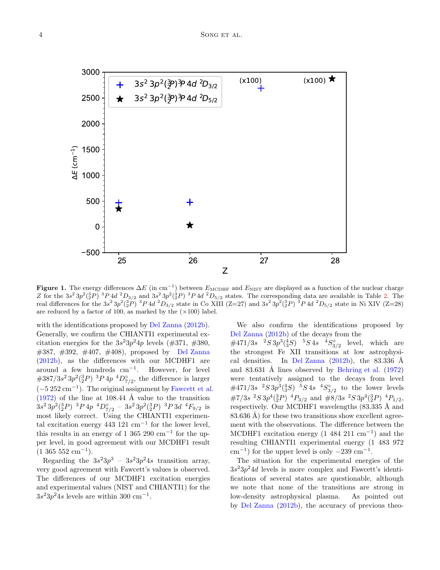

<span id="page-3-0"></span>Figure 1. The energy differences  $\Delta E$  (in cm<sup>-1</sup>) between  $E_{\text{MCDHF}}$  and  $E_{\text{NIST}}$  are displayed as a function of the nuclear charge Z for the  $3s^2 3p^2({}^3_2P)^3P4d^2D_{3/2}$  and  $3s^2 3p^2({}^3_2P)^3P4d^2D_{5/2}$  states. The corresponding data are available in Table [2.](#page-19-0) The real differences for the  $3s^2 3p^2({}^3_2P)^3P4d^2D_{3/2}$  state in Co XIII (Z=27) and  $3s^2 3p^2({}^3_2P)^3P4d^2D_{5/2}$  state in Ni XIV (Z=28) are reduced by a factor of 100, as marked by the  $(\times 100)$  label.

with the identifications proposed by [Del Zanna](#page-6-9) [\(2012b\)](#page-6-9). Generally, we confirm the CHIANTI1 experimental excitation energies for the  $3s^23p^24p$  levels (#371, #380, #387, #392, #407, #408), proposed by [Del Zanna](#page-6-9) [\(2012b](#page-6-9)), as the differences with our MCDHF1 are around a few hundreds cm<sup>−</sup><sup>1</sup> . However, for level  $\#387/3s^2\,3p^2({}^3_2P)^{-3}P\,4p\,{}^4D^{\circ}_{7/2}$ , the difference is larger  $(-5252 \text{ cm}^{-1})$ . The original assignment by [Fawcett et al.](#page-6-10)  $(1972)$  of the line at 108.44 Å value to the transition  $3s^2 3p^2({}^3_2P)^{-3}P 4p^{-4}D^{\circ}_{7/2} - 3s^2 3p^2({}^3_2P)^{-3}P 3d^{-4}F_{9/2}$  is most likely correct. Using the CHIANTI1 experimental excitation energy  $443$  121 cm<sup>-1</sup> for the lower level, this results in an energy of 1 365 290  $\text{cm}^{-1}$  for the upper level, in good agreement with our MCDHF1 result  $(1\ 365\ 552\ \mathrm{cm}^{-1}).$ 

Regarding the  $3s^23p^3 - 3s^23p^24s$  transition array, very good agreement with Fawcett's values is observed. The differences of our MCDHF1 excitation energies and experimental values (NIST and CHIANTI1) for the  $3s^23p^24s$  levels are within 300 cm<sup>-1</sup>.

We also confirm the identifications proposed by [Del Zanna](#page-6-9) [\(2012b\)](#page-6-9) of the decays from the

 $\#471/3s \quad \, \,^2S\,3p^3(^4_3S) \quad \, ^5S\,4s \quad \, ^4S^{\circ}_{3/2}$  level, which are the strongest Fe XII transitions at low astrophysi-cal densities. In [Del Zanna](#page-6-9)  $(2012b)$ , the 83.336 Å and 83.631 Å lines observed by [Behring et al.](#page-6-33)  $(1972)$  $(1972)$ were tentatively assigned to the decays from level  $\#471/3s^{-2}S3p^3(^{4}_{3}S)^{-5}S4s^{-4}S^{\circ}_{3/2}$  to the lower levels  $\#7/3s~^2S\,3p^4({}^3_2P)~^4P_{3/2}$  and  $\#8/3s~^2S\,3p^4({}^3_2P)~^4P_{1/2}$ , respectively. Our MCDHF1 wavelengths  $(83.335 \text{ Å}$  and  $83.636$  Å) for these two transitions show excellent agreement with the observations. The difference between the MCDHF1 excitation energy  $(1.484 \ 211 \text{ cm}^{-1})$  and the resulting CHIANTI1 experimental energy (1 483 972  $\text{cm}^{-1}$ ) for the upper level is only  $-239 \text{ cm}^{-1}$ .

The situation for the experimental energies of the  $3s<sup>2</sup>3p<sup>2</sup>4d$  levels is more complex and Fawcett's identifications of several states are questionable, although we note that none of the transitions are strong in low-density astrophysical plasma. As pointed out by [Del Zanna](#page-6-9) [\(2012b\)](#page-6-9), the accuracy of previous theo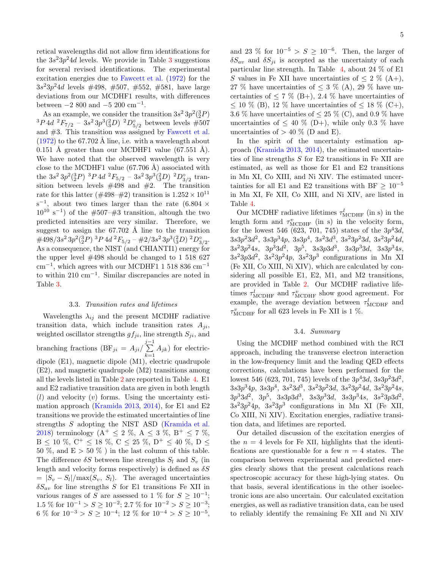retical wavelengths did not allow firm identifications for the  $3s^23p^24d$  $3s^23p^24d$  levels. We provide in Table 3 suggestions for several revised identifications. The experimental excitation energies due to [Fawcett et al.](#page-6-10) [\(1972\)](#page-6-10) for the  $3s^23p^24d$  levels  $\#498, \#507, \#552, \#581$ , have large deviations from our MCDHF1 results, with differences between  $-2\,800$  and  $-5\,200$  cm<sup>-1</sup>.

As an example, we consider the transition  $3s^2 3p^2({}^3_2P)$  ${}^{3}P\,4d\,$   ${}^{2}F_{7/2}$  –  $3s^{2}\,3p^{3}({}^{2}_{3}D)\,$   ${}^{2}D^{{\circ}_{5/2}$  between levels  $\#507$ and #3. This transition was assigned by [Fawcett et al.](#page-6-10)  $(1972)$  to the 67.702 Å line, i.e. with a wavelength about  $0.151$  Å greater than our MCDHF1 value (67.551 Å). We have noted that the observed wavelength is very close to the MCDHF1 value  $(67.706 \text{ Å})$  associated with the  $3s^2 3p^2({}^3_2P)^3P4d^2F_{5/2} - 3s^2 3p^3({}^2_3D)^2D^{\circ}_{3/2}$  transition between levels  $\#498$  and  $\#2$ . The transition rate for this latter ( $\#498-\#2$ ) transition is  $1.252 \times 10^{11}$  $s^{-1}$ , about two times larger than the rate (6.804  $\times$  $10^{10}$  s<sup>-1</sup>) of the #507-#3 transition, altough the two predicted intensities are very similar. Therefore, we suggest to assign the  $67.702 \text{ Å}$  line to the transition  $\#498/3s^2\,3p^2(^3_2P)\,{}^3P\,4d\,{}^2F_{5/2}-\#2/3s^2\,3p^3(^2_3D)\,{}^2D^{\circ}_{3/2}.$ As a consequence, the NIST (and CHIANTI1) energy for the upper level  $\#498$  should be changed to 1 518 627  $\text{cm}^{-1}$ , which agrees with our MCDHF1 1 518 836  $\text{cm}^{-1}$ to within 210 cm<sup>−</sup><sup>1</sup> . Similar discrepancies are noted in Table [3.](#page-22-0)

### 3.3. Transition rates and lifetimes

Wavelengths  $\lambda_{ij}$  and the present MCDHF radiative transition data, which include transition rates  $A_{ii}$ , weighted oscillator strengths  $gf_{ji}$ , line strength  $S_{ji}$ , and branching fractions  $(BF_{ji} = A_{ji}/\sum^{j-1}$  $\sum_{k=1} A_{jk}$  for electricdipole (E1), magnetic dipole (M1), electric quadrupole (E2), and magnetic quadrupole (M2) transitions among all the levels listed in Table [2](#page-19-0) are reported in Table [4.](#page-23-0) E1 and E2 radiative transition data are given in both length  $(l)$  and velocity  $(v)$  forms. Using the uncertainty esti-mation approach [\(Kramida 2013,](#page-6-34) [2014\)](#page-6-35), for  $E1$  and  $E2$ transitions we provide the estimated uncertainties of line strengths S adopting the NIST ASD [\(Kramida et al.](#page-6-27) [2018\)](#page-6-27) terminology ( $A^+ \le 2 \%$ ,  $A \le 3 \%$ ,  $B^+ \le 7 \%$ ,  $B \le 10 \, \%, C^+ \le 18 \, \%, C \le 25 \, \%, D^+ \le 40 \, \%, D \le$ 50 %, and  $E > 50$  %) in the last column of this table. The difference  $\delta S$  between line strengths  $S_l$  and  $S_v$  (in length and velocity forms respectively) is defined as  $\delta S$  $= |S_v - S_l| / \max(S_v, S_l).$  The averaged uncertainties  $\delta S_{av}$  for line strengths S for E1 transitions Fe XII in various ranges of S are assessed to 1 % for  $S \ge 10^{-1}$ ; 1.5 % for  $10^{-1} > S \ge 10^{-2}$ ; 2.7 % for  $10^{-2} > S \ge 10^{-3}$ ; 6 % for  $10^{-3} > S \ge 10^{-4}$ ; 12 % for  $10^{-4} > S \ge 10^{-5}$ ,

and 23 % for  $10^{-5} > S \ge 10^{-6}$ . Then, the larger of  $\delta S_{av}$  and  $\delta S_{ji}$  is accepted as the uncertainty of each particular line strength. In Table  $\,$  [4,](#page-23-0) about 24  $\%$  of E1 S values in Fe XII have uncertainties of  $\leq 2 \% (A+)$ , 27 % have uncertainties of  $\leq$  3 % (A), 29 % have uncertainties of  $\leq 7\%$  (B+), 2.4 % have uncertainties of  $\leq$  10 % (B), 12 % have uncertainties of  $\leq$  18 % (C+), 3.6 % have uncertainties of  $\leq$  25 % (C), and 0.9 % have uncertainties of  $\leq 40\%$  (D+), while only 0.3 % have uncertainties of  $> 40\%$  (D and E).

In the spirit of the uncertainty estimation approach [\(Kramida 2013,](#page-6-34) [2014\)](#page-6-35), the estimated uncertainties of line strengths S for E2 transitions in Fe XII are estimated, as well as those for E1 and E2 transitions in Mn XI, Co XIII, and Ni XIV. The estimated uncertainties for all E1 and E2 transitions with BF  $\geq 10^{-5}$ in Mn XI, Fe XII, Co XIII, and Ni XIV, are listed in Table [4.](#page-23-0)

Our MCDHF radiative lifetimes  $\tau_{\text{MCDHF}}^l$  (in s) in the length form and  $\tau_{\text{MCDHF}}^v$  (in s) in the velocity form, for the lowest 546 (623, 701, 745) states of the  $3p^43d$ ,  $3s3p^23d^2$ ,  $3s3p^34p$ ,  $3s3p^4$ ,  $3s^23d^3$ ,  $3s^23p^23d$ ,  $3s^23p^24d$ ,  $3s<sup>2</sup>3p<sup>2</sup>4s$ ,  $3p<sup>3</sup>3d<sup>2</sup>$ ,  $3p<sup>5</sup>$ ,  $3s3p3d<sup>3</sup>$ ,  $3s3p<sup>3</sup>3d$ ,  $3s3p<sup>3</sup>4s$ ,  $3s^23p3d^2$ ,  $3s^23p^24p$ ,  $3s^23p^3$  configurations in Mn XI (Fe XII, Co XIII, Ni XIV), which are calculated by considering all possible E1, E2, M1, and M2 transitions, are provided in Table [2.](#page-19-0) Our MCDHF radiative lifetimes  $\tau_{\text{MCDHF}}^l$  and  $\tau_{\text{MCDHF}}^v$  show good agreement. For example, the average deviation between  $\tau_{\text{MCDHF}}^l$  and  $\tau_{\text{MCDHF}}^v$  for all 623 levels in Fe XII is 1 %.

### 3.4. Summary

Using the MCDHF method combined with the RCI approach, including the transverse electron interaction in the low-frequency limit and the leading QED effects corrections, calculations have been performed for the lowest 546 (623, 701, 745) levels of the  $3p^43d$ ,  $3s3p^23d^2$ ,  $3s3p<sup>3</sup>4p$ ,  $3s3p<sup>4</sup>$ ,  $3s<sup>2</sup>3d<sup>3</sup>$ ,  $3s<sup>2</sup>3p<sup>2</sup>3d$ ,  $3s<sup>2</sup>3p<sup>2</sup>4d$ ,  $3s<sup>2</sup>3p<sup>2</sup>4s$ ,  $3p^33d^2$ ,  $3p^5$ ,  $3s3p3d^3$ ,  $3s3p^33d$ ,  $3s3p^34s$ ,  $3s^23p3d^2$ ,  $3s^23p^24p$ ,  $3s^23p^3$  configurations in Mn XI (Fe XII, Co XIII, Ni XIV). Excitation energies, radiative transition data, and lifetimes are reported.

Our detailed discussion of the excitation energies of the  $n = 4$  levels for Fe XII, highlights that the identifications are questionable for a few  $n = 4$  states. The comparison between experimental and predicted energies clearly shows that the present calculations reach spectroscopic accuracy for these high-lying states. On that basis, several identifications in the other isoelectronic ions are also uncertain. Our calculated excitation energies, as well as radiative transition data, can be used to reliably identify the remaining Fe XII and Ni XIV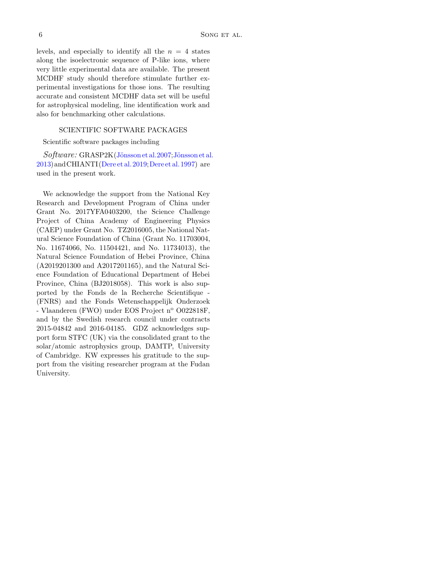levels, and especially to identify all the  $n = 4$  states along the isoelectronic sequence of P-like ions, where very little experimental data are available. The present MCDHF study should therefore stimulate further experimental investigations for those ions. The resulting accurate and consistent MCDHF data set will be useful for astrophysical modeling, line identification work and also for benchmarking other calculations.

### SCIENTIFIC SOFTWARE PACKAGES

Scientific software packages including

 $Software: GRASP2K(Jönsson et al.2007; Jönsson et al.$ [2013\)](#page-6-23)andCHIANTI[\(Dere et al. 2019;](#page-6-7)[Dere et al. 1997](#page-6-8)) are used in the present work.

We acknowledge the support from the National Key Research and Development Program of China under Grant No. 2017YFA0403200, the Science Challenge Project of China Academy of Engineering Physics (CAEP) under Grant No. TZ2016005, the National Natural Science Foundation of China (Grant No. 11703004, No. 11674066, No. 11504421, and No. 11734013), the Natural Science Foundation of Hebei Province, China (A2019201300 and A2017201165), and the Natural Science Foundation of Educational Department of Hebei Province, China (BJ2018058). This work is also supported by the Fonds de la Recherche Scientifique - (FNRS) and the Fonds Wetenschappelijk Onderzoek - Vlaanderen (FWO) under EOS Project n° O022818F, and by the Swedish research council under contracts 2015-04842 and 2016-04185. GDZ acknowledges support form STFC (UK) via the consolidated grant to the solar/atomic astrophysics group, DAMTP, University of Cambridge. KW expresses his gratitude to the support from the visiting researcher program at the Fudan University.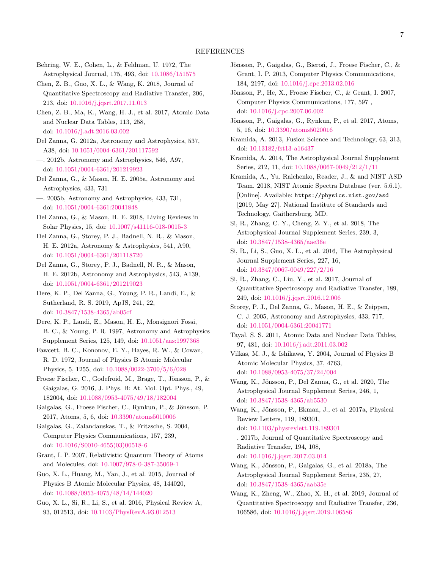- <span id="page-6-33"></span>Behring, W. E., Cohen, L., & Feldman, U. 1972, The Astrophysical Journal, 175, 493, doi: [10.1086/151575](http://doi.org/10.1086/151575)
- <span id="page-6-16"></span>Chen, Z. B., Guo, X. L., & Wang, K. 2018, Journal of Quantitative Spectroscopy and Radiative Transfer, 206, 213, doi: [10.1016/j.jqsrt.2017.11.013](http://doi.org/10.1016/j.jqsrt.2017.11.013)
- <span id="page-6-15"></span>Chen, Z. B., Ma, K., Wang, H. J., et al. 2017, Atomic Data and Nuclear Data Tables, 113, 258, doi: [10.1016/j.adt.2016.03.002](http://doi.org/10.1016/j.adt.2016.03.002)
- <span id="page-6-1"></span>Del Zanna, G. 2012a, Astronomy and Astrophysics, 537, A38, doi: [10.1051/0004-6361/201117592](http://doi.org/10.1051/0004-6361/201117592)
- <span id="page-6-9"></span>—. 2012b, Astronomy and Astrophysics, 546, A97, doi: [10.1051/0004-6361/201219923](http://doi.org/10.1051/0004-6361/201219923)
- <span id="page-6-5"></span>Del Zanna, G., & Mason, H. E. 2005a, Astronomy and Astrophysics, 433, 731
- <span id="page-6-31"></span>—. 2005b, Astronomy and Astrophysics, 433, 731, doi: [10.1051/0004-6361:20041848](http://doi.org/10.1051/0004-6361:20041848)
- <span id="page-6-0"></span>Del Zanna, G., & Mason, H. E. 2018, Living Reviews in Solar Physics, 15, doi: [10.1007/s41116-018-0015-3](http://doi.org/10.1007/s41116-018-0015-3)
- <span id="page-6-6"></span>Del Zanna, G., Storey, P. J., Badnell, N. R., & Mason, H. E. 2012a, Astronomy & Astrophysics, 541, A90, doi: [10.1051/0004-6361/201118720](http://doi.org/10.1051/0004-6361/201118720)
- <span id="page-6-32"></span>Del Zanna, G., Storey, P. J., Badnell, N. R., & Mason, H. E. 2012b, Astronomy and Astrophysics, 543, A139, doi: [10.1051/0004-6361/201219023](http://doi.org/10.1051/0004-6361/201219023)
- <span id="page-6-7"></span>Dere, K. P., Del Zanna, G., Young, P. R., Landi, E., & Sutherland, R. S. 2019, ApJS, 241, 22, doi: [10.3847/1538-4365/ab05cf](http://doi.org/10.3847/1538-4365/ab05cf)
- <span id="page-6-8"></span>Dere, K. P., Landi, E., Mason, H. E., Monsignori Fossi, B. C., & Young, P. R. 1997, Astronomy and Astrophysics Supplement Series, 125, 149, doi: [10.1051/aas:1997368](http://doi.org/10.1051/aas:1997368)
- <span id="page-6-10"></span>Fawcett, B. C., Kononov, E. Y., Hayes, R. W., & Cowan, R. D. 1972, Journal of Physics B Atomic Molecular Physics, 5, 1255, doi: [10.1088/0022-3700/5/6/028](http://doi.org/10.1088/0022-3700/5/6/028)
- <span id="page-6-3"></span>Froese Fischer, C., Godefroid, M., Brage, T., Jönsson, P., & Gaigalas, G. 2016, J. Phys. B: At. Mol. Opt. Phys., 49, 182004, doi: [10.1088/0953-4075/49/18/182004](http://doi.org/10.1088/0953-4075/49/18/182004)
- <span id="page-6-25"></span>Gaigalas, G., Froese Fischer, C., Rynkun, P., & Jönsson, P. 2017, Atoms, 5, 6, doi: [10.3390/atoms5010006](http://doi.org/10.3390/atoms5010006)
- <span id="page-6-26"></span>Gaigalas, G., Zalandauskas, T., & Fritzsche, S. 2004, Computer Physics Communications, 157, 239, doi: [10.1016/S0010-4655\(03\)00518-6](http://doi.org/10.1016/S0010-4655(03)00518-6)
- <span id="page-6-4"></span>Grant, I. P. 2007, Relativistic Quantum Theory of Atoms and Molecules, doi: [10.1007/978-0-387-35069-1](http://doi.org/10.1007/978-0-387-35069-1)
- <span id="page-6-17"></span>Guo, X. L., Huang, M., Yan, J., et al. 2015, Journal of Physics B Atomic Molecular Physics, 48, 144020, doi: [10.1088/0953-4075/48/14/144020](http://doi.org/10.1088/0953-4075/48/14/144020)
- <span id="page-6-18"></span>Guo, X. L., Si, R., Li, S., et al. 2016, Physical Review A, 93, 012513, doi: [10.1103/PhysRevA.93.012513](http://doi.org/10.1103/PhysRevA.93.012513)
- <span id="page-6-23"></span>Jönsson, P., Gaigalas, G., Bieroń, J., Froese Fischer, C., & Grant, I. P. 2013, Computer Physics Communications, 184, 2197, doi: [10.1016/j.cpc.2013.02.016](http://doi.org/10.1016/j.cpc.2013.02.016)
- <span id="page-6-24"></span>Jönsson, P., He, X., Froese Fischer, C., & Grant, I. 2007, Computer Physics Communications, 177, 597 , doi: [10.1016/j.cpc.2007.06.002](http://doi.org/10.1016/j.cpc.2007.06.002)
- <span id="page-6-22"></span>Jönsson, P., Gaigalas, G., Rynkun, P., et al. 2017, Atoms, 5, 16, doi: [10.3390/atoms5020016](http://doi.org/10.3390/atoms5020016)
- <span id="page-6-34"></span>Kramida, A. 2013, Fusion Science and Technology, 63, 313, doi: [10.13182/fst13-a16437](http://doi.org/10.13182/fst13-a16437)
- <span id="page-6-35"></span>Kramida, A. 2014, The Astrophysical Journal Supplement Series, 212, 11, doi: [10.1088/0067-0049/212/1/11](http://doi.org/10.1088/0067-0049/212/1/11)
- <span id="page-6-27"></span>Kramida, A., Yu. Ralchenko, Reader, J., & and NIST ASD Team. 2018, NIST Atomic Spectra Database (ver. 5.6.1), [Online]. Available: https://physics.nist.gov/asd [2019, May 27]. National Institute of Standards and Technology, Gaithersburg, MD.
- <span id="page-6-21"></span>Si, R., Zhang, C. Y., Cheng, Z. Y., et al. 2018, The Astrophysical Journal Supplement Series, 239, 3, doi: [10.3847/1538-4365/aae36e](http://doi.org/10.3847/1538-4365/aae36e)
- <span id="page-6-19"></span>Si, R., Li, S., Guo, X. L., et al. 2016, The Astrophysical Journal Supplement Series, 227, 16, doi: [10.3847/0067-0049/227/2/16](http://doi.org/10.3847/0067-0049/227/2/16)
- <span id="page-6-20"></span>Si, R., Zhang, C., Liu, Y., et al. 2017, Journal of Quantitative Spectroscopy and Radiative Transfer, 189, 249, doi: [10.1016/j.jqsrt.2016.12.006](http://doi.org/10.1016/j.jqsrt.2016.12.006)
- <span id="page-6-29"></span>Storey, P. J., Del Zanna, G., Mason, H. E., & Zeippen, C. J. 2005, Astronomy and Astrophysics, 433, 717, doi: [10.1051/0004-6361:20041771](http://doi.org/10.1051/0004-6361:20041771)
- <span id="page-6-28"></span>Tayal, S. S. 2011, Atomic Data and Nuclear Data Tables, 97, 481, doi: [10.1016/j.adt.2011.03.002](http://doi.org/10.1016/j.adt.2011.03.002)
- <span id="page-6-30"></span>Vilkas, M. J., & Ishikawa, Y. 2004, Journal of Physics B Atomic Molecular Physics, 37, 4763, doi: [10.1088/0953-4075/37/24/004](http://doi.org/10.1088/0953-4075/37/24/004)
- <span id="page-6-14"></span>Wang, K., Jönsson, P., Del Zanna, G., et al. 2020, The Astrophysical Journal Supplement Series, 246, 1, doi: [10.3847/1538-4365/ab5530](http://doi.org/10.3847/1538-4365/ab5530)
- <span id="page-6-11"></span>Wang, K., Jönsson, P., Ekman, J., et al. 2017a, Physical Review Letters, 119, 189301,
- doi: [10.1103/physrevlett.119.189301](http://doi.org/10.1103/physrevlett.119.189301)
- <span id="page-6-12"></span>—. 2017b, Journal of Quantitative Spectroscopy and Radiative Transfer, 194, 108, doi: [10.1016/j.jqsrt.2017.03.014](http://doi.org/10.1016/j.jqsrt.2017.03.014)
- <span id="page-6-2"></span>Wang, K., Jönsson, P., Gaigalas, G., et al. 2018a, The Astrophysical Journal Supplement Series, 235, 27, doi: [10.3847/1538-4365/aab35e](http://doi.org/10.3847/1538-4365/aab35e)
- <span id="page-6-13"></span>Wang, K., Zheng, W., Zhao, X. H., et al. 2019, Journal of Quantitative Spectroscopy and Radiative Transfer, 236, 106586, doi: [10.1016/j.jqsrt.2019.106586](http://doi.org/10.1016/j.jqsrt.2019.106586)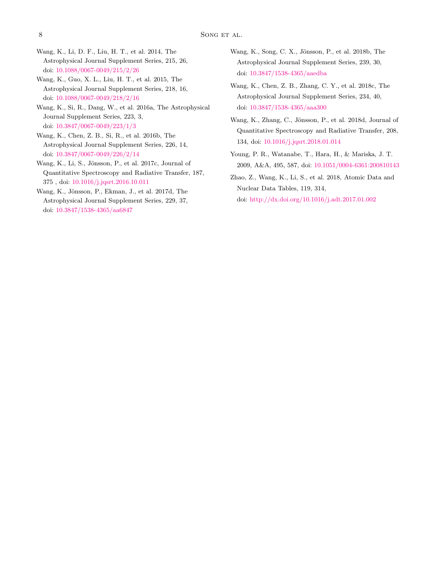- <span id="page-7-1"></span>Wang, K., Li, D. F., Liu, H. T., et al. 2014, The Astrophysical Journal Supplement Series, 215, 26, doi: [10.1088/0067-0049/215/2/26](http://doi.org/10.1088/0067-0049/215/2/26)
- <span id="page-7-2"></span>Wang, K., Guo, X. L., Liu, H. T., et al. 2015, The Astrophysical Journal Supplement Series, 218, 16, doi: [10.1088/0067-0049/218/2/16](http://doi.org/10.1088/0067-0049/218/2/16)
- <span id="page-7-3"></span>Wang, K., Si, R., Dang, W., et al. 2016a, The Astrophysical Journal Supplement Series, 223, 3, doi: [10.3847/0067-0049/223/1/3](http://doi.org/10.3847/0067-0049/223/1/3)
- <span id="page-7-4"></span>Wang, K., Chen, Z. B., Si, R., et al. 2016b, The Astrophysical Journal Supplement Series, 226, 14, doi: [10.3847/0067-0049/226/2/14](http://doi.org/10.3847/0067-0049/226/2/14)
- <span id="page-7-5"></span>Wang, K., Li, S., Jönsson, P., et al. 2017c, Journal of Quantitative Spectroscopy and Radiative Transfer, 187, 375 , doi: [10.1016/j.jqsrt.2016.10.011](http://doi.org/10.1016/j.jqsrt.2016.10.011)
- <span id="page-7-6"></span>Wang, K., Jönsson, P., Ekman, J., et al. 2017d, The Astrophysical Journal Supplement Series, 229, 37, doi: [10.3847/1538-4365/aa6847](http://doi.org/10.3847/1538-4365/aa6847)
- <span id="page-7-7"></span>Wang, K., Song, C. X., Jönsson, P., et al. 2018b, The Astrophysical Journal Supplement Series, 239, 30, doi: [10.3847/1538-4365/aaedba](http://doi.org/10.3847/1538-4365/aaedba)
- <span id="page-7-8"></span>Wang, K., Chen, Z. B., Zhang, C. Y., et al. 2018c, The Astrophysical Journal Supplement Series, 234, 40, doi: [10.3847/1538-4365/aaa300](http://doi.org/10.3847/1538-4365/aaa300)
- <span id="page-7-9"></span>Wang, K., Zhang, C., Jönsson, P., et al. 2018d, Journal of Quantitative Spectroscopy and Radiative Transfer, 208, 134, doi: [10.1016/j.jqsrt.2018.01.014](http://doi.org/10.1016/j.jqsrt.2018.01.014)
- <span id="page-7-0"></span>Young, P. R., Watanabe, T., Hara, H., & Mariska, J. T. 2009, A&A, 495, 587, doi: [10.1051/0004-6361:200810143](http://doi.org/10.1051/0004-6361:200810143)
- <span id="page-7-10"></span>Zhao, Z., Wang, K., Li, S., et al. 2018, Atomic Data and Nuclear Data Tables, 119, 314, doi: [http://dx.doi.org/10.1016/j.adt.2017.01.002](http://doi.org/http://dx.doi.org/10.1016/j.adt.2017.01.002)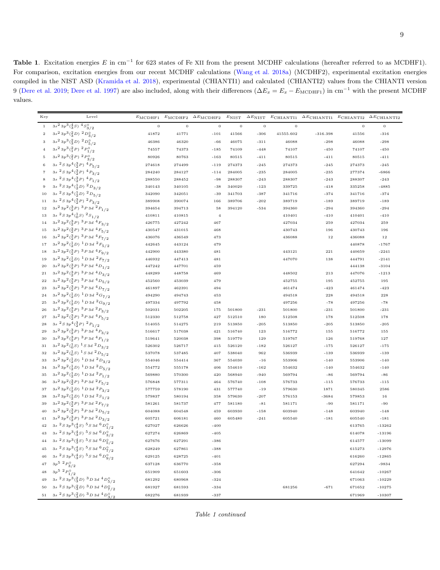<span id="page-8-0"></span>Table 1. Excitation energies E in cm<sup>-1</sup> for 623 states of Fe XII from the present MCDHF calculations (hereafter referred to as MCDHF1). For comparison, excitation energies from our recent MCDHF calculations [\(Wang et al. 2018a](#page-6-2)) (MCDHF2), experimental excitation energies compiled in the NIST ASD [\(Kramida et al. 2018](#page-6-27)), experimental (CHIANTI1) and calculated (CHIANTI2) values from the CHIANTI version 9 [\(Dere et al. 2019](#page-6-7); [Dere et al. 1997](#page-6-8)) are also included, along with their differences ( $\Delta E_x = E_x - E_{\text{MCDHF1}}$ ) in cm<sup>-1</sup> with the present MCDHF values.

| Key               | Level                                                                                     |                  |                  |                |                  |                 |                  | $\label{eq:em:em:unif} E_{\text{MCDHF1}} \quad E_{\text{MCDHF2}} \quad \Delta E_{\text{MCDHF2}} \quad E_{\text{NIST}} \quad \Delta E_{\text{NIST}} \quad E_{\text{CHIANT11}} \quad \Delta E_{\text{CHIANT11}} \quad E_{\text{CHIANT12}} \quad \Delta E_{\text{CHIANT12}}$ |                  |             |
|-------------------|-------------------------------------------------------------------------------------------|------------------|------------------|----------------|------------------|-----------------|------------------|---------------------------------------------------------------------------------------------------------------------------------------------------------------------------------------------------------------------------------------------------------------------------|------------------|-------------|
| $\,1\,$           | $3s^2\,3p^3(\frac{4}{3}S)^4S^0_{3/2}$                                                     | $\mathbf 0$      | $\overline{0}$   | $\mathbf{0}$   | $\mathbf{0}$     | $\mathbf{0}$    | $\overline{0}$   |                                                                                                                                                                                                                                                                           | $\mathbf 0$      | $\mathbf 0$ |
| $\,2$             | $3s^23p^3(\frac{2}{3}D)^2D_{3/2}^0$                                                       | 41872            | 41771            | $-101$         | 41566            | $-306$          | 41555.602        | $-316.398$                                                                                                                                                                                                                                                                | 41556            | $-316$      |
| 3                 | $3s^2 3p^3(\frac{2}{3}D)^2D_{5/2}^0$                                                      | 46386            | 46320            | $-66$          | 46075            | $-311$          | 46088            | $-298$                                                                                                                                                                                                                                                                    | 46088            | $-298$      |
| $\,4$             | $3s^23p^3({2P})\;^2P^0_{1/2}$                                                             | 74557            | 74373            | $-185$         | 74109            | $-448$          | 74107            | $-450$                                                                                                                                                                                                                                                                    | 74107            | $-450$      |
| $\,$ 5            | $3s^23p^3(^2P)^2P^0_{3/2}$                                                                | 80926            | 80763            | $-163$         | 80515            | $-411$          | 80515            | $-411$                                                                                                                                                                                                                                                                    | 80515            | $-411$      |
| $\,$ 6            | $3s2 S 3p4(\frac{3}{2}P)4P5/2$                                                            | 274618           | 274499           | $-119$         | 274373           | $-245$          | 274373           | $-245$                                                                                                                                                                                                                                                                    | 274373           | $-245$      |
| $\scriptstyle{7}$ | 3s ${}^{2}S3p^{4}({}^{3}_{2}P)$ ${}^{4}P_{3/2}$                                           | 284240           | 284127           | $-114$         | 284005           | $-235$          | 284005           | $-235$                                                                                                                                                                                                                                                                    | 277374           | $-6866$     |
| $\bf8$            | 3s ${}^{2}S3p^{4}({}^{3}_{2}P)$ ${}^{4}P_{1/2}$                                           | 288550           | 288452           | $-98$          | 288307           | $-243$          | 288307           | $-243$                                                                                                                                                                                                                                                                    | 288307           | $-243$      |
| $\,9$             | $3s^{2}S3p^{4}(\frac{1}{2}D)^{2}D_{3/2}$                                                  | 340143           | 340105           | $-38$          | 340020           | $-123$          | 339725           | $-418$                                                                                                                                                                                                                                                                    | 335258           | $-4885$     |
| 10                | $3s\ ^{2}S\ 3p^{4}(\frac{1}{2}D)\ ^{2}D_{5/2}$                                            | 342090           | 342051           | $-39$          | 341703           | $-387$          | 341716           | $-374$                                                                                                                                                                                                                                                                    | 341716           | $-374$      |
| 11                | 3s ${}^{2}S3p^{4}({}^{3}_{2}P)$ ${}^{2}P_{3/2}$                                           | 389908           | 390074           | 166            | 389706           | $-202$          | 389719           | $-189$                                                                                                                                                                                                                                                                    | 389719           | $-189$      |
| $1\,2$            | $3s^23p^2({3 \over 2}P)^3P3d~^2P_{1/2}$                                                   | 394654           | 394713           | 58             | 394120           | $-534$          | 394360           | $-294$                                                                                                                                                                                                                                                                    | 394360           | $-294$      |
| $1\,3$            | $3s2S3p4(\frac{1}{0}S)2S1/2$                                                              | 410811           | 410815           | $\overline{4}$ |                  |                 | 410401           | $-410$                                                                                                                                                                                                                                                                    | 410401           | $-410$      |
| 14                | $3s^23p^2({3 \over 2}P)^3P3d~^4F_{3/2}$                                                   | 426775           | 427242           | 467            |                  |                 | 427034           | 259                                                                                                                                                                                                                                                                       | 427034           | 259         |
| 15                | $3s^23p^2({3 \over 2}P)^3P3d~^4F_{5/2}$                                                   | 430547           | 431015           | 468            |                  |                 | 430743           | 196                                                                                                                                                                                                                                                                       | 430743           | 196         |
| 16                | $3s^23p^2({3 \over 2}P)^3P3d~^4F_{7/2}$                                                   | 436076           | 436549           | 473            |                  |                 | 436088           | 12                                                                                                                                                                                                                                                                        | 436088           | 12          |
| 17                | $3s^2 3p^2(\frac{1}{2}D)^{-1}D 3d^{-2}F_{5/2}$                                            | 442645           | 443124           | 479            |                  |                 |                  |                                                                                                                                                                                                                                                                           | 440878           | $-1767$     |
| 18                | $3s^23p^2({3 \over 2}P)^3P3d~^4F_{9/2}$                                                   | 442900           | 443380           | 481            |                  |                 | 443121           | 221                                                                                                                                                                                                                                                                       | 440659           | $-2241$     |
| 19                | $3s^2 3p^2(\frac{1}{2}D)^1 D 3d^2F_{7/2}$                                                 | 446932           | 447413           | 481            |                  |                 | 447070           | 138                                                                                                                                                                                                                                                                       | 444791           | $-2141$     |
| 20                | $3s^23p^2({}^3_2P)^3P3d~^4D_{1/2}$                                                        | 447242           | 447701           | 459            |                  |                 |                  |                                                                                                                                                                                                                                                                           | 444138           | $-3104$     |
| $\bf{21}$         | $3s^23p^2({}^3_2P)^3P3d~^4D_{3/2}$                                                        | 448289           | 448758           | 469            |                  |                 | 448502           | 213                                                                                                                                                                                                                                                                       | 447076           | $-1213$     |
| 22                | $3s^23p^2({}^3_2P)^3P3d~^4D_{5/2}$                                                        | 452560           | 453039           | 479            |                  |                 | 452755           | 195                                                                                                                                                                                                                                                                       | 452755           | 195         |
| 23                | $3s^23p^2({}^3_2P)^3P3d~^4D_{7/2}$                                                        | 461897           | 462391           | 494            |                  |                 | 461474           | $-423$                                                                                                                                                                                                                                                                    | 461474           | $-423$      |
| 24                | $3s^2 3p^2(\frac{1}{2}D)^{-1}D 3d^{-2}G_{7/2}$                                            | 494290           | 494743           | 453            |                  |                 | 494518           | 228                                                                                                                                                                                                                                                                       | 494518           | 228         |
| $\bf 25$          | $3s^2 3p^2(\frac{1}{2}D)^1 D 3d^2G_{9/2}$                                                 | 497334           | 497792           | 458            |                  |                 | 497256           | $-78$                                                                                                                                                                                                                                                                     | 497256           | $-78$       |
| 26                | $3s^23p^2({3 \over 2}P)^3P3d~^2P_{3/2}$                                                   | 502031           | 502205           | 175            | 501800           | $-231$          | 501800           | $-231$                                                                                                                                                                                                                                                                    | 501800           | $-231$      |
| 27                | $3s^23p^2({3 \over 2}P)^3P3d~^4P_{5/2}$                                                   | 512330           | 512758           | 427            | 512510           | 180             | 512508           | 178                                                                                                                                                                                                                                                                       | 512508           | 178         |
| 28                | $3s^{2}S3p^{4}(3P)^{2}P_{1/2}$                                                            | 514055           | 514275           | 219            | 513850           | $-205$          | 513850           | $-205$                                                                                                                                                                                                                                                                    | 513850           | $-205$      |
| 29                | $3s^23p^2({3 \over 2}P)^3P3d~^4P_{3/2}$                                                   | 516617           | 517038           | 421            | 516740           | 123             | 516772           | 155                                                                                                                                                                                                                                                                       | 516772           | 155         |
| 30                | $3s^23p^2({}^3_2P)^3P3d~^4P_{1/2}$                                                        | 519641           | 520038           | 398            | 519770           | 129             | 519767           | 126                                                                                                                                                                                                                                                                       | 519768           | 127         |
| 31                | $3s^2 3p^2(\frac{1}{0}S)^1 S 3d^2D_{3/2}$                                                 | 526302           | 526717           | 415            | 526120           | $-182$          | 526127           | $-175$                                                                                                                                                                                                                                                                    | 526127           | $-175$      |
| 32                | $3s^2 3p^2(\frac{1}{0}S)^1 S 3d^2D_{5/2}$                                                 | 537078           | 537485           | 407            | 538040           | 962             | 536939           | $-139$                                                                                                                                                                                                                                                                    | 536939           | $-139$      |
| 33                | $3s^2 3p^2(\frac{1}{2}D)^{-1}D 3d^{-2}D_{3/2}$                                            | 554046           | 554414           | 367            | 554030           | $-16$           | 553906           | $-140$                                                                                                                                                                                                                                                                    | 553906           | $-140$      |
| 34                | $3s^2$ $3p^2(\frac{1}{2}D)^{-1}D$ $3d^{-2}D_{5/2}$                                        | 554772           | 555178           | 406            | 554610           | $-162$          | 554632           | $-140$                                                                                                                                                                                                                                                                    | 554632           | $-140$      |
| $35\,$            | $3s^2 3p^2(\frac{1}{2}D)^{-1}D 3d^{-2}P_{1/2}$<br>$3s^23p^2({3 \over 2}P)^3P3d~^2F_{5/2}$ | 569880           | 570300           | 420            | 568940           | $-940$          | 569794           | $-86$                                                                                                                                                                                                                                                                     | 569794           | $-86$       |
| $_{\rm 36}$       | $3s^2 3p^2(\frac{1}{2}D)^1 D 3d^2P_{3/2}$                                                 | 576848           | 577311           | 464            | 576740           | $-108$          | 576733           | $-115$                                                                                                                                                                                                                                                                    | 576733           | $-115$      |
| 37<br>38          | $3s^2 3p^2(\frac{1}{2}D)^1 D 3d 2S_{1/2}$                                                 | 577759           | 578190           | 431            | 577740<br>579630 | $-19$           | 579630<br>576153 | 1871<br>$-3684$                                                                                                                                                                                                                                                           | 580345<br>579853 | 2586<br>16  |
| 39                | $3s^23p^2({3 \over 2}P)^3P3d~^2F_{7/2}$                                                   | 579837           | 580194<br>581737 | 358            |                  | $-207$          | 581171           | $-90$                                                                                                                                                                                                                                                                     | 581171           | $-90$       |
| 40                | $3s^23p^2({3 \over 2}P)^3P3d~^2D_{5/2}$                                                   | 581261<br>604088 | 604548           | 477            | 581180<br>603930 | $-81$<br>$-158$ | 603940           | $-148$                                                                                                                                                                                                                                                                    | 603940           | $-148$      |
| $4\sqrt{1}$       | $3s^23p^2({3 \over 2}P)^3P3d~^2D_{3/2}$                                                   | 605721           | 606181           | 459<br>460     | 605480           | $-241$          | 605540           | $-181$                                                                                                                                                                                                                                                                    | 605540           | $-181$      |
| 42                | $3s\ ^{2}S\ 3p^{3}(\frac{4}{3}S)\ ^{5}S\ 3d\ ^{6}D_{1/2}^{0}$                             | 627027           | 626626           | $-400$         |                  |                 |                  |                                                                                                                                                                                                                                                                           | 613765           | $-13262$    |
| 43                | $3s\,\,{^{2}}\,S\,3p^{3}(\substack{4\\3}S)\,\,{^{5}}\,S\,3d\,\,{^{6}}\,D^{\circ}_{3/2}$   | 627274           | 626869           | $-405$         |                  |                 |                  |                                                                                                                                                                                                                                                                           | 614078           | $-13196$    |
|                   | 44 3s ${}^{2}S3p^{3}({}^{4}_{3}S)$ ${}^{5}S3d$ ${}^{6}D^{\circ}_{5/2}$                    |                  |                  |                |                  |                 |                  |                                                                                                                                                                                                                                                                           |                  |             |
|                   | $3s2S3p3(\frac{4}{3}S)5S3d6D7/2$                                                          | 627676           | 627291           | $-386$         |                  |                 |                  |                                                                                                                                                                                                                                                                           | 614577           | $-13099$    |
| $45\,$            |                                                                                           | 628249           | 627861           | $-388$         |                  |                 |                  |                                                                                                                                                                                                                                                                           | 615273           | $-12976$    |
| 46                | 3s $2S3p^3(\frac{4}{3}S)$ $5S3d$ $6D_{9/2}^{\circ}$                                       | 629125           | 628725           | $-401$         |                  |                 |                  |                                                                                                                                                                                                                                                                           | 616260           | $-12865$    |
| 47                | $3p^5~^2P^{\circ}_{3/2}$                                                                  | 637128           | 636770           | $-358$         |                  |                 |                  |                                                                                                                                                                                                                                                                           | 627294           | $-9834$     |
| 48                | $3p^5~^2P^{\circ}_{1/2}$                                                                  | 651909           | 651603           | $-306$         |                  |                 |                  |                                                                                                                                                                                                                                                                           | 641642           | $-10267$    |
|                   | 49 3s ${}^{2}S\,3p^{3}({}^{2}_{3}D)\,$ ${}^{3}D\,3d\,$ ${}^{4}D^{\circ}_{5\,/\,2}$        | 681292           | 680968           | $-324$         |                  |                 |                  |                                                                                                                                                                                                                                                                           | 671063           | $-10229$    |
|                   | 50 3s ${}^{2}S\,3p^3({}^{2}_{3}D)\, {}^{3}D\,3d\, {}^{4}D^{\circ}_{7/2}$                  | 681927           | 681593           | $-334$         |                  |                 | 681256           | $-671$                                                                                                                                                                                                                                                                    | 671652           | $-10275$    |
|                   | 51 3s ${}^{2}S\,3p^3({}^{2}_{3}D)\, {}^{3}D\,3d\, {}^{4}D^{\circ}_{3/2}$                  | 682276           | 681939           | $-337$         |                  |                 |                  |                                                                                                                                                                                                                                                                           | 671969           | $-10307$    |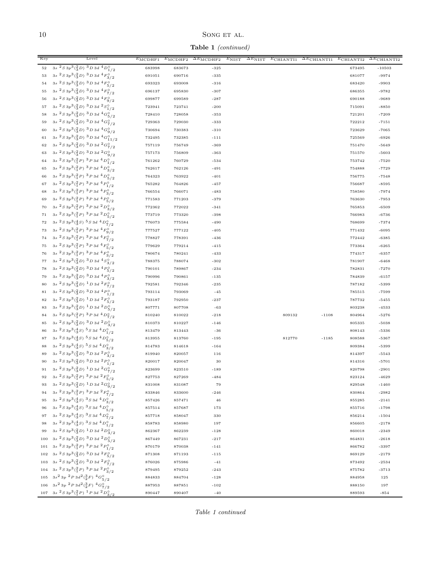# $\,$  SONG ET AL.

Table 1 (continued)

| Key         | Level                                                                                                                                    | $E_{\text{MCDHF1}}$ | $E_{\rm MCDHF2}$ | $\Delta E_{\text{MCDHF2}}$ | $E_{\text{NIST}}$ | $\Delta E_{\rm NIST}$ | $E$ CHIANTI1 | $\Delta E$ CHIANTI1 | $E$ CHIANTI2     | $\overline{\Delta E_{\text{CHIANTI2}}}$ |
|-------------|------------------------------------------------------------------------------------------------------------------------------------------|---------------------|------------------|----------------------------|-------------------|-----------------------|--------------|---------------------|------------------|-----------------------------------------|
| $^{\rm 52}$ | $3s2 S 3p3(2/3D)3D 3d4D0/1/2$                                                                                                            | 683998              | 683673           | $-325$                     |                   |                       |              |                     | 673495           | $-10503$                                |
| 53          | 3s ${}^{2}S\,3p^3({}^{2}_{3}D)\,$ ${}^{3}D\,3d\,4F^{\circ}_{3/2}$                                                                        | 691051              | 690716           | $-335$                     |                   |                       |              |                     | 681077           | $-9974$                                 |
| 54          | $3s\ ^{2}S\ 3p^{3}(\frac{2}{3}D)\ ^{3}D\ 3d\ ^{4}F_{5/2}^{0}$                                                                            | 693323              | 693008           | $-316$                     |                   |                       |              |                     | 683420           | $-9903$                                 |
| 55          | 3s ${}^{2}S3p^{3}({}^{2}_{3}D)$ ${}^{3}D3d$ ${}^{4}F^{0}_{7/2}$                                                                          | 696137              | 695830           | $-307$                     |                   |                       |              |                     | 686355           | $-9782$                                 |
| 56          | $3s\ ^{2}S\ 3p^{3}(\frac{2}{3}D)\ ^{3}D\ 3d\ ^{4}F_{9/2}^{\circ}$                                                                        | 699877              | 699589           | $-287$                     |                   |                       |              |                     | 690188           | $-9689$                                 |
| 57          | $3s\ ^{2}S\ 3p^{3}(\frac{2}{3}D)\ ^{3}D\ 3d\ ^{2}S_{1/2}^{\circ}$                                                                        | 723941              | 723741           | $-200$                     |                   |                       |              |                     | 715091           | $-8850$                                 |
| 58          | $3s2 S 3p3(2/3D)3 D 3d4 Go/5/2$                                                                                                          | 728410              | 728058           | $-353$                     |                   |                       |              |                     | 721201           | $-7209$                                 |
| 59          | $3s\ ^{2}S\ 3p^{3}(\frac{2}{3}D)\ ^{3}D\ 3d\ ^{4}G_{7/2}^{0}$                                                                            | 729363              | 729030           | $-333$                     |                   |                       |              |                     | 722212           | $-7151$                                 |
| 60          | $3s2S3p3(23D)3D3d4Go9/2$                                                                                                                 | 730694              | 730383           | $-310$                     |                   |                       |              |                     | 723629           | $-7065$                                 |
| 61          | 3s ${}^{2}S3p^{3}({}^{2}_{3}D)$ ${}^{3}D3d$ ${}^{4}G^{0}_{11/2}$                                                                         | 732495              | 732385           | $-111$                     |                   |                       |              |                     | 725569           | $-6926$                                 |
| 62          | $3s\ ^{2}S\ 3p^{3}(\frac{2}{3}D)\ ^{3}D\ 3d\ ^{2}G_{7/2}^{0}$                                                                            | 757119              | 756749           | $-369$                     |                   |                       |              |                     | 751470           | $-5649$                                 |
| 63          | $3s2S3p3(23D)3D3d2Go9/2$                                                                                                                 | 757173              | 756809           | $-363$                     |                   |                       |              |                     | 751570           | $-5603$                                 |
| 64          | $3s\ ^{2}S\ 3p^{3}(\frac{2}{1}P)\ ^{3}P\ 3d\ ^{4}D_{1/2}^{0}$                                                                            | 761262              | 760729           | $-534$                     |                   |                       |              |                     | 753742           | $-7520$                                 |
| 65          | $3s\ ^{2}S\ 3p^{3}(\frac{2}{1}P)\ ^{3}P\ 3d\ ^{4}D_{3/2}^{0}$                                                                            | 762617              | 762126           | $-491$                     |                   |                       |              |                     | 754888           | $-7729$                                 |
| 66          | $3s2 S 3p3(21P)3P 3d4 Do5/2$                                                                                                             | 764323              | 763922           | $-401$                     |                   |                       |              |                     | 756775           | $-7548$                                 |
| 67          | $3s\ ^{2}S\ 3p^{3}(\frac{2}{1}P)\ ^{3}P\ 3d\ ^{4}P_{1/2}^{\circ}$                                                                        | 765282              | 764826           | $-457$                     |                   |                       |              |                     | 756687           | $-8595$                                 |
| 68          | 3s ${}^{2}S3p^{3}({}^{2}_{1}P)$ ${}^{3}P3d$ ${}^{4}P^{0}_{3/2}$                                                                          | 766554              | 766071           | $-483$                     |                   |                       |              |                     | 758580           | $-7974$                                 |
| 69          | $3s2 S 3p3(21P)3 P 3d4 P5/2$                                                                                                             | 771583              | 771203           | $-379$                     |                   |                       |              |                     | 763630           | $-7953$                                 |
| 70          | $3s\ ^{2}S\ 3p^{3}(\frac{2}{1}P)\ ^{3}P\ 3d\ ^{2}D_{3/2}^{0}$                                                                            | 772362              | 772022           | $-341$                     |                   |                       |              |                     | 765853           | $-6509$                                 |
| 71          | $3s2 S 3p3(21P)3P 3d2 Do5/2$                                                                                                             | 773719              | 773320           | $-398$                     |                   |                       |              |                     | 766983           | $-6736$                                 |
| 72          | $3s\ ^{2}S\ 3p^{3}(\frac{4}{3}S)\ ^{5}S\ 3d\ ^{4}D_{7/2}^{0}$                                                                            | 776073              | 775584           | $-490$                     |                   |                       |              |                     | 768699           | $-7374$                                 |
| 73          | $3s2S3p3(21P)3P3d4F9/2$                                                                                                                  | 777527              | 777122           | $-405$                     |                   |                       |              |                     | 771432           | $-6095$                                 |
| 74          | 3s ${}^{2}S3p^{3}({}^{2}_{1}P)$ ${}^{3}P3d$ ${}^{4}F^{\circ}_{7/2}$                                                                      | 778827              | 778391           | $-436$                     |                   |                       |              |                     | 772442           | $-6385$                                 |
| 75          | $3s\ ^{2}S\ 3p^{3}(\frac{2}{1}P)\ ^{3}P\ 3d\ ^{4}F_{5/2}^{\circ}$                                                                        | 779629              | 779214           | $-415$                     |                   |                       |              |                     | 773364           | $-6265$                                 |
| 76          | $3s2 S 3p3(21P)3P 3d4F3/20$                                                                                                              | 780674              | 780241           | $-433$                     |                   |                       |              |                     | 774317           | $-6357$                                 |
| 77          | $3s\ ^{2}S\ 3p^{3}(\frac{2}{3}D)\ ^{3}D\ 3d\ ^{4}S_{3/2}^{0}$                                                                            | 788375              | 788074           | $-302$                     |                   |                       |              |                     | 781907           | $-6468$                                 |
| 78          | $3s2 S 3p3(23D) 3D 3d4P5/2$                                                                                                              | 790101              | 789867           | $-234$                     |                   |                       |              |                     | 782831           | $-7270$                                 |
| 79          | $3s\ ^{2}S\ 3p^{3}(\frac{2}{3}D)\ ^{3}D\ 3d\ ^{4}P_{3/2}^{0}$                                                                            | 790996              | 790861           | $-135$                     |                   |                       |              |                     | 784839           | $-6157$                                 |
| 80          | $3s\ ^{2}S\ 3p^{3}(\frac{2}{3}D)\ ^{1}D\ 3d\ ^{2}F_{7/2}^{0}$                                                                            | 792581              | 792346           | $-235$                     |                   |                       |              |                     | 787182           | $-5399$                                 |
| 81          | $3s\ ^{2}S\ 3p^{3}(\frac{2}{3}D)\ ^{3}D\ 3d\ ^{4}P_{1/2}^{0}$                                                                            | 793114              | 793069           | $-45$                      |                   |                       |              |                     | 785515           | $-7599$                                 |
| 82          | 3s ${}^{2}S3p^{3}({}^{2}_{3}D)$ ${}^{1}D3d$ ${}^{2}F^{0}_{5/2}$                                                                          | 793187              | 792950           | $-237$                     |                   |                       |              |                     | 787732           | $-5455$                                 |
| 83          | $3s\ ^{2}S\ 3p\ ^{3}(\frac{2}{3}D)\ ^{1}D\ 3d\ ^{2}D_{5/2}^{0}$<br>$3s\ ^{2}S\ 3p\ ^{3}({\frac{2}{1}}P)\ ^{3}P\ 3d\ ^{4}D_{7/2}^{\circ}$ | 807771              | 807708           | $-63$                      |                   |                       |              |                     | 803238           | $-4533$                                 |
| 84<br>85    | $3s\ ^{2}S\ 3p^{3}(\frac{2}{3}D)\ ^{3}D\ 3d\ ^{2}D_{3/2}^{\circ}$                                                                        | 810240<br>810373    | 810022<br>810227 | $-218$<br>$-146$           |                   |                       | 809132       | $-1108$             | 804964<br>805335 | $-5276$<br>$-5038$                      |
| 86          | $3s\ ^{2}S\ 3p\ ^{3}(\frac{4}{3}S)\ ^{5}S\ 3d\ ^{4}D_{1/2}^{\circ}$                                                                      | 813479              | 813443           | $-36$                      |                   |                       |              |                     | 808143           | $-5336$                                 |
| 87          | $3s\ ^{2}S\ 3p^{3}(\frac{4}{3}S)\ ^{5}S\ 3d\ ^{4}D_{5/2}^{\circ}$                                                                        | 813955              | 813760           | $-195$                     |                   |                       | 812770       | $-1185$             | 808588           | $-5367$                                 |
| 88          | $3s2S3p3(\frac{4}{3}S)5S3d4D3/2o$                                                                                                        | 814783              | 814618           | $-164$                     |                   |                       |              |                     | 809384           | $-5399$                                 |
| 89          | $3s\ ^{2}S\ 3p\ ^{3}(\frac{2}{3}D)\ ^{3}D\ 3d\ ^{2}P_{3/2}^{\circ}$                                                                      | 819940              | 820057           | 116                        |                   |                       |              |                     | 814397           | $-5543$                                 |
| 90          | $3s\,\,{}^2S\,3p^3({}^2_3D)\,\,{}^3D\,3d\,\,{}^2P^\circ_{1/2}$                                                                           | 820017              | 820047           | 30                         |                   |                       |              |                     | 814316           | $-5701$                                 |
| 91          | 3s ${}^{2}S\,3p^{3}({}^{2}_{3}D)\,$ ${}^{1}D\,3d\,$ ${}^{2}G^{0}_{7/2}$                                                                  | 823699              | 823510           | $-189$                     |                   |                       |              |                     | 820798           | $-2901$                                 |
|             | $3s\,\,{^2S}\,3p^3({^2_1P})\,\,{^3P}\,3d\,\,{^2F^{\circ}_{5/2}}$                                                                         | 827753              | 827269           | -484                       |                   |                       |              |                     | 823124           | $-4629$                                 |
| 93          | $3s\ ^{2}S\ 3p^{3}(\frac{2}{3}D)\ ^{1}D\ 3d\ ^{2}G_{9/2}^{0}$                                                                            | 831008              | 831087           | 79                         |                   |                       |              |                     | 829548           | $-1460$                                 |
| 94          | $3s^2S3p^3(^2P)^3P3d^2F^0_{7/2}$                                                                                                         | 833846              | 833600           | $-246$                     |                   |                       |              |                     | 830864           | $-2982$                                 |
| 95          | $3s2S3p3(\frac{4}{3}S)3S3d4D3/2o$                                                                                                        | 857426              | 857471           | $\bf 46$                   |                   |                       |              |                     | 855285           | $-2141$                                 |
| 96          | $3s2 S 3p3(\frac{4}{3}S)3 S 3d4 D5/2$                                                                                                    | 857514              | 857687           | 173                        |                   |                       |              |                     | 855716           | $-1798$                                 |
| 97          | $3s2 S 3p3(\frac{4}{3}S)3 S 3d4 D7/2$                                                                                                    | 857718              | 858047           | 330                        |                   |                       |              |                     | 856214           | $-1504$                                 |
| 98          | $3s2 S 3p3(\frac{4}{3}S)3 S 3d4 D1/2$                                                                                                    | 858783              | 858980           | 197                        |                   |                       |              |                     | 856605           | $-2178$                                 |
| 99          | $3s\ ^{2}S\ 3p^{3}(\frac{2}{3}D)\ ^{1}D\ 3d\ ^{2}D_{3/2}^{\circ}$                                                                        | 862367              | 862239           | $-128$                     |                   |                       |              |                     | 860018           | $-2349$                                 |
| 100         | 3s ${}^{2}S\,3p^{3}(\frac{2}{3}D)\,$ ${}^{3}D\,3d\,$ ${}^{2}D_{5/2}^{\circ}$                                                             | 867449              | 867231           | $-217$                     |                   |                       |              |                     | 864831           | $-2618$                                 |
|             | 101 3s $2S3p^3(1P)$ 3 P 3d $2P_{1/2}^{\circ}$                                                                                            | 870179              | 870038           | $-141$                     |                   |                       |              |                     | 866782           | $-3397$                                 |
|             | 102 3s ${}^{2}S3p^{3}(\frac{2}{3}D)$ ${}^{3}D3d$ ${}^{2}F^{\circ}_{5/2}$                                                                 | 871308              | 871193           | $-115$                     |                   |                       |              |                     | 869129           | $-2179$                                 |
|             | 103 – 3s $2S3p^3(\frac{2}{3}D)$ $3D3d$ $2F^{\circ}_{7/2}$                                                                                | 876026              | 875986           | $-41$                      |                   |                       |              |                     | 873492           | $-2534$                                 |
|             | 104 3s $2S3p^3({2 P})$ $3P3d 2P_3/2$                                                                                                     | 879495              | 879252           | $-243$                     |                   |                       |              |                     | 875782           | $-3713$                                 |
|             | 105 $3s^2 3p^2 P 3d^2(\frac{3}{2}F)^4 G^0_{5/2}$                                                                                         | 884833              | 884704           | $-128$                     |                   |                       |              |                     | 884958           | 125                                     |
|             | 106 $3s^2 3p^2 P 3d^2(\frac{3}{2}F)^4 G_{7/2}^9$                                                                                         | 887953              | 887851           | $-102$                     |                   |                       |              |                     | 888150           | 197                                     |
|             | $107 \quad 3s\,\ ^2S\,3p^3\bigl( \frac{2}{1}\,P \bigr)\,\ ^1P\,3d\,\ ^2D^{\,0}_{3/2}$                                                    | 890447              | 890407           | $-40$                      |                   |                       |              |                     | 889593           | $-854$                                  |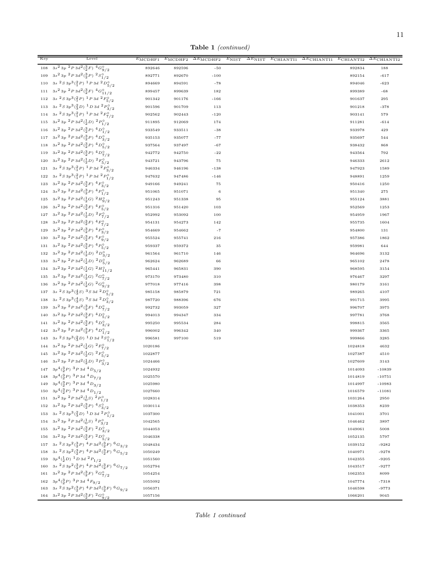Table 1 (continued)

| $3s^2 3p^2 P 3d^2(\frac{3}{2}F)^4G^0_{9/2}$<br>$108\,$<br>892646<br>$-50$<br>188<br>892596<br>892834<br>109 $3s^2 3p^2 P 3d^2(\frac{3}{2}P)^2S^0_{1/2}$<br>$-617$<br>892771<br>892670<br>$-100$<br>892154<br>110 3s ${}^{2}S3p^{3}({}^{2}_{1}P)$ ${}^{1}P3d$ ${}^{2}D^{0}_{5/2}$<br>894669<br>894591<br>$-78$<br>894046<br>$-623$<br>111 $3s^2 3p^2 P 3d^2(\frac{3}{2}F)^4 G_{11/2}^{\circ}$<br>899457<br>899639<br>182<br>899389<br>$-68$<br>112 3s ${}^{2}S3p^{3}({}^{2}_{1}P)$ ${}^{1}P3d$ ${}^{2}F^{\circ}_{5/2}$<br>901342<br>901176<br>901637<br>295<br>$-166$<br>$3s\ ^{2}S\ 3p^{3}(\frac{2}{3}D)\ ^{1}D\ 3d\ ^{2}P_{3/2}^{\circ}$<br>113<br>901596<br>901709<br>113<br>901218<br>$-378$<br>114 3s ${}^{2}S3p^{3}({^{2}_{1}P})$ ${}^{1}P3d$ ${}^{2}F^{\circ}_{7/2}$<br>902562<br>902443<br>$-120$<br>903141<br>579<br>115 $3s^2 3p^2 P 3d^2(\frac{1}{2}D)^2 P_{1/2}^{\circ}$<br>911895<br>912069<br>174<br>911281<br>$-614$<br>116 $3s^2 3p^2 P 3d^2(\frac{3}{2}P)^4 D^0_{1/2}$<br>933549<br>933511<br>$-38$<br>933978<br>429<br>117 $3s^2 3p^2 P 3d^2(\frac{3}{2}P)^4 D_{3/2}^0$<br>935077<br>$-77$<br>935697<br>544<br>935153<br>118 $3s^2 3p^2 P 3d^2(\frac{3}{2}P)^4 D_{5/2}^9$<br>937564<br>937497<br>$-67$<br>938432<br>868<br>119 $3s^2 3p^2 P 3d^2(\frac{3}{2}P)^4 D_{7/2}^9$<br>942772<br>942750<br>$^{\rm -22}$<br>943564<br>792<br>120 $3s^2 3p^2 P 3d^2(\frac{1}{2}D)^2 F_{5/2}^{\circ}$<br>943721<br>943796<br>75<br>946333<br>2612<br>121 3s ${}^{2}S\,3p^{3}({}^{2}_{1}P)\,$ ${}^{1}P\,3d\,$ ${}^{2}P^{\circ}_{3/2}$<br>946334<br>946196<br>$-138$<br>947923<br>1589<br>3s ${}^{2}S\,3p^3({}^{2}_{1}P)\,$ ${}^{1}P\,3d\,$ ${}^{2}P^{\circ}_{1/2}$<br>122<br>947632<br>947486<br>$-146$<br>948891<br>1259<br>123 3s <sup>2</sup> 3p <sup>2</sup> P 3d <sup>2</sup> ( $\frac{3}{2}F$ ) <sup>4</sup> F <sub>3/2</sub><br>949166<br>949241<br>${\bf 75}$<br>950416<br>1250<br>124 3s <sup>2</sup> 3p <sup>2</sup> P 3d <sup>2</sup> ( $\frac{3}{2}$ P) <sup>4</sup> P <sub>1/2</sub><br>951065<br>951071<br>$\,6\,$<br>951340<br>275<br>125 3s <sup>2</sup> 3p <sup>2</sup> P 3d <sup>2</sup> ( $\frac{1}{2}$ G) <sup>2</sup> H <sub>9</sub> / <sub>2</sub><br>951243<br>951338<br>95<br>955124<br>3881<br>126 3s <sup>2</sup> 3p <sup>2</sup> P 3d <sup>2</sup> ( $\frac{3}{2}F$ ) <sup>4</sup> F <sub>5</sub> / <sub>2</sub><br>951316<br>951420<br>103<br>952569<br>1253<br>127 3s <sup>2</sup> 3p <sup>2</sup> P 3d <sup>2</sup> ( $\frac{1}{2}$ D) <sup>2</sup> F <sub>7</sub> / <sub>2</sub><br>953092<br>952992<br>100<br>954959<br>1967<br>128 3s <sup>2</sup> 3p <sup>2</sup> P 3d <sup>2</sup> ( $\frac{3}{2}F$ ) <sup>4</sup> F <sub>7</sub> / <sub>2</sub><br>954273<br>954131<br>142<br>955735<br>1604<br>129 $3s^2 3p^2 P 3d^2(\frac{3}{2}P)^4 P_{3/2}^{\circ}$<br>954662<br>$^{\rm -7}$<br>954669<br>954800<br>131<br>130 $3s^2 3p^2 P 3d^2(\frac{3}{2}F)^4 F_{9/2}^0$<br>955741<br>955524<br>216<br>957386<br>1862<br>131 3s <sup>2</sup> 3p <sup>2</sup> P 3d <sup>2</sup> ( $\frac{3}{2}$ P) <sup>4</sup> P <sub>5/2</sub><br>959337<br>959372<br>$3\,5$<br>959981<br>644<br>132 $3s^2 3p^2 P 3d^2(\frac{1}{2}D)^2 D_{3/2}^0$<br>961564<br>961710<br>146<br>964696<br>3132<br>133 3s <sup>2</sup> 3p <sup>2</sup> P 3d <sup>2</sup> ( $\frac{1}{2}$ D) <sup>2</sup> D <sub>5/2</sub><br>962624<br>962689<br>66<br>965102<br>2478<br>134 3s <sup>2</sup> 3p <sup>2</sup> P 3d <sup>2</sup> ( $\frac{1}{2}$ G) <sup>2</sup> H <sub>11</sub> / <sub>2</sub><br>965441<br>965831<br>390<br>968595<br>3154<br>135 3s <sup>2</sup> 3p <sup>2</sup> P 3d <sup>2</sup> ( $\frac{1}{2}$ G) <sup>2</sup> G <sup>o</sup> <sub>7/2</sub><br>3297<br>973170<br>973480<br>310<br>976467<br>136 3s <sup>2</sup> 3p <sup>2</sup> P 3d <sup>2</sup> ( $\frac{1}{2}$ G) <sup>2</sup> G <sub>9</sub> <sub>/2</sub><br>977018<br>977416<br>398<br>980179<br>3161<br>137 3s ${}^{2}S\,3p^3(\frac{4}{3}S)$ ${}^{3}S\,3d$ ${}^{2}D_{5/2}^{\circ}$<br>985158<br>985879<br>721<br>989265<br>4107<br>138 3s ${}^{2}S3p^{3}(\frac{4}{3}S)$ ${}^{3}S3d$ ${}^{2}D_{3/2}^{\circ}$<br>987720<br>988396<br>676<br>991715<br>3995<br>139 $3s^2 3p^2 P 3d^2(\frac{3}{2}F)^4 D^0_{7/2}$<br>992732<br>993059<br>327<br>996707<br>3975<br>140 $3s^2 3p^2 P 3d^2(\frac{3}{2}F)^4 D_{5/2}^{\circ}$<br>994013<br>994347<br>334<br>997781<br>3768<br>141 3s <sup>2</sup> 3p <sup>2</sup> P 3d <sup>2</sup> ( $\frac{3}{2}F$ ) <sup>4</sup> D <sub>3/2</sub><br>995250<br>995534<br>284<br>998815<br>3565<br>142 $3s^2 3p^2 P 3d^2(\frac{3}{2}F)^4 D^{\circ}_{1/2}$<br>996002<br>996342<br>340<br>999367<br>3365<br>143 3s ${}^{2}S3p^{3}(\frac{2}{3}D)\ {}^{1}D3d\ {}^{2}S_{1/2}^{0}$<br>996581<br>997100<br>519<br>999866<br>3285<br>144 3s <sup>2</sup> 3p <sup>2</sup> P 3d <sup>2</sup> ( $\frac{1}{2}$ G) <sup>2</sup> F <sub>7</sub> / <sub>2</sub><br>1020186<br>1024818<br>4632<br>145 3s <sup>2</sup> 3p <sup>2</sup> P 3d <sup>2</sup> ( $\frac{1}{2}$ G) <sup>2</sup> F <sub>5/2</sub><br>1022877<br>1027387<br>4510<br>146 3s <sup>2</sup> 3p <sup>2</sup> P 3d <sup>2</sup> ( $\frac{1}{2}$ D) <sup>2</sup> P <sub>3/2</sub><br>1024466<br>1027609<br>3143<br>147 $3p^4({3 \over 2}P)^3P3d^4D_{5/2}$<br>1024932<br>1014093<br>$-10839$<br>148 $3p^4({3 \over 2}P)^3P3d^4D_{7/2}$<br>1025570<br>1014819<br>$-10751$<br>149 $3p^4({3 \over 2}P)^3P3d~^4D_{3/2}$<br>1025980<br>1014997<br>$-10983$<br>150 $3p^4({3 P})$ $3 P 3d$ $4 D_{1/2}$<br>$-11081$<br>1027660<br>1016579<br>151 3s <sup>2</sup> 3p <sup>2</sup> P 3d <sup>2</sup> ( $\frac{1}{0}S$ ) <sup>2</sup> P <sub>1</sub> <sup>o</sup><br>1028314<br>1031264<br>2950<br>152 $3s^2 3p^2 P 3d^2(\frac{3}{2}P)^4S_{3/2}^0$<br>1030114<br>1038353<br>8239<br>3s ${}^{2}S\,3p^3({}^{2}_{3}D)\,$ ${}^{1}D\,3d\,$ ${}^{2}P^{\circ}_{1/2}$<br>3701<br>153<br>1041001<br>1037300<br>154 3s <sup>2</sup> 3p <sup>2</sup> P 3d <sup>2</sup> ( $\frac{1}{0}$ S) <sup>2</sup> P <sub>3</sub> / <sub>2</sub><br>3897<br>1046462<br>1042565<br>155 3s <sup>2</sup> 3p <sup>2</sup> P 3d <sup>2</sup> ( $\frac{3}{2}F$ ) <sup>2</sup> D <sub>3/2</sub><br>1049061<br>5008<br>1044053<br>156 3s <sup>2</sup> 3p <sup>2</sup> P 3d <sup>2</sup> ( $\frac{3}{2}F$ ) <sup>2</sup> D <sub>5/2</sub><br>5797<br>1046338<br>1052135<br>157 3s ${}^{2}S\,3p^2({}^{3}_{2}P)\,$ ${}^{4}P\,3d^2({}^{3}_{2}F)\,$ ${}^{6}G_{3/2}$<br>1048434<br>1039152<br>$-9282$<br>$3s\ ^{2}S\ 3p^{2}(\frac{3}{2}P)\ ^{4}P\ 3d^{2}(\frac{3}{2}F)\ ^{6}G_{5/2}$<br>158<br>1040971<br>$-9278$<br>1050249<br>159 $3p^4(\frac{1}{2}D)^1D3d^2P_{1/2}$<br>$-9205$<br>1051560<br>1042355<br>160 3s ${}^{2}S\,3p^2({}^{3}_{2}P)\,$ ${}^{4}P\,3d^2({}^{3}_{2}F)\,$ ${}^{6}G_{7/2}$<br>1052794<br>1043517<br>$-9277$<br>161 $3s^2 3p^2 P 3d^2(\frac{3}{2}F)^2 G_{7/2}^0$<br>8099<br>1054254<br>1062353<br>162 $3p^4({3 \over 2}P)^3P3d^4F_{9/2}$<br>$-7318$<br>1055092<br>1047774<br>163 3s ${}^{2}S3p^{2}({}^{3}_{2}P)$ ${}^{4}P3d^{2}({}^{3}_{2}F)$ ${}^{6}G_{9/2}$<br>1056371<br>1046598<br>$-9773$<br>$164~~ \frac{3s^2\,3p\,~^2P\,3d^2(\substack{3 \\ 2}F) \,\, ^2G^{\circ}_{9/2} }$<br>1057156<br>9045<br>1066201 | Key | Level | $E_{\text{MCDHF1}}$ | $E_{\rm MCDHF2}$ | $\Delta E_{\text{MCDHF2}}$ | $E_{\text{NIST}}$ | $\Delta E_{\rm NIST}$ | $E$ CHIANTI1 | $\Delta E$ CHIANTI1 | $E$ CHIANTI2 | $\Delta E_{\rm CHIANTI2}$ |
|---------------------------------------------------------------------------------------------------------------------------------------------------------------------------------------------------------------------------------------------------------------------------------------------------------------------------------------------------------------------------------------------------------------------------------------------------------------------------------------------------------------------------------------------------------------------------------------------------------------------------------------------------------------------------------------------------------------------------------------------------------------------------------------------------------------------------------------------------------------------------------------------------------------------------------------------------------------------------------------------------------------------------------------------------------------------------------------------------------------------------------------------------------------------------------------------------------------------------------------------------------------------------------------------------------------------------------------------------------------------------------------------------------------------------------------------------------------------------------------------------------------------------------------------------------------------------------------------------------------------------------------------------------------------------------------------------------------------------------------------------------------------------------------------------------------------------------------------------------------------------------------------------------------------------------------------------------------------------------------------------------------------------------------------------------------------------------------------------------------------------------------------------------------------------------------------------------------------------------------------------------------------------------------------------------------------------------------------------------------------------------------------------------------------------------------------------------------------------------------------------------------------------------------------------------------------------------------------------------------------------------------------------------------------------------------------------------------------------------------------------------------------------------------------------------------------------------------------------------------------------------------------------------------------------------------------------------------------------------------------------------------------------------------------------------------------------------------------------------------------------------------------------------------------------------------------------------------------------------------------------------------------------------------------------------------------------------------------------------------------------------------------------------------------------------------------------------------------------------------------------------------------------------------------------------------------------------------------------------------------------------------------------------------------------------------------------------------------------------------------------------------------------------------------------------------------------------------------------------------------------------------------------------------------------------------------------------------------------------------------------------------------------------------------------------------------------------------------------------------------------------------------------------------------------------------------------------------------------------------------------------------------------------------------------------------------------------------------------------------------------------------------------------------------------------------------------------------------------------------------------------------------------------------------------------------------------------------------------------------------------------------------------------------------------------------------------------------------------------------------------------------------------------------------------------------------------------------------------------------------------------------------------------------------------------------------------------------------------------------------------------------------------------------------------------------------------------------------------------------------------------------------------------------------------------------------------------------------------------------------------------------------------------------------------------------------------------------------------------------------------------------------------------------------------------------------------------------------------------------------------------------------------------------------------------------------------------------------------------------------------------------------------------------------------------------------------------------------------------------------------------------------------------------------------------------------------------------------------------------------------------------------------------------------------------------------------------------------------------------------------------------------------------------------------------------------------------------------------------------------------------------------------------------------------------------------------------------------------------------------------------------------------------------------------------------------------------------------------------------------------------------------------------------------------------------------------------------------------------------------------------------------------------------------------------------------------------------------------------------------------------------------------------------------------------------------------------------------------------------------------------------------------------------------------------------------------------------------------------------------------------------------------------------------------------------------------------------------------------------------------------------------------------------------------------------------------------------------------------------------------------------|-----|-------|---------------------|------------------|----------------------------|-------------------|-----------------------|--------------|---------------------|--------------|---------------------------|
|                                                                                                                                                                                                                                                                                                                                                                                                                                                                                                                                                                                                                                                                                                                                                                                                                                                                                                                                                                                                                                                                                                                                                                                                                                                                                                                                                                                                                                                                                                                                                                                                                                                                                                                                                                                                                                                                                                                                                                                                                                                                                                                                                                                                                                                                                                                                                                                                                                                                                                                                                                                                                                                                                                                                                                                                                                                                                                                                                                                                                                                                                                                                                                                                                                                                                                                                                                                                                                                                                                                                                                                                                                                                                                                                                                                                                                                                                                                                                                                                                                                                                                                                                                                                                                                                                                                                                                                                                                                                                                                                                                                                                                                                                                                                                                                                                                                                                                                                                                                                                                                                                                                                                                                                                                                                                                                                                                                                                                                                                                                                                                                                                                                                                                                                                                                                                                                                                                                                                                                                                                                                                                                                                                                                                                                                                                                                                                                                                                                                                                                                                                                                                                                                                                                                                                                                                                                                                                                                                                                                                                                                                                                                       |     |       |                     |                  |                            |                   |                       |              |                     |              |                           |
|                                                                                                                                                                                                                                                                                                                                                                                                                                                                                                                                                                                                                                                                                                                                                                                                                                                                                                                                                                                                                                                                                                                                                                                                                                                                                                                                                                                                                                                                                                                                                                                                                                                                                                                                                                                                                                                                                                                                                                                                                                                                                                                                                                                                                                                                                                                                                                                                                                                                                                                                                                                                                                                                                                                                                                                                                                                                                                                                                                                                                                                                                                                                                                                                                                                                                                                                                                                                                                                                                                                                                                                                                                                                                                                                                                                                                                                                                                                                                                                                                                                                                                                                                                                                                                                                                                                                                                                                                                                                                                                                                                                                                                                                                                                                                                                                                                                                                                                                                                                                                                                                                                                                                                                                                                                                                                                                                                                                                                                                                                                                                                                                                                                                                                                                                                                                                                                                                                                                                                                                                                                                                                                                                                                                                                                                                                                                                                                                                                                                                                                                                                                                                                                                                                                                                                                                                                                                                                                                                                                                                                                                                                                                       |     |       |                     |                  |                            |                   |                       |              |                     |              |                           |
|                                                                                                                                                                                                                                                                                                                                                                                                                                                                                                                                                                                                                                                                                                                                                                                                                                                                                                                                                                                                                                                                                                                                                                                                                                                                                                                                                                                                                                                                                                                                                                                                                                                                                                                                                                                                                                                                                                                                                                                                                                                                                                                                                                                                                                                                                                                                                                                                                                                                                                                                                                                                                                                                                                                                                                                                                                                                                                                                                                                                                                                                                                                                                                                                                                                                                                                                                                                                                                                                                                                                                                                                                                                                                                                                                                                                                                                                                                                                                                                                                                                                                                                                                                                                                                                                                                                                                                                                                                                                                                                                                                                                                                                                                                                                                                                                                                                                                                                                                                                                                                                                                                                                                                                                                                                                                                                                                                                                                                                                                                                                                                                                                                                                                                                                                                                                                                                                                                                                                                                                                                                                                                                                                                                                                                                                                                                                                                                                                                                                                                                                                                                                                                                                                                                                                                                                                                                                                                                                                                                                                                                                                                                                       |     |       |                     |                  |                            |                   |                       |              |                     |              |                           |
|                                                                                                                                                                                                                                                                                                                                                                                                                                                                                                                                                                                                                                                                                                                                                                                                                                                                                                                                                                                                                                                                                                                                                                                                                                                                                                                                                                                                                                                                                                                                                                                                                                                                                                                                                                                                                                                                                                                                                                                                                                                                                                                                                                                                                                                                                                                                                                                                                                                                                                                                                                                                                                                                                                                                                                                                                                                                                                                                                                                                                                                                                                                                                                                                                                                                                                                                                                                                                                                                                                                                                                                                                                                                                                                                                                                                                                                                                                                                                                                                                                                                                                                                                                                                                                                                                                                                                                                                                                                                                                                                                                                                                                                                                                                                                                                                                                                                                                                                                                                                                                                                                                                                                                                                                                                                                                                                                                                                                                                                                                                                                                                                                                                                                                                                                                                                                                                                                                                                                                                                                                                                                                                                                                                                                                                                                                                                                                                                                                                                                                                                                                                                                                                                                                                                                                                                                                                                                                                                                                                                                                                                                                                                       |     |       |                     |                  |                            |                   |                       |              |                     |              |                           |
|                                                                                                                                                                                                                                                                                                                                                                                                                                                                                                                                                                                                                                                                                                                                                                                                                                                                                                                                                                                                                                                                                                                                                                                                                                                                                                                                                                                                                                                                                                                                                                                                                                                                                                                                                                                                                                                                                                                                                                                                                                                                                                                                                                                                                                                                                                                                                                                                                                                                                                                                                                                                                                                                                                                                                                                                                                                                                                                                                                                                                                                                                                                                                                                                                                                                                                                                                                                                                                                                                                                                                                                                                                                                                                                                                                                                                                                                                                                                                                                                                                                                                                                                                                                                                                                                                                                                                                                                                                                                                                                                                                                                                                                                                                                                                                                                                                                                                                                                                                                                                                                                                                                                                                                                                                                                                                                                                                                                                                                                                                                                                                                                                                                                                                                                                                                                                                                                                                                                                                                                                                                                                                                                                                                                                                                                                                                                                                                                                                                                                                                                                                                                                                                                                                                                                                                                                                                                                                                                                                                                                                                                                                                                       |     |       |                     |                  |                            |                   |                       |              |                     |              |                           |
|                                                                                                                                                                                                                                                                                                                                                                                                                                                                                                                                                                                                                                                                                                                                                                                                                                                                                                                                                                                                                                                                                                                                                                                                                                                                                                                                                                                                                                                                                                                                                                                                                                                                                                                                                                                                                                                                                                                                                                                                                                                                                                                                                                                                                                                                                                                                                                                                                                                                                                                                                                                                                                                                                                                                                                                                                                                                                                                                                                                                                                                                                                                                                                                                                                                                                                                                                                                                                                                                                                                                                                                                                                                                                                                                                                                                                                                                                                                                                                                                                                                                                                                                                                                                                                                                                                                                                                                                                                                                                                                                                                                                                                                                                                                                                                                                                                                                                                                                                                                                                                                                                                                                                                                                                                                                                                                                                                                                                                                                                                                                                                                                                                                                                                                                                                                                                                                                                                                                                                                                                                                                                                                                                                                                                                                                                                                                                                                                                                                                                                                                                                                                                                                                                                                                                                                                                                                                                                                                                                                                                                                                                                                                       |     |       |                     |                  |                            |                   |                       |              |                     |              |                           |
|                                                                                                                                                                                                                                                                                                                                                                                                                                                                                                                                                                                                                                                                                                                                                                                                                                                                                                                                                                                                                                                                                                                                                                                                                                                                                                                                                                                                                                                                                                                                                                                                                                                                                                                                                                                                                                                                                                                                                                                                                                                                                                                                                                                                                                                                                                                                                                                                                                                                                                                                                                                                                                                                                                                                                                                                                                                                                                                                                                                                                                                                                                                                                                                                                                                                                                                                                                                                                                                                                                                                                                                                                                                                                                                                                                                                                                                                                                                                                                                                                                                                                                                                                                                                                                                                                                                                                                                                                                                                                                                                                                                                                                                                                                                                                                                                                                                                                                                                                                                                                                                                                                                                                                                                                                                                                                                                                                                                                                                                                                                                                                                                                                                                                                                                                                                                                                                                                                                                                                                                                                                                                                                                                                                                                                                                                                                                                                                                                                                                                                                                                                                                                                                                                                                                                                                                                                                                                                                                                                                                                                                                                                                                       |     |       |                     |                  |                            |                   |                       |              |                     |              |                           |
|                                                                                                                                                                                                                                                                                                                                                                                                                                                                                                                                                                                                                                                                                                                                                                                                                                                                                                                                                                                                                                                                                                                                                                                                                                                                                                                                                                                                                                                                                                                                                                                                                                                                                                                                                                                                                                                                                                                                                                                                                                                                                                                                                                                                                                                                                                                                                                                                                                                                                                                                                                                                                                                                                                                                                                                                                                                                                                                                                                                                                                                                                                                                                                                                                                                                                                                                                                                                                                                                                                                                                                                                                                                                                                                                                                                                                                                                                                                                                                                                                                                                                                                                                                                                                                                                                                                                                                                                                                                                                                                                                                                                                                                                                                                                                                                                                                                                                                                                                                                                                                                                                                                                                                                                                                                                                                                                                                                                                                                                                                                                                                                                                                                                                                                                                                                                                                                                                                                                                                                                                                                                                                                                                                                                                                                                                                                                                                                                                                                                                                                                                                                                                                                                                                                                                                                                                                                                                                                                                                                                                                                                                                                                       |     |       |                     |                  |                            |                   |                       |              |                     |              |                           |
|                                                                                                                                                                                                                                                                                                                                                                                                                                                                                                                                                                                                                                                                                                                                                                                                                                                                                                                                                                                                                                                                                                                                                                                                                                                                                                                                                                                                                                                                                                                                                                                                                                                                                                                                                                                                                                                                                                                                                                                                                                                                                                                                                                                                                                                                                                                                                                                                                                                                                                                                                                                                                                                                                                                                                                                                                                                                                                                                                                                                                                                                                                                                                                                                                                                                                                                                                                                                                                                                                                                                                                                                                                                                                                                                                                                                                                                                                                                                                                                                                                                                                                                                                                                                                                                                                                                                                                                                                                                                                                                                                                                                                                                                                                                                                                                                                                                                                                                                                                                                                                                                                                                                                                                                                                                                                                                                                                                                                                                                                                                                                                                                                                                                                                                                                                                                                                                                                                                                                                                                                                                                                                                                                                                                                                                                                                                                                                                                                                                                                                                                                                                                                                                                                                                                                                                                                                                                                                                                                                                                                                                                                                                                       |     |       |                     |                  |                            |                   |                       |              |                     |              |                           |
|                                                                                                                                                                                                                                                                                                                                                                                                                                                                                                                                                                                                                                                                                                                                                                                                                                                                                                                                                                                                                                                                                                                                                                                                                                                                                                                                                                                                                                                                                                                                                                                                                                                                                                                                                                                                                                                                                                                                                                                                                                                                                                                                                                                                                                                                                                                                                                                                                                                                                                                                                                                                                                                                                                                                                                                                                                                                                                                                                                                                                                                                                                                                                                                                                                                                                                                                                                                                                                                                                                                                                                                                                                                                                                                                                                                                                                                                                                                                                                                                                                                                                                                                                                                                                                                                                                                                                                                                                                                                                                                                                                                                                                                                                                                                                                                                                                                                                                                                                                                                                                                                                                                                                                                                                                                                                                                                                                                                                                                                                                                                                                                                                                                                                                                                                                                                                                                                                                                                                                                                                                                                                                                                                                                                                                                                                                                                                                                                                                                                                                                                                                                                                                                                                                                                                                                                                                                                                                                                                                                                                                                                                                                                       |     |       |                     |                  |                            |                   |                       |              |                     |              |                           |
|                                                                                                                                                                                                                                                                                                                                                                                                                                                                                                                                                                                                                                                                                                                                                                                                                                                                                                                                                                                                                                                                                                                                                                                                                                                                                                                                                                                                                                                                                                                                                                                                                                                                                                                                                                                                                                                                                                                                                                                                                                                                                                                                                                                                                                                                                                                                                                                                                                                                                                                                                                                                                                                                                                                                                                                                                                                                                                                                                                                                                                                                                                                                                                                                                                                                                                                                                                                                                                                                                                                                                                                                                                                                                                                                                                                                                                                                                                                                                                                                                                                                                                                                                                                                                                                                                                                                                                                                                                                                                                                                                                                                                                                                                                                                                                                                                                                                                                                                                                                                                                                                                                                                                                                                                                                                                                                                                                                                                                                                                                                                                                                                                                                                                                                                                                                                                                                                                                                                                                                                                                                                                                                                                                                                                                                                                                                                                                                                                                                                                                                                                                                                                                                                                                                                                                                                                                                                                                                                                                                                                                                                                                                                       |     |       |                     |                  |                            |                   |                       |              |                     |              |                           |
|                                                                                                                                                                                                                                                                                                                                                                                                                                                                                                                                                                                                                                                                                                                                                                                                                                                                                                                                                                                                                                                                                                                                                                                                                                                                                                                                                                                                                                                                                                                                                                                                                                                                                                                                                                                                                                                                                                                                                                                                                                                                                                                                                                                                                                                                                                                                                                                                                                                                                                                                                                                                                                                                                                                                                                                                                                                                                                                                                                                                                                                                                                                                                                                                                                                                                                                                                                                                                                                                                                                                                                                                                                                                                                                                                                                                                                                                                                                                                                                                                                                                                                                                                                                                                                                                                                                                                                                                                                                                                                                                                                                                                                                                                                                                                                                                                                                                                                                                                                                                                                                                                                                                                                                                                                                                                                                                                                                                                                                                                                                                                                                                                                                                                                                                                                                                                                                                                                                                                                                                                                                                                                                                                                                                                                                                                                                                                                                                                                                                                                                                                                                                                                                                                                                                                                                                                                                                                                                                                                                                                                                                                                                                       |     |       |                     |                  |                            |                   |                       |              |                     |              |                           |
|                                                                                                                                                                                                                                                                                                                                                                                                                                                                                                                                                                                                                                                                                                                                                                                                                                                                                                                                                                                                                                                                                                                                                                                                                                                                                                                                                                                                                                                                                                                                                                                                                                                                                                                                                                                                                                                                                                                                                                                                                                                                                                                                                                                                                                                                                                                                                                                                                                                                                                                                                                                                                                                                                                                                                                                                                                                                                                                                                                                                                                                                                                                                                                                                                                                                                                                                                                                                                                                                                                                                                                                                                                                                                                                                                                                                                                                                                                                                                                                                                                                                                                                                                                                                                                                                                                                                                                                                                                                                                                                                                                                                                                                                                                                                                                                                                                                                                                                                                                                                                                                                                                                                                                                                                                                                                                                                                                                                                                                                                                                                                                                                                                                                                                                                                                                                                                                                                                                                                                                                                                                                                                                                                                                                                                                                                                                                                                                                                                                                                                                                                                                                                                                                                                                                                                                                                                                                                                                                                                                                                                                                                                                                       |     |       |                     |                  |                            |                   |                       |              |                     |              |                           |
|                                                                                                                                                                                                                                                                                                                                                                                                                                                                                                                                                                                                                                                                                                                                                                                                                                                                                                                                                                                                                                                                                                                                                                                                                                                                                                                                                                                                                                                                                                                                                                                                                                                                                                                                                                                                                                                                                                                                                                                                                                                                                                                                                                                                                                                                                                                                                                                                                                                                                                                                                                                                                                                                                                                                                                                                                                                                                                                                                                                                                                                                                                                                                                                                                                                                                                                                                                                                                                                                                                                                                                                                                                                                                                                                                                                                                                                                                                                                                                                                                                                                                                                                                                                                                                                                                                                                                                                                                                                                                                                                                                                                                                                                                                                                                                                                                                                                                                                                                                                                                                                                                                                                                                                                                                                                                                                                                                                                                                                                                                                                                                                                                                                                                                                                                                                                                                                                                                                                                                                                                                                                                                                                                                                                                                                                                                                                                                                                                                                                                                                                                                                                                                                                                                                                                                                                                                                                                                                                                                                                                                                                                                                                       |     |       |                     |                  |                            |                   |                       |              |                     |              |                           |
|                                                                                                                                                                                                                                                                                                                                                                                                                                                                                                                                                                                                                                                                                                                                                                                                                                                                                                                                                                                                                                                                                                                                                                                                                                                                                                                                                                                                                                                                                                                                                                                                                                                                                                                                                                                                                                                                                                                                                                                                                                                                                                                                                                                                                                                                                                                                                                                                                                                                                                                                                                                                                                                                                                                                                                                                                                                                                                                                                                                                                                                                                                                                                                                                                                                                                                                                                                                                                                                                                                                                                                                                                                                                                                                                                                                                                                                                                                                                                                                                                                                                                                                                                                                                                                                                                                                                                                                                                                                                                                                                                                                                                                                                                                                                                                                                                                                                                                                                                                                                                                                                                                                                                                                                                                                                                                                                                                                                                                                                                                                                                                                                                                                                                                                                                                                                                                                                                                                                                                                                                                                                                                                                                                                                                                                                                                                                                                                                                                                                                                                                                                                                                                                                                                                                                                                                                                                                                                                                                                                                                                                                                                                                       |     |       |                     |                  |                            |                   |                       |              |                     |              |                           |
|                                                                                                                                                                                                                                                                                                                                                                                                                                                                                                                                                                                                                                                                                                                                                                                                                                                                                                                                                                                                                                                                                                                                                                                                                                                                                                                                                                                                                                                                                                                                                                                                                                                                                                                                                                                                                                                                                                                                                                                                                                                                                                                                                                                                                                                                                                                                                                                                                                                                                                                                                                                                                                                                                                                                                                                                                                                                                                                                                                                                                                                                                                                                                                                                                                                                                                                                                                                                                                                                                                                                                                                                                                                                                                                                                                                                                                                                                                                                                                                                                                                                                                                                                                                                                                                                                                                                                                                                                                                                                                                                                                                                                                                                                                                                                                                                                                                                                                                                                                                                                                                                                                                                                                                                                                                                                                                                                                                                                                                                                                                                                                                                                                                                                                                                                                                                                                                                                                                                                                                                                                                                                                                                                                                                                                                                                                                                                                                                                                                                                                                                                                                                                                                                                                                                                                                                                                                                                                                                                                                                                                                                                                                                       |     |       |                     |                  |                            |                   |                       |              |                     |              |                           |
|                                                                                                                                                                                                                                                                                                                                                                                                                                                                                                                                                                                                                                                                                                                                                                                                                                                                                                                                                                                                                                                                                                                                                                                                                                                                                                                                                                                                                                                                                                                                                                                                                                                                                                                                                                                                                                                                                                                                                                                                                                                                                                                                                                                                                                                                                                                                                                                                                                                                                                                                                                                                                                                                                                                                                                                                                                                                                                                                                                                                                                                                                                                                                                                                                                                                                                                                                                                                                                                                                                                                                                                                                                                                                                                                                                                                                                                                                                                                                                                                                                                                                                                                                                                                                                                                                                                                                                                                                                                                                                                                                                                                                                                                                                                                                                                                                                                                                                                                                                                                                                                                                                                                                                                                                                                                                                                                                                                                                                                                                                                                                                                                                                                                                                                                                                                                                                                                                                                                                                                                                                                                                                                                                                                                                                                                                                                                                                                                                                                                                                                                                                                                                                                                                                                                                                                                                                                                                                                                                                                                                                                                                                                                       |     |       |                     |                  |                            |                   |                       |              |                     |              |                           |
|                                                                                                                                                                                                                                                                                                                                                                                                                                                                                                                                                                                                                                                                                                                                                                                                                                                                                                                                                                                                                                                                                                                                                                                                                                                                                                                                                                                                                                                                                                                                                                                                                                                                                                                                                                                                                                                                                                                                                                                                                                                                                                                                                                                                                                                                                                                                                                                                                                                                                                                                                                                                                                                                                                                                                                                                                                                                                                                                                                                                                                                                                                                                                                                                                                                                                                                                                                                                                                                                                                                                                                                                                                                                                                                                                                                                                                                                                                                                                                                                                                                                                                                                                                                                                                                                                                                                                                                                                                                                                                                                                                                                                                                                                                                                                                                                                                                                                                                                                                                                                                                                                                                                                                                                                                                                                                                                                                                                                                                                                                                                                                                                                                                                                                                                                                                                                                                                                                                                                                                                                                                                                                                                                                                                                                                                                                                                                                                                                                                                                                                                                                                                                                                                                                                                                                                                                                                                                                                                                                                                                                                                                                                                       |     |       |                     |                  |                            |                   |                       |              |                     |              |                           |
|                                                                                                                                                                                                                                                                                                                                                                                                                                                                                                                                                                                                                                                                                                                                                                                                                                                                                                                                                                                                                                                                                                                                                                                                                                                                                                                                                                                                                                                                                                                                                                                                                                                                                                                                                                                                                                                                                                                                                                                                                                                                                                                                                                                                                                                                                                                                                                                                                                                                                                                                                                                                                                                                                                                                                                                                                                                                                                                                                                                                                                                                                                                                                                                                                                                                                                                                                                                                                                                                                                                                                                                                                                                                                                                                                                                                                                                                                                                                                                                                                                                                                                                                                                                                                                                                                                                                                                                                                                                                                                                                                                                                                                                                                                                                                                                                                                                                                                                                                                                                                                                                                                                                                                                                                                                                                                                                                                                                                                                                                                                                                                                                                                                                                                                                                                                                                                                                                                                                                                                                                                                                                                                                                                                                                                                                                                                                                                                                                                                                                                                                                                                                                                                                                                                                                                                                                                                                                                                                                                                                                                                                                                                                       |     |       |                     |                  |                            |                   |                       |              |                     |              |                           |
|                                                                                                                                                                                                                                                                                                                                                                                                                                                                                                                                                                                                                                                                                                                                                                                                                                                                                                                                                                                                                                                                                                                                                                                                                                                                                                                                                                                                                                                                                                                                                                                                                                                                                                                                                                                                                                                                                                                                                                                                                                                                                                                                                                                                                                                                                                                                                                                                                                                                                                                                                                                                                                                                                                                                                                                                                                                                                                                                                                                                                                                                                                                                                                                                                                                                                                                                                                                                                                                                                                                                                                                                                                                                                                                                                                                                                                                                                                                                                                                                                                                                                                                                                                                                                                                                                                                                                                                                                                                                                                                                                                                                                                                                                                                                                                                                                                                                                                                                                                                                                                                                                                                                                                                                                                                                                                                                                                                                                                                                                                                                                                                                                                                                                                                                                                                                                                                                                                                                                                                                                                                                                                                                                                                                                                                                                                                                                                                                                                                                                                                                                                                                                                                                                                                                                                                                                                                                                                                                                                                                                                                                                                                                       |     |       |                     |                  |                            |                   |                       |              |                     |              |                           |
|                                                                                                                                                                                                                                                                                                                                                                                                                                                                                                                                                                                                                                                                                                                                                                                                                                                                                                                                                                                                                                                                                                                                                                                                                                                                                                                                                                                                                                                                                                                                                                                                                                                                                                                                                                                                                                                                                                                                                                                                                                                                                                                                                                                                                                                                                                                                                                                                                                                                                                                                                                                                                                                                                                                                                                                                                                                                                                                                                                                                                                                                                                                                                                                                                                                                                                                                                                                                                                                                                                                                                                                                                                                                                                                                                                                                                                                                                                                                                                                                                                                                                                                                                                                                                                                                                                                                                                                                                                                                                                                                                                                                                                                                                                                                                                                                                                                                                                                                                                                                                                                                                                                                                                                                                                                                                                                                                                                                                                                                                                                                                                                                                                                                                                                                                                                                                                                                                                                                                                                                                                                                                                                                                                                                                                                                                                                                                                                                                                                                                                                                                                                                                                                                                                                                                                                                                                                                                                                                                                                                                                                                                                                                       |     |       |                     |                  |                            |                   |                       |              |                     |              |                           |
|                                                                                                                                                                                                                                                                                                                                                                                                                                                                                                                                                                                                                                                                                                                                                                                                                                                                                                                                                                                                                                                                                                                                                                                                                                                                                                                                                                                                                                                                                                                                                                                                                                                                                                                                                                                                                                                                                                                                                                                                                                                                                                                                                                                                                                                                                                                                                                                                                                                                                                                                                                                                                                                                                                                                                                                                                                                                                                                                                                                                                                                                                                                                                                                                                                                                                                                                                                                                                                                                                                                                                                                                                                                                                                                                                                                                                                                                                                                                                                                                                                                                                                                                                                                                                                                                                                                                                                                                                                                                                                                                                                                                                                                                                                                                                                                                                                                                                                                                                                                                                                                                                                                                                                                                                                                                                                                                                                                                                                                                                                                                                                                                                                                                                                                                                                                                                                                                                                                                                                                                                                                                                                                                                                                                                                                                                                                                                                                                                                                                                                                                                                                                                                                                                                                                                                                                                                                                                                                                                                                                                                                                                                                                       |     |       |                     |                  |                            |                   |                       |              |                     |              |                           |
|                                                                                                                                                                                                                                                                                                                                                                                                                                                                                                                                                                                                                                                                                                                                                                                                                                                                                                                                                                                                                                                                                                                                                                                                                                                                                                                                                                                                                                                                                                                                                                                                                                                                                                                                                                                                                                                                                                                                                                                                                                                                                                                                                                                                                                                                                                                                                                                                                                                                                                                                                                                                                                                                                                                                                                                                                                                                                                                                                                                                                                                                                                                                                                                                                                                                                                                                                                                                                                                                                                                                                                                                                                                                                                                                                                                                                                                                                                                                                                                                                                                                                                                                                                                                                                                                                                                                                                                                                                                                                                                                                                                                                                                                                                                                                                                                                                                                                                                                                                                                                                                                                                                                                                                                                                                                                                                                                                                                                                                                                                                                                                                                                                                                                                                                                                                                                                                                                                                                                                                                                                                                                                                                                                                                                                                                                                                                                                                                                                                                                                                                                                                                                                                                                                                                                                                                                                                                                                                                                                                                                                                                                                                                       |     |       |                     |                  |                            |                   |                       |              |                     |              |                           |
|                                                                                                                                                                                                                                                                                                                                                                                                                                                                                                                                                                                                                                                                                                                                                                                                                                                                                                                                                                                                                                                                                                                                                                                                                                                                                                                                                                                                                                                                                                                                                                                                                                                                                                                                                                                                                                                                                                                                                                                                                                                                                                                                                                                                                                                                                                                                                                                                                                                                                                                                                                                                                                                                                                                                                                                                                                                                                                                                                                                                                                                                                                                                                                                                                                                                                                                                                                                                                                                                                                                                                                                                                                                                                                                                                                                                                                                                                                                                                                                                                                                                                                                                                                                                                                                                                                                                                                                                                                                                                                                                                                                                                                                                                                                                                                                                                                                                                                                                                                                                                                                                                                                                                                                                                                                                                                                                                                                                                                                                                                                                                                                                                                                                                                                                                                                                                                                                                                                                                                                                                                                                                                                                                                                                                                                                                                                                                                                                                                                                                                                                                                                                                                                                                                                                                                                                                                                                                                                                                                                                                                                                                                                                       |     |       |                     |                  |                            |                   |                       |              |                     |              |                           |
|                                                                                                                                                                                                                                                                                                                                                                                                                                                                                                                                                                                                                                                                                                                                                                                                                                                                                                                                                                                                                                                                                                                                                                                                                                                                                                                                                                                                                                                                                                                                                                                                                                                                                                                                                                                                                                                                                                                                                                                                                                                                                                                                                                                                                                                                                                                                                                                                                                                                                                                                                                                                                                                                                                                                                                                                                                                                                                                                                                                                                                                                                                                                                                                                                                                                                                                                                                                                                                                                                                                                                                                                                                                                                                                                                                                                                                                                                                                                                                                                                                                                                                                                                                                                                                                                                                                                                                                                                                                                                                                                                                                                                                                                                                                                                                                                                                                                                                                                                                                                                                                                                                                                                                                                                                                                                                                                                                                                                                                                                                                                                                                                                                                                                                                                                                                                                                                                                                                                                                                                                                                                                                                                                                                                                                                                                                                                                                                                                                                                                                                                                                                                                                                                                                                                                                                                                                                                                                                                                                                                                                                                                                                                       |     |       |                     |                  |                            |                   |                       |              |                     |              |                           |
|                                                                                                                                                                                                                                                                                                                                                                                                                                                                                                                                                                                                                                                                                                                                                                                                                                                                                                                                                                                                                                                                                                                                                                                                                                                                                                                                                                                                                                                                                                                                                                                                                                                                                                                                                                                                                                                                                                                                                                                                                                                                                                                                                                                                                                                                                                                                                                                                                                                                                                                                                                                                                                                                                                                                                                                                                                                                                                                                                                                                                                                                                                                                                                                                                                                                                                                                                                                                                                                                                                                                                                                                                                                                                                                                                                                                                                                                                                                                                                                                                                                                                                                                                                                                                                                                                                                                                                                                                                                                                                                                                                                                                                                                                                                                                                                                                                                                                                                                                                                                                                                                                                                                                                                                                                                                                                                                                                                                                                                                                                                                                                                                                                                                                                                                                                                                                                                                                                                                                                                                                                                                                                                                                                                                                                                                                                                                                                                                                                                                                                                                                                                                                                                                                                                                                                                                                                                                                                                                                                                                                                                                                                                                       |     |       |                     |                  |                            |                   |                       |              |                     |              |                           |
|                                                                                                                                                                                                                                                                                                                                                                                                                                                                                                                                                                                                                                                                                                                                                                                                                                                                                                                                                                                                                                                                                                                                                                                                                                                                                                                                                                                                                                                                                                                                                                                                                                                                                                                                                                                                                                                                                                                                                                                                                                                                                                                                                                                                                                                                                                                                                                                                                                                                                                                                                                                                                                                                                                                                                                                                                                                                                                                                                                                                                                                                                                                                                                                                                                                                                                                                                                                                                                                                                                                                                                                                                                                                                                                                                                                                                                                                                                                                                                                                                                                                                                                                                                                                                                                                                                                                                                                                                                                                                                                                                                                                                                                                                                                                                                                                                                                                                                                                                                                                                                                                                                                                                                                                                                                                                                                                                                                                                                                                                                                                                                                                                                                                                                                                                                                                                                                                                                                                                                                                                                                                                                                                                                                                                                                                                                                                                                                                                                                                                                                                                                                                                                                                                                                                                                                                                                                                                                                                                                                                                                                                                                                                       |     |       |                     |                  |                            |                   |                       |              |                     |              |                           |
|                                                                                                                                                                                                                                                                                                                                                                                                                                                                                                                                                                                                                                                                                                                                                                                                                                                                                                                                                                                                                                                                                                                                                                                                                                                                                                                                                                                                                                                                                                                                                                                                                                                                                                                                                                                                                                                                                                                                                                                                                                                                                                                                                                                                                                                                                                                                                                                                                                                                                                                                                                                                                                                                                                                                                                                                                                                                                                                                                                                                                                                                                                                                                                                                                                                                                                                                                                                                                                                                                                                                                                                                                                                                                                                                                                                                                                                                                                                                                                                                                                                                                                                                                                                                                                                                                                                                                                                                                                                                                                                                                                                                                                                                                                                                                                                                                                                                                                                                                                                                                                                                                                                                                                                                                                                                                                                                                                                                                                                                                                                                                                                                                                                                                                                                                                                                                                                                                                                                                                                                                                                                                                                                                                                                                                                                                                                                                                                                                                                                                                                                                                                                                                                                                                                                                                                                                                                                                                                                                                                                                                                                                                                                       |     |       |                     |                  |                            |                   |                       |              |                     |              |                           |
|                                                                                                                                                                                                                                                                                                                                                                                                                                                                                                                                                                                                                                                                                                                                                                                                                                                                                                                                                                                                                                                                                                                                                                                                                                                                                                                                                                                                                                                                                                                                                                                                                                                                                                                                                                                                                                                                                                                                                                                                                                                                                                                                                                                                                                                                                                                                                                                                                                                                                                                                                                                                                                                                                                                                                                                                                                                                                                                                                                                                                                                                                                                                                                                                                                                                                                                                                                                                                                                                                                                                                                                                                                                                                                                                                                                                                                                                                                                                                                                                                                                                                                                                                                                                                                                                                                                                                                                                                                                                                                                                                                                                                                                                                                                                                                                                                                                                                                                                                                                                                                                                                                                                                                                                                                                                                                                                                                                                                                                                                                                                                                                                                                                                                                                                                                                                                                                                                                                                                                                                                                                                                                                                                                                                                                                                                                                                                                                                                                                                                                                                                                                                                                                                                                                                                                                                                                                                                                                                                                                                                                                                                                                                       |     |       |                     |                  |                            |                   |                       |              |                     |              |                           |
|                                                                                                                                                                                                                                                                                                                                                                                                                                                                                                                                                                                                                                                                                                                                                                                                                                                                                                                                                                                                                                                                                                                                                                                                                                                                                                                                                                                                                                                                                                                                                                                                                                                                                                                                                                                                                                                                                                                                                                                                                                                                                                                                                                                                                                                                                                                                                                                                                                                                                                                                                                                                                                                                                                                                                                                                                                                                                                                                                                                                                                                                                                                                                                                                                                                                                                                                                                                                                                                                                                                                                                                                                                                                                                                                                                                                                                                                                                                                                                                                                                                                                                                                                                                                                                                                                                                                                                                                                                                                                                                                                                                                                                                                                                                                                                                                                                                                                                                                                                                                                                                                                                                                                                                                                                                                                                                                                                                                                                                                                                                                                                                                                                                                                                                                                                                                                                                                                                                                                                                                                                                                                                                                                                                                                                                                                                                                                                                                                                                                                                                                                                                                                                                                                                                                                                                                                                                                                                                                                                                                                                                                                                                                       |     |       |                     |                  |                            |                   |                       |              |                     |              |                           |
|                                                                                                                                                                                                                                                                                                                                                                                                                                                                                                                                                                                                                                                                                                                                                                                                                                                                                                                                                                                                                                                                                                                                                                                                                                                                                                                                                                                                                                                                                                                                                                                                                                                                                                                                                                                                                                                                                                                                                                                                                                                                                                                                                                                                                                                                                                                                                                                                                                                                                                                                                                                                                                                                                                                                                                                                                                                                                                                                                                                                                                                                                                                                                                                                                                                                                                                                                                                                                                                                                                                                                                                                                                                                                                                                                                                                                                                                                                                                                                                                                                                                                                                                                                                                                                                                                                                                                                                                                                                                                                                                                                                                                                                                                                                                                                                                                                                                                                                                                                                                                                                                                                                                                                                                                                                                                                                                                                                                                                                                                                                                                                                                                                                                                                                                                                                                                                                                                                                                                                                                                                                                                                                                                                                                                                                                                                                                                                                                                                                                                                                                                                                                                                                                                                                                                                                                                                                                                                                                                                                                                                                                                                                                       |     |       |                     |                  |                            |                   |                       |              |                     |              |                           |
|                                                                                                                                                                                                                                                                                                                                                                                                                                                                                                                                                                                                                                                                                                                                                                                                                                                                                                                                                                                                                                                                                                                                                                                                                                                                                                                                                                                                                                                                                                                                                                                                                                                                                                                                                                                                                                                                                                                                                                                                                                                                                                                                                                                                                                                                                                                                                                                                                                                                                                                                                                                                                                                                                                                                                                                                                                                                                                                                                                                                                                                                                                                                                                                                                                                                                                                                                                                                                                                                                                                                                                                                                                                                                                                                                                                                                                                                                                                                                                                                                                                                                                                                                                                                                                                                                                                                                                                                                                                                                                                                                                                                                                                                                                                                                                                                                                                                                                                                                                                                                                                                                                                                                                                                                                                                                                                                                                                                                                                                                                                                                                                                                                                                                                                                                                                                                                                                                                                                                                                                                                                                                                                                                                                                                                                                                                                                                                                                                                                                                                                                                                                                                                                                                                                                                                                                                                                                                                                                                                                                                                                                                                                                       |     |       |                     |                  |                            |                   |                       |              |                     |              |                           |
|                                                                                                                                                                                                                                                                                                                                                                                                                                                                                                                                                                                                                                                                                                                                                                                                                                                                                                                                                                                                                                                                                                                                                                                                                                                                                                                                                                                                                                                                                                                                                                                                                                                                                                                                                                                                                                                                                                                                                                                                                                                                                                                                                                                                                                                                                                                                                                                                                                                                                                                                                                                                                                                                                                                                                                                                                                                                                                                                                                                                                                                                                                                                                                                                                                                                                                                                                                                                                                                                                                                                                                                                                                                                                                                                                                                                                                                                                                                                                                                                                                                                                                                                                                                                                                                                                                                                                                                                                                                                                                                                                                                                                                                                                                                                                                                                                                                                                                                                                                                                                                                                                                                                                                                                                                                                                                                                                                                                                                                                                                                                                                                                                                                                                                                                                                                                                                                                                                                                                                                                                                                                                                                                                                                                                                                                                                                                                                                                                                                                                                                                                                                                                                                                                                                                                                                                                                                                                                                                                                                                                                                                                                                                       |     |       |                     |                  |                            |                   |                       |              |                     |              |                           |
|                                                                                                                                                                                                                                                                                                                                                                                                                                                                                                                                                                                                                                                                                                                                                                                                                                                                                                                                                                                                                                                                                                                                                                                                                                                                                                                                                                                                                                                                                                                                                                                                                                                                                                                                                                                                                                                                                                                                                                                                                                                                                                                                                                                                                                                                                                                                                                                                                                                                                                                                                                                                                                                                                                                                                                                                                                                                                                                                                                                                                                                                                                                                                                                                                                                                                                                                                                                                                                                                                                                                                                                                                                                                                                                                                                                                                                                                                                                                                                                                                                                                                                                                                                                                                                                                                                                                                                                                                                                                                                                                                                                                                                                                                                                                                                                                                                                                                                                                                                                                                                                                                                                                                                                                                                                                                                                                                                                                                                                                                                                                                                                                                                                                                                                                                                                                                                                                                                                                                                                                                                                                                                                                                                                                                                                                                                                                                                                                                                                                                                                                                                                                                                                                                                                                                                                                                                                                                                                                                                                                                                                                                                                                       |     |       |                     |                  |                            |                   |                       |              |                     |              |                           |
|                                                                                                                                                                                                                                                                                                                                                                                                                                                                                                                                                                                                                                                                                                                                                                                                                                                                                                                                                                                                                                                                                                                                                                                                                                                                                                                                                                                                                                                                                                                                                                                                                                                                                                                                                                                                                                                                                                                                                                                                                                                                                                                                                                                                                                                                                                                                                                                                                                                                                                                                                                                                                                                                                                                                                                                                                                                                                                                                                                                                                                                                                                                                                                                                                                                                                                                                                                                                                                                                                                                                                                                                                                                                                                                                                                                                                                                                                                                                                                                                                                                                                                                                                                                                                                                                                                                                                                                                                                                                                                                                                                                                                                                                                                                                                                                                                                                                                                                                                                                                                                                                                                                                                                                                                                                                                                                                                                                                                                                                                                                                                                                                                                                                                                                                                                                                                                                                                                                                                                                                                                                                                                                                                                                                                                                                                                                                                                                                                                                                                                                                                                                                                                                                                                                                                                                                                                                                                                                                                                                                                                                                                                                                       |     |       |                     |                  |                            |                   |                       |              |                     |              |                           |
|                                                                                                                                                                                                                                                                                                                                                                                                                                                                                                                                                                                                                                                                                                                                                                                                                                                                                                                                                                                                                                                                                                                                                                                                                                                                                                                                                                                                                                                                                                                                                                                                                                                                                                                                                                                                                                                                                                                                                                                                                                                                                                                                                                                                                                                                                                                                                                                                                                                                                                                                                                                                                                                                                                                                                                                                                                                                                                                                                                                                                                                                                                                                                                                                                                                                                                                                                                                                                                                                                                                                                                                                                                                                                                                                                                                                                                                                                                                                                                                                                                                                                                                                                                                                                                                                                                                                                                                                                                                                                                                                                                                                                                                                                                                                                                                                                                                                                                                                                                                                                                                                                                                                                                                                                                                                                                                                                                                                                                                                                                                                                                                                                                                                                                                                                                                                                                                                                                                                                                                                                                                                                                                                                                                                                                                                                                                                                                                                                                                                                                                                                                                                                                                                                                                                                                                                                                                                                                                                                                                                                                                                                                                                       |     |       |                     |                  |                            |                   |                       |              |                     |              |                           |
|                                                                                                                                                                                                                                                                                                                                                                                                                                                                                                                                                                                                                                                                                                                                                                                                                                                                                                                                                                                                                                                                                                                                                                                                                                                                                                                                                                                                                                                                                                                                                                                                                                                                                                                                                                                                                                                                                                                                                                                                                                                                                                                                                                                                                                                                                                                                                                                                                                                                                                                                                                                                                                                                                                                                                                                                                                                                                                                                                                                                                                                                                                                                                                                                                                                                                                                                                                                                                                                                                                                                                                                                                                                                                                                                                                                                                                                                                                                                                                                                                                                                                                                                                                                                                                                                                                                                                                                                                                                                                                                                                                                                                                                                                                                                                                                                                                                                                                                                                                                                                                                                                                                                                                                                                                                                                                                                                                                                                                                                                                                                                                                                                                                                                                                                                                                                                                                                                                                                                                                                                                                                                                                                                                                                                                                                                                                                                                                                                                                                                                                                                                                                                                                                                                                                                                                                                                                                                                                                                                                                                                                                                                                                       |     |       |                     |                  |                            |                   |                       |              |                     |              |                           |
|                                                                                                                                                                                                                                                                                                                                                                                                                                                                                                                                                                                                                                                                                                                                                                                                                                                                                                                                                                                                                                                                                                                                                                                                                                                                                                                                                                                                                                                                                                                                                                                                                                                                                                                                                                                                                                                                                                                                                                                                                                                                                                                                                                                                                                                                                                                                                                                                                                                                                                                                                                                                                                                                                                                                                                                                                                                                                                                                                                                                                                                                                                                                                                                                                                                                                                                                                                                                                                                                                                                                                                                                                                                                                                                                                                                                                                                                                                                                                                                                                                                                                                                                                                                                                                                                                                                                                                                                                                                                                                                                                                                                                                                                                                                                                                                                                                                                                                                                                                                                                                                                                                                                                                                                                                                                                                                                                                                                                                                                                                                                                                                                                                                                                                                                                                                                                                                                                                                                                                                                                                                                                                                                                                                                                                                                                                                                                                                                                                                                                                                                                                                                                                                                                                                                                                                                                                                                                                                                                                                                                                                                                                                                       |     |       |                     |                  |                            |                   |                       |              |                     |              |                           |
|                                                                                                                                                                                                                                                                                                                                                                                                                                                                                                                                                                                                                                                                                                                                                                                                                                                                                                                                                                                                                                                                                                                                                                                                                                                                                                                                                                                                                                                                                                                                                                                                                                                                                                                                                                                                                                                                                                                                                                                                                                                                                                                                                                                                                                                                                                                                                                                                                                                                                                                                                                                                                                                                                                                                                                                                                                                                                                                                                                                                                                                                                                                                                                                                                                                                                                                                                                                                                                                                                                                                                                                                                                                                                                                                                                                                                                                                                                                                                                                                                                                                                                                                                                                                                                                                                                                                                                                                                                                                                                                                                                                                                                                                                                                                                                                                                                                                                                                                                                                                                                                                                                                                                                                                                                                                                                                                                                                                                                                                                                                                                                                                                                                                                                                                                                                                                                                                                                                                                                                                                                                                                                                                                                                                                                                                                                                                                                                                                                                                                                                                                                                                                                                                                                                                                                                                                                                                                                                                                                                                                                                                                                                                       |     |       |                     |                  |                            |                   |                       |              |                     |              |                           |
|                                                                                                                                                                                                                                                                                                                                                                                                                                                                                                                                                                                                                                                                                                                                                                                                                                                                                                                                                                                                                                                                                                                                                                                                                                                                                                                                                                                                                                                                                                                                                                                                                                                                                                                                                                                                                                                                                                                                                                                                                                                                                                                                                                                                                                                                                                                                                                                                                                                                                                                                                                                                                                                                                                                                                                                                                                                                                                                                                                                                                                                                                                                                                                                                                                                                                                                                                                                                                                                                                                                                                                                                                                                                                                                                                                                                                                                                                                                                                                                                                                                                                                                                                                                                                                                                                                                                                                                                                                                                                                                                                                                                                                                                                                                                                                                                                                                                                                                                                                                                                                                                                                                                                                                                                                                                                                                                                                                                                                                                                                                                                                                                                                                                                                                                                                                                                                                                                                                                                                                                                                                                                                                                                                                                                                                                                                                                                                                                                                                                                                                                                                                                                                                                                                                                                                                                                                                                                                                                                                                                                                                                                                                                       |     |       |                     |                  |                            |                   |                       |              |                     |              |                           |
|                                                                                                                                                                                                                                                                                                                                                                                                                                                                                                                                                                                                                                                                                                                                                                                                                                                                                                                                                                                                                                                                                                                                                                                                                                                                                                                                                                                                                                                                                                                                                                                                                                                                                                                                                                                                                                                                                                                                                                                                                                                                                                                                                                                                                                                                                                                                                                                                                                                                                                                                                                                                                                                                                                                                                                                                                                                                                                                                                                                                                                                                                                                                                                                                                                                                                                                                                                                                                                                                                                                                                                                                                                                                                                                                                                                                                                                                                                                                                                                                                                                                                                                                                                                                                                                                                                                                                                                                                                                                                                                                                                                                                                                                                                                                                                                                                                                                                                                                                                                                                                                                                                                                                                                                                                                                                                                                                                                                                                                                                                                                                                                                                                                                                                                                                                                                                                                                                                                                                                                                                                                                                                                                                                                                                                                                                                                                                                                                                                                                                                                                                                                                                                                                                                                                                                                                                                                                                                                                                                                                                                                                                                                                       |     |       |                     |                  |                            |                   |                       |              |                     |              |                           |
|                                                                                                                                                                                                                                                                                                                                                                                                                                                                                                                                                                                                                                                                                                                                                                                                                                                                                                                                                                                                                                                                                                                                                                                                                                                                                                                                                                                                                                                                                                                                                                                                                                                                                                                                                                                                                                                                                                                                                                                                                                                                                                                                                                                                                                                                                                                                                                                                                                                                                                                                                                                                                                                                                                                                                                                                                                                                                                                                                                                                                                                                                                                                                                                                                                                                                                                                                                                                                                                                                                                                                                                                                                                                                                                                                                                                                                                                                                                                                                                                                                                                                                                                                                                                                                                                                                                                                                                                                                                                                                                                                                                                                                                                                                                                                                                                                                                                                                                                                                                                                                                                                                                                                                                                                                                                                                                                                                                                                                                                                                                                                                                                                                                                                                                                                                                                                                                                                                                                                                                                                                                                                                                                                                                                                                                                                                                                                                                                                                                                                                                                                                                                                                                                                                                                                                                                                                                                                                                                                                                                                                                                                                                                       |     |       |                     |                  |                            |                   |                       |              |                     |              |                           |
|                                                                                                                                                                                                                                                                                                                                                                                                                                                                                                                                                                                                                                                                                                                                                                                                                                                                                                                                                                                                                                                                                                                                                                                                                                                                                                                                                                                                                                                                                                                                                                                                                                                                                                                                                                                                                                                                                                                                                                                                                                                                                                                                                                                                                                                                                                                                                                                                                                                                                                                                                                                                                                                                                                                                                                                                                                                                                                                                                                                                                                                                                                                                                                                                                                                                                                                                                                                                                                                                                                                                                                                                                                                                                                                                                                                                                                                                                                                                                                                                                                                                                                                                                                                                                                                                                                                                                                                                                                                                                                                                                                                                                                                                                                                                                                                                                                                                                                                                                                                                                                                                                                                                                                                                                                                                                                                                                                                                                                                                                                                                                                                                                                                                                                                                                                                                                                                                                                                                                                                                                                                                                                                                                                                                                                                                                                                                                                                                                                                                                                                                                                                                                                                                                                                                                                                                                                                                                                                                                                                                                                                                                                                                       |     |       |                     |                  |                            |                   |                       |              |                     |              |                           |
|                                                                                                                                                                                                                                                                                                                                                                                                                                                                                                                                                                                                                                                                                                                                                                                                                                                                                                                                                                                                                                                                                                                                                                                                                                                                                                                                                                                                                                                                                                                                                                                                                                                                                                                                                                                                                                                                                                                                                                                                                                                                                                                                                                                                                                                                                                                                                                                                                                                                                                                                                                                                                                                                                                                                                                                                                                                                                                                                                                                                                                                                                                                                                                                                                                                                                                                                                                                                                                                                                                                                                                                                                                                                                                                                                                                                                                                                                                                                                                                                                                                                                                                                                                                                                                                                                                                                                                                                                                                                                                                                                                                                                                                                                                                                                                                                                                                                                                                                                                                                                                                                                                                                                                                                                                                                                                                                                                                                                                                                                                                                                                                                                                                                                                                                                                                                                                                                                                                                                                                                                                                                                                                                                                                                                                                                                                                                                                                                                                                                                                                                                                                                                                                                                                                                                                                                                                                                                                                                                                                                                                                                                                                                       |     |       |                     |                  |                            |                   |                       |              |                     |              |                           |
|                                                                                                                                                                                                                                                                                                                                                                                                                                                                                                                                                                                                                                                                                                                                                                                                                                                                                                                                                                                                                                                                                                                                                                                                                                                                                                                                                                                                                                                                                                                                                                                                                                                                                                                                                                                                                                                                                                                                                                                                                                                                                                                                                                                                                                                                                                                                                                                                                                                                                                                                                                                                                                                                                                                                                                                                                                                                                                                                                                                                                                                                                                                                                                                                                                                                                                                                                                                                                                                                                                                                                                                                                                                                                                                                                                                                                                                                                                                                                                                                                                                                                                                                                                                                                                                                                                                                                                                                                                                                                                                                                                                                                                                                                                                                                                                                                                                                                                                                                                                                                                                                                                                                                                                                                                                                                                                                                                                                                                                                                                                                                                                                                                                                                                                                                                                                                                                                                                                                                                                                                                                                                                                                                                                                                                                                                                                                                                                                                                                                                                                                                                                                                                                                                                                                                                                                                                                                                                                                                                                                                                                                                                                                       |     |       |                     |                  |                            |                   |                       |              |                     |              |                           |
|                                                                                                                                                                                                                                                                                                                                                                                                                                                                                                                                                                                                                                                                                                                                                                                                                                                                                                                                                                                                                                                                                                                                                                                                                                                                                                                                                                                                                                                                                                                                                                                                                                                                                                                                                                                                                                                                                                                                                                                                                                                                                                                                                                                                                                                                                                                                                                                                                                                                                                                                                                                                                                                                                                                                                                                                                                                                                                                                                                                                                                                                                                                                                                                                                                                                                                                                                                                                                                                                                                                                                                                                                                                                                                                                                                                                                                                                                                                                                                                                                                                                                                                                                                                                                                                                                                                                                                                                                                                                                                                                                                                                                                                                                                                                                                                                                                                                                                                                                                                                                                                                                                                                                                                                                                                                                                                                                                                                                                                                                                                                                                                                                                                                                                                                                                                                                                                                                                                                                                                                                                                                                                                                                                                                                                                                                                                                                                                                                                                                                                                                                                                                                                                                                                                                                                                                                                                                                                                                                                                                                                                                                                                                       |     |       |                     |                  |                            |                   |                       |              |                     |              |                           |
|                                                                                                                                                                                                                                                                                                                                                                                                                                                                                                                                                                                                                                                                                                                                                                                                                                                                                                                                                                                                                                                                                                                                                                                                                                                                                                                                                                                                                                                                                                                                                                                                                                                                                                                                                                                                                                                                                                                                                                                                                                                                                                                                                                                                                                                                                                                                                                                                                                                                                                                                                                                                                                                                                                                                                                                                                                                                                                                                                                                                                                                                                                                                                                                                                                                                                                                                                                                                                                                                                                                                                                                                                                                                                                                                                                                                                                                                                                                                                                                                                                                                                                                                                                                                                                                                                                                                                                                                                                                                                                                                                                                                                                                                                                                                                                                                                                                                                                                                                                                                                                                                                                                                                                                                                                                                                                                                                                                                                                                                                                                                                                                                                                                                                                                                                                                                                                                                                                                                                                                                                                                                                                                                                                                                                                                                                                                                                                                                                                                                                                                                                                                                                                                                                                                                                                                                                                                                                                                                                                                                                                                                                                                                       |     |       |                     |                  |                            |                   |                       |              |                     |              |                           |
|                                                                                                                                                                                                                                                                                                                                                                                                                                                                                                                                                                                                                                                                                                                                                                                                                                                                                                                                                                                                                                                                                                                                                                                                                                                                                                                                                                                                                                                                                                                                                                                                                                                                                                                                                                                                                                                                                                                                                                                                                                                                                                                                                                                                                                                                                                                                                                                                                                                                                                                                                                                                                                                                                                                                                                                                                                                                                                                                                                                                                                                                                                                                                                                                                                                                                                                                                                                                                                                                                                                                                                                                                                                                                                                                                                                                                                                                                                                                                                                                                                                                                                                                                                                                                                                                                                                                                                                                                                                                                                                                                                                                                                                                                                                                                                                                                                                                                                                                                                                                                                                                                                                                                                                                                                                                                                                                                                                                                                                                                                                                                                                                                                                                                                                                                                                                                                                                                                                                                                                                                                                                                                                                                                                                                                                                                                                                                                                                                                                                                                                                                                                                                                                                                                                                                                                                                                                                                                                                                                                                                                                                                                                                       |     |       |                     |                  |                            |                   |                       |              |                     |              |                           |
|                                                                                                                                                                                                                                                                                                                                                                                                                                                                                                                                                                                                                                                                                                                                                                                                                                                                                                                                                                                                                                                                                                                                                                                                                                                                                                                                                                                                                                                                                                                                                                                                                                                                                                                                                                                                                                                                                                                                                                                                                                                                                                                                                                                                                                                                                                                                                                                                                                                                                                                                                                                                                                                                                                                                                                                                                                                                                                                                                                                                                                                                                                                                                                                                                                                                                                                                                                                                                                                                                                                                                                                                                                                                                                                                                                                                                                                                                                                                                                                                                                                                                                                                                                                                                                                                                                                                                                                                                                                                                                                                                                                                                                                                                                                                                                                                                                                                                                                                                                                                                                                                                                                                                                                                                                                                                                                                                                                                                                                                                                                                                                                                                                                                                                                                                                                                                                                                                                                                                                                                                                                                                                                                                                                                                                                                                                                                                                                                                                                                                                                                                                                                                                                                                                                                                                                                                                                                                                                                                                                                                                                                                                                                       |     |       |                     |                  |                            |                   |                       |              |                     |              |                           |
|                                                                                                                                                                                                                                                                                                                                                                                                                                                                                                                                                                                                                                                                                                                                                                                                                                                                                                                                                                                                                                                                                                                                                                                                                                                                                                                                                                                                                                                                                                                                                                                                                                                                                                                                                                                                                                                                                                                                                                                                                                                                                                                                                                                                                                                                                                                                                                                                                                                                                                                                                                                                                                                                                                                                                                                                                                                                                                                                                                                                                                                                                                                                                                                                                                                                                                                                                                                                                                                                                                                                                                                                                                                                                                                                                                                                                                                                                                                                                                                                                                                                                                                                                                                                                                                                                                                                                                                                                                                                                                                                                                                                                                                                                                                                                                                                                                                                                                                                                                                                                                                                                                                                                                                                                                                                                                                                                                                                                                                                                                                                                                                                                                                                                                                                                                                                                                                                                                                                                                                                                                                                                                                                                                                                                                                                                                                                                                                                                                                                                                                                                                                                                                                                                                                                                                                                                                                                                                                                                                                                                                                                                                                                       |     |       |                     |                  |                            |                   |                       |              |                     |              |                           |
|                                                                                                                                                                                                                                                                                                                                                                                                                                                                                                                                                                                                                                                                                                                                                                                                                                                                                                                                                                                                                                                                                                                                                                                                                                                                                                                                                                                                                                                                                                                                                                                                                                                                                                                                                                                                                                                                                                                                                                                                                                                                                                                                                                                                                                                                                                                                                                                                                                                                                                                                                                                                                                                                                                                                                                                                                                                                                                                                                                                                                                                                                                                                                                                                                                                                                                                                                                                                                                                                                                                                                                                                                                                                                                                                                                                                                                                                                                                                                                                                                                                                                                                                                                                                                                                                                                                                                                                                                                                                                                                                                                                                                                                                                                                                                                                                                                                                                                                                                                                                                                                                                                                                                                                                                                                                                                                                                                                                                                                                                                                                                                                                                                                                                                                                                                                                                                                                                                                                                                                                                                                                                                                                                                                                                                                                                                                                                                                                                                                                                                                                                                                                                                                                                                                                                                                                                                                                                                                                                                                                                                                                                                                                       |     |       |                     |                  |                            |                   |                       |              |                     |              |                           |
|                                                                                                                                                                                                                                                                                                                                                                                                                                                                                                                                                                                                                                                                                                                                                                                                                                                                                                                                                                                                                                                                                                                                                                                                                                                                                                                                                                                                                                                                                                                                                                                                                                                                                                                                                                                                                                                                                                                                                                                                                                                                                                                                                                                                                                                                                                                                                                                                                                                                                                                                                                                                                                                                                                                                                                                                                                                                                                                                                                                                                                                                                                                                                                                                                                                                                                                                                                                                                                                                                                                                                                                                                                                                                                                                                                                                                                                                                                                                                                                                                                                                                                                                                                                                                                                                                                                                                                                                                                                                                                                                                                                                                                                                                                                                                                                                                                                                                                                                                                                                                                                                                                                                                                                                                                                                                                                                                                                                                                                                                                                                                                                                                                                                                                                                                                                                                                                                                                                                                                                                                                                                                                                                                                                                                                                                                                                                                                                                                                                                                                                                                                                                                                                                                                                                                                                                                                                                                                                                                                                                                                                                                                                                       |     |       |                     |                  |                            |                   |                       |              |                     |              |                           |
|                                                                                                                                                                                                                                                                                                                                                                                                                                                                                                                                                                                                                                                                                                                                                                                                                                                                                                                                                                                                                                                                                                                                                                                                                                                                                                                                                                                                                                                                                                                                                                                                                                                                                                                                                                                                                                                                                                                                                                                                                                                                                                                                                                                                                                                                                                                                                                                                                                                                                                                                                                                                                                                                                                                                                                                                                                                                                                                                                                                                                                                                                                                                                                                                                                                                                                                                                                                                                                                                                                                                                                                                                                                                                                                                                                                                                                                                                                                                                                                                                                                                                                                                                                                                                                                                                                                                                                                                                                                                                                                                                                                                                                                                                                                                                                                                                                                                                                                                                                                                                                                                                                                                                                                                                                                                                                                                                                                                                                                                                                                                                                                                                                                                                                                                                                                                                                                                                                                                                                                                                                                                                                                                                                                                                                                                                                                                                                                                                                                                                                                                                                                                                                                                                                                                                                                                                                                                                                                                                                                                                                                                                                                                       |     |       |                     |                  |                            |                   |                       |              |                     |              |                           |
|                                                                                                                                                                                                                                                                                                                                                                                                                                                                                                                                                                                                                                                                                                                                                                                                                                                                                                                                                                                                                                                                                                                                                                                                                                                                                                                                                                                                                                                                                                                                                                                                                                                                                                                                                                                                                                                                                                                                                                                                                                                                                                                                                                                                                                                                                                                                                                                                                                                                                                                                                                                                                                                                                                                                                                                                                                                                                                                                                                                                                                                                                                                                                                                                                                                                                                                                                                                                                                                                                                                                                                                                                                                                                                                                                                                                                                                                                                                                                                                                                                                                                                                                                                                                                                                                                                                                                                                                                                                                                                                                                                                                                                                                                                                                                                                                                                                                                                                                                                                                                                                                                                                                                                                                                                                                                                                                                                                                                                                                                                                                                                                                                                                                                                                                                                                                                                                                                                                                                                                                                                                                                                                                                                                                                                                                                                                                                                                                                                                                                                                                                                                                                                                                                                                                                                                                                                                                                                                                                                                                                                                                                                                                       |     |       |                     |                  |                            |                   |                       |              |                     |              |                           |
|                                                                                                                                                                                                                                                                                                                                                                                                                                                                                                                                                                                                                                                                                                                                                                                                                                                                                                                                                                                                                                                                                                                                                                                                                                                                                                                                                                                                                                                                                                                                                                                                                                                                                                                                                                                                                                                                                                                                                                                                                                                                                                                                                                                                                                                                                                                                                                                                                                                                                                                                                                                                                                                                                                                                                                                                                                                                                                                                                                                                                                                                                                                                                                                                                                                                                                                                                                                                                                                                                                                                                                                                                                                                                                                                                                                                                                                                                                                                                                                                                                                                                                                                                                                                                                                                                                                                                                                                                                                                                                                                                                                                                                                                                                                                                                                                                                                                                                                                                                                                                                                                                                                                                                                                                                                                                                                                                                                                                                                                                                                                                                                                                                                                                                                                                                                                                                                                                                                                                                                                                                                                                                                                                                                                                                                                                                                                                                                                                                                                                                                                                                                                                                                                                                                                                                                                                                                                                                                                                                                                                                                                                                                                       |     |       |                     |                  |                            |                   |                       |              |                     |              |                           |
|                                                                                                                                                                                                                                                                                                                                                                                                                                                                                                                                                                                                                                                                                                                                                                                                                                                                                                                                                                                                                                                                                                                                                                                                                                                                                                                                                                                                                                                                                                                                                                                                                                                                                                                                                                                                                                                                                                                                                                                                                                                                                                                                                                                                                                                                                                                                                                                                                                                                                                                                                                                                                                                                                                                                                                                                                                                                                                                                                                                                                                                                                                                                                                                                                                                                                                                                                                                                                                                                                                                                                                                                                                                                                                                                                                                                                                                                                                                                                                                                                                                                                                                                                                                                                                                                                                                                                                                                                                                                                                                                                                                                                                                                                                                                                                                                                                                                                                                                                                                                                                                                                                                                                                                                                                                                                                                                                                                                                                                                                                                                                                                                                                                                                                                                                                                                                                                                                                                                                                                                                                                                                                                                                                                                                                                                                                                                                                                                                                                                                                                                                                                                                                                                                                                                                                                                                                                                                                                                                                                                                                                                                                                                       |     |       |                     |                  |                            |                   |                       |              |                     |              |                           |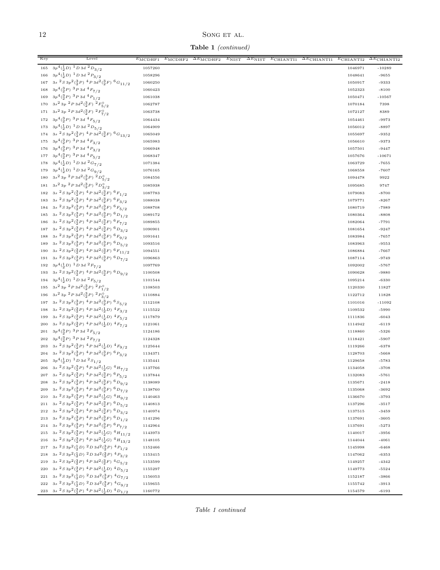# Song ET AL.

Table 1 (continued)

| Key       | Level                                                                                                                                                   | $E_{\rm MCDHF1}$ | $E_{\text{MCDHF2}}$ | $\Delta E_{\text{MCDHF2}}$ | $E_{\text{NIST}}$ | $\Delta E_{\rm NIST}$ | $E$ CHIANTI1 | $\Delta E$ CHIANTI1 | $E$ CHIANTI2 | $\overline{\Delta E_{\text{CHIANTI2}}}$ |
|-----------|---------------------------------------------------------------------------------------------------------------------------------------------------------|------------------|---------------------|----------------------------|-------------------|-----------------------|--------------|---------------------|--------------|-----------------------------------------|
| 165       | $3p^4(\frac{1}{2}D)^{-1}D\,3d^{-2}D_{3/2}$                                                                                                              | 1057260          |                     |                            |                   |                       |              |                     | 1046971      | $-10289$                                |
| 166       | $3p^4(\frac{1}{2}D)^{-1}D\,3d^{-2}P_{3/2}$                                                                                                              | 1058296          |                     |                            |                   |                       |              |                     | 1048641      | $-9655$                                 |
| 167       | $3s\ ^{2}S\ 3p^{2}(\frac{3}{2}P)\ ^{4}P\ 3d^{2}(\frac{3}{2}F)\ ^{6}G_{11/2}$                                                                            | 1060250          |                     |                            |                   |                       |              |                     | 1050917      | -9333                                   |
| 168       | $3p^4({3 \over 2}P)^3P^3d^4F_{7/2}$                                                                                                                     | 1060423          |                     |                            |                   |                       |              |                     | 1052323      | $-8100$                                 |
| 169       | $3p^4({3 \over 2}P)$ $3P^3d$ $4P_{1/2}$                                                                                                                 | 1061038          |                     |                            |                   |                       |              |                     | 1050471      | $-10567$                                |
| 170       | $3s^2 3p^2 P 3d^2(\frac{3}{2}F)^2 F_{5/2}^{\circ}$                                                                                                      | 1062787          |                     |                            |                   |                       |              |                     | 1070184      | 7398                                    |
| 171       | $3s^2 3p^2 P 3d^2(\frac{3}{2}F)^2 F^{\circ}_{7/2}$                                                                                                      | 1063738          |                     |                            |                   |                       |              |                     | 1072127      | 8389                                    |
|           | 172 $3p^4({}^3_2P)^3P^3d^4F_{5/2}$                                                                                                                      | 1064434          |                     |                            |                   |                       |              |                     | 1054461      | -9973                                   |
|           | 173 $3p^4(\frac{1}{2}D)^{-1}D^3d^2D_{5/2}$                                                                                                              | 1064909          |                     |                            |                   |                       |              |                     | 1056012      | $-8897$                                 |
|           | 174 3s $\frac{2}{3}$ $\frac{1}{3}$ $\frac{9}{2}$ $\left(\frac{3}{2}P\right)$ $\frac{4}{9}$ $P$ $3d^2\left(\frac{3}{2}F\right)$ $\frac{6}{9}$ $G_{13/2}$ | 1065049          |                     |                            |                   |                       |              |                     | 1055697      | $-9352$                                 |
|           | 175 $3p^4({3 \over 2}P)^3 P 3d^4F_{3/2}$                                                                                                                | 1065983          |                     |                            |                   |                       |              |                     | 1056610      | $-9373$                                 |
|           | 176 $3p^4({3 \over 2}P)^3 P 3d^4P_{3/2}$                                                                                                                | 1066948          |                     |                            |                   |                       |              |                     | 1057501      | $-9447$                                 |
|           | 177 $3p^4({3 \over 2}P)^3P3d^4P_{5/2}$                                                                                                                  | 1068347          |                     |                            |                   |                       |              |                     | 1057676      | $-10671$                                |
|           | 178 $3p^4(\frac{1}{2}D)^1D3d^2G_{7/2}$                                                                                                                  | 1071384          |                     |                            |                   |                       |              |                     | 1063729      | $-7655$                                 |
| 179       | $3p^4(\frac{1}{2}D)^{-1}D^3d^2G_{9/2}$                                                                                                                  | 1076165          |                     |                            |                   |                       |              |                     | 1068558      | $-7607$                                 |
| 180       | $3s^2$ 3p $2P$ $3d^2(\frac{3}{2}P)$ $2D_{5/2}^{\circ}$                                                                                                  | 1084556          |                     |                            |                   |                       |              |                     | 1094478      | 9922                                    |
| $1\,8\,1$ | $3s^2 3p^2 P 3d^2(\frac{3}{2}P)^2 D_{3/2}^0$                                                                                                            | 1085938          |                     |                            |                   |                       |              |                     | 1095685      | 9747                                    |
| 182       | $3s\ ^{2}S\ 3p^{2}(\frac{3}{2}P)\ ^{4}P\ 3d^{2}(\frac{3}{2}F)\ ^{6}F_{1/2}$                                                                             | 1087783          |                     |                            |                   |                       |              |                     | 1079083      | $-8700$                                 |
| 183       | $3s^{2}S3p^{2}(\frac{3}{2}P)^{4}P3d^{2}(\frac{3}{2}F)^{6}F_{3/2}$                                                                                       | 1088038          |                     |                            |                   |                       |              |                     | 1079771      | $-8267$                                 |
| 184       | $3s^{2}S3p^{2}(\frac{3}{2}P)^{4}P3d^{2}(\frac{3}{2}F)^{6}F_{5/2}$                                                                                       | 1088708          |                     |                            |                   |                       |              |                     | 1080719      | -7989                                   |
| 185       | $3s2 S 3p2(3p)4 P 3d2(3p)6 D1/2$                                                                                                                        | 1089172          |                     |                            |                   |                       |              |                     | 1080364      | $-8808$                                 |
| 186       | 3s ${}^{2}S\,3p^2({}^{3}_{2}P)\,$ ${}^{4}P\,3d^2({}^{3}_{2}F)\,$ ${}^{6}F_{7/2}$                                                                        | 1089855          |                     |                            |                   |                       |              |                     | 1082064      | $-7791$                                 |
| 187       | $3s\ ^{2}S\ 3p^{2}(\frac{3}{2}P)\ ^{4}P\ 3d^{2}(\frac{3}{2}P)\ ^{6}D_{3/2}$                                                                             | 1090901          |                     |                            |                   |                       |              |                     | 1081654      | $-9247$                                 |
| 188       | $3s\ ^{2}S\ 3p^{2}(\frac{3}{2}P)\ ^{4}P\ 3d^{2}(\frac{3}{2}F)\ ^{6}F_{9/2}$                                                                             | 1091641          |                     |                            |                   |                       |              |                     | 1083984      | $-7657$                                 |
| 189       | $3s2 S 3p2(\frac{3}{2}P)4P 3d2(\frac{3}{2}P)6D5/2$                                                                                                      | 1093516          |                     |                            |                   |                       |              |                     | 1083963      | $-9553$                                 |
| 190       | $3s\ ^{2}S\ 3p^{2}(\frac{3}{2}P)\ ^{4}P\ 3d^{2}(\frac{3}{2}F)\ ^{6}F_{11/2}$                                                                            | 1094551          |                     |                            |                   |                       |              |                     | 1086884      | $-7667$                                 |
| 191       | $3s2 S 3p2(\frac{3}{2}P)4P 3d2(\frac{3}{2}P)6D7/2$                                                                                                      | 1096863          |                     |                            |                   |                       |              |                     | 1087114      | $-9749$                                 |
| 192       | $3p^4(\frac{1}{2}D)^{-1}D^3d^2F_{7/2}$                                                                                                                  | 1097769          |                     |                            |                   |                       |              |                     | 1092002      | $-5767$                                 |
| 193       | $3s\ ^{2}S\ 3p^{2}(\frac{3}{2}P)\ ^{4}P\ 3d^{2}(\frac{3}{2}P)\ ^{6}D_{9/2}$                                                                             | 1100508          |                     |                            |                   |                       |              |                     | 1090628      | $-9880$                                 |
| 194       | $3p^4({\frac{1}{2}}D)^{-1}D^3d^2F_{5/2}$                                                                                                                | 1101544          |                     |                            |                   |                       |              |                     | 1095214      | $-6330$                                 |
|           | 195 $3s^2 3p^2 P 3d^2(\frac{3}{2}P)^2 P_{1/2}^{\circ}$                                                                                                  | 1108503          |                     |                            |                   |                       |              |                     | 1120330      | 11827                                   |
| 196       | $3s^2 3p^2 P 3d^2(\frac{3}{2}P)^2 P_{3/2}^{\circ}$                                                                                                      | 1110884          |                     |                            |                   |                       |              |                     | 1122712      | 11828                                   |
| 197       | $3s2S3p2(3P)4P3d2(3P)6S5/2$                                                                                                                             | 1112108          |                     |                            |                   |                       |              |                     | 1101016      | $-11092$                                |
| 198       | $3s^{2}S3p^{2}(\frac{3}{2}P)^{4}P3d^{2}(\frac{1}{2}D)^{4}F_{3/2}$                                                                                       | 1115522          |                     |                            |                   |                       |              |                     | 1109532      | -5990                                   |
| 199       | $3s\ ^{2}S\ 3p^{2}(\frac{3}{2}P)\ ^{4}P\ 3d^{2}(\frac{1}{2}D)\ ^{4}F_{5/2}$                                                                             | 1117879          |                     |                            |                   |                       |              |                     | 1111836      | $-6043$                                 |
| 200       | $3s\ ^{2}S\ 3p^{2}(\frac{3}{2}P)\ ^{4}P\ 3d^{2}(\frac{1}{2}D)\ ^{4}F_{7/2}$                                                                             | 1121061          |                     |                            |                   |                       |              |                     | 1114942      | $-6119$                                 |
| 201       | $3p^4({3 \over 2}P)^3P^3d^2F_{5/2}$                                                                                                                     | 1124186          |                     |                            |                   |                       |              |                     | 1118860      | $-5326$                                 |
| 202       | $3p^4({3 \over 2}P)$ $3P^3d^2F_{7/2}$                                                                                                                   | 1124328          |                     |                            |                   |                       |              |                     | 1118421      | $-5907$                                 |
| 203       | $3s^{2}S3p^{2}(\frac{3}{2}P)^{4}P3d^{2}(\frac{1}{2}D)^{4}F_{9/2}$                                                                                       | 1125644          |                     |                            |                   |                       |              |                     | 1119266      | $-6378$                                 |
| 204       | $3s\ ^{2}S\ 3p^{2}(\frac{3}{2}P)\ ^{4}P\ 3d^{2}(\frac{3}{2}P)\ ^{6}P_{3/2}$                                                                             | 1134371          |                     |                            |                   |                       |              |                     | 1128703      | $-5668$                                 |
| 205       | $3p^4(\frac{1}{2}D)^{-1}D\,3d^{-2}S_{1/2}$                                                                                                              | 1135441          |                     |                            |                   |                       |              |                     | 1129658      | $-5783$                                 |
| 206       | $3s\ ^{2}S\ 3p^{2}(\frac{3}{2}P)\ ^{4}P\ 3d^{2}(\frac{1}{2}G)\ ^{4}H_{7/2}$                                                                             | 1137766          |                     |                            |                   |                       |              |                     | 1134058      | $-3708$                                 |
|           | $207 \quad 3s \ ^2S\ 3p^2(\substack{3 \\ 2}P)\ ^4P\ 3d^2(\substack{3 \\ 2}P)\ ^6P_{5/2}$                                                                | 1137844          |                     |                            |                   |                       |              |                     | 1132083      | $-5761$                                 |
| 208       | $3s\ ^{2}S\ 3p^{2}(\frac{3}{2}P)\ ^{4}P\ 3d^{2}(\frac{3}{2}F)\ ^{6}D_{9/2}$                                                                             | 1138089          |                     |                            |                   |                       |              |                     | 1135671      | $-2418$                                 |
| 209       | $3s^{2}S3p^{2}(\frac{3}{2}P)^{4}P3d^{2}(\frac{3}{2}F)^{6}D_{7/2}$                                                                                       | 1138760          |                     |                            |                   |                       |              |                     | 1135068      | $-3692$                                 |
| 210       | $3s\ ^{2}S\ 3p^{2}(\frac{3}{2}P)\ ^{4}P\ 3d^{2}(\frac{1}{2}G)\ ^{4}H_{9/2}$                                                                             | 1140463          |                     |                            |                   |                       |              |                     | 1136670      | $-3793$                                 |
| 211       | $3s2 S 3p2(3/2P) 4P 3d2(3/2F) 6D5/2$                                                                                                                    | 1140813          |                     |                            |                   |                       |              |                     | 1137296      | $-3517$                                 |
| 212       | $3s\ ^{2}S\ 3p^{2}(\frac{3}{2}P)\ ^{4}P\ 3d^{2}(\frac{3}{2}F)\ ^{6}D_{3/2}$                                                                             | 1140974          |                     |                            |                   |                       |              |                     | 1137515      | $-3459$                                 |
| 213       | $3s\ ^{2}S\ 3p^{2}(\frac{3}{2}P)\ ^{4}P\ 3d^{2}(\frac{3}{2}F)\ ^{6}D_{1/2}$                                                                             | 1141296          |                     |                            |                   |                       |              |                     | 1137691      | $-3605$                                 |
| 214       | 3s ${}^{2}S3p^{2}({}^{3}_{2}P)$ ${}^{4}P3d^{2}({}^{3}_{2}P)$ ${}^{6}P_{7/2}$                                                                            | 1142964          |                     |                            |                   |                       |              |                     | 1137691      | $-5273$                                 |
| 215       | $3s\ ^{2}S\ 3p^{2}(\frac{3}{2}P)\ ^{4}P\ 3d^{2}(\frac{1}{2}G)\ ^{4}H_{11/2}$                                                                            | 1143973          |                     |                            |                   |                       |              |                     | 1140017      | $-3956$                                 |
| 216       | $3s2 S 3p2(32P) 4P 3d2(12G) 4H13/2$                                                                                                                     | 1148105          |                     |                            |                   |                       |              |                     | 1144044      | $-4061$                                 |
|           | 217 3s ${}^{2}S\,3p^{2}(\frac{1}{2}D)\, {}^{2}D\,3d^{2}(\frac{3}{2}P)\, {}^{4}P_{1/2}$                                                                  | 1152466          |                     |                            |                   |                       |              |                     | 1145998      | $-6468$                                 |
| 218       | 3s ${}^{2}S\,3p^2(\frac{1}{2}D)\, {}^{2}D\,3d^2(\frac{3}{2}P)\, {}^{4}P_{3/2}$                                                                          | 1153415          |                     |                            |                   |                       |              |                     | 1147062      | $-6353$                                 |
| 219       | $3s\ ^{2}S\ 3p^{2}(\frac{3}{2}P)\ ^{4}P\ 3d^{2}(\frac{3}{2}F)\ ^{4}G_{5/2}$                                                                             | 1153599          |                     |                            |                   |                       |              |                     | 1149257      | $-4342$                                 |
| 220       | $3s\ ^{2}S\ 3p^{2}(\frac{3}{2}P)\ ^{4}P\ 3d^{2}(\frac{1}{2}D)\ ^{4}D_{5/2}$                                                                             | 1155297          |                     |                            |                   |                       |              |                     | 1149773      | $-5524$                                 |
| 221       | $3s\ ^{2}S\ 3p^{2}(\frac{1}{2}D)\ ^{2}D\ 3d^{2}(\frac{3}{2}F)\ ^{4}G_{7/2}$                                                                             | 1156053          |                     |                            |                   |                       |              |                     | 1152187      | $-3866$                                 |
| 222       | $3s2 S 3p2(\frac{1}{2}D)2 D 3d2(\frac{3}{2}F)4 G9/2$                                                                                                    | 1159655          |                     |                            |                   |                       |              |                     | 1155742      | $-3913$                                 |
|           | 223 3s ${}^{2}S3p^{2}({}^{3}_{2}P)$ ${}^{4}P3d^{2}({}^{1}_{2}D)$ ${}^{4}D_{1/2}$                                                                        | 1160772          |                     |                            |                   |                       |              |                     | 1154579      | $-6193$                                 |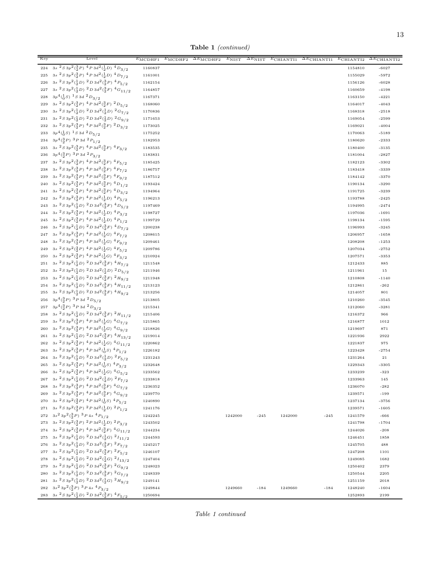Table 1 (continued)

| Key         | Level                                                                                                                                                         | $E_{\text{MCDHF1}}$ | $E_{\rm MCDHF2}$ | $\Delta E_{\text{MCDHF2}}$ | $E_{\rm NIST}$ | $\Delta E_{\rm NIST}$ | $E$ CHIANTI1 | $\overline{\Delta E_{\text{CHIANTI}}}$ | $E$ CHIANTI2       | $\overline{\Delta E_{\text{CHIANTI2}}}$ |
|-------------|---------------------------------------------------------------------------------------------------------------------------------------------------------------|---------------------|------------------|----------------------------|----------------|-----------------------|--------------|----------------------------------------|--------------------|-----------------------------------------|
| 224         | $3s2S3p2(3P)4P3d2(3D)4D3/2$                                                                                                                                   | 1160837             |                  |                            |                |                       |              |                                        | 1154810            | $-6027$                                 |
| 225         | $3s2 S 3p2(3/2P) 4P 3d2(1/2D) 4D7/2$                                                                                                                          | 1161001             |                  |                            |                |                       |              |                                        | 1155029            | $-5972$                                 |
| 226         | $3s\ ^{2}S\ 3p^{2}(\frac{1}{2}D)\ ^{2}D\ 3d^{2}(\frac{3}{2}P)\ ^{4}P_{5/2}$                                                                                   | 1162154             |                  |                            |                |                       |              |                                        | 1156126            | $-6028$                                 |
| 227         | 3s ${}^{2}S3p^{2}(\frac{1}{2}D)$ ${}^{2}D3d^{2}(\frac{3}{2}F)$ ${}^{4}G_{11/2}$                                                                               | 1164857             |                  |                            |                |                       |              |                                        | 1160659            | $-4198$                                 |
| 228         | $3p^4({}^1_0S)^1S3d^2D_{3/2}$                                                                                                                                 | 1167371             |                  |                            |                |                       |              |                                        | 1163150            | $-4221$                                 |
| 229         | $3s2 S 3p2(\frac{3}{2}P)4P 3d2(\frac{3}{2}F)2D5/2$                                                                                                            | 1168060             |                  |                            |                |                       |              |                                        | 1164017            | $-4043$                                 |
| 230         | $3s2 S 3p2(\frac{1}{2}D)2 D 3d2(\frac{1}{2}D)2 G7/2$                                                                                                          | 1170836             |                  |                            |                |                       |              |                                        | 1168318            | $-2518$                                 |
| 231         | $3s2S3p2(\frac{1}{2}D)2D3d2(\frac{1}{2}D)2G9/2$                                                                                                               | 1171653             |                  |                            |                |                       |              |                                        | 1169054            | $-2599$                                 |
| 232         | $3s\ ^{2}S\ 3p^{2}(\frac{3}{2}P)\ ^{4}P\ 3d^{2}(\frac{3}{2}F)\ ^{2}D_{3/2}$                                                                                   | 1173025             |                  |                            |                |                       |              |                                        | 1169021            | $-4004$                                 |
| 233         | $3p^4({}^1_0S)^1S3d^2D_{5/2}$                                                                                                                                 | 1175252             |                  |                            |                |                       |              |                                        | 1170063            | $-5189$                                 |
| 234         | $3p^4({3 \over 2}P)~^3P~3d~^2P_{1/2}$                                                                                                                         | 1182953             |                  |                            |                |                       |              |                                        | 1180620            | $-2333$                                 |
| 235         | $3s\ ^{2}S\ 3p^{2}(\frac{3}{2}P)\ ^{4}P\ 3d^{2}(\frac{3}{2}F)\ ^{4}F_{3/2}$                                                                                   | 1183535             |                  |                            |                |                       |              |                                        | 1180400            | $-3135$                                 |
| 236         | $3p^4({3 \over 2}P)~^3P~3d~^2P_{3/2}$                                                                                                                         | 1183831             |                  |                            |                |                       |              |                                        | 1181004            | $-2827$                                 |
| 237         | $3s^{2}S3p^{2}(\frac{3}{2}P)^{4}P3d^{2}(\frac{3}{2}F)^{4}F_{5/2}$                                                                                             | 1185425             |                  |                            |                |                       |              |                                        | 1182123            | $-3302$                                 |
| 238         | $3s\ ^{2}S\ 3p^{2}(\frac{3}{2}P)\ ^{4}P\ 3d^{2}(\frac{3}{2}F)\ ^{4}F_{7/2}$                                                                                   | 1186757             |                  |                            |                |                       |              |                                        | 1183418            | $-3339$                                 |
| 239         | $3s\ ^{2}S\ 3p^{2}(\frac{3}{2}P)\ ^{4}P\ 3d^{2}(\frac{3}{2}F)\ ^{4}F_{9/2}$                                                                                   | 1187512             |                  |                            |                |                       |              |                                        | 1184142            | $-3370$                                 |
| 240         | $3s2 S 3p2(\frac{3}{2}P)4P 3d2(\frac{3}{2}P)4D1/2$                                                                                                            | 1193424             |                  |                            |                |                       |              |                                        | 1190134            | $-3290$                                 |
| 241         | $3s2 S 3p2(33P) 4P 3d2(33P) 4D3/2$                                                                                                                            | 1194964             |                  |                            |                |                       |              |                                        | 1191725            | $-3239$                                 |
| 242         | $3s2 S 3p2(3P)4P 3d2(3D)4P5/2$                                                                                                                                | 1196213             |                  |                            |                |                       |              |                                        | 1193788            | $-2425$                                 |
| 243         | $3s2 S 3p2(\frac{1}{2}D)2 D 3d2(\frac{3}{2}F)4 D5/2$                                                                                                          | 1197469             |                  |                            |                |                       |              |                                        | 1194995            | $-2474$                                 |
| 244         | $3s2 S 3p2(\frac{3}{2}P)4P 3d2(\frac{1}{2}D)4P3/2$                                                                                                            | 1198727             |                  |                            |                |                       |              |                                        | 1197036            | $-1691$                                 |
| 245         | $3s\ ^{2}S\ 3p^{2}(\frac{3}{2}P)\ ^{4}P\ 3d^{2}(\frac{1}{2}D)\ ^{4}P_{1/2}$                                                                                   | 1199729             |                  |                            |                |                       |              |                                        | 1198134            | $-1595$                                 |
| 246         | $3s^{2}S3p^{2}(\frac{1}{2}D)^{2}D3d^{2}(\frac{3}{2}F)^{4}D_{7/2}$<br>$3s2 S 3p2(3P)4 P 3d2(3G)4 F7/2$                                                         | 1200238             |                  |                            |                |                       |              |                                        | 1196993            | $-3245$                                 |
| 247         | $3s2S3p2(\frac{3}{2}P)4P3d2(\frac{1}{2}G)4F9/2$                                                                                                               | 1208615             |                  |                            |                |                       |              |                                        | 1206957            | $-1658$                                 |
| 248         | $3s\ ^{2}S\ 3p^{2}(\frac{3}{2}P)\ ^{4}P\ 3d^{2}(\frac{1}{2}G)\ ^{4}F_{5/2}$                                                                                   | 1209461<br>1209786  |                  |                            |                |                       |              |                                        | 1208208            | $-1253$                                 |
| 249<br>250  | 3s ${}^{2}S3p^{2}({}^{3}_{2}P)$ ${}^{4}P3d^{2}({}^{1}_{2}G)$ ${}^{4}F_{3/2}$                                                                                  | 1210924             |                  |                            |                |                       |              |                                        | 1207034<br>1207571 | $-2752$<br>$-3353$                      |
| 251         | $3s2S3p2(\frac{1}{2}D)2D3d2(\frac{3}{2}F)4H7/2$                                                                                                               | 1211548             |                  |                            |                |                       |              |                                        | 1212433            | 885                                     |
| 252         | $3s2 S 3p2(\frac{1}{2}D)2 D 3d2(\frac{1}{2}D)2 D5/2$                                                                                                          | 1211946             |                  |                            |                |                       |              |                                        | 1211961            | 15                                      |
| 253         | $3s2 S 3p2(12 D)2 D 3d2(32 F)2 H9/2$                                                                                                                          | 1211948             |                  |                            |                |                       |              |                                        | 1210808            | $-1140$                                 |
| 254         | $3s2 S 3p2(\frac{1}{2}D)2 D 3d2(\frac{3}{2}F)4 H11/2$                                                                                                         | 1213123             |                  |                            |                |                       |              |                                        | 1212861            | $-262$                                  |
| 255         | $3s2 S 3p2(\frac{1}{2}D)2 D 3d2(\frac{3}{2}F)4 H9/2$                                                                                                          | 1213256             |                  |                            |                |                       |              |                                        | 1214057            | 801                                     |
| 256         | $3p^4({3 \over 2}P)$ $3P^3d^2D_{5/2}$                                                                                                                         | 1213805             |                  |                            |                |                       |              |                                        | 1210260            | $-3545$                                 |
| 257         | $3p^4({3 \over 2}P)~^3P~3d~^2D_{3/2}$                                                                                                                         | 1215341             |                  |                            |                |                       |              |                                        | 1212060            | $-3281$                                 |
| 258         | $3s2S3p2(\frac{1}{2}D)2D3d2(\frac{3}{2}F)2H11/2$                                                                                                              | 1215406             |                  |                            |                |                       |              |                                        | 1216372            | 966                                     |
| 259         | $3s2 S 3p2(\frac{3}{2}P)4P 3d2(\frac{1}{2}G)4G7/2$                                                                                                            | 1215865             |                  |                            |                |                       |              |                                        | 1216877            | 1012                                    |
| 260         | $3s2 S 3p2(3/2P) 4P 3d2(1/2G) 4G9/2$                                                                                                                          | 1218826             |                  |                            |                |                       |              |                                        | 1219697            | 871                                     |
| 261         | $3s\ ^{2}S\ 3p^{2}(\frac{1}{2}D)\ ^{2}D\ 3d^{2}(\frac{3}{2}F)\ ^{4}H_{13/2}$                                                                                  | 1219014             |                  |                            |                |                       |              |                                        | 1221936            | 2922                                    |
| 262         | 3s ${}^{2}S3p^{2}({}^{3}_{2}P)$ ${}^{4}P3d^{2}({}^{1}_{2}G)$ ${}^{4}G_{11/2}$                                                                                 | 1220862             |                  |                            |                |                       |              |                                        | 1221837            | 975                                     |
| 263         | 3s ${}^{2}S3p^{2}({}^{3}_{2}P)$ ${}^{4}P3d^{2}({}^{1}_{0}S)$ ${}^{4}P_{1/2}$                                                                                  | 1226182             |                  |                            |                |                       |              |                                        | 1223428            | $-2754$                                 |
| 264         | $3s^{2}S3p^{2}(\frac{1}{2}D)^{2}D3d^{2}(\frac{1}{2}D)^{2}F_{5/2}$                                                                                             | 1231243             |                  |                            |                |                       |              |                                        | 1231264            | 21                                      |
| 265         | $3s2S3p2(3P)4P3d2(3S)4P3/2$                                                                                                                                   | 1232648             |                  |                            |                |                       |              |                                        | 1229343            | $-3305$                                 |
| 266         | $3s2S3p2(3P)4P3d2(3G)4G5/2$                                                                                                                                   | 1233562             |                  |                            |                |                       |              |                                        | 1233239            | $-323$                                  |
| ${\bf 267}$ | $3s2S3p2(\frac{1}{2}D)2D3d2(\frac{1}{2}D)2F7/2$                                                                                                               | 1233818             |                  |                            |                |                       |              |                                        | 1233963            | 145                                     |
| 268         | 3s ${}^{2}S\,3p^2({}^{3}_{2}P)\,$ ${}^{4}P\,3d^2({}^{3}_{2}F)\,$ ${}^{4}G_{7/2}$                                                                              | 1236352             |                  |                            |                |                       |              |                                        | 1236070            | $-282$                                  |
| 269         | 3s ${}^{2}S\,3p^2({}^{3}_{2}P)\,$ ${}^{4}P\,3d^2({}^{3}_{2}F)\,$ ${}^{4}G_{9/2}$                                                                              | 1239770             |                  |                            |                |                       |              |                                        | 1239571            | $-199$                                  |
| 270         | $3s2 S 3p2(32P) 4P 3d2(10S) 4P5/2$                                                                                                                            | 1240890             |                  |                            |                |                       |              |                                        | 1237134            | $-3756$                                 |
|             | 271 3s ${}^{2}S\,3p^2({}^{3}_{2}P)\, {}^{2}P\,3d^2({}^{1}_{2}D)\, {}^{2}P_{1/2}$                                                                              | 1241176             |                  |                            |                |                       |              |                                        | 1239571            | $-1605$                                 |
|             | 272 $3s^2 3p^2(\frac{3}{2}P)^3 P 4s^4 P_{1/2}$                                                                                                                | 1242245             |                  |                            | 1242000        | $-245$                | 1242000      | $-245$                                 | 1241579            | $-666$                                  |
|             | 273 3s ${}^{2}S\,3p^{2}(\frac{3}{2}P)\,$ ${}^{2}P\,3d^{2}(\frac{1}{2}D)\,$ ${}^{2}P_{3/2}$                                                                    | 1243502             |                  |                            |                |                       |              |                                        | 1241798            | $-1704$                                 |
| 274         | 3s ${}^{2}S\,3p^2({}^{3}_{2}P)\,$ ${}^{4}P\,3d^2({}^{3}_{2}F)\,$ ${}^{4}G_{11/2}$                                                                             | 1244234             |                  |                            |                |                       |              |                                        | 1244026            | $-208$                                  |
| 275         | 3s ${}^{2}S3p^{2}(\frac{1}{2}D)$ ${}^{2}D3d^{2}(\frac{1}{2}G)$ ${}^{2}I_{11/2}$                                                                               | 1244593             |                  |                            |                |                       |              |                                        | 1246451            | 1858                                    |
| 276         | $3s2 S 3p2(\frac{1}{2}D)2 D 3d2(\frac{3}{2}F)2 F7/2$                                                                                                          | 1245217             |                  |                            |                |                       |              |                                        | 1245705            | 488                                     |
| 277         | $3s\ ^{2}S\ 3p^{2}(\frac{1}{2}D)\ ^{2}D\ 3d^{2}(\frac{3}{2}F)\ ^{2}F_{5/2}$                                                                                   | 1246107             |                  |                            |                |                       |              |                                        | 1247208            | 1101                                    |
| 278         | $3s^2S3p^2(\frac{1}{2}D)^2D3d^2(\frac{1}{2}G)^2I_{13/2}$                                                                                                      | 1247404             |                  |                            |                |                       |              |                                        | 1249085            | 1682                                    |
| 279         | 3s ${}^{2}S\,3p^2(\frac{1}{2}D)\, {}^{2}D\,3d^2(\frac{3}{2}F)\, {}^{2}G_{9/2}$                                                                                | 1248023             |                  |                            |                |                       |              |                                        | 1250402            | 2379                                    |
| 280         | 3s ${}^{2}S\,3p^2(\frac{1}{2}D)\, {}^{2}D\,3d^2(\frac{3}{2}F)\, {}^{2}G_{7/2}$<br>$3s\ ^{2}S\ 3p^{2}(\frac{1}{2}D)\ ^{2}D\ 3d^{2}(\frac{1}{2}G)\ ^{2}H_{9/2}$ | 1248339             |                  |                            |                |                       |              |                                        | 1250544            | 2205                                    |
| 281<br>282  | $3s^23p^2({}^3_2P)^3P4s~^4P_{3/2}$                                                                                                                            | 1249141             |                  |                            |                |                       |              |                                        | 1251159            | 2018                                    |
|             | 283 – 3<br>s $\sqrt[2]{3}$ 3 $p^2(\frac{1}{2}D)$ $\sqrt[2]{2}$<br>$2$ $d^2(\frac{3}{2}F)$ $\sqrt[4]{4}$<br>$F_{5/2}$                                          | 1249844             |                  |                            | 1249660        | $-184$                | 1249660      | $-184$                                 | 1248240            | $-1604$                                 |
|             |                                                                                                                                                               | 1250694             |                  |                            |                |                       |              |                                        | 1252893            | 2199                                    |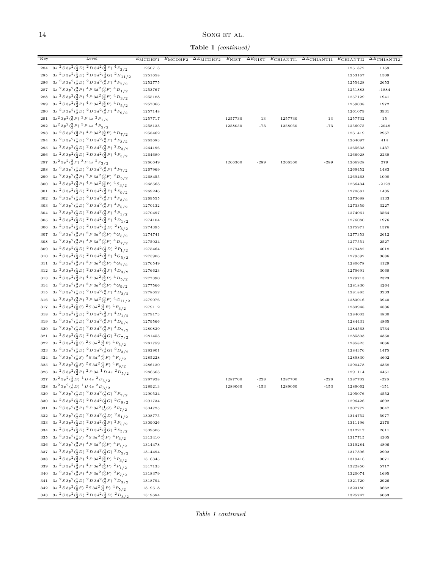## SONG ET AL.

Table 1 (continued)

| Key        | Level                                                                                                                                                          | $E_{\text{MCDHF1}}$ | $E_{\rm MCDHF2}$ | $\Delta E_{\text{MCDHF2}}$ | $E_{\text{NIST}}$ | $\Delta E_{\rm NIST}$ | $E$ CHIANTI1 | $\overline{\Delta E_{\text{CHIANTI}}}$ | $E$ CHIANTI2       | $\overline{\Delta E_{\text{CHIANTI2}}}$ |
|------------|----------------------------------------------------------------------------------------------------------------------------------------------------------------|---------------------|------------------|----------------------------|-------------------|-----------------------|--------------|----------------------------------------|--------------------|-----------------------------------------|
| 284        | $3s2 S 3p2(\frac{1}{2}D)2 D 3d2(\frac{3}{2}F)4 F3/2$                                                                                                           | 1250713             |                  |                            |                   |                       |              |                                        | 1251872            | 1159                                    |
| 285        | $3s2 S 3p2(\frac{1}{2}D)2 D 3d2(\frac{1}{2}G)2 H11/2$                                                                                                          | 1251658             |                  |                            |                   |                       |              |                                        | 1253167            | 1509                                    |
| 286        | 3s ${}^{2}S3p^{2}(\frac{1}{2}D)$ ${}^{2}D3d^{2}(\frac{3}{2}F)$ ${}^{4}F_{7/2}$                                                                                 | 1252775             |                  |                            |                   |                       |              |                                        | 1255428            | 2653                                    |
| 287        | $3s2S3p2(\frac{3}{2}P)4P3d2(\frac{3}{2}F)4D1/2$                                                                                                                | 1253767             |                  |                            |                   |                       |              |                                        | 1251883            | $-1884$                                 |
| 288        | $3s2S3p2(\frac{3}{2}P)4P3d2(\frac{3}{2}F)4D3/2$                                                                                                                | 1255188             |                  |                            |                   |                       |              |                                        | 1257129            | 1941                                    |
| 289        | $3s2S3p2(3P)4P3d2(3F)4D5/2$                                                                                                                                    | 1257066             |                  |                            |                   |                       |              |                                        | 1259038            | 1972                                    |
| 290        | $3s2 S 3p2(\frac{1}{2}D)2 D 3d2(\frac{3}{2}F)4 F9/2$                                                                                                           | 1257148             |                  |                            |                   |                       |              |                                        | 1261079            | 3931                                    |
| 291        | $3s^23p^2({3 \over 2}P)^3P4s~^2P_{1/2}$                                                                                                                        | 1257717             |                  |                            | 1257730           | 13                    | 1257730      | 13                                     | 1257732            | 15                                      |
| 292        | $3s^23p^2({3 \over 2}P)^3P4s~^4P_{5/2}$                                                                                                                        | 1258123             |                  |                            | 1258050           | $-73$                 | 1258050      | $-73$                                  | 1256075            | $-2048$                                 |
| 293        | 3s ${}^{2}S3p^{2}({}^{3}_{2}P)$ ${}^{4}P3d^{2}({}^{3}_{2}F)$ ${}^{4}D_{7/2}$                                                                                   | 1258462             |                  |                            |                   |                       |              |                                        | 1261419            | 2957                                    |
| 294        | 3s ${}^{2}S3p^{2}(\frac{1}{2}D)$ ${}^{2}D3d^{2}(\frac{3}{2}P)$ ${}^{4}F_{3/2}$                                                                                 | 1263683             |                  |                            |                   |                       |              |                                        | 1264097            | 414                                     |
| 295        | $3s\ ^{2}S\ 3p^{2}(\frac{1}{2}D)\ ^{2}D\ 3d^{2}(\frac{3}{2}P)\ ^{2}D_{3/2}$                                                                                    | 1264196             |                  |                            |                   |                       |              |                                        | 1265633            | 1437                                    |
| 296        | $3s2 S 3p2(\frac{1}{2}D)2 D 3d2(\frac{3}{2}P)4 F5/2$                                                                                                           | 1264689             |                  |                            |                   |                       |              |                                        | 1266928            | 2239                                    |
| 297        | $3s^23p^2({3 \over 2}P)^3P4s~^2P_{3/2}$                                                                                                                        | 1266649             |                  |                            | 1266360           | $-289$                | 1266360      | $-289$                                 | 1266928            | 279                                     |
| 298        | $3s2 S 3p2(\frac{1}{2}D)2 D 3d2(\frac{3}{2}P)4 F7/2$                                                                                                           | 1267969             |                  |                            |                   |                       |              |                                        | 1269452            | 1483                                    |
| 299        | $3s2 S 3p2(33P) 2P 3d2(33F) 2D5/2$                                                                                                                             | 1268455             |                  |                            |                   |                       |              |                                        | 1269463            | 1008                                    |
| 300        | $3s^{2}S3p^{2}(\frac{3}{2}P)^{4}P3d^{2}(\frac{3}{2}P)^{4}S_{3/2}$                                                                                              | 1268563             |                  |                            |                   |                       |              |                                        | 1266434            | $-2129$                                 |
| 301        | $3s^{2}S3p^{2}(\frac{1}{2}D)^{2}D3d^{2}(\frac{3}{2}P)^{4}F_{9/2}$                                                                                              | 1269246             |                  |                            |                   |                       |              |                                        | 1270681            | 1435                                    |
| 302        | $3s2 S 3p2(12D)2 D 3d2(32F)4 P3/2$                                                                                                                             | 1269555             |                  |                            |                   |                       |              |                                        | 1273688            | 4133                                    |
| 303        | $3s\ ^{2}S\ 3p^{2}(\frac{1}{2}D)\ ^{2}D\ 3d^{2}(\frac{3}{2}F)\ ^{4}P_{5/2}$                                                                                    | 1270132             |                  |                            |                   |                       |              |                                        | 1273359            | 3227                                    |
| 304        | $3s\,\,{}^2S\,3p^2(\frac{1}{2}D)\,\,{}^2D\,3d^2(\frac{3}{2}F)\,\,{}^4P_{1/2}$                                                                                  | 1270497             |                  |                            |                   |                       |              |                                        | 1274061            | 3564                                    |
| 305        | $3s2S3p2(\frac{1}{2}D)2D3d2(\frac{3}{2}F)4D1/2$                                                                                                                | 1274104             |                  |                            |                   |                       |              |                                        | 1276080            | 1976                                    |
| 306        | $3s^{2}S3p^{2}(\frac{1}{2}D)^{2}D3d^{2}(\frac{1}{2}D)^{2}P_{3/2}$                                                                                              | 1274395             |                  |                            |                   |                       |              |                                        | 1275971            | 1576                                    |
| 307        | $3s2 S 3p2(\frac{3}{2}P)2P 3d2(\frac{3}{2}F)4G5/2$                                                                                                             | 1274741             |                  |                            |                   |                       |              |                                        | 1277353            | 2612                                    |
| 308        | $3s2 S 3p2(33P) 4P 3d2(33P) 4D7/2$                                                                                                                             | 1275024             |                  |                            |                   |                       |              |                                        | 1277551            | 2527                                    |
| 309        | $3s2S3p2(\frac{1}{2}D)2D3d2(\frac{1}{2}D)2P1/2$                                                                                                                | 1275464             |                  |                            |                   |                       |              |                                        | 1279482            | 4018                                    |
| 310        | $3s2 S 3p2(\frac{1}{2}D)2 D 3d2(\frac{3}{2}F)4 G5/2$                                                                                                           | 1275906             |                  |                            |                   |                       |              |                                        | 1279592            | 3686                                    |
| 311        | $3s\ ^{2}S\ 3p^{2}(\frac{3}{2}P)\ ^{2}P\ 3d^{2}(\frac{3}{2}F)\ ^{4}G_{7/2}$                                                                                    | 1276549             |                  |                            |                   |                       |              |                                        | 1280678            | 4129                                    |
| 312        | $3s\ ^{2}S\ 3p^{2}(\frac{1}{2}D)\ ^{2}D\ 3d^{2}(\frac{3}{2}F)\ ^{4}D_{3/2}$                                                                                    | 1276623             |                  |                            |                   |                       |              |                                        | 1279691            | 3068                                    |
| 313        | $3s2 S 3p2(32P) 4P 3d2(32P) 4D5/2$                                                                                                                             | 1277390             |                  |                            |                   |                       |              |                                        | 1279713            | 2323                                    |
| 314        | $3s2 S 3p2(\frac{3}{2}P)2P 3d2(\frac{3}{2}F)4G9/2$                                                                                                             | 1277566             |                  |                            |                   |                       |              |                                        | 1281830            | 4264                                    |
| 315        | $3s\,\,{}^2S\,3p^2(\frac{1}{2}D)\,\,{}^2D\,3d^2(\frac{3}{2}P)\,\,{}^4D_{3/2}$<br>3s ${}^{2}S3p^{2}({}^{3}_{2}P)$ ${}^{2}P3d^{2}({}^{3}_{2}F)$ ${}^{4}G_{11/2}$ | 1278652             |                  |                            |                   |                       |              |                                        | 1281885            | 3233                                    |
| 316        | $3s\ ^{2}S\ 3p^{2}(\frac{1}{0}S)\ ^{2}S\ 3d^{2}(\frac{3}{2}F)\ ^{4}F_{3/2}$                                                                                    | 1279076             |                  |                            |                   |                       |              |                                        | 1283016            | 3940                                    |
| 317        | $3s2 S 3p2(\frac{1}{2}D)2 D 3d2(\frac{3}{2}P)4 D1/2$                                                                                                           | 1279112             |                  |                            |                   |                       |              |                                        | 1283948            | 4836                                    |
| 318        | $3s2 S 3p2(\frac{1}{2}D)2 D 3d2(\frac{3}{2}P)4 D5/2$                                                                                                           | 1279173             |                  |                            |                   |                       |              |                                        | 1284003            | 4830                                    |
| 319<br>320 | $3s2 S 3p2(\frac{1}{2}D)2 D 3d2(\frac{3}{2}P)4 D7/2$                                                                                                           | 1279566<br>1280829  |                  |                            |                   |                       |              |                                        | 1284431<br>1284563 | 4865<br>3734                            |
| 321        | 3s ${}^{2}S3p^{2}(\frac{1}{2}D)$ ${}^{2}D3d^{2}(\frac{1}{2}G)$ ${}^{2}G_{7/2}$                                                                                 | 1281453             |                  |                            |                   |                       |              |                                        | 1285803            | 4350                                    |
| 322        | $3s2 S 3p2(10S)2 S 3d2(32F)4 F5/2$                                                                                                                             | 1281759             |                  |                            |                   |                       |              |                                        | 1285825            | 4066                                    |
| 323        | $3s2S3p2(\frac{1}{2}D)2D3d2(\frac{1}{2}G)2D3/2$                                                                                                                | 1282901             |                  |                            |                   |                       |              |                                        | 1284376            | 1475                                    |
| 324        | $3s2 S 3p2(10S)2 S 3d2(32F)4 F7/2$                                                                                                                             | 1285228             |                  |                            |                   |                       |              |                                        | 1289830            | 4602                                    |
| 325        | $3s2S3p2(10S)2S3d2(39F)4F9/2$                                                                                                                                  | 1286120             |                  |                            |                   |                       |              |                                        | 1290478            | 4358                                    |
| 326        | $3s2 S 3p2(32P)2P 3d1D 4s2D5/2$                                                                                                                                | 1286663             |                  |                            |                   |                       |              |                                        | 1291114            | 4451                                    |
| $327\,$    | $3s^23p^2({1\over 2}D)^1D4s^2D_{5/2}$                                                                                                                          | 1287928             |                  |                            | 1287700           | $-228$                | 1287700      | $-228$                                 | 1287702            | $-226$                                  |
| 328        | $3s^23p^2({1\over 2}D)^1D4s^2D_{3/2}$                                                                                                                          | 1289213             |                  |                            | 1289060           | $-153$                | 1289060      | $-153$                                 | 1289062            | $-151$                                  |
| 329        | $3s2S3p2(1D)2D3d2(1G)2F7/2$                                                                                                                                    | 1290524             |                  |                            |                   |                       |              |                                        | 1295076            | 4552                                    |
| 330        | 3s ${}^{2}S\,3p^2(\frac{1}{2}D)\, {}^{2}D\,3d^2(\frac{1}{2}G)\, {}^{2}G_{9/2}$                                                                                 | 1291734             |                  |                            |                   |                       |              |                                        | 1296426            | 4692                                    |
| 331        | $3s2S3p2(3P)2P3d2(3G)2F7/2$                                                                                                                                    | 1304725             |                  |                            |                   |                       |              |                                        | 1307772            | 3047                                    |
|            | 332 3s ${}^{2}S\,3p^2(\frac{1}{2}D)\, {}^{2}D\,3d^2(\frac{1}{2}D)\, {}^{2}S_{1/2}$                                                                             | 1308775             |                  |                            |                   |                       |              |                                        | 1314752            | 5977                                    |
|            | 333 3s ${}^{2}S\,3p^2(\frac{1}{2}D)\, {}^{2}D\,3d^2(\frac{3}{2}P)\, {}^{2}F_{5/2}$                                                                             | 1309026             |                  |                            |                   |                       |              |                                        | 1311196            | 2170                                    |
|            | 334 3s ${}^{2}S3p^{2}(\frac{1}{2}D)$ ${}^{2}D3d^{2}(\frac{1}{2}G)$ ${}^{2}F_{5/2}$                                                                             | 1309606             |                  |                            |                   |                       |              |                                        | 1312217            | 2611                                    |
|            | 335 3s ${}^{2}S3p^{2}({}^{1}_{0}S)$ ${}^{2}S3d^{2}({}^{3}_{2}P)$ ${}^{4}P_{3/2}$                                                                               | 1313410             |                  |                            |                   |                       |              |                                        | 1317715            | 4305                                    |
| 336        | $3s2S3p2(3P)4P3d2(3P)4P1/2$                                                                                                                                    | 1314478             |                  |                            |                   |                       |              |                                        | 1319284            | 4806                                    |
|            | 337 3s ${}^{2}S3p^{2}(\frac{1}{2}D)$ ${}^{2}D3d^{2}(\frac{1}{2}G)$ ${}^{2}D_{5/2}$                                                                             | 1314494             |                  |                            |                   |                       |              |                                        | 1317396            | 2902                                    |
|            | 338 3s ${}^{2}S3p^{2}({}^{3}_{2}P)$ ${}^{4}P3d^{2}({}^{3}_{2}P)$ ${}^{4}P_{3/2}$                                                                               | 1316345             |                  |                            |                   |                       |              |                                        | 1319416            | 3071                                    |
| 339        | 3s ${}^{2}S\,3p^2({}^{3}_{2}P)\,$ ${}^{4}P\,3d^2({}^{3}_{2}P)\,$ ${}^{2}P_{1/2}$                                                                               | 1317133             |                  |                            |                   |                       |              |                                        | 1322850            | 5717                                    |
| 340        | 3s ${}^{2}S\,3p^2({}^{3}_{2}P)\,$ ${}^{4}P\,3d^2({}^{3}_{2}F)\,$ ${}^{2}F_{7/2}$                                                                               | 1318379             |                  |                            |                   |                       |              |                                        | 1320074            | 1695                                    |
| 341        | $3s2 S 3p2(\frac{1}{2}D)2 D 3d2(\frac{3}{2}F)2 D3/2$                                                                                                           | 1318794             |                  |                            |                   |                       |              |                                        | 1321720            | 2926                                    |
| 342        | $3s2S3p2(\frac{1}{0}S)2S3d2(\frac{3}{2}P)4P5/2$                                                                                                                | 1319518             |                  |                            |                   |                       |              |                                        | 1323180            | 3662                                    |
|            | 343 3s ${}^{2}S3p^{2}(\frac{1}{2}D)$ ${}^{2}D3d^{2}(\frac{1}{2}D)$ ${}^{2}D_{3/2}$                                                                             | 1319684             |                  |                            |                   |                       |              |                                        | 1325747            | 6063                                    |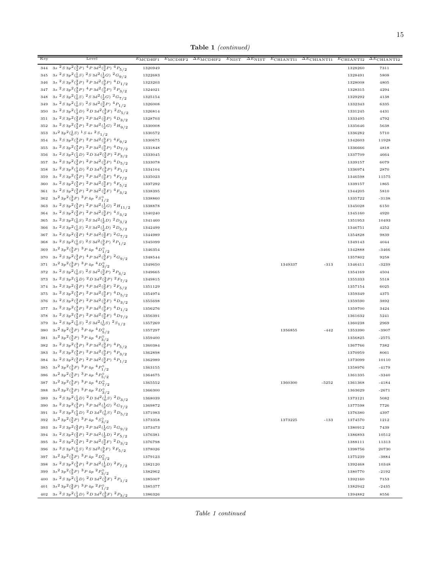Table 1 (continued)

| Key | Level                                                                                                           | $E_{\rm MCDHF1}$ | $\overline{E}_{\rm MCDHF2}$ | $\Delta E_{\text{MCDHF2}}$ | $\overline{E}_{\rm NIST}$ | $\Delta E_{\rm NIST}$ | $E$ CHIANTI1 | $\Delta E$ CHIANTI1 | $E$ CHIANTI2 | $\overline{\Delta E_{\text{CHIANTI2}}}$ |
|-----|-----------------------------------------------------------------------------------------------------------------|------------------|-----------------------------|----------------------------|---------------------------|-----------------------|--------------|---------------------|--------------|-----------------------------------------|
| 344 | $3s2S3p2(\frac{3}{2}P)4P3d2(\frac{3}{2}P)4P5/2$                                                                 | 1320949          |                             |                            |                           |                       |              |                     | 1328260      | 7311                                    |
| 345 | $3s2S3p2(\frac{1}{0}S)2S3d2(\frac{1}{2}G)2G9/2$                                                                 | 1322683          |                             |                            |                           |                       |              |                     | 1328491      | 5808                                    |
| 346 | $3s2 S 3p2(\frac{3}{2}P)2P 3d2(\frac{3}{2}P)4D1/2$                                                              | 1323203          |                             |                            |                           |                       |              |                     | 1328008      | 4805                                    |
| 347 | 3s ${}^{2}S\,3p^2({}^{3}_{2}P)\,$ ${}^{4}P\,3d^2({}^{3}_{2}P)\,$ ${}^{2}P_{3/2}$                                | 1324021          |                             |                            |                           |                       |              |                     | 1328315      | 4294                                    |
| 348 | $3s2 S 3p2(10S)2 S 3d2(10G)2 G7/2$                                                                              | 1325154          |                             |                            |                           |                       |              |                     | 1329292      | 4138                                    |
| 349 | $3s2 S 3p2(10S)2 S 3d2(30P)4 P1/2$                                                                              | 1326008          |                             |                            |                           |                       |              |                     | 1332343      | 6335                                    |
| 350 | $3s\ ^{2}S\ 3p^{2}(\frac{1}{2}D)\ ^{2}D\ 3d^{2}(\frac{3}{2}F)\ ^{2}D_{5/2}$                                     | 1326814          |                             |                            |                           |                       |              |                     | 1331245      | 4431                                    |
| 351 | $3s\,\,{}^2S\,3p^2(\substack{3\\2}P)\,\,{}^2P\,3d^2(\substack{3\\2}P)\,\,{}^4D_{3/2}$                           | 1328703          |                             |                            |                           |                       |              |                     | 1333495      | 4792                                    |
| 352 | $3s2S3p2(\frac{3}{2}P)2P3d2(\frac{1}{2}G)2H9/2$                                                                 | 1330008          |                             |                            |                           |                       |              |                     | 1335646      | 5638                                    |
| 353 | $3s^2 3p^2(\frac{1}{0}S)^1 S 4s 2S_{1/2}$                                                                       | 1330572          |                             |                            |                           |                       |              |                     | 1336282      | 5710                                    |
| 354 | $3s^{2}S3p^{2}(\frac{3}{2}P)^{2}P3d^{2}(\frac{3}{2}F)^{4}F_{9/2}$                                               | 1330675          |                             |                            |                           |                       |              |                     | 1342603      | 11928                                   |
| 355 | $3s^{2}S3p^{2}(\frac{3}{2}P)^{2}P3d^{2}(\frac{3}{2}P)^{4}D_{7/2}$                                               | 1331848          |                             |                            |                           |                       |              |                     | 1336666      | 4818                                    |
| 356 | $3s2S3p2(\frac{1}{2}D)2D3d2(\frac{3}{2}P)2P3/2$                                                                 | 1333045          |                             |                            |                           |                       |              |                     | 1337709      | 4664                                    |
| 357 | $3s2 S 3p2(\frac{3}{2}P)2 P 3d2(\frac{3}{2}P)4 D5/2$                                                            | 1333078          |                             |                            |                           |                       |              |                     | 1339157      | 6079                                    |
| 358 | $3s2 S 3p2(\frac{1}{2}D)2 D 3d2(\frac{3}{2}P)2 P1/2$                                                            | 1334104          |                             |                            |                           |                       |              |                     | 1336974      | 2870                                    |
| 359 | 3s ${}^{2}S\,3p^2({}^{3}_{2}P)\, {}^{2}P\,3d^2({}^{3}_{2}F)\, {}^{4}F_{7/2}$                                    | 1335023          |                             |                            |                           |                       |              |                     | 1346598      | 11575                                   |
| 360 | $3s\ ^{2}S\ 3p^{2}(\frac{3}{2}P)\ ^{2}P\ 3d^{2}(\frac{3}{2}F)\ ^{4}F_{5/2}$                                     | 1337292          |                             |                            |                           |                       |              |                     | 1339157      | 1865                                    |
| 361 | $3s\ ^{2}S\ 3p^{2}(\frac{3}{2}P)\ ^{2}P\ 3d^{2}(\frac{3}{2}F)\ ^{4}F_{3/2}$                                     | 1338395          |                             |                            |                           |                       |              |                     | 1344205      | 5810                                    |
| 362 | $3s^23p^2({3 \over 2}P)^3P4p~^2S^0_{1/2}$                                                                       | 1338860          |                             |                            |                           |                       |              |                     | 1335722      | $-3138$                                 |
| 363 | 3s ${}^{2}S3p^{2}({}^{3}_{2}P)$ ${}^{2}P3d^{2}({}^{1}_{2}G)$ ${}^{2}H_{11/2}$                                   | 1338878          |                             |                            |                           |                       |              |                     | 1345028      | 6150                                    |
| 364 | 3s ${}^{2}S\,3p^2({}^{3}_{2}P)\, {}^{2}P\,3d^2({}^{3}_{2}P)\, {}^{4}S_{3/2}$                                    | 1340240          |                             |                            |                           |                       |              |                     | 1345160      | 4920                                    |
| 365 | $3s2 S 3p2(10S)2 S 3d2(12D)2 D3/2$                                                                              | 1341460          |                             |                            |                           |                       |              |                     | 1351953      | 10493                                   |
| 366 | $3s2 S 3p2(10S)2 S 3d2(12D)2 D5/2$                                                                              | 1342499          |                             |                            |                           |                       |              |                     | 1346751      | 4252                                    |
| 367 | $3s2S3p2(3P)4P3d2(3F)2G7/2$                                                                                     | 1344989          |                             |                            |                           |                       |              |                     | 1354828      | 9839                                    |
| 368 | $3s\ ^{2}S\ 3p^{2}(\frac{1}{0}S)\ ^{2}S\ 3d^{2}(\frac{3}{2}P)\ ^{2}P_{1/2}$                                     | 1345099          |                             |                            |                           |                       |              |                     | 1349143      | 4044                                    |
| 369 | $3s^23p^2({3 \over 2}P)^3P4p~^4D^0_{1/2}$                                                                       | 1346354          |                             |                            |                           |                       |              |                     | 1342888      | $-3466$                                 |
| 370 | 3s ${}^{2}S3p^{2}({}^{3}_{2}P)$ ${}^{4}P3d^{2}({}^{3}_{2}F)$ ${}^{2}G_{9/2}$                                    | 1348544          |                             |                            |                           |                       |              |                     | 1357802      | 9258                                    |
| 371 | $3s^23p^2({3 \over 2}P)^3P4p~^4D^0_{3/2}$                                                                       | 1349650          |                             |                            |                           |                       | 1349337      | $-313$              | 1346411      | $-3239$                                 |
| 372 | 3s ${}^{2}S3p^{2}({}^{1}_{0}S)$ ${}^{2}S3d^{2}({}^{3}_{2}P)$ ${}^{2}P_{3/2}$                                    | 1349665          |                             |                            |                           |                       |              |                     | 1354169      | 4504                                    |
| 373 | $3s2 S 3p2(\frac{1}{2}D)2 D 3d2(\frac{3}{2}P)2 F7/2$                                                            | 1349815          |                             |                            |                           |                       |              |                     | 1355333      | 5518                                    |
| 374 | $3s2 S 3p2(3P) 4P 3d2(3F) 2F5/2$<br>$3s\ ^{2}S\ 3p^{2}(\frac{3}{2}P)\ ^{2}P\ 3d^{2}(\frac{3}{2}F)\ ^{4}D_{5/2}$ | 1351129          |                             |                            |                           |                       |              |                     | 1357154      | 6025                                    |
| 375 | $3s2 S 3p2(33P)2P 3d2(33F)4D3/2$                                                                                | 1354974          |                             |                            |                           |                       |              |                     | 1359349      | 4375                                    |
| 376 | $3s2 S 3p2(3P)2 P 3d2(3F)4 D1/2$                                                                                | 1355698          |                             |                            |                           |                       |              |                     | 1359590      | 3892                                    |
| 377 | $3s2 S 3p2(\frac{3}{2}P)2P 3d2(\frac{3}{2}F)4D7/2$                                                              | 1356276          |                             |                            |                           |                       |              |                     | 1359700      | 3424                                    |
| 378 | $3s2S3p2(\frac{1}{0}S)2S3d2(\frac{1}{0}S)2S1/2$                                                                 | 1356391          |                             |                            |                           |                       |              |                     | 1361632      | 5241                                    |
| 379 | $3s^23p^2({3 \over 2}P)^3P4p~^4D^0_{5/2}$                                                                       | 1357269          |                             |                            |                           |                       |              | $-442$              | 1360238      | 2969<br>$-3907$                         |
| 380 | $3s^23p^2({3 \over 2}P)^3P4p~^4P^0_{3/2}$                                                                       | 1357297          |                             |                            |                           |                       | 1356855      |                     | 1353390      |                                         |
| 381 |                                                                                                                 | 1359400          |                             |                            |                           |                       |              |                     | 1356825      | $-2575$                                 |
| 382 | $3s2S3p2(3P)2P3d2(3P)4P5/2$<br>$3s\ ^{2}S\ 3p^{2}(\frac{3}{2}P)\ ^{2}P\ 3d^{2}(\frac{3}{2}P)\ ^{4}P_{3/2}$      | 1360384          |                             |                            |                           |                       |              |                     | 1367766      | 7382                                    |
| 383 | $3s2 S 3p2(3P)2 P 3d2(3P)4 P1/2$                                                                                | 1362898          |                             |                            |                           |                       |              |                     | 1370959      | 8061                                    |
| 384 | $3s^23p^2({3 \over 2}P)^3P4p~^4P^0_{1/2}$                                                                       | 1362989          |                             |                            |                           |                       |              |                     | 1373099      | 10110                                   |
| 385 | 386 $3s^2 3p^2(\frac{3}{2}P)$ $3P 4p$ $4P_{5/2}^0$                                                              | 1363155          |                             |                            |                           |                       |              |                     | 1358976      | $-4179$                                 |
|     |                                                                                                                 | 1364675          |                             |                            |                           |                       |              |                     | 1361335      | $-3340$                                 |
|     | 387 $3s^2 3p^2(\frac{3}{2}P)$ $\frac{3}{2}P 4p$ $\frac{4}{2}D\frac{9}{7/2}$                                     | 1365552          |                             |                            |                           |                       | 1360300      | $-5252$             | 1361368      | $-4184$                                 |
|     | 388 $3s^2 3p^2(\frac{3}{2}P)^3 P 4p^2D_{3/2}^0$                                                                 | 1366300          |                             |                            |                           |                       |              |                     | 1363629      | $-2671$                                 |
|     | 389 3s ${}^{2}S\,3p^2(\frac{1}{2}D)\, {}^{2}D\,3d^2(\frac{1}{2}S)\, {}^{2}D_{3/2}$                              | 1368039          |                             |                            |                           |                       |              |                     | 1373121      | 5082                                    |
|     | 390 3s ${}^{2}S3p^{2}({}^{3}_{2}P)$ ${}^{2}P3d^{2}({}^{1}_{2}G)$ ${}^{2}G_{7/2}$                                | 1369872          |                             |                            |                           |                       |              |                     | 1377598      | 7726                                    |
|     | 391 3s ${}^{2}S3p^{2}(\frac{1}{2}D)$ ${}^{2}D3d^{2}(\frac{1}{2}S)$ ${}^{2}D_{5/2}$                              | 1371983          |                             |                            |                           |                       |              |                     | 1376380      | 4397                                    |
|     | 392 $3s^2 3p^2(\frac{3}{2}P)^3 P 4p 4S^0_{3/2}$                                                                 | 1373358          |                             |                            |                           |                       | 1373225      | $-133$              | 1374570      | 1212                                    |
|     | 393 3s ${}^{2}S3p^{2}({}^{3}_{2}P)$ ${}^{2}P3d^{2}({}^{1}_{2}G)$ ${}^{2}G_{9/2}$                                | 1373473          |                             |                            |                           |                       |              |                     | 1380912      | 7439                                    |
|     | 394 3s ${}^{2}S3p^{2}({}^{3}_{2}P)$ ${}^{2}P3d^{2}({}^{1}_{2}D)$ ${}^{2}F_{5/2}$                                | 1376381          |                             |                            |                           |                       |              |                     | 1386893      | 10512                                   |
|     | 395 3s ${}^{2}S3p^{2}({}^{3}_{2}P)$ ${}^{2}P3d^{2}({}^{3}_{2}F)$ ${}^{2}D_{3/2}$                                | 1376798          |                             |                            |                           |                       |              |                     | 1388111      | 11313                                   |
|     | 396 3s ${}^{2}S3p^{2}({}^{1}_{0}S)$ ${}^{2}S3d^{2}({}^{3}_{2}F)$ ${}^{2}F_{5/2}$                                | 1378026          |                             |                            |                           |                       |              |                     | 1398756      | 20730                                   |
|     | 397 $3s^2 3p^2(\frac{3}{2}P)^3 P 4p 2D_{5/2}^0$                                                                 | 1379123          |                             |                            |                           |                       |              |                     | 1375239      | $-3884$                                 |
|     | 398 3s ${}^{2}S3p^{2}(\frac{3}{2}P)$ ${}^{2}P3d^{2}(\frac{1}{2}D)$ ${}^{2}F_{7/2}$                              | 1382120          |                             |                            |                           |                       |              |                     | 1392468      | 10348                                   |
|     | 399 $3s^2 3p^2(\frac{3}{2}P)$ $3P 4p$ $2P_{3/2}^{\circ}$                                                        | 1382962          |                             |                            |                           |                       |              |                     | 1380770      | $-2192$                                 |
|     | 400 3s ${}^{2}S3p^{2}(\frac{1}{2}D)$ ${}^{2}D3d^{2}(\frac{3}{2}F)$ ${}^{2}P_{1/2}$                              | 1385007          |                             |                            |                           |                       |              |                     | 1392160      | 7153                                    |
|     | 401 $3s^2 3p^2(\frac{3}{2}P)$ $3P 4p$ $2P_{1/2}^0$                                                              | 1385377          |                             |                            |                           |                       |              |                     | 1382942      | $-2435$                                 |
|     | $402 \quad 3s\ ^2S\ 3p^2\bigl( \tfrac{1}{2}D \bigr)\ ^2D\ 3d^2\bigl( \tfrac{3}{2}F \bigr)\ ^2P_{3/2}$           | 1386326          |                             |                            |                           |                       |              |                     | 1394882      | 8556                                    |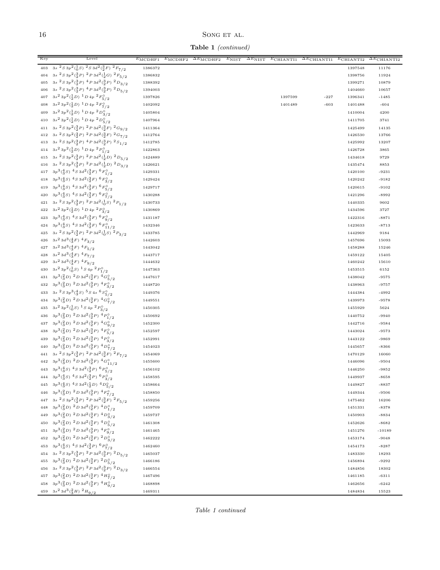# $\,$  SONG ET AL.

Table 1 (continued)

| $3s2 S 3p2(\frac{1}{0}S)2 S 3d2(\frac{3}{2}F)2 F7/2$<br>403<br>1386372<br>1397548<br>11176<br>$3s2S3p2(\frac{3}{2}P)2P3d2(\frac{1}{2}G)2F5/2$<br>404<br>1386832<br>11924<br>1398756<br>$3s\ ^{2}S\ 3p^{2}(\frac{3}{2}P)\ ^{4}P\ 3d^{2}(\frac{3}{2}P)\ ^{2}D_{3/2}$<br>405<br>1388392<br>1399271<br>10879<br>$3s\ ^{2}S\ 3p^{2}(\frac{3}{2}P)\ ^{4}P\ 3d^{2}(\frac{3}{2}P)\ ^{2}D_{5/2}$<br>406<br>1404660<br>10657<br>1394003<br>$3s^23p^2(\frac{1}{2}D)^1D4p^2F_{5/2}^0$<br>407<br>1397599<br>$-227$<br>1397826<br>1396341<br>$-1485$<br>$3s^2 3p^2(\frac{1}{2}D)^1 D 4p^2 F_{7/2}^0$<br>408<br>1402092<br>1401489<br>$-603$<br>1401488<br>$-604$<br>$3s^2 3p^2(\frac{1}{2}D)^{-1}D 4p~^2D_{3/2}^0$<br>409<br>1410004<br>4200<br>1405804<br>$3s^23p^2({1\over 2}D)^{-1}D4p~^2D^{\circ}_{5/2}$<br>410<br>3741<br>1407964<br>1411705<br>411 3s ${}^{2}S\,3p^{2}({}^{3}_{2}P)\, {}^{2}P\,3d^{2}({}^{3}_{2}F)\, {}^{2}G_{9/2}$<br>1425499<br>14135<br>1411364<br>$3s\ ^{2}S\ 3p^{2}(\frac{3}{2}P)\ ^{2}P\ 3d^{2}(\frac{3}{2}F)\ ^{2}G_{7/2}$<br>412<br>1412764<br>1426530<br>13766<br>3s ${}^{2}S\,3p^2({}^{3}_{2}P)\,$ ${}^{4}P\,3d^2({}^{3}_{2}P)\,$ ${}^{2}S_{1/2}$<br>413<br>1412785<br>1425992<br>13207<br>$3s^23p^2(\frac{1}{2}D)^1D4p^2P_{1/2}^0$<br>414<br>1422863<br>3865<br>1426728<br>$3s\ ^{2}S\ 3p^{2}(\frac{3}{2}P)\ ^{2}P\ 3d^{2}(\frac{1}{2}D)\ ^{2}D_{5/2}$<br>415<br>9729<br>1424889<br>1434618<br>$3s\ ^{2}S\ 3p^{2}(\frac{3}{2}P)\ ^{2}P\ 3d^{2}(\frac{1}{2}D)\ ^{2}D_{3/2}$<br>416<br>1426621<br>1435474<br>8853<br>$3p^3(\frac{4}{3}S)^4S3d^2(\frac{3}{2}F)^6F^0_{1/2}$<br>417<br>1429331<br>$-9231$<br>1420100<br>418 $3p^3(\frac{4}{3}S)$ $4S\,3d^2(\frac{3}{2}F)$ $6F_{3/2}^{\circ}$<br>1429424<br>1420242<br>$-9182$<br>$3p^3(\frac{4}{3}S)^4S3d^2(\frac{3}{2}F)^6F^{\circ}_{5/2}$<br>419<br>1420615<br>$-9102$<br>1429717<br>$3p^3(\frac{4}{3}S)^4S3d^2(\frac{3}{2}F)^6F^{\circ}_{7/2}$<br>420<br>1430288<br>1421296<br>$-8992$<br>$3s2 S 3p2(3P)2 P 3d2(3S)2 P1/2$<br>421<br>1440335<br>9602<br>1430733<br>422 $3s^2 3p^2(\frac{1}{2}D)^{-1}D 4p \frac{2p_0^2}{3/2}$<br>3727<br>1430869<br>1434596<br>423 $3p^3(\frac{4}{3}S)$ $4S3d^2(\frac{3}{2}F)$ $6F_{9/2}^{\circ}$<br>$-8871$<br>1431187<br>1422316<br>$3p^3(\frac{4}{3}S)$ $4S$ $3d^2(\frac{3}{2}F)$ $6F_{11/2}^{\circ}$<br>424<br>1423633<br>$-8713$<br>1432346<br>3s ${}^{2}S3p^{2}({}^{3}_{2}P)$ ${}^{2}P3d^{2}({}^{1}_{0}S)$ ${}^{2}P_{3/2}$<br>425<br>9184<br>1433785<br>1442969<br>$3s^2\,3d^3(\frac{4}{3}F)^4F_{3/2}$<br>426<br>15093<br>1442603<br>1457696<br>427 $3s^2 3d^3(\frac{4}{3}F)^4F_{5/2}$<br>1443042<br>15246<br>1458288<br>$3s^2\,3d^3(\frac{4}{3}F)^4F_{7/2}$<br>428<br>1443717<br>1459122<br>15405<br>$3s^2\,3d^3(\frac{4}{3}F)^4F_{9/2}$<br>429<br>15610<br>1444632<br>1460242<br>$3s^23p^2(\frac{1}{0}S)^{-1}S4p~^2P^{\circ}_{1/2}$<br>430<br>1447363<br>1453515<br>6152<br>$3p^3(\frac{2}{3}D)^2D\,3d^2(\frac{3}{2}F)^4G^0_{5/2}$<br>431<br>1438042<br>1447617<br>$-9575$<br>$3p^3({2 \over 3}D)^2D3d^2({3 \over 2}P)^4F^{\circ}_{3/2}$<br>432<br>$-9757$<br>1448720<br>1438963<br>$3s2 S 3p3(\frac{4}{3}S)5 S 4s6 S5/2$<br>433<br>1449376<br>1444384<br>-4992<br>434 $3p^3(\frac{2}{3}D)^2D3d^2(\frac{3}{2}F)^4G^0_{7/2}$<br>1449551<br>$-9578$<br>1439973<br>435 $3s^2 3p^2(\frac{1}{0}S)^{-1}S 4p^2P_{3/2}^{\circ}$<br>5624<br>1450305<br>1455929<br>$3p^3({}^2_3D)^2D^3d^2({}^3_2P)^4P^{\circ}_{1/2}$<br>436<br>1440752<br>$-9940$<br>1450692<br>$3p^3(\frac{2}{3}D)^2D^3d^2(\frac{3}{2}F)^4G^0_{9/2}$<br>437<br>1442716<br>$-9584$<br>1452300<br>438 $3p^3(\frac{2}{3}D)^2D3d^2(\frac{3}{2}P)^4F^{\circ}_{5/2}$<br>$-9573$<br>1452597<br>1443024<br>439 $3p^3(\frac{2}{3}D)^2D3d^2(\frac{3}{2}P)^4P^0_{3/2}$<br>1452991<br>1443122<br>-9869<br>$3p^3(\frac{2}{3}D)^2D3d^2(\frac{3}{2}F)^4D^{\circ}_{7/2}$<br>440<br>1454023<br>1445657<br>$-8366$<br>441 3s ${}^{2}S\,3p^{2}(\frac{3}{2}P)\, {}^{2}P\,3d^{2}(\frac{3}{2}F)\, {}^{2}F_{7/2}$<br>1470129<br>16060<br>1454069<br>442 $3p^3(\frac{2}{3}D)^2D3d^2(\frac{3}{2}F)^4G^0_{11/2}$<br>1455600<br>1446096<br>$-9504$<br>443 $3p^3(\frac{4}{3}S)$ $4S3d^2(\frac{3}{2}P)$ $6p^0_{5/2}$<br>1456102<br>1446250<br>$-9852$<br>444 $3p^3(\frac{4}{3}S)$ $4S$ $3d^2(\frac{3}{2}P)$ $6P^{\circ}_{3/2}$<br>1458595<br>1449937<br>$-8658$<br>445 $3p^3(\frac{4}{3}S)$ $4S$ $3d^2(\frac{1}{2}D)$ $4D_{5/2}^{\circ}$<br>1458664<br>1449827<br>$-8837$<br>$3p^3(\frac{2}{3}D)^2D3d^2(\frac{3}{2}P)^4F^{\circ}_{7/2}$<br>446<br>1449344<br>$-9506$<br>1458850<br>447 3s ${}^{2}S3p^{2}({}^{3}_{2}P)$ ${}^{2}P3d^{2}({}^{3}_{2}F)$ ${}^{2}F_{5/2}$<br>1475462<br>16206<br>1459256<br>448 $3p^3(\frac{2}{3}D)^2D3d^2(\frac{3}{2}F)^4D_{1/2}^{\circ}$<br>1451331<br>1459709<br>$-8378$<br>449 $3p^3(\frac{2}{3}D)^2D3d^2(\frac{3}{2}F)^4D_{3/2}^{\circ}$<br>1450903<br>1459737<br>$-8834$<br>450 $3p^3(\frac{2}{3}D)^2D3d^2(\frac{3}{2}F)^4D_{5/2}^{\circ}$<br>$-8682$<br>1461308<br>1452626<br>451 $3p^3(\frac{2}{3}D)^2D3d^2(\frac{3}{2}P)^4F^{\circ}_{9/2}$<br>$-10189$<br>1461465<br>1451276<br>452 $3p^3(\frac{2}{3}D)^2D3d^2(\frac{3}{2}F)^2D^0_{3/2}$<br>1462222<br>$-9048$<br>1453174<br>453 $3p^3(\frac{4}{3}S)$ $4S3d^2(\frac{3}{2}P)$ $6p^0$ <sub>7/2</sub><br>$-8287$<br>1462460<br>1454173<br>454 3s ${}^{2}S3p^{2}({}^{3}_{2}P)$ ${}^{2}P3d^{2}({}^{3}_{2}P)$ ${}^{2}D_{5/2}$<br>1465037<br>18293<br>1483330<br>455 $3p^3(\frac{2}{3}D)^2D3d^2(\frac{3}{2}F)^2D_{5/2}^{\circ}$<br>1456894<br>$-9292$<br>1466186<br>456 3s ${}^{2}S3p^{2}({}^{3}_{2}P)$ ${}^{2}P3d^{2}({}^{3}_{2}P)$ ${}^{2}D_{3/2}$<br>1484856<br>18302<br>1466554<br>457 $3p^3(\frac{2}{3}D)^2D3d^2(\frac{3}{2}F)^4H^{\circ}_{7/2}$<br>$-6311$<br>1467496<br>1461185<br>458 $3p^3(\frac{2}{3}D)^2D3d^2(\frac{3}{2}F)^4H_{9/2}^{\circ}$<br>1468898<br>1462656<br>$-6242$<br>459 3s <sup>2</sup> 3d <sup>3</sup> $(\frac{2}{3}H)$ <sup>2</sup> $H_{9/2}$<br>1469311<br>1484834<br>15523 | Key | Level | $E_{\text{MCDHF1}}$ | $E_{\rm MCDHF2}$ | $\Delta E_{\text{MCDHF2}}$ | $E_{NIST}$ | $\overline{\Delta E_{\rm NIST}}$ | $E$ CHIANTI1 | $\Delta E$ CHIANTI1 | $E$ CHIANTI2 | $\overline{\Delta E_{\text{CHIANTI2}}}$ |
|-----------------------------------------------------------------------------------------------------------------------------------------------------------------------------------------------------------------------------------------------------------------------------------------------------------------------------------------------------------------------------------------------------------------------------------------------------------------------------------------------------------------------------------------------------------------------------------------------------------------------------------------------------------------------------------------------------------------------------------------------------------------------------------------------------------------------------------------------------------------------------------------------------------------------------------------------------------------------------------------------------------------------------------------------------------------------------------------------------------------------------------------------------------------------------------------------------------------------------------------------------------------------------------------------------------------------------------------------------------------------------------------------------------------------------------------------------------------------------------------------------------------------------------------------------------------------------------------------------------------------------------------------------------------------------------------------------------------------------------------------------------------------------------------------------------------------------------------------------------------------------------------------------------------------------------------------------------------------------------------------------------------------------------------------------------------------------------------------------------------------------------------------------------------------------------------------------------------------------------------------------------------------------------------------------------------------------------------------------------------------------------------------------------------------------------------------------------------------------------------------------------------------------------------------------------------------------------------------------------------------------------------------------------------------------------------------------------------------------------------------------------------------------------------------------------------------------------------------------------------------------------------------------------------------------------------------------------------------------------------------------------------------------------------------------------------------------------------------------------------------------------------------------------------------------------------------------------------------------------------------------------------------------------------------------------------------------------------------------------------------------------------------------------------------------------------------------------------------------------------------------------------------------------------------------------------------------------------------------------------------------------------------------------------------------------------------------------------------------------------------------------------------------------------------------------------------------------------------------------------------------------------------------------------------------------------------------------------------------------------------------------------------------------------------------------------------------------------------------------------------------------------------------------------------------------------------------------------------------------------------------------------------------------------------------------------------------------------------------------------------------------------------------------------------------------------------------------------------------------------------------------------------------------------------------------------------------------------------------------------------------------------------------------------------------------------------------------------------------------------------------------------------------------------------------------------------------------------------------------------------------------------------------------------------------------------------------------------------------------------------------------------------------------------------------------------------------------------------------------------------------------------------------------------------------------------------------------------------------------------------------------------------------------------------------------------------------------------------------------------------------------------------------------------------------------------------------------------------------------------------------------------------------------------------------------------------------------------------------------------------------------------------------------------------------------------------------------------------------------------------------------------------------------------------------------------------------------------------------------------------------------------------------------------------|-----|-------|---------------------|------------------|----------------------------|------------|----------------------------------|--------------|---------------------|--------------|-----------------------------------------|
|                                                                                                                                                                                                                                                                                                                                                                                                                                                                                                                                                                                                                                                                                                                                                                                                                                                                                                                                                                                                                                                                                                                                                                                                                                                                                                                                                                                                                                                                                                                                                                                                                                                                                                                                                                                                                                                                                                                                                                                                                                                                                                                                                                                                                                                                                                                                                                                                                                                                                                                                                                                                                                                                                                                                                                                                                                                                                                                                                                                                                                                                                                                                                                                                                                                                                                                                                                                                                                                                                                                                                                                                                                                                                                                                                                                                                                                                                                                                                                                                                                                                                                                                                                                                                                                                                                                                                                                                                                                                                                                                                                                                                                                                                                                                                                                                                                                                                                                                                                                                                                                                                                                                                                                                                                                                                                                                                                                                                                                                                                                                                                                                                                                                                                                                                                                                                                                                                                                       |     |       |                     |                  |                            |            |                                  |              |                     |              |                                         |
|                                                                                                                                                                                                                                                                                                                                                                                                                                                                                                                                                                                                                                                                                                                                                                                                                                                                                                                                                                                                                                                                                                                                                                                                                                                                                                                                                                                                                                                                                                                                                                                                                                                                                                                                                                                                                                                                                                                                                                                                                                                                                                                                                                                                                                                                                                                                                                                                                                                                                                                                                                                                                                                                                                                                                                                                                                                                                                                                                                                                                                                                                                                                                                                                                                                                                                                                                                                                                                                                                                                                                                                                                                                                                                                                                                                                                                                                                                                                                                                                                                                                                                                                                                                                                                                                                                                                                                                                                                                                                                                                                                                                                                                                                                                                                                                                                                                                                                                                                                                                                                                                                                                                                                                                                                                                                                                                                                                                                                                                                                                                                                                                                                                                                                                                                                                                                                                                                                                       |     |       |                     |                  |                            |            |                                  |              |                     |              |                                         |
|                                                                                                                                                                                                                                                                                                                                                                                                                                                                                                                                                                                                                                                                                                                                                                                                                                                                                                                                                                                                                                                                                                                                                                                                                                                                                                                                                                                                                                                                                                                                                                                                                                                                                                                                                                                                                                                                                                                                                                                                                                                                                                                                                                                                                                                                                                                                                                                                                                                                                                                                                                                                                                                                                                                                                                                                                                                                                                                                                                                                                                                                                                                                                                                                                                                                                                                                                                                                                                                                                                                                                                                                                                                                                                                                                                                                                                                                                                                                                                                                                                                                                                                                                                                                                                                                                                                                                                                                                                                                                                                                                                                                                                                                                                                                                                                                                                                                                                                                                                                                                                                                                                                                                                                                                                                                                                                                                                                                                                                                                                                                                                                                                                                                                                                                                                                                                                                                                                                       |     |       |                     |                  |                            |            |                                  |              |                     |              |                                         |
|                                                                                                                                                                                                                                                                                                                                                                                                                                                                                                                                                                                                                                                                                                                                                                                                                                                                                                                                                                                                                                                                                                                                                                                                                                                                                                                                                                                                                                                                                                                                                                                                                                                                                                                                                                                                                                                                                                                                                                                                                                                                                                                                                                                                                                                                                                                                                                                                                                                                                                                                                                                                                                                                                                                                                                                                                                                                                                                                                                                                                                                                                                                                                                                                                                                                                                                                                                                                                                                                                                                                                                                                                                                                                                                                                                                                                                                                                                                                                                                                                                                                                                                                                                                                                                                                                                                                                                                                                                                                                                                                                                                                                                                                                                                                                                                                                                                                                                                                                                                                                                                                                                                                                                                                                                                                                                                                                                                                                                                                                                                                                                                                                                                                                                                                                                                                                                                                                                                       |     |       |                     |                  |                            |            |                                  |              |                     |              |                                         |
|                                                                                                                                                                                                                                                                                                                                                                                                                                                                                                                                                                                                                                                                                                                                                                                                                                                                                                                                                                                                                                                                                                                                                                                                                                                                                                                                                                                                                                                                                                                                                                                                                                                                                                                                                                                                                                                                                                                                                                                                                                                                                                                                                                                                                                                                                                                                                                                                                                                                                                                                                                                                                                                                                                                                                                                                                                                                                                                                                                                                                                                                                                                                                                                                                                                                                                                                                                                                                                                                                                                                                                                                                                                                                                                                                                                                                                                                                                                                                                                                                                                                                                                                                                                                                                                                                                                                                                                                                                                                                                                                                                                                                                                                                                                                                                                                                                                                                                                                                                                                                                                                                                                                                                                                                                                                                                                                                                                                                                                                                                                                                                                                                                                                                                                                                                                                                                                                                                                       |     |       |                     |                  |                            |            |                                  |              |                     |              |                                         |
|                                                                                                                                                                                                                                                                                                                                                                                                                                                                                                                                                                                                                                                                                                                                                                                                                                                                                                                                                                                                                                                                                                                                                                                                                                                                                                                                                                                                                                                                                                                                                                                                                                                                                                                                                                                                                                                                                                                                                                                                                                                                                                                                                                                                                                                                                                                                                                                                                                                                                                                                                                                                                                                                                                                                                                                                                                                                                                                                                                                                                                                                                                                                                                                                                                                                                                                                                                                                                                                                                                                                                                                                                                                                                                                                                                                                                                                                                                                                                                                                                                                                                                                                                                                                                                                                                                                                                                                                                                                                                                                                                                                                                                                                                                                                                                                                                                                                                                                                                                                                                                                                                                                                                                                                                                                                                                                                                                                                                                                                                                                                                                                                                                                                                                                                                                                                                                                                                                                       |     |       |                     |                  |                            |            |                                  |              |                     |              |                                         |
|                                                                                                                                                                                                                                                                                                                                                                                                                                                                                                                                                                                                                                                                                                                                                                                                                                                                                                                                                                                                                                                                                                                                                                                                                                                                                                                                                                                                                                                                                                                                                                                                                                                                                                                                                                                                                                                                                                                                                                                                                                                                                                                                                                                                                                                                                                                                                                                                                                                                                                                                                                                                                                                                                                                                                                                                                                                                                                                                                                                                                                                                                                                                                                                                                                                                                                                                                                                                                                                                                                                                                                                                                                                                                                                                                                                                                                                                                                                                                                                                                                                                                                                                                                                                                                                                                                                                                                                                                                                                                                                                                                                                                                                                                                                                                                                                                                                                                                                                                                                                                                                                                                                                                                                                                                                                                                                                                                                                                                                                                                                                                                                                                                                                                                                                                                                                                                                                                                                       |     |       |                     |                  |                            |            |                                  |              |                     |              |                                         |
|                                                                                                                                                                                                                                                                                                                                                                                                                                                                                                                                                                                                                                                                                                                                                                                                                                                                                                                                                                                                                                                                                                                                                                                                                                                                                                                                                                                                                                                                                                                                                                                                                                                                                                                                                                                                                                                                                                                                                                                                                                                                                                                                                                                                                                                                                                                                                                                                                                                                                                                                                                                                                                                                                                                                                                                                                                                                                                                                                                                                                                                                                                                                                                                                                                                                                                                                                                                                                                                                                                                                                                                                                                                                                                                                                                                                                                                                                                                                                                                                                                                                                                                                                                                                                                                                                                                                                                                                                                                                                                                                                                                                                                                                                                                                                                                                                                                                                                                                                                                                                                                                                                                                                                                                                                                                                                                                                                                                                                                                                                                                                                                                                                                                                                                                                                                                                                                                                                                       |     |       |                     |                  |                            |            |                                  |              |                     |              |                                         |
|                                                                                                                                                                                                                                                                                                                                                                                                                                                                                                                                                                                                                                                                                                                                                                                                                                                                                                                                                                                                                                                                                                                                                                                                                                                                                                                                                                                                                                                                                                                                                                                                                                                                                                                                                                                                                                                                                                                                                                                                                                                                                                                                                                                                                                                                                                                                                                                                                                                                                                                                                                                                                                                                                                                                                                                                                                                                                                                                                                                                                                                                                                                                                                                                                                                                                                                                                                                                                                                                                                                                                                                                                                                                                                                                                                                                                                                                                                                                                                                                                                                                                                                                                                                                                                                                                                                                                                                                                                                                                                                                                                                                                                                                                                                                                                                                                                                                                                                                                                                                                                                                                                                                                                                                                                                                                                                                                                                                                                                                                                                                                                                                                                                                                                                                                                                                                                                                                                                       |     |       |                     |                  |                            |            |                                  |              |                     |              |                                         |
|                                                                                                                                                                                                                                                                                                                                                                                                                                                                                                                                                                                                                                                                                                                                                                                                                                                                                                                                                                                                                                                                                                                                                                                                                                                                                                                                                                                                                                                                                                                                                                                                                                                                                                                                                                                                                                                                                                                                                                                                                                                                                                                                                                                                                                                                                                                                                                                                                                                                                                                                                                                                                                                                                                                                                                                                                                                                                                                                                                                                                                                                                                                                                                                                                                                                                                                                                                                                                                                                                                                                                                                                                                                                                                                                                                                                                                                                                                                                                                                                                                                                                                                                                                                                                                                                                                                                                                                                                                                                                                                                                                                                                                                                                                                                                                                                                                                                                                                                                                                                                                                                                                                                                                                                                                                                                                                                                                                                                                                                                                                                                                                                                                                                                                                                                                                                                                                                                                                       |     |       |                     |                  |                            |            |                                  |              |                     |              |                                         |
|                                                                                                                                                                                                                                                                                                                                                                                                                                                                                                                                                                                                                                                                                                                                                                                                                                                                                                                                                                                                                                                                                                                                                                                                                                                                                                                                                                                                                                                                                                                                                                                                                                                                                                                                                                                                                                                                                                                                                                                                                                                                                                                                                                                                                                                                                                                                                                                                                                                                                                                                                                                                                                                                                                                                                                                                                                                                                                                                                                                                                                                                                                                                                                                                                                                                                                                                                                                                                                                                                                                                                                                                                                                                                                                                                                                                                                                                                                                                                                                                                                                                                                                                                                                                                                                                                                                                                                                                                                                                                                                                                                                                                                                                                                                                                                                                                                                                                                                                                                                                                                                                                                                                                                                                                                                                                                                                                                                                                                                                                                                                                                                                                                                                                                                                                                                                                                                                                                                       |     |       |                     |                  |                            |            |                                  |              |                     |              |                                         |
|                                                                                                                                                                                                                                                                                                                                                                                                                                                                                                                                                                                                                                                                                                                                                                                                                                                                                                                                                                                                                                                                                                                                                                                                                                                                                                                                                                                                                                                                                                                                                                                                                                                                                                                                                                                                                                                                                                                                                                                                                                                                                                                                                                                                                                                                                                                                                                                                                                                                                                                                                                                                                                                                                                                                                                                                                                                                                                                                                                                                                                                                                                                                                                                                                                                                                                                                                                                                                                                                                                                                                                                                                                                                                                                                                                                                                                                                                                                                                                                                                                                                                                                                                                                                                                                                                                                                                                                                                                                                                                                                                                                                                                                                                                                                                                                                                                                                                                                                                                                                                                                                                                                                                                                                                                                                                                                                                                                                                                                                                                                                                                                                                                                                                                                                                                                                                                                                                                                       |     |       |                     |                  |                            |            |                                  |              |                     |              |                                         |
|                                                                                                                                                                                                                                                                                                                                                                                                                                                                                                                                                                                                                                                                                                                                                                                                                                                                                                                                                                                                                                                                                                                                                                                                                                                                                                                                                                                                                                                                                                                                                                                                                                                                                                                                                                                                                                                                                                                                                                                                                                                                                                                                                                                                                                                                                                                                                                                                                                                                                                                                                                                                                                                                                                                                                                                                                                                                                                                                                                                                                                                                                                                                                                                                                                                                                                                                                                                                                                                                                                                                                                                                                                                                                                                                                                                                                                                                                                                                                                                                                                                                                                                                                                                                                                                                                                                                                                                                                                                                                                                                                                                                                                                                                                                                                                                                                                                                                                                                                                                                                                                                                                                                                                                                                                                                                                                                                                                                                                                                                                                                                                                                                                                                                                                                                                                                                                                                                                                       |     |       |                     |                  |                            |            |                                  |              |                     |              |                                         |
|                                                                                                                                                                                                                                                                                                                                                                                                                                                                                                                                                                                                                                                                                                                                                                                                                                                                                                                                                                                                                                                                                                                                                                                                                                                                                                                                                                                                                                                                                                                                                                                                                                                                                                                                                                                                                                                                                                                                                                                                                                                                                                                                                                                                                                                                                                                                                                                                                                                                                                                                                                                                                                                                                                                                                                                                                                                                                                                                                                                                                                                                                                                                                                                                                                                                                                                                                                                                                                                                                                                                                                                                                                                                                                                                                                                                                                                                                                                                                                                                                                                                                                                                                                                                                                                                                                                                                                                                                                                                                                                                                                                                                                                                                                                                                                                                                                                                                                                                                                                                                                                                                                                                                                                                                                                                                                                                                                                                                                                                                                                                                                                                                                                                                                                                                                                                                                                                                                                       |     |       |                     |                  |                            |            |                                  |              |                     |              |                                         |
|                                                                                                                                                                                                                                                                                                                                                                                                                                                                                                                                                                                                                                                                                                                                                                                                                                                                                                                                                                                                                                                                                                                                                                                                                                                                                                                                                                                                                                                                                                                                                                                                                                                                                                                                                                                                                                                                                                                                                                                                                                                                                                                                                                                                                                                                                                                                                                                                                                                                                                                                                                                                                                                                                                                                                                                                                                                                                                                                                                                                                                                                                                                                                                                                                                                                                                                                                                                                                                                                                                                                                                                                                                                                                                                                                                                                                                                                                                                                                                                                                                                                                                                                                                                                                                                                                                                                                                                                                                                                                                                                                                                                                                                                                                                                                                                                                                                                                                                                                                                                                                                                                                                                                                                                                                                                                                                                                                                                                                                                                                                                                                                                                                                                                                                                                                                                                                                                                                                       |     |       |                     |                  |                            |            |                                  |              |                     |              |                                         |
|                                                                                                                                                                                                                                                                                                                                                                                                                                                                                                                                                                                                                                                                                                                                                                                                                                                                                                                                                                                                                                                                                                                                                                                                                                                                                                                                                                                                                                                                                                                                                                                                                                                                                                                                                                                                                                                                                                                                                                                                                                                                                                                                                                                                                                                                                                                                                                                                                                                                                                                                                                                                                                                                                                                                                                                                                                                                                                                                                                                                                                                                                                                                                                                                                                                                                                                                                                                                                                                                                                                                                                                                                                                                                                                                                                                                                                                                                                                                                                                                                                                                                                                                                                                                                                                                                                                                                                                                                                                                                                                                                                                                                                                                                                                                                                                                                                                                                                                                                                                                                                                                                                                                                                                                                                                                                                                                                                                                                                                                                                                                                                                                                                                                                                                                                                                                                                                                                                                       |     |       |                     |                  |                            |            |                                  |              |                     |              |                                         |
|                                                                                                                                                                                                                                                                                                                                                                                                                                                                                                                                                                                                                                                                                                                                                                                                                                                                                                                                                                                                                                                                                                                                                                                                                                                                                                                                                                                                                                                                                                                                                                                                                                                                                                                                                                                                                                                                                                                                                                                                                                                                                                                                                                                                                                                                                                                                                                                                                                                                                                                                                                                                                                                                                                                                                                                                                                                                                                                                                                                                                                                                                                                                                                                                                                                                                                                                                                                                                                                                                                                                                                                                                                                                                                                                                                                                                                                                                                                                                                                                                                                                                                                                                                                                                                                                                                                                                                                                                                                                                                                                                                                                                                                                                                                                                                                                                                                                                                                                                                                                                                                                                                                                                                                                                                                                                                                                                                                                                                                                                                                                                                                                                                                                                                                                                                                                                                                                                                                       |     |       |                     |                  |                            |            |                                  |              |                     |              |                                         |
|                                                                                                                                                                                                                                                                                                                                                                                                                                                                                                                                                                                                                                                                                                                                                                                                                                                                                                                                                                                                                                                                                                                                                                                                                                                                                                                                                                                                                                                                                                                                                                                                                                                                                                                                                                                                                                                                                                                                                                                                                                                                                                                                                                                                                                                                                                                                                                                                                                                                                                                                                                                                                                                                                                                                                                                                                                                                                                                                                                                                                                                                                                                                                                                                                                                                                                                                                                                                                                                                                                                                                                                                                                                                                                                                                                                                                                                                                                                                                                                                                                                                                                                                                                                                                                                                                                                                                                                                                                                                                                                                                                                                                                                                                                                                                                                                                                                                                                                                                                                                                                                                                                                                                                                                                                                                                                                                                                                                                                                                                                                                                                                                                                                                                                                                                                                                                                                                                                                       |     |       |                     |                  |                            |            |                                  |              |                     |              |                                         |
|                                                                                                                                                                                                                                                                                                                                                                                                                                                                                                                                                                                                                                                                                                                                                                                                                                                                                                                                                                                                                                                                                                                                                                                                                                                                                                                                                                                                                                                                                                                                                                                                                                                                                                                                                                                                                                                                                                                                                                                                                                                                                                                                                                                                                                                                                                                                                                                                                                                                                                                                                                                                                                                                                                                                                                                                                                                                                                                                                                                                                                                                                                                                                                                                                                                                                                                                                                                                                                                                                                                                                                                                                                                                                                                                                                                                                                                                                                                                                                                                                                                                                                                                                                                                                                                                                                                                                                                                                                                                                                                                                                                                                                                                                                                                                                                                                                                                                                                                                                                                                                                                                                                                                                                                                                                                                                                                                                                                                                                                                                                                                                                                                                                                                                                                                                                                                                                                                                                       |     |       |                     |                  |                            |            |                                  |              |                     |              |                                         |
|                                                                                                                                                                                                                                                                                                                                                                                                                                                                                                                                                                                                                                                                                                                                                                                                                                                                                                                                                                                                                                                                                                                                                                                                                                                                                                                                                                                                                                                                                                                                                                                                                                                                                                                                                                                                                                                                                                                                                                                                                                                                                                                                                                                                                                                                                                                                                                                                                                                                                                                                                                                                                                                                                                                                                                                                                                                                                                                                                                                                                                                                                                                                                                                                                                                                                                                                                                                                                                                                                                                                                                                                                                                                                                                                                                                                                                                                                                                                                                                                                                                                                                                                                                                                                                                                                                                                                                                                                                                                                                                                                                                                                                                                                                                                                                                                                                                                                                                                                                                                                                                                                                                                                                                                                                                                                                                                                                                                                                                                                                                                                                                                                                                                                                                                                                                                                                                                                                                       |     |       |                     |                  |                            |            |                                  |              |                     |              |                                         |
|                                                                                                                                                                                                                                                                                                                                                                                                                                                                                                                                                                                                                                                                                                                                                                                                                                                                                                                                                                                                                                                                                                                                                                                                                                                                                                                                                                                                                                                                                                                                                                                                                                                                                                                                                                                                                                                                                                                                                                                                                                                                                                                                                                                                                                                                                                                                                                                                                                                                                                                                                                                                                                                                                                                                                                                                                                                                                                                                                                                                                                                                                                                                                                                                                                                                                                                                                                                                                                                                                                                                                                                                                                                                                                                                                                                                                                                                                                                                                                                                                                                                                                                                                                                                                                                                                                                                                                                                                                                                                                                                                                                                                                                                                                                                                                                                                                                                                                                                                                                                                                                                                                                                                                                                                                                                                                                                                                                                                                                                                                                                                                                                                                                                                                                                                                                                                                                                                                                       |     |       |                     |                  |                            |            |                                  |              |                     |              |                                         |
|                                                                                                                                                                                                                                                                                                                                                                                                                                                                                                                                                                                                                                                                                                                                                                                                                                                                                                                                                                                                                                                                                                                                                                                                                                                                                                                                                                                                                                                                                                                                                                                                                                                                                                                                                                                                                                                                                                                                                                                                                                                                                                                                                                                                                                                                                                                                                                                                                                                                                                                                                                                                                                                                                                                                                                                                                                                                                                                                                                                                                                                                                                                                                                                                                                                                                                                                                                                                                                                                                                                                                                                                                                                                                                                                                                                                                                                                                                                                                                                                                                                                                                                                                                                                                                                                                                                                                                                                                                                                                                                                                                                                                                                                                                                                                                                                                                                                                                                                                                                                                                                                                                                                                                                                                                                                                                                                                                                                                                                                                                                                                                                                                                                                                                                                                                                                                                                                                                                       |     |       |                     |                  |                            |            |                                  |              |                     |              |                                         |
|                                                                                                                                                                                                                                                                                                                                                                                                                                                                                                                                                                                                                                                                                                                                                                                                                                                                                                                                                                                                                                                                                                                                                                                                                                                                                                                                                                                                                                                                                                                                                                                                                                                                                                                                                                                                                                                                                                                                                                                                                                                                                                                                                                                                                                                                                                                                                                                                                                                                                                                                                                                                                                                                                                                                                                                                                                                                                                                                                                                                                                                                                                                                                                                                                                                                                                                                                                                                                                                                                                                                                                                                                                                                                                                                                                                                                                                                                                                                                                                                                                                                                                                                                                                                                                                                                                                                                                                                                                                                                                                                                                                                                                                                                                                                                                                                                                                                                                                                                                                                                                                                                                                                                                                                                                                                                                                                                                                                                                                                                                                                                                                                                                                                                                                                                                                                                                                                                                                       |     |       |                     |                  |                            |            |                                  |              |                     |              |                                         |
|                                                                                                                                                                                                                                                                                                                                                                                                                                                                                                                                                                                                                                                                                                                                                                                                                                                                                                                                                                                                                                                                                                                                                                                                                                                                                                                                                                                                                                                                                                                                                                                                                                                                                                                                                                                                                                                                                                                                                                                                                                                                                                                                                                                                                                                                                                                                                                                                                                                                                                                                                                                                                                                                                                                                                                                                                                                                                                                                                                                                                                                                                                                                                                                                                                                                                                                                                                                                                                                                                                                                                                                                                                                                                                                                                                                                                                                                                                                                                                                                                                                                                                                                                                                                                                                                                                                                                                                                                                                                                                                                                                                                                                                                                                                                                                                                                                                                                                                                                                                                                                                                                                                                                                                                                                                                                                                                                                                                                                                                                                                                                                                                                                                                                                                                                                                                                                                                                                                       |     |       |                     |                  |                            |            |                                  |              |                     |              |                                         |
|                                                                                                                                                                                                                                                                                                                                                                                                                                                                                                                                                                                                                                                                                                                                                                                                                                                                                                                                                                                                                                                                                                                                                                                                                                                                                                                                                                                                                                                                                                                                                                                                                                                                                                                                                                                                                                                                                                                                                                                                                                                                                                                                                                                                                                                                                                                                                                                                                                                                                                                                                                                                                                                                                                                                                                                                                                                                                                                                                                                                                                                                                                                                                                                                                                                                                                                                                                                                                                                                                                                                                                                                                                                                                                                                                                                                                                                                                                                                                                                                                                                                                                                                                                                                                                                                                                                                                                                                                                                                                                                                                                                                                                                                                                                                                                                                                                                                                                                                                                                                                                                                                                                                                                                                                                                                                                                                                                                                                                                                                                                                                                                                                                                                                                                                                                                                                                                                                                                       |     |       |                     |                  |                            |            |                                  |              |                     |              |                                         |
|                                                                                                                                                                                                                                                                                                                                                                                                                                                                                                                                                                                                                                                                                                                                                                                                                                                                                                                                                                                                                                                                                                                                                                                                                                                                                                                                                                                                                                                                                                                                                                                                                                                                                                                                                                                                                                                                                                                                                                                                                                                                                                                                                                                                                                                                                                                                                                                                                                                                                                                                                                                                                                                                                                                                                                                                                                                                                                                                                                                                                                                                                                                                                                                                                                                                                                                                                                                                                                                                                                                                                                                                                                                                                                                                                                                                                                                                                                                                                                                                                                                                                                                                                                                                                                                                                                                                                                                                                                                                                                                                                                                                                                                                                                                                                                                                                                                                                                                                                                                                                                                                                                                                                                                                                                                                                                                                                                                                                                                                                                                                                                                                                                                                                                                                                                                                                                                                                                                       |     |       |                     |                  |                            |            |                                  |              |                     |              |                                         |
|                                                                                                                                                                                                                                                                                                                                                                                                                                                                                                                                                                                                                                                                                                                                                                                                                                                                                                                                                                                                                                                                                                                                                                                                                                                                                                                                                                                                                                                                                                                                                                                                                                                                                                                                                                                                                                                                                                                                                                                                                                                                                                                                                                                                                                                                                                                                                                                                                                                                                                                                                                                                                                                                                                                                                                                                                                                                                                                                                                                                                                                                                                                                                                                                                                                                                                                                                                                                                                                                                                                                                                                                                                                                                                                                                                                                                                                                                                                                                                                                                                                                                                                                                                                                                                                                                                                                                                                                                                                                                                                                                                                                                                                                                                                                                                                                                                                                                                                                                                                                                                                                                                                                                                                                                                                                                                                                                                                                                                                                                                                                                                                                                                                                                                                                                                                                                                                                                                                       |     |       |                     |                  |                            |            |                                  |              |                     |              |                                         |
|                                                                                                                                                                                                                                                                                                                                                                                                                                                                                                                                                                                                                                                                                                                                                                                                                                                                                                                                                                                                                                                                                                                                                                                                                                                                                                                                                                                                                                                                                                                                                                                                                                                                                                                                                                                                                                                                                                                                                                                                                                                                                                                                                                                                                                                                                                                                                                                                                                                                                                                                                                                                                                                                                                                                                                                                                                                                                                                                                                                                                                                                                                                                                                                                                                                                                                                                                                                                                                                                                                                                                                                                                                                                                                                                                                                                                                                                                                                                                                                                                                                                                                                                                                                                                                                                                                                                                                                                                                                                                                                                                                                                                                                                                                                                                                                                                                                                                                                                                                                                                                                                                                                                                                                                                                                                                                                                                                                                                                                                                                                                                                                                                                                                                                                                                                                                                                                                                                                       |     |       |                     |                  |                            |            |                                  |              |                     |              |                                         |
|                                                                                                                                                                                                                                                                                                                                                                                                                                                                                                                                                                                                                                                                                                                                                                                                                                                                                                                                                                                                                                                                                                                                                                                                                                                                                                                                                                                                                                                                                                                                                                                                                                                                                                                                                                                                                                                                                                                                                                                                                                                                                                                                                                                                                                                                                                                                                                                                                                                                                                                                                                                                                                                                                                                                                                                                                                                                                                                                                                                                                                                                                                                                                                                                                                                                                                                                                                                                                                                                                                                                                                                                                                                                                                                                                                                                                                                                                                                                                                                                                                                                                                                                                                                                                                                                                                                                                                                                                                                                                                                                                                                                                                                                                                                                                                                                                                                                                                                                                                                                                                                                                                                                                                                                                                                                                                                                                                                                                                                                                                                                                                                                                                                                                                                                                                                                                                                                                                                       |     |       |                     |                  |                            |            |                                  |              |                     |              |                                         |
|                                                                                                                                                                                                                                                                                                                                                                                                                                                                                                                                                                                                                                                                                                                                                                                                                                                                                                                                                                                                                                                                                                                                                                                                                                                                                                                                                                                                                                                                                                                                                                                                                                                                                                                                                                                                                                                                                                                                                                                                                                                                                                                                                                                                                                                                                                                                                                                                                                                                                                                                                                                                                                                                                                                                                                                                                                                                                                                                                                                                                                                                                                                                                                                                                                                                                                                                                                                                                                                                                                                                                                                                                                                                                                                                                                                                                                                                                                                                                                                                                                                                                                                                                                                                                                                                                                                                                                                                                                                                                                                                                                                                                                                                                                                                                                                                                                                                                                                                                                                                                                                                                                                                                                                                                                                                                                                                                                                                                                                                                                                                                                                                                                                                                                                                                                                                                                                                                                                       |     |       |                     |                  |                            |            |                                  |              |                     |              |                                         |
|                                                                                                                                                                                                                                                                                                                                                                                                                                                                                                                                                                                                                                                                                                                                                                                                                                                                                                                                                                                                                                                                                                                                                                                                                                                                                                                                                                                                                                                                                                                                                                                                                                                                                                                                                                                                                                                                                                                                                                                                                                                                                                                                                                                                                                                                                                                                                                                                                                                                                                                                                                                                                                                                                                                                                                                                                                                                                                                                                                                                                                                                                                                                                                                                                                                                                                                                                                                                                                                                                                                                                                                                                                                                                                                                                                                                                                                                                                                                                                                                                                                                                                                                                                                                                                                                                                                                                                                                                                                                                                                                                                                                                                                                                                                                                                                                                                                                                                                                                                                                                                                                                                                                                                                                                                                                                                                                                                                                                                                                                                                                                                                                                                                                                                                                                                                                                                                                                                                       |     |       |                     |                  |                            |            |                                  |              |                     |              |                                         |
|                                                                                                                                                                                                                                                                                                                                                                                                                                                                                                                                                                                                                                                                                                                                                                                                                                                                                                                                                                                                                                                                                                                                                                                                                                                                                                                                                                                                                                                                                                                                                                                                                                                                                                                                                                                                                                                                                                                                                                                                                                                                                                                                                                                                                                                                                                                                                                                                                                                                                                                                                                                                                                                                                                                                                                                                                                                                                                                                                                                                                                                                                                                                                                                                                                                                                                                                                                                                                                                                                                                                                                                                                                                                                                                                                                                                                                                                                                                                                                                                                                                                                                                                                                                                                                                                                                                                                                                                                                                                                                                                                                                                                                                                                                                                                                                                                                                                                                                                                                                                                                                                                                                                                                                                                                                                                                                                                                                                                                                                                                                                                                                                                                                                                                                                                                                                                                                                                                                       |     |       |                     |                  |                            |            |                                  |              |                     |              |                                         |
|                                                                                                                                                                                                                                                                                                                                                                                                                                                                                                                                                                                                                                                                                                                                                                                                                                                                                                                                                                                                                                                                                                                                                                                                                                                                                                                                                                                                                                                                                                                                                                                                                                                                                                                                                                                                                                                                                                                                                                                                                                                                                                                                                                                                                                                                                                                                                                                                                                                                                                                                                                                                                                                                                                                                                                                                                                                                                                                                                                                                                                                                                                                                                                                                                                                                                                                                                                                                                                                                                                                                                                                                                                                                                                                                                                                                                                                                                                                                                                                                                                                                                                                                                                                                                                                                                                                                                                                                                                                                                                                                                                                                                                                                                                                                                                                                                                                                                                                                                                                                                                                                                                                                                                                                                                                                                                                                                                                                                                                                                                                                                                                                                                                                                                                                                                                                                                                                                                                       |     |       |                     |                  |                            |            |                                  |              |                     |              |                                         |
|                                                                                                                                                                                                                                                                                                                                                                                                                                                                                                                                                                                                                                                                                                                                                                                                                                                                                                                                                                                                                                                                                                                                                                                                                                                                                                                                                                                                                                                                                                                                                                                                                                                                                                                                                                                                                                                                                                                                                                                                                                                                                                                                                                                                                                                                                                                                                                                                                                                                                                                                                                                                                                                                                                                                                                                                                                                                                                                                                                                                                                                                                                                                                                                                                                                                                                                                                                                                                                                                                                                                                                                                                                                                                                                                                                                                                                                                                                                                                                                                                                                                                                                                                                                                                                                                                                                                                                                                                                                                                                                                                                                                                                                                                                                                                                                                                                                                                                                                                                                                                                                                                                                                                                                                                                                                                                                                                                                                                                                                                                                                                                                                                                                                                                                                                                                                                                                                                                                       |     |       |                     |                  |                            |            |                                  |              |                     |              |                                         |
|                                                                                                                                                                                                                                                                                                                                                                                                                                                                                                                                                                                                                                                                                                                                                                                                                                                                                                                                                                                                                                                                                                                                                                                                                                                                                                                                                                                                                                                                                                                                                                                                                                                                                                                                                                                                                                                                                                                                                                                                                                                                                                                                                                                                                                                                                                                                                                                                                                                                                                                                                                                                                                                                                                                                                                                                                                                                                                                                                                                                                                                                                                                                                                                                                                                                                                                                                                                                                                                                                                                                                                                                                                                                                                                                                                                                                                                                                                                                                                                                                                                                                                                                                                                                                                                                                                                                                                                                                                                                                                                                                                                                                                                                                                                                                                                                                                                                                                                                                                                                                                                                                                                                                                                                                                                                                                                                                                                                                                                                                                                                                                                                                                                                                                                                                                                                                                                                                                                       |     |       |                     |                  |                            |            |                                  |              |                     |              |                                         |
|                                                                                                                                                                                                                                                                                                                                                                                                                                                                                                                                                                                                                                                                                                                                                                                                                                                                                                                                                                                                                                                                                                                                                                                                                                                                                                                                                                                                                                                                                                                                                                                                                                                                                                                                                                                                                                                                                                                                                                                                                                                                                                                                                                                                                                                                                                                                                                                                                                                                                                                                                                                                                                                                                                                                                                                                                                                                                                                                                                                                                                                                                                                                                                                                                                                                                                                                                                                                                                                                                                                                                                                                                                                                                                                                                                                                                                                                                                                                                                                                                                                                                                                                                                                                                                                                                                                                                                                                                                                                                                                                                                                                                                                                                                                                                                                                                                                                                                                                                                                                                                                                                                                                                                                                                                                                                                                                                                                                                                                                                                                                                                                                                                                                                                                                                                                                                                                                                                                       |     |       |                     |                  |                            |            |                                  |              |                     |              |                                         |
|                                                                                                                                                                                                                                                                                                                                                                                                                                                                                                                                                                                                                                                                                                                                                                                                                                                                                                                                                                                                                                                                                                                                                                                                                                                                                                                                                                                                                                                                                                                                                                                                                                                                                                                                                                                                                                                                                                                                                                                                                                                                                                                                                                                                                                                                                                                                                                                                                                                                                                                                                                                                                                                                                                                                                                                                                                                                                                                                                                                                                                                                                                                                                                                                                                                                                                                                                                                                                                                                                                                                                                                                                                                                                                                                                                                                                                                                                                                                                                                                                                                                                                                                                                                                                                                                                                                                                                                                                                                                                                                                                                                                                                                                                                                                                                                                                                                                                                                                                                                                                                                                                                                                                                                                                                                                                                                                                                                                                                                                                                                                                                                                                                                                                                                                                                                                                                                                                                                       |     |       |                     |                  |                            |            |                                  |              |                     |              |                                         |
|                                                                                                                                                                                                                                                                                                                                                                                                                                                                                                                                                                                                                                                                                                                                                                                                                                                                                                                                                                                                                                                                                                                                                                                                                                                                                                                                                                                                                                                                                                                                                                                                                                                                                                                                                                                                                                                                                                                                                                                                                                                                                                                                                                                                                                                                                                                                                                                                                                                                                                                                                                                                                                                                                                                                                                                                                                                                                                                                                                                                                                                                                                                                                                                                                                                                                                                                                                                                                                                                                                                                                                                                                                                                                                                                                                                                                                                                                                                                                                                                                                                                                                                                                                                                                                                                                                                                                                                                                                                                                                                                                                                                                                                                                                                                                                                                                                                                                                                                                                                                                                                                                                                                                                                                                                                                                                                                                                                                                                                                                                                                                                                                                                                                                                                                                                                                                                                                                                                       |     |       |                     |                  |                            |            |                                  |              |                     |              |                                         |
|                                                                                                                                                                                                                                                                                                                                                                                                                                                                                                                                                                                                                                                                                                                                                                                                                                                                                                                                                                                                                                                                                                                                                                                                                                                                                                                                                                                                                                                                                                                                                                                                                                                                                                                                                                                                                                                                                                                                                                                                                                                                                                                                                                                                                                                                                                                                                                                                                                                                                                                                                                                                                                                                                                                                                                                                                                                                                                                                                                                                                                                                                                                                                                                                                                                                                                                                                                                                                                                                                                                                                                                                                                                                                                                                                                                                                                                                                                                                                                                                                                                                                                                                                                                                                                                                                                                                                                                                                                                                                                                                                                                                                                                                                                                                                                                                                                                                                                                                                                                                                                                                                                                                                                                                                                                                                                                                                                                                                                                                                                                                                                                                                                                                                                                                                                                                                                                                                                                       |     |       |                     |                  |                            |            |                                  |              |                     |              |                                         |
|                                                                                                                                                                                                                                                                                                                                                                                                                                                                                                                                                                                                                                                                                                                                                                                                                                                                                                                                                                                                                                                                                                                                                                                                                                                                                                                                                                                                                                                                                                                                                                                                                                                                                                                                                                                                                                                                                                                                                                                                                                                                                                                                                                                                                                                                                                                                                                                                                                                                                                                                                                                                                                                                                                                                                                                                                                                                                                                                                                                                                                                                                                                                                                                                                                                                                                                                                                                                                                                                                                                                                                                                                                                                                                                                                                                                                                                                                                                                                                                                                                                                                                                                                                                                                                                                                                                                                                                                                                                                                                                                                                                                                                                                                                                                                                                                                                                                                                                                                                                                                                                                                                                                                                                                                                                                                                                                                                                                                                                                                                                                                                                                                                                                                                                                                                                                                                                                                                                       |     |       |                     |                  |                            |            |                                  |              |                     |              |                                         |
|                                                                                                                                                                                                                                                                                                                                                                                                                                                                                                                                                                                                                                                                                                                                                                                                                                                                                                                                                                                                                                                                                                                                                                                                                                                                                                                                                                                                                                                                                                                                                                                                                                                                                                                                                                                                                                                                                                                                                                                                                                                                                                                                                                                                                                                                                                                                                                                                                                                                                                                                                                                                                                                                                                                                                                                                                                                                                                                                                                                                                                                                                                                                                                                                                                                                                                                                                                                                                                                                                                                                                                                                                                                                                                                                                                                                                                                                                                                                                                                                                                                                                                                                                                                                                                                                                                                                                                                                                                                                                                                                                                                                                                                                                                                                                                                                                                                                                                                                                                                                                                                                                                                                                                                                                                                                                                                                                                                                                                                                                                                                                                                                                                                                                                                                                                                                                                                                                                                       |     |       |                     |                  |                            |            |                                  |              |                     |              |                                         |
|                                                                                                                                                                                                                                                                                                                                                                                                                                                                                                                                                                                                                                                                                                                                                                                                                                                                                                                                                                                                                                                                                                                                                                                                                                                                                                                                                                                                                                                                                                                                                                                                                                                                                                                                                                                                                                                                                                                                                                                                                                                                                                                                                                                                                                                                                                                                                                                                                                                                                                                                                                                                                                                                                                                                                                                                                                                                                                                                                                                                                                                                                                                                                                                                                                                                                                                                                                                                                                                                                                                                                                                                                                                                                                                                                                                                                                                                                                                                                                                                                                                                                                                                                                                                                                                                                                                                                                                                                                                                                                                                                                                                                                                                                                                                                                                                                                                                                                                                                                                                                                                                                                                                                                                                                                                                                                                                                                                                                                                                                                                                                                                                                                                                                                                                                                                                                                                                                                                       |     |       |                     |                  |                            |            |                                  |              |                     |              |                                         |
|                                                                                                                                                                                                                                                                                                                                                                                                                                                                                                                                                                                                                                                                                                                                                                                                                                                                                                                                                                                                                                                                                                                                                                                                                                                                                                                                                                                                                                                                                                                                                                                                                                                                                                                                                                                                                                                                                                                                                                                                                                                                                                                                                                                                                                                                                                                                                                                                                                                                                                                                                                                                                                                                                                                                                                                                                                                                                                                                                                                                                                                                                                                                                                                                                                                                                                                                                                                                                                                                                                                                                                                                                                                                                                                                                                                                                                                                                                                                                                                                                                                                                                                                                                                                                                                                                                                                                                                                                                                                                                                                                                                                                                                                                                                                                                                                                                                                                                                                                                                                                                                                                                                                                                                                                                                                                                                                                                                                                                                                                                                                                                                                                                                                                                                                                                                                                                                                                                                       |     |       |                     |                  |                            |            |                                  |              |                     |              |                                         |
|                                                                                                                                                                                                                                                                                                                                                                                                                                                                                                                                                                                                                                                                                                                                                                                                                                                                                                                                                                                                                                                                                                                                                                                                                                                                                                                                                                                                                                                                                                                                                                                                                                                                                                                                                                                                                                                                                                                                                                                                                                                                                                                                                                                                                                                                                                                                                                                                                                                                                                                                                                                                                                                                                                                                                                                                                                                                                                                                                                                                                                                                                                                                                                                                                                                                                                                                                                                                                                                                                                                                                                                                                                                                                                                                                                                                                                                                                                                                                                                                                                                                                                                                                                                                                                                                                                                                                                                                                                                                                                                                                                                                                                                                                                                                                                                                                                                                                                                                                                                                                                                                                                                                                                                                                                                                                                                                                                                                                                                                                                                                                                                                                                                                                                                                                                                                                                                                                                                       |     |       |                     |                  |                            |            |                                  |              |                     |              |                                         |
|                                                                                                                                                                                                                                                                                                                                                                                                                                                                                                                                                                                                                                                                                                                                                                                                                                                                                                                                                                                                                                                                                                                                                                                                                                                                                                                                                                                                                                                                                                                                                                                                                                                                                                                                                                                                                                                                                                                                                                                                                                                                                                                                                                                                                                                                                                                                                                                                                                                                                                                                                                                                                                                                                                                                                                                                                                                                                                                                                                                                                                                                                                                                                                                                                                                                                                                                                                                                                                                                                                                                                                                                                                                                                                                                                                                                                                                                                                                                                                                                                                                                                                                                                                                                                                                                                                                                                                                                                                                                                                                                                                                                                                                                                                                                                                                                                                                                                                                                                                                                                                                                                                                                                                                                                                                                                                                                                                                                                                                                                                                                                                                                                                                                                                                                                                                                                                                                                                                       |     |       |                     |                  |                            |            |                                  |              |                     |              |                                         |
|                                                                                                                                                                                                                                                                                                                                                                                                                                                                                                                                                                                                                                                                                                                                                                                                                                                                                                                                                                                                                                                                                                                                                                                                                                                                                                                                                                                                                                                                                                                                                                                                                                                                                                                                                                                                                                                                                                                                                                                                                                                                                                                                                                                                                                                                                                                                                                                                                                                                                                                                                                                                                                                                                                                                                                                                                                                                                                                                                                                                                                                                                                                                                                                                                                                                                                                                                                                                                                                                                                                                                                                                                                                                                                                                                                                                                                                                                                                                                                                                                                                                                                                                                                                                                                                                                                                                                                                                                                                                                                                                                                                                                                                                                                                                                                                                                                                                                                                                                                                                                                                                                                                                                                                                                                                                                                                                                                                                                                                                                                                                                                                                                                                                                                                                                                                                                                                                                                                       |     |       |                     |                  |                            |            |                                  |              |                     |              |                                         |
|                                                                                                                                                                                                                                                                                                                                                                                                                                                                                                                                                                                                                                                                                                                                                                                                                                                                                                                                                                                                                                                                                                                                                                                                                                                                                                                                                                                                                                                                                                                                                                                                                                                                                                                                                                                                                                                                                                                                                                                                                                                                                                                                                                                                                                                                                                                                                                                                                                                                                                                                                                                                                                                                                                                                                                                                                                                                                                                                                                                                                                                                                                                                                                                                                                                                                                                                                                                                                                                                                                                                                                                                                                                                                                                                                                                                                                                                                                                                                                                                                                                                                                                                                                                                                                                                                                                                                                                                                                                                                                                                                                                                                                                                                                                                                                                                                                                                                                                                                                                                                                                                                                                                                                                                                                                                                                                                                                                                                                                                                                                                                                                                                                                                                                                                                                                                                                                                                                                       |     |       |                     |                  |                            |            |                                  |              |                     |              |                                         |
|                                                                                                                                                                                                                                                                                                                                                                                                                                                                                                                                                                                                                                                                                                                                                                                                                                                                                                                                                                                                                                                                                                                                                                                                                                                                                                                                                                                                                                                                                                                                                                                                                                                                                                                                                                                                                                                                                                                                                                                                                                                                                                                                                                                                                                                                                                                                                                                                                                                                                                                                                                                                                                                                                                                                                                                                                                                                                                                                                                                                                                                                                                                                                                                                                                                                                                                                                                                                                                                                                                                                                                                                                                                                                                                                                                                                                                                                                                                                                                                                                                                                                                                                                                                                                                                                                                                                                                                                                                                                                                                                                                                                                                                                                                                                                                                                                                                                                                                                                                                                                                                                                                                                                                                                                                                                                                                                                                                                                                                                                                                                                                                                                                                                                                                                                                                                                                                                                                                       |     |       |                     |                  |                            |            |                                  |              |                     |              |                                         |
|                                                                                                                                                                                                                                                                                                                                                                                                                                                                                                                                                                                                                                                                                                                                                                                                                                                                                                                                                                                                                                                                                                                                                                                                                                                                                                                                                                                                                                                                                                                                                                                                                                                                                                                                                                                                                                                                                                                                                                                                                                                                                                                                                                                                                                                                                                                                                                                                                                                                                                                                                                                                                                                                                                                                                                                                                                                                                                                                                                                                                                                                                                                                                                                                                                                                                                                                                                                                                                                                                                                                                                                                                                                                                                                                                                                                                                                                                                                                                                                                                                                                                                                                                                                                                                                                                                                                                                                                                                                                                                                                                                                                                                                                                                                                                                                                                                                                                                                                                                                                                                                                                                                                                                                                                                                                                                                                                                                                                                                                                                                                                                                                                                                                                                                                                                                                                                                                                                                       |     |       |                     |                  |                            |            |                                  |              |                     |              |                                         |
|                                                                                                                                                                                                                                                                                                                                                                                                                                                                                                                                                                                                                                                                                                                                                                                                                                                                                                                                                                                                                                                                                                                                                                                                                                                                                                                                                                                                                                                                                                                                                                                                                                                                                                                                                                                                                                                                                                                                                                                                                                                                                                                                                                                                                                                                                                                                                                                                                                                                                                                                                                                                                                                                                                                                                                                                                                                                                                                                                                                                                                                                                                                                                                                                                                                                                                                                                                                                                                                                                                                                                                                                                                                                                                                                                                                                                                                                                                                                                                                                                                                                                                                                                                                                                                                                                                                                                                                                                                                                                                                                                                                                                                                                                                                                                                                                                                                                                                                                                                                                                                                                                                                                                                                                                                                                                                                                                                                                                                                                                                                                                                                                                                                                                                                                                                                                                                                                                                                       |     |       |                     |                  |                            |            |                                  |              |                     |              |                                         |
|                                                                                                                                                                                                                                                                                                                                                                                                                                                                                                                                                                                                                                                                                                                                                                                                                                                                                                                                                                                                                                                                                                                                                                                                                                                                                                                                                                                                                                                                                                                                                                                                                                                                                                                                                                                                                                                                                                                                                                                                                                                                                                                                                                                                                                                                                                                                                                                                                                                                                                                                                                                                                                                                                                                                                                                                                                                                                                                                                                                                                                                                                                                                                                                                                                                                                                                                                                                                                                                                                                                                                                                                                                                                                                                                                                                                                                                                                                                                                                                                                                                                                                                                                                                                                                                                                                                                                                                                                                                                                                                                                                                                                                                                                                                                                                                                                                                                                                                                                                                                                                                                                                                                                                                                                                                                                                                                                                                                                                                                                                                                                                                                                                                                                                                                                                                                                                                                                                                       |     |       |                     |                  |                            |            |                                  |              |                     |              |                                         |
|                                                                                                                                                                                                                                                                                                                                                                                                                                                                                                                                                                                                                                                                                                                                                                                                                                                                                                                                                                                                                                                                                                                                                                                                                                                                                                                                                                                                                                                                                                                                                                                                                                                                                                                                                                                                                                                                                                                                                                                                                                                                                                                                                                                                                                                                                                                                                                                                                                                                                                                                                                                                                                                                                                                                                                                                                                                                                                                                                                                                                                                                                                                                                                                                                                                                                                                                                                                                                                                                                                                                                                                                                                                                                                                                                                                                                                                                                                                                                                                                                                                                                                                                                                                                                                                                                                                                                                                                                                                                                                                                                                                                                                                                                                                                                                                                                                                                                                                                                                                                                                                                                                                                                                                                                                                                                                                                                                                                                                                                                                                                                                                                                                                                                                                                                                                                                                                                                                                       |     |       |                     |                  |                            |            |                                  |              |                     |              |                                         |
|                                                                                                                                                                                                                                                                                                                                                                                                                                                                                                                                                                                                                                                                                                                                                                                                                                                                                                                                                                                                                                                                                                                                                                                                                                                                                                                                                                                                                                                                                                                                                                                                                                                                                                                                                                                                                                                                                                                                                                                                                                                                                                                                                                                                                                                                                                                                                                                                                                                                                                                                                                                                                                                                                                                                                                                                                                                                                                                                                                                                                                                                                                                                                                                                                                                                                                                                                                                                                                                                                                                                                                                                                                                                                                                                                                                                                                                                                                                                                                                                                                                                                                                                                                                                                                                                                                                                                                                                                                                                                                                                                                                                                                                                                                                                                                                                                                                                                                                                                                                                                                                                                                                                                                                                                                                                                                                                                                                                                                                                                                                                                                                                                                                                                                                                                                                                                                                                                                                       |     |       |                     |                  |                            |            |                                  |              |                     |              |                                         |
|                                                                                                                                                                                                                                                                                                                                                                                                                                                                                                                                                                                                                                                                                                                                                                                                                                                                                                                                                                                                                                                                                                                                                                                                                                                                                                                                                                                                                                                                                                                                                                                                                                                                                                                                                                                                                                                                                                                                                                                                                                                                                                                                                                                                                                                                                                                                                                                                                                                                                                                                                                                                                                                                                                                                                                                                                                                                                                                                                                                                                                                                                                                                                                                                                                                                                                                                                                                                                                                                                                                                                                                                                                                                                                                                                                                                                                                                                                                                                                                                                                                                                                                                                                                                                                                                                                                                                                                                                                                                                                                                                                                                                                                                                                                                                                                                                                                                                                                                                                                                                                                                                                                                                                                                                                                                                                                                                                                                                                                                                                                                                                                                                                                                                                                                                                                                                                                                                                                       |     |       |                     |                  |                            |            |                                  |              |                     |              |                                         |
|                                                                                                                                                                                                                                                                                                                                                                                                                                                                                                                                                                                                                                                                                                                                                                                                                                                                                                                                                                                                                                                                                                                                                                                                                                                                                                                                                                                                                                                                                                                                                                                                                                                                                                                                                                                                                                                                                                                                                                                                                                                                                                                                                                                                                                                                                                                                                                                                                                                                                                                                                                                                                                                                                                                                                                                                                                                                                                                                                                                                                                                                                                                                                                                                                                                                                                                                                                                                                                                                                                                                                                                                                                                                                                                                                                                                                                                                                                                                                                                                                                                                                                                                                                                                                                                                                                                                                                                                                                                                                                                                                                                                                                                                                                                                                                                                                                                                                                                                                                                                                                                                                                                                                                                                                                                                                                                                                                                                                                                                                                                                                                                                                                                                                                                                                                                                                                                                                                                       |     |       |                     |                  |                            |            |                                  |              |                     |              |                                         |
|                                                                                                                                                                                                                                                                                                                                                                                                                                                                                                                                                                                                                                                                                                                                                                                                                                                                                                                                                                                                                                                                                                                                                                                                                                                                                                                                                                                                                                                                                                                                                                                                                                                                                                                                                                                                                                                                                                                                                                                                                                                                                                                                                                                                                                                                                                                                                                                                                                                                                                                                                                                                                                                                                                                                                                                                                                                                                                                                                                                                                                                                                                                                                                                                                                                                                                                                                                                                                                                                                                                                                                                                                                                                                                                                                                                                                                                                                                                                                                                                                                                                                                                                                                                                                                                                                                                                                                                                                                                                                                                                                                                                                                                                                                                                                                                                                                                                                                                                                                                                                                                                                                                                                                                                                                                                                                                                                                                                                                                                                                                                                                                                                                                                                                                                                                                                                                                                                                                       |     |       |                     |                  |                            |            |                                  |              |                     |              |                                         |
|                                                                                                                                                                                                                                                                                                                                                                                                                                                                                                                                                                                                                                                                                                                                                                                                                                                                                                                                                                                                                                                                                                                                                                                                                                                                                                                                                                                                                                                                                                                                                                                                                                                                                                                                                                                                                                                                                                                                                                                                                                                                                                                                                                                                                                                                                                                                                                                                                                                                                                                                                                                                                                                                                                                                                                                                                                                                                                                                                                                                                                                                                                                                                                                                                                                                                                                                                                                                                                                                                                                                                                                                                                                                                                                                                                                                                                                                                                                                                                                                                                                                                                                                                                                                                                                                                                                                                                                                                                                                                                                                                                                                                                                                                                                                                                                                                                                                                                                                                                                                                                                                                                                                                                                                                                                                                                                                                                                                                                                                                                                                                                                                                                                                                                                                                                                                                                                                                                                       |     |       |                     |                  |                            |            |                                  |              |                     |              |                                         |
|                                                                                                                                                                                                                                                                                                                                                                                                                                                                                                                                                                                                                                                                                                                                                                                                                                                                                                                                                                                                                                                                                                                                                                                                                                                                                                                                                                                                                                                                                                                                                                                                                                                                                                                                                                                                                                                                                                                                                                                                                                                                                                                                                                                                                                                                                                                                                                                                                                                                                                                                                                                                                                                                                                                                                                                                                                                                                                                                                                                                                                                                                                                                                                                                                                                                                                                                                                                                                                                                                                                                                                                                                                                                                                                                                                                                                                                                                                                                                                                                                                                                                                                                                                                                                                                                                                                                                                                                                                                                                                                                                                                                                                                                                                                                                                                                                                                                                                                                                                                                                                                                                                                                                                                                                                                                                                                                                                                                                                                                                                                                                                                                                                                                                                                                                                                                                                                                                                                       |     |       |                     |                  |                            |            |                                  |              |                     |              |                                         |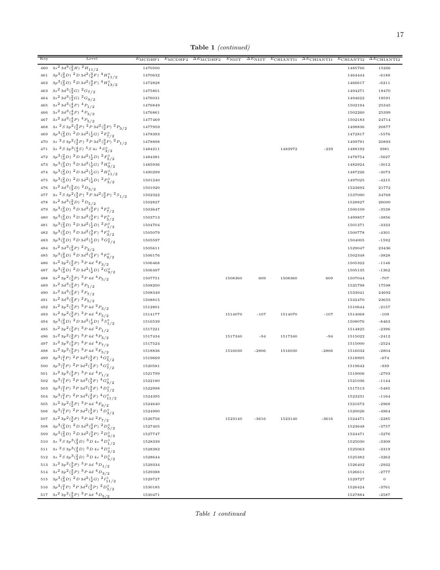Table 1 (continued)

| Key     | Level                                                                                                             | $E_{\text{MCDHF1}}$ | $E_{\rm MCDHF2}$<br>$\Delta E_{\text{MCDHF2}}$ | $E_{\text{NIST}}$ | $\Delta E_{\rm NIST}$ | $E$ CHIANTI1 | $\Delta E$ CHIANTI1 | $E$ CHIANTI2 | $\Delta E$ CHIANTI2 |
|---------|-------------------------------------------------------------------------------------------------------------------|---------------------|------------------------------------------------|-------------------|-----------------------|--------------|---------------------|--------------|---------------------|
| 460     | $3s^2\,3d^3\left(\frac{2}{3}H\right)^2H_{11/2}$                                                                   | 1470500             |                                                |                   |                       |              |                     | 1485766      | 15266               |
| 461     | $3p^3(\frac{2}{3}D)^2D3d^2(\frac{3}{2}F)^4H^0_{11/2}$                                                             | 1470632             |                                                |                   |                       |              |                     | 1464444      | $-6188$             |
| 462     | $3p^3(\frac{2}{3}D)^2D3d^2(\frac{3}{2}F)^4H^0_{13/2}$                                                             | 1472828             |                                                |                   |                       |              |                     | 1466617      | $-6211$             |
| 463     | $3s^2 3d^3(\frac{2}{3}G)^2 G_{7/2}$                                                                               | 1475801             |                                                |                   |                       |              |                     | 1494271      | 18470               |
|         | 464 $3s^2 3d^3(\frac{2}{3}G)^2 G_{9/2}$                                                                           | 1476031             |                                                |                   |                       |              |                     | 1494622      | 18591               |
| 465     | $3s^23d^3(\frac{4}{3}P)^4P_{1/2}$                                                                                 | 1476849             |                                                |                   |                       |              |                     | 1502194      | 25345               |
|         | 466 3s <sup>2</sup> 3d <sup>3</sup> ( $\frac{4}{3}P$ ) <sup>4</sup> $P_{3/2}$                                     | 1476861             |                                                |                   |                       |              |                     | 1502260      | 25399               |
|         | 467 $3s^2 3d^3(\frac{4}{3}P)^4P_{5/2}$                                                                            | 1477469             |                                                |                   |                       |              |                     | 1502183      | 24714               |
| 468     | 3s ${}^{2}S\,3p^2({}^{3}_{2}P)\,$ ${}^{2}P\,3d^2({}^{3}_{2}P)\,$ ${}^{2}P_{3/2}$                                  | 1477959             |                                                |                   |                       |              |                     | 1498836      | 20877               |
| 469     | $3p^3({3 \over 3}D)^2D3d^2({1 \over 2}G)^2F^{\circ}_{7/2}$                                                        | 1478393             |                                                |                   |                       |              |                     | 1472817      | $-5576$             |
|         | 470 3s ${}^{2}S3p^{2}({}^{3}_{2}P)$ ${}^{2}P3d^{2}({}^{3}_{2}P)$ ${}^{2}P_{1/2}$                                  | 1478898             |                                                |                   |                       |              |                     | 1499791      | 20893               |
|         | 471 3s ${}^{2}S3p^{3}({}^{4}_{3}S){}^{5}S4s~{}^{4}S^{\circ}_{3/2}$                                                | 1484211             |                                                |                   |                       | 1483972      | $-239$              | 1488192      | 3981                |
|         | 472 $3p^3(\frac{2}{3}D)^2D3d^2(\frac{1}{2}D)^2F_{5/2}^{\circ}$                                                    | 1484381             |                                                |                   |                       |              |                     | 1478754      | $-5627$             |
| 473     | $3p^3(\frac{2}{3}D)^2D^3d^2(\frac{1}{2}G)^2H^0_{9/2}$                                                             | 1485936             |                                                |                   |                       |              |                     | 1482924      | $-3012$             |
|         | 474 $3p^3(\frac{2}{3}D)^2D3d^2(\frac{1}{2}G)^2H^0_{11/2}$                                                         | 1490299             |                                                |                   |                       |              |                     | 1487226      | $-3073$             |
|         | 475 $3p^3(\frac{2}{3}D)^2D3d^2(\frac{1}{2}D)^2P_{3/2}^{\circ}$                                                    | 1501240             |                                                |                   |                       |              |                     | 1497025      | $-4215$             |
|         | 476 $3s^23d^3(\frac{2}{3}D)^2D_{3/2}$                                                                             | 1501920             |                                                |                   |                       |              |                     | 1523692      | 21772               |
|         | 477 3s ${}^{2}S\,3p^2({}^{3}_{2}P)\,$ ${}^{2}P\,3d^2({}^{3}_{2}P)\,$ ${}^{2}S_{1/2}$                              | 1502322             |                                                |                   |                       |              |                     | 1537090      | 34768               |
|         | 478 $3s^2 3d^3(\frac{2}{3}D)^2D_{5/2}$                                                                            | 1502827             |                                                |                   |                       |              |                     | 1528827      | 26000               |
| 479     | $3p^3(\frac{2}{3}D)^2D3d^2(\frac{3}{2}F)^4F^0_{7/2}$                                                              | 1503647             |                                                |                   |                       |              |                     | 1500109      | $-3538$             |
| 480     | $3p^3(\frac{2}{3}D)^2D3d^2(\frac{3}{2}F)^4F^{\circ}_{5/2}$                                                        | 1503713             |                                                |                   |                       |              |                     | 1499857      | $-3856$             |
|         | 481 $3p^3(\frac{2}{3}D)^2D3d^2(\frac{1}{2}D)^2P_{1/2}^{\circ}$                                                    | 1504704             |                                                |                   |                       |              |                     | 1501371      | $-3333$             |
| 482     | $3p^3(\frac{2}{3}D)^2D^3d^2(\frac{3}{2}F)^4F^0_{3/2}$                                                             | 1505079             |                                                |                   |                       |              |                     | 1500778      | $-4301$             |
|         | 483 $3p^3(\frac{2}{3}D)^2D3d^2(\frac{1}{2}D)^2G^0_{7/2}$                                                          | 1505597             |                                                |                   |                       |              |                     | 1504005      | $-1592$             |
|         | 484 3s <sup>2</sup> 3d <sup>3</sup> ( $\frac{2}{3}P$ ) <sup>2</sup> $P_{3/2}$                                     | 1505611             |                                                |                   |                       |              |                     | 1529047      | 23436               |
|         | 485 $3p^3(\frac{2}{3}D)^2D3d^2(\frac{3}{2}F)^4F^0_{9/2}$                                                          | 1506176             |                                                |                   |                       |              |                     | 1502348      | $-3828$             |
|         | 486 $3s^23p^2({3 \over 2}P)^3P4d~^4F_{3/2}$                                                                       | 1506468             |                                                |                   |                       |              |                     | 1505322      | $-1146$             |
|         | 487 $3p^3(\frac{2}{3}D)^2D3d^2(\frac{1}{2}D)^2G^{\circ}_{9/2}$                                                    | 1506497             |                                                |                   |                       |              |                     | 1505135      | $-1362$             |
|         | 488 3s <sup>2</sup> 3p <sup>2</sup> (3p) <sup>3</sup> P 4d <sup>4</sup> P <sub>5/2</sub>                          | 1507751             |                                                | 1508360           | 609                   | 1508360      | 609                 | 1507044      | $-707$              |
| 489     | $3s^23d^3({}^2_3P)^2P_{1/2}$                                                                                      | 1508200             |                                                |                   |                       |              |                     | 1525798      | 17598               |
| 490     | $3s^23d^3(\frac{2}{3}F)^2F_{7/2}$                                                                                 | 1508349             |                                                |                   |                       |              |                     | 1533041      | 24692               |
| 491     | $3s^23d^3(\frac{2}{3}F)^2F_{5/2}$                                                                                 | 1508815             |                                                |                   |                       |              |                     | 1532470      | 23655               |
| 492     | $3s^23p^2({3 \over 2}P)^3P4d~^2P_{3/2}$                                                                           | 1512801             |                                                |                   |                       |              |                     | 1510644      | $-2157$             |
| 493     | $3s^23p^2({3 \over 2}P)^3P4d~^4F_{5/2}$                                                                           | 1514177             |                                                | 1514070           | $-107$                | 1514070      | $-107$              | 1514068      | $-109$              |
| 494     | $3p^3(\frac{2}{3}D)^2D3d^2(\frac{1}{2}D)^2S^{\circ}_{1/2}$                                                        | 1516539             |                                                |                   |                       |              |                     | 1508076      | $-8463$             |
|         | 495 $3s^23p^2(\frac{3}{2}P)^3P4d^2P_{1/2}$                                                                        | 1517221             |                                                |                   |                       |              |                     | 1514825      | $-2396$             |
|         | 496 $3s^23p^2(\frac{3}{2}P)^3P4d^4P_{3/2}$                                                                        | 1517434             |                                                | 1517340           | $-94$                 | 1517340      | $-94$               | 1515022      | $-2412$             |
|         | 497 $3s^2 3p^2(\frac{3}{2}P)^3 P 4d^4 F_{7/2}$                                                                    | 1517524             |                                                |                   |                       |              |                     | 1515000      | $-2524$             |
| 498     | $3s^23p^2({3 \over 2}P)^3P4d~^2F_{5/2}$                                                                           | 1518836             |                                                | 1516030           | $-2806$               | 1516030      | $-2806$             | 1516032      | $-2804$             |
| 499     | $3p^3({2 \over 1}P)^{-2}P^3d^2({3 \over 2}F)^{-4}G^{\circ}_{5/2}$                                                 | 1519669             |                                                |                   |                       |              |                     | 1518995      | $-674$              |
| 500     | $3p^3({2 P})\;^2P\;3d^2({3 F})\;^4G^{\circ}_{7/2}$                                                                | 1520581             |                                                |                   |                       |              |                     | 1519642      | -939                |
|         | 501 3s <sup>2</sup> 3p <sup>2</sup> ( $\frac{3}{2}P$ ) <sup>3</sup> P <sub>4d</sub> <sup>4</sup> P <sub>1/2</sub> | 1521799             |                                                |                   |                       |              |                     | 1519006      | $-2793$             |
| $502\,$ | $3p^3({1 \over 4}P)^2 P 3d^2({3 \over 2}F)^4 G_{9/2}^{\circ}$                                                     | 1522180             |                                                |                   |                       |              |                     | 1521036      | $-1144$             |
|         | 503 $3p^3\left(\frac{2}{1}P\right)\;^2P\;3d^2\left(\frac{3}{2}F\right)\;^4D_{1/2}^{\circ}$                        | 1522998             |                                                |                   |                       |              |                     | 1517513      | $-5485$             |
|         | 504 $3p^3(\frac{2}{1}P)^2P3d^2(\frac{3}{2}F)^4G_{11/2}^{\circ}$                                                   | 1524395             |                                                |                   |                       |              |                     | 1523231      | $-1164$             |
|         | 505 $3s^23p^2({3 \over 2}P)^3P4d^4F_{9/2}$                                                                        | 1524640             |                                                |                   |                       |              |                     | 1521672      | $-2968$             |
|         | 506 $3p^3({2 P})^2 P 3d^2({3 F})^4D_{3/2}^0$                                                                      | 1524990             |                                                |                   |                       |              |                     | 1520026      | $-4964$             |
|         | 507 $3s^2 3p^2(\frac{3}{2}P)^3 P 4d^2F_{7/2}$                                                                     | 1526756             |                                                | 1523140           | $-3616$               | 1523140      | $-3616$             | 1524471      | $-2285$             |
|         | 508 $3p^3(\frac{2}{3}D)^2D3d^2(\frac{3}{2}P)^2D_{5/2}^{\circ}$                                                    | 1527405             |                                                |                   |                       |              |                     | 1523648      | $-3757$             |
| 509     | $3p^3({3 \over 3}D)^2D^3d^2({3 \over 2}P)^2D^{\circ}_{3/2}$                                                       | 1527747             |                                                |                   |                       |              |                     | 1524471      | $-3276$             |
|         | 510 3s ${}^{2}S3p^{3}({}^{2}_{3}D)$ ${}^{3}D4s$ ${}^{4}D^{0}_{1/2}$                                               | 1528339             |                                                |                   |                       |              |                     | 1525030      | $-3309$             |
|         | 511 3s ${}^{2}S\,3p^3({}^{2}_{3}D)\, {}^{3}D\,4s\, {}^{4}D^{\circ}_{3/2}$                                         | 1528382             |                                                |                   |                       |              |                     | 1525063      | $-3319$             |
|         | 512 3s ${}^{2}S3p{}^{3}({}^{2}_{3}D)$ ${}^{3}D4s$ ${}^{4}D^{0}_{5/2}$                                             | 1528644             |                                                |                   |                       |              |                     | 1525382      | $-3262$             |
|         | 513 $3s^2 3p^2(\frac{3}{2}P)$ $3P 4d$ $4D_{1/2}$                                                                  | 1529334             |                                                |                   |                       |              |                     | 1526402      | $-2932$             |
|         | 514 3s <sup>2</sup> 3p <sup>2</sup> ( $\frac{3}{2}P$ ) <sup>3</sup> P 4d <sup>4</sup> D <sub>3/2</sub>            | 1529388             |                                                |                   |                       |              |                     | 1526611      | $-2777$             |
|         | 515 $3p^3(\frac{2}{3}D)^2D3d^2(\frac{1}{2}G)^2I_{11/2}^{\circ}$                                                   | 1529727             |                                                |                   |                       |              |                     | 1529727      | $\boldsymbol{0}$    |
|         | 516 $3p^3({2 P})$ $2P 3d^2({3 P})$ $2D_{5/2}^{\circ}$                                                             | 1530185             |                                                |                   |                       |              |                     | 1526424      | $-3761$             |
|         | 517 3s <sup>2</sup> 3p <sup>2</sup> ( $\frac{3}{2}P$ ) <sup>3</sup> P <sub>4d</sub> <sup>4</sup> D <sub>5/2</sub> | 1530471             |                                                |                   |                       |              |                     | 1527884      | $-2587$             |
|         |                                                                                                                   |                     |                                                |                   |                       |              |                     |              |                     |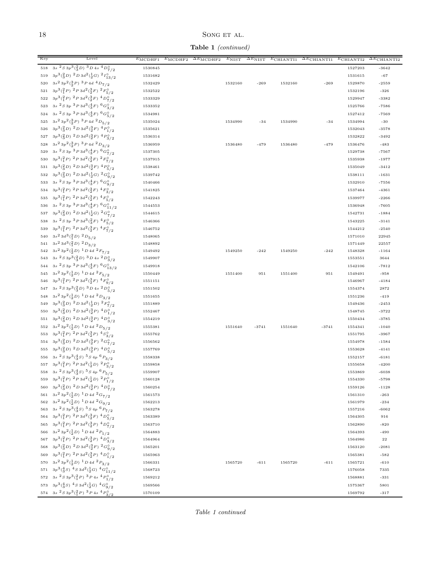Table 1 (continued)

| Key       | Level                                                                                           | $\overline{E_{\rm MCDHF1}}$ | $\overline{E}_{\rm MCDHF2}$ | $\overline{\Delta E}_{\text{MCDHF2}}$ | $E_{NIST}$ | $\overline{\Delta}E_{\rm NIST}$ | $E$ CHIANTI1 | $\overline{\Delta E}$ CHIANTI1 | $E$ CHIANTI2 | $\overline{\Delta E}$ CHIANTI2 |
|-----------|-------------------------------------------------------------------------------------------------|-----------------------------|-----------------------------|---------------------------------------|------------|---------------------------------|--------------|--------------------------------|--------------|--------------------------------|
| $518\,$   | $3s2 S 3p3(2/3D)3 D 4s4 Do/7 / 2$                                                               | 1530845                     |                             |                                       |            |                                 |              |                                | 1527203      | $-3642$                        |
| 519       | $3p^3(\frac{2}{3}D)^2D^3d^2(\frac{1}{2}G)^2I_{13/2}^{\circ}$                                    | 1531682                     |                             |                                       |            |                                 |              |                                | 1531615      | $-67$                          |
| 520       | $3s^23p^2({3 \over 2}P)^3P4d~^4D_{7/2}$                                                         | 1532429                     |                             |                                       | 1532160    | $-269$                          | 1532160      | $-269$                         | 1529870      | $-2559$                        |
| $5\,2\,1$ | $3p^3({2 \over 1}P)^{-2}P^3d^2({3 \over 2}F)^{-2}F^{\circ}_{5/2}$                               | 1532522                     |                             |                                       |            |                                 |              |                                | 1532196      | $-326$                         |
| $5\,22$   | $3p^3({2 P})$ $2P 3d^2({3 F})$ $4D^0_{7/2}$                                                     | 1533329                     |                             |                                       |            |                                 |              |                                | 1529947      | $-3382$                        |
|           | 523 3s ${}^{2}S3p$ ${}^{3}P3d$ <sup>3</sup> $\left(\frac{4}{3}F\right)$ ${}^{6}G_{3/2}^{\circ}$ | 1533352                     |                             |                                       |            |                                 |              |                                | 1525766      | $-7586$                        |
|           | 524 3s ${}^{2}S3p$ ${}^{3}P3d$ <sup>3</sup> $({}^{4}_{3}F)$ ${}^{6}G^{0}_{5/2}$                 | 1534981                     |                             |                                       |            |                                 |              |                                | 1527412      | $-7569$                        |
| 525       | $3s^23p^2({3 \over 2}P)^3P4d~^2D_{5/2}$                                                         | 1535024                     |                             |                                       | 1534990    | $-34$                           | 1534990      | $-34$                          | 1534994      | $-30$                          |
| 526       | $3p^3({2 \over 3}D)^2D^3d^2({3 \over 2}F)^4P^{\circ}_{1/2}$                                     | 1535621                     |                             |                                       |            |                                 |              |                                | 1532043      | $-3578$                        |
|           | 527 $3p^3(\frac{2}{3}D)^2D3d^2(\frac{3}{2}F)^4P_{3/2}^0$                                        | 1536314                     |                             |                                       |            |                                 |              |                                | 1532822      | $-3492$                        |
| 528       | $3s^23p^2({3 \over 2}P)^3P4d~^2D_{3/2}$                                                         | 1536959                     |                             |                                       | 1536480    | $-479$                          | 1536480      | $-479$                         | 1536476      | $-483$                         |
| 529       | $3s\ ^{2}S\ 3p\ ^{3}P\ 3d^{3}(\frac{4}{3}F)\ ^{6}G_{7/2}^{9}$                                   | 1537305                     |                             |                                       |            |                                 |              |                                | 1529738      | $-7567$                        |
| 530       | $3p^3({2 \over 1}P)^2 P 3d^2({3 \over 2}F)^2 F_{7/2}^0$                                         | 1537915                     |                             |                                       |            |                                 |              |                                | 1535938      | $-1977$                        |
|           | 531 $3p^3(\frac{2}{3}D)^2D3d^2(\frac{3}{2}F)^4P^0_{5/2}$                                        | 1538461                     |                             |                                       |            |                                 |              |                                | 1535049      | $-3412$                        |
| 532       | $3p^3(\frac{2}{3}D)^2D^3d^2(\frac{1}{2}G)^2G^0_{9/2}$                                           | 1539742                     |                             |                                       |            |                                 |              |                                | 1538111      | $-1631$                        |
|           | 533 3s ${}^{2}S3p$ ${}^{3}P3d$ <sup>3</sup> $({}^{4}_{3}F)$ ${}^{6}G^{0}_{9/2}$                 | 1540466                     |                             |                                       |            |                                 |              |                                | 1532910      | $-7556$                        |
|           | 534 $3p^3\left(\frac{2}{1}P\right)\,^2P\,3d^2\left(\frac{3}{2}F\right)\,^4F_{3/2}^0$            | 1541825                     |                             |                                       |            |                                 |              |                                | 1537464      | $-4361$                        |
|           | 535 $3p^3({2 P})$ $2P 3d^2({3 P})$ $4F_{5/2}^{\circ}$                                           | 1542243                     |                             |                                       |            |                                 |              |                                | 1539977      | $-2266$                        |
|           | 536 3s ${}^{2}S3p$ ${}^{3}P3d$ <sup>3</sup> $({}^{4}_{3}F)$ ${}^{6}G^{0}_{11/2}$                | 1544553                     |                             |                                       |            |                                 |              |                                | 1536948      | $-7605$                        |
|           | 537 $3p^3(\frac{2}{3}D)^2D3d^2(\frac{1}{2}G)^2G^{\circ}_{7/2}$                                  | 1544615                     |                             |                                       |            |                                 |              |                                | 1542731      | $-1884$                        |
|           | 538 3s $3s\frac{2}{S}3p\frac{3}{P}3d\frac{3}{3}F\frac{4}{S}F_{5/2}^{\circ}$                     | 1546366                     |                             |                                       |            |                                 |              |                                | 1543225      | $-3141$                        |
| 539       | $3p^3(\frac{2}{1}P)^2P^3d^2(\frac{3}{2}F)^4F^0_{7/2}$                                           | 1546752                     |                             |                                       |            |                                 |              |                                | 1544212      | $-2540$                        |
| 540       | $3s^23d^3(^2_1D)^2D_{5/2}$                                                                      | 1548065                     |                             |                                       |            |                                 |              |                                | 1571010      | 22945                          |
|           | 541 $3s^2 3d^3(\frac{2}{1}D)^2D_{3/2}$                                                          | 1548892                     |                             |                                       |            |                                 |              |                                | 1571449      | 22557                          |
|           | 542 $3s^2 3p^2(\frac{1}{2}D)^{-1}D 4d^2 F_{7/2}$                                                | 1549492                     |                             |                                       | 1549250    | $-242$                          | 1549250      | $-242$                         | 1548328      | $-1164$                        |
|           | 543 3s ${}^{2}S3p{}^{3}({}^{2}_{3}D)$ ${}^{3}D4s$ ${}^{2}D^{\circ}_{3/2}$                       | 1549907                     |                             |                                       |            |                                 |              |                                | 1553551      | 3644                           |
|           | 544 3s ${}^{2}S3p$ ${}^{3}P3d$ <sup>3</sup> $({}^{4}_{3}F)$ ${}^{6}G^{\circ}_{13/2}$            | 1549918                     |                             |                                       |            |                                 |              |                                | 1542106      | $-7812$                        |
| 545       | $3s^23p^2({1 \over 2}D)^{-1}D4d~^2F_{5/2}$                                                      | 1550449                     |                             |                                       | 1551400    | 951                             | 1551400      | 951                            | 1549491      | $-958$                         |
| 546       | $3p^3({2 P})\;^2P\;3d^2({3 F})\;^4F^{\circ}_{9/2}$                                              | 1551151                     |                             |                                       |            |                                 |              |                                | 1546967      | $-4184$                        |
|           | 547 3s ${}^{2}S3p^{3}(\frac{2}{3}D)$ ${}^{3}D4s$ ${}^{2}D_{5/2}^{\circ}$                        | 1551502                     |                             |                                       |            |                                 |              |                                | 1554374      | 2872                           |
|           | 548 $3s^2 3p^2(\frac{1}{2}D)^1 D 4d^2D_{3/2}$                                                   | 1551655                     |                             |                                       |            |                                 |              |                                | 1551236      | $-419$                         |
| 549       | $3p^3({3 \over 3}D)^2D3d^2({1 \over 2}D)^2F^{\circ}_{7/2}$                                      | 1551889                     |                             |                                       |            |                                 |              |                                | 1549436      | $-2453$                        |
| 550       | $3p^3(\frac{2}{3}D)^2D^3d^2(\frac{3}{2}P)^4D^0_{1/2}$                                           | 1552467                     |                             |                                       |            |                                 |              |                                | 1548745      | $-3722$                        |
|           | 551 $3p^3(\frac{2}{3}D)^2D3d^2(\frac{3}{2}P)^4D_{3/2}^{\circ}$                                  | 1554219                     |                             |                                       |            |                                 |              |                                | 1550434      | $-3785$                        |
|           | 552 $3s^2 3p^2(\frac{1}{2}D)^1 D 4d^2 D_{5/2}$                                                  | 1555381                     |                             |                                       | 1551640    | $-3741$                         | 1551640      | $-3741$                        | 1554341      | $-1040$                        |
|           | 553 $3p^3({2P})$ $2P$ $3d^2({3P})$ $4S^{\circ}_{3/2}$                                           | 1555762                     |                             |                                       |            |                                 |              |                                | 1551795      | $-3967$                        |
|           | 554 $3p^3(\frac{2}{3}D)^2D3d^2(\frac{3}{2}F)^2G^0_{7/2}$                                        | 1556562                     |                             |                                       |            |                                 |              |                                | 1554978      | $-1584$                        |
|           | 555 $3p^3(\frac{2}{3}D)^2D3d^2(\frac{3}{2}P)^4D_{5/2}^{\circ}$                                  | 1557769                     |                             |                                       |            |                                 |              |                                | 1553628      | $-4141$                        |
|           | 556 3s ${}^{2}S3p^{3}({}^{4}_{3}S)$ ${}^{5}S4p$ ${}^{6}P_{3/2}$                                 | 1558338                     |                             |                                       |            |                                 |              |                                | 1552157      | $-6181$                        |
|           | 557 $3p^3({2 P})$ $2P 3d^2({1 \over 2}D)$ $2P_{3/2}^{\circ}$                                    | 1559858                     |                             |                                       |            |                                 |              |                                | 1555658      | $-4200$                        |
|           | 558 3s ${}^{2}S3p^{3}({}^{4}_{3}S)$ ${}^{5}S4p$ ${}^{6}P_{5/2}$                                 | 1559907                     |                             |                                       |            |                                 |              |                                | 1553869      | $-6038$                        |
| 559       | $3p^3({2 \over 1}P)~^2P~3d^2({1 \over 2}D)~^2P^{\circ}_{1/2}$                                   | 1560128                     |                             |                                       |            |                                 |              |                                | 1554330      | $-5798$                        |
|           | 560 $3p^3(\frac{2}{3}D)^2D3d^2(\frac{3}{2}P)^4D^{\circ}_{7/2}$                                  | 1560254                     |                             |                                       |            |                                 |              |                                | 1559126      | $-1128$                        |
|           | 561 $3s^2 3p^2(\frac{1}{2}D)^1 D 4d^2 G_{7/2}$                                                  | 1561573                     |                             |                                       |            |                                 |              |                                | 1561310      | $-263$                         |
|           | 562 $3s^2 3p^2(\frac{1}{2}D)^{-1}D 4d^{-2}G_{9/2}$                                              | 1562213                     |                             |                                       |            |                                 |              |                                | 1561979      | $-234$                         |
|           | 563 3s ${}^{2}S3p^{3}({}^{4}_{3}S){}^{5}S4p$ ${}^{6}P_{7/2}$                                    | 1563278                     |                             |                                       |            |                                 |              |                                | 1557216      | $-6062$                        |
|           | 564 $3p^3({2 P})$ $2P 3d^2({3 P})$ $4D_{5/2}^{\circ}$                                           | 1563389                     |                             |                                       |            |                                 |              |                                | 1564305      | 916                            |
|           | 565 $3p^3(\frac{2}{1}P)$ $2P$ $3d^2(\frac{3}{2}P)$ $4D^{\circ}_{7/2}$                           | 1563710                     |                             |                                       |            |                                 |              |                                | 1562890      | $-820$                         |
|           | 566 $3s^2 3p^2(\frac{1}{2}D)^1 D 4d^2 P_{1/2}$                                                  | 1564883                     |                             |                                       |            |                                 |              |                                | 1564393      | $-490$                         |
|           | 567 $3p^3({2 P})$ $2P 3d^2({3 P})$ $4D_{3/2}^{\circ}$                                           | 1564964                     |                             |                                       |            |                                 |              |                                | 1564986      | $^{\rm 22}$                    |
|           | 568 $3p^3(\frac{2}{3}D)^2D3d^2(\frac{3}{2}F)^2G^{\circ}_{9/2}$                                  | 1565201                     |                             |                                       |            |                                 |              |                                | 1563120      | $-2081$                        |
|           | 569 $3p^3({1 \over 1}P)^2 P 3d^2({3 \over 2}P)^4D_{1/2}^0$                                      | 1565963                     |                             |                                       |            |                                 |              |                                | 1565381      | $-582$                         |
|           | 570 $3s^2 3p^2(\frac{1}{2}D)^1 D 4d^2 P_{3/2}$                                                  | 1566331                     |                             |                                       | 1565720    | $-611$                          | 1565720      | $-611$                         | 1565721      | $-610$                         |
|           | 571 $3p^3(\frac{4}{3}S)$ $4S$ $3d^2(\frac{1}{2}G)$ $4G^0_{11/2}$                                | 1568723                     |                             |                                       |            |                                 |              |                                | 1576058      | 7335                           |
|           | 572 3s ${}^{2}S3p^{3}({}^{2}_{1}P)$ ${}^{3}P4s$ ${}^{4}P^{\circ}_{1/2}$                         | 1569212                     |                             |                                       |            |                                 |              |                                | 1568881      | $-331$                         |
|           | 573 $3p^3(\frac{4}{3}S)$ $4S$ $3d^2(\frac{1}{2}G)$ $4G^{\circ}_{9/2}$                           | 1569566                     |                             |                                       |            |                                 |              |                                | 1575367      | 5801                           |
|           | 574 3s ${}^{2}S3p^{3}({}^{2}_{1}P)$ ${}^{3}P4s$ ${}^{4}P^{0}_{3/2}$                             | 1570109                     |                             |                                       |            |                                 |              |                                | 1569792      | $-317$                         |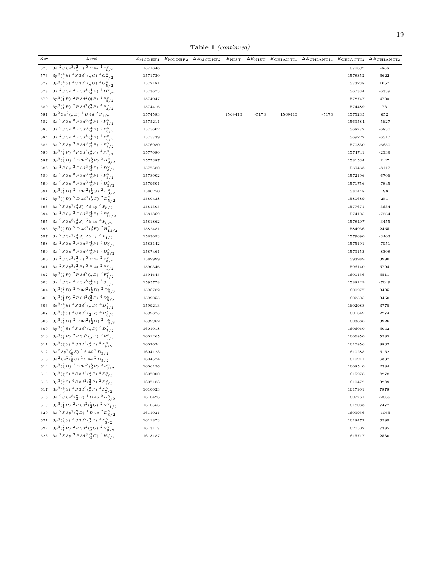Table 1 (continued)

| Key | Level                                                                                | $\overline{E}_{\rm MCDHF1}$ | $E_{\rm MCDHF2}$ | $\Delta E_{\text{MCDHF2}}$ | $E_{\rm NIST}$ | $\Delta E_{\rm NIST}$ | $E$ CHIANTI1 | $\Delta E$ CHIANTI1 | $E$ CHIANTI2 | $\overline{\Delta E}$ CHIANTI2 |
|-----|--------------------------------------------------------------------------------------|-----------------------------|------------------|----------------------------|----------------|-----------------------|--------------|---------------------|--------------|--------------------------------|
|     | 575 3s ${}^{2}S\,3p^3({}^{2}_1P)\,$ ${}^{3}P\,4s\,$ ${}^{4}P^{\circ}_{5/2}$          | 1571348                     |                  |                            |                |                       |              |                     | 1570692      | $-656$                         |
|     | 576 $3p^3(\frac{4}{3}S)$ $4S$ $3d^2(\frac{1}{2}G)$ $4G^{\circ}_{7/2}$                | 1571730                     |                  |                            |                |                       |              |                     | 1578352      | 6622                           |
|     | 577 $3p^3(\frac{4}{3}S)$ $4S$ $3d^2(\frac{1}{2}G)$ $4G^{\circ}_{5/2}$                | 1572181                     |                  |                            |                |                       |              |                     | 1573238      | 1057                           |
| 578 | 3s ${}^{2}S$ 3p ${}^{3}P$ 3d ${}^{3}({}^{4}_{3}P)$ ${}^{6}D^{\circ}_{1/2}$           | 1573673                     |                  |                            |                |                       |              |                     | 1567334      | $-6339$                        |
| 579 | $3p^3({1 \over 1}P)^2 P 3d^2({3 \over 2}P)^4 P_{5/2}^{\circ}$                        | 1574047                     |                  |                            |                |                       |              |                     | 1578747      | 4700                           |
| 580 | $3p^3({2 P})\;^2P\;3d^2({3 P})\;^4P^{\circ}_{3/2}$                                   | 1574416                     |                  |                            |                |                       |              |                     | 1574489      | 73                             |
|     | 581 $3s^2 3p^2(\frac{1}{2}D)^1 D 4d^2S_{1/2}$                                        | 1574583                     |                  |                            | 1569410        | $-5173$               | 1569410      | $-5173$             | 1575235      | 652                            |
|     | 582 3s ${}^{2}S3p$ ${}^{3}P3d$ <sup>3</sup> $({}^{4}_{3}F)$ ${}^{6}F^{0}_{1/2}$      | 1575211                     |                  |                            |                |                       |              |                     | 1569584      | $-5627$                        |
|     | 583 3s ${}^{2}S3p$ ${}^{3}P3d$ <sup>3</sup> $(\frac{4}{3}F)$ ${}^{6}F^{\circ}_{3/2}$ | 1575602                     |                  |                            |                |                       |              |                     | 1568772      | $-6830$                        |
|     | 584 3s ${}^{2}S3p$ ${}^{3}P3d$ <sup>3</sup> $({}^{4}_{3}F)$ ${}^{6}F^{\circ}_{5/2}$  | 1575739                     |                  |                            |                |                       |              |                     | 1569222      | $-6517$                        |
|     | 585 3s $^2S$ 3p $^3P$ 3d $^3(\frac{4}{3}F)$ $^6F^{\circ}_{7/2}$                      | 1576980                     |                  |                            |                |                       |              |                     | 1570330      | $-6650$                        |
|     | 586 $3p^3({2 P})$ $2P 3d^2({3 P})$ $4P^{\circ}_{1/2}$                                | 1577080                     |                  |                            |                |                       |              |                     | 1574741      | $-2339$                        |
|     | 587 $3p^3(\frac{2}{3}D)^2D3d^2(\frac{3}{2}F)^2H_{9/2}^0$                             | 1577387                     |                  |                            |                |                       |              |                     | 1581534      | 4147                           |
|     | 588 3s $3s\frac{2}{5}3p\frac{3}{P}3d\frac{3}{3}(\frac{4}{3}P)\frac{6}{D_{3/2}}$      | 1577580                     |                  |                            |                |                       |              |                     | 1569463      | $-8117$                        |
|     | 589 3s ${}^{2}S3p$ ${}^{3}P3d$ <sup>3</sup> $({}^{4}_{3}F)$ ${}^{6}F^{\circ}_{9/2}$  | 1578902                     |                  |                            |                |                       |              |                     | 1572196      | $-6706$                        |
|     | 590 3s ${}^{2}S3p$ ${}^{3}P3d$ <sup>3</sup> $({}^{4}_{3}P)$ ${}^{6}D^{\circ}_{5/2}$  | 1579601                     |                  |                            |                |                       |              |                     | 1571756      | $-7845$                        |
| 591 | $3p^3(\frac{2}{3}D)^2D^3d^2(\frac{1}{2}G)^2D^0_{3/2}$                                | 1580250                     |                  |                            |                |                       |              |                     | 1580448      | 198                            |
| 592 | $3p^3\binom{2}{3}D$ $2D$ $3d^2\binom{1}{2}G$ $2D^{\circ}_{5/2}$                      | 1580438                     |                  |                            |                |                       |              |                     | 1580689      | $251\,$                        |
|     | 593 3s ${}^{2}S3p^{3}({4}S)$ 5S 4p ${}^{4}P_{5/2}$                                   | 1581305                     |                  |                            |                |                       |              |                     | 1577671      | $-3634$                        |
|     | 594 3s ${}^{2}S3p$ ${}^{3}P3d$ <sup>3</sup> $({}^{4}_{3}F)$ ${}^{6}F^{\circ}_{11/2}$ | 1581369                     |                  |                            |                |                       |              |                     | 1574105      | $-7264$                        |
| 595 | 3s ${}^{2}S3p^{3}({}^{4}_{3}S)$ ${}^{5}S4p$ ${}^{4}P_{3/2}$                          | 1581862                     |                  |                            |                |                       |              |                     | 1578407      | $-3455$                        |
|     | 596 $3p^3(\frac{2}{3}D)^2D3d^2(\frac{3}{2}F)^2H^0_{11/2}$                            | 1582481                     |                  |                            |                |                       |              |                     | 1584936      | 2455                           |
|     | 597 3s ${}^{2}S3p^{3}({}^{4}_{3}S){}^{5}S4p~{}^{4}P_{1/2}$                           | 1583093                     |                  |                            |                |                       |              |                     | 1579690      | $-3403$                        |
|     | 598 3s ${}^{2}S3p$ ${}^{3}P3d$ <sup>3</sup> $({}^{4}_{3}P)$ ${}^{6}D^{0}_{7/2}$      | 1583142                     |                  |                            |                |                       |              |                     | 1575191      | $-7951$                        |
| 599 | $3s2 S 3p3 P 3d3(\frac{4}{3}P)6 D9/2$                                                | 1587461                     |                  |                            |                |                       |              |                     | 1579153      | $-8308$                        |
|     | 600 3s ${}^{2}S3p^{3}({}^{2}_{1}P)$ ${}^{3}P4s$ ${}^{2}P^{0}_{3/2}$                  | 1589999                     |                  |                            |                |                       |              |                     | 1593989      | 3990                           |
|     | 601 3s ${}^{2}S3p^{3}({}^{2}_{1}P)$ ${}^{3}P4s$ ${}^{2}P^{0}_{1/2}$                  | 1590346                     |                  |                            |                |                       |              |                     | 1596140      | 5794                           |
|     | 602 $3p^3({2 P})$ $2P 3d^2({1 \over 2}D)$ $2F_{7/2}^{\circ}$                         | 1594645                     |                  |                            |                |                       |              |                     | 1600156      | 5511                           |
|     | 603 3s ${}^{2}S3p$ ${}^{3}P3d$ <sup>3</sup> $({}^{4}_{3}P)$ ${}^{6}S^{0}_{5/2}$      | 1595778                     |                  |                            |                |                       |              |                     | 1588129      | $-7649$                        |
|     | 604 $3p^3(\frac{2}{3}D)^2D3d^2(\frac{1}{2}D)^2D_{5/2}^{\circ}$                       | 1596782                     |                  |                            |                |                       |              |                     | 1600277      | 3495                           |
|     | 605 $3p^3({2P})$ $2P^3d^2({3P})$ $4D_{5/2}^{\circ}$                                  | 1599055                     |                  |                            |                |                       |              |                     | 1602505      | 3450                           |
|     | 606 $3p^3(\frac{4}{3}S)$ $4S$ $3d^2(\frac{1}{2}D)$ $4D_{1/2}^{\circ}$                | 1599213                     |                  |                            |                |                       |              |                     | 1602988      | 3775                           |
|     | 607 $3p^3(\frac{4}{3}S)$ $4S$ $3d^2(\frac{1}{2}D)$ $4D^{\circ}_{3/2}$                | 1599375                     |                  |                            |                |                       |              |                     | 1601649      | 2274                           |
|     | 608 $3p^3(\frac{2}{3}D)^2D3d^2(\frac{1}{2}D)^2D_{3/2}^{\circ}$                       | 1599962                     |                  |                            |                |                       |              |                     | 1603888      | 3926                           |
| 609 | $3p^3({\frac{4}{3}}S)^4S3d^2({\frac{1}{2}}D)^4D^{\circ}_{7/2}$                       | 1601018                     |                  |                            |                |                       |              |                     | 1606060      | 5042                           |
|     | 610 $3p^3(\frac{2}{1}P)^2P3d^2(\frac{1}{2}D)^2F_{5/2}^{\circ}$                       | 1601265                     |                  |                            |                |                       |              |                     | 1606850      | 5585                           |
|     | 611 $3p^3(\frac{4}{3}S)$ $4S3d^2(\frac{3}{2}F)$ $4F_{9/2}^{\circ}$                   | 1602024                     |                  |                            |                |                       |              |                     | 1610856      | 8832                           |
|     | 612 $3s^2 3p^2(\frac{1}{0}S)^1 S 4d^2D_{3/2}$                                        | 1604123                     |                  |                            |                |                       |              |                     | 1610285      | 6162                           |
| 613 | $3s^2 3p^2(\frac{1}{0}S)^1 S 4d^2D_{5/2}$                                            | 1604574                     |                  |                            |                |                       |              |                     | 1610911      | 6337                           |
|     | 614 $3p^3(\frac{2}{3}D)^2D3d^2(\frac{3}{2}P)^2P_{3/2}^{\circ}$                       | 1606156                     |                  |                            |                |                       |              |                     | 1608540      | 2384                           |
|     | 615 $3p^3(\frac{4}{3}S)$ $4S3d^2(\frac{3}{2}F)$ $4F^{\circ}_{7/2}$                   | 1607000                     |                  |                            |                |                       |              |                     | 1615278      | 8278                           |
|     | 616 $3p^3(\frac{4}{3}S)$ $4S$ $3d^2(\frac{3}{2}P)$ $2P^{\circ}_{1/2}$                | 1607183                     |                  |                            |                |                       |              |                     | 1610472      | 3289                           |
|     | 617 $3p^3(\frac{4}{3}S)$ $4S3d^2(\frac{3}{2}F)$ $4F^{\circ}_{5/2}$                   | 1610023                     |                  |                            |                |                       |              |                     | 1617901      | 7878                           |
|     | 618 3s ${}^{2}S3p^{3}({}^{2}_{3}D)$ ${}^{1}D4s$ ${}^{2}D^{0}_{5/2}$                  | 1610426                     |                  |                            |                |                       |              |                     | 1607761      | $-2665$                        |
|     | 619 $3p^3({2 P})$ $2P 3d^2({1 \over 2}G)$ $2H_{11/2}^\circ$                          | 1610556                     |                  |                            |                |                       |              |                     | 1618033      | 7477                           |
|     | 620 3s $2S 3p^3(\frac{2}{3}D)$ $1D 4s$ $2D_{3/2}^\circ$                              | 1611021                     |                  |                            |                |                       |              |                     | 1609956      | $-1065$                        |
|     | 621 $3p^3(\frac{4}{3}S)$ $4S$ $3d^2(\frac{3}{2}F)$ $4F_{3/2}^\circ$                  | 1611873                     |                  |                            |                |                       |              |                     | 1618472      | 6599                           |
|     | 622 $3p^3({2P})$ $2P^3d^2({1\over 2}G)^2H_{9/2}^{\circ}$                             | 1613117                     |                  |                            |                |                       |              |                     | 1620502      | 7385                           |
|     | 623 3s $3s$ $3p$ $3p$ $3d$ $3\binom{2}{3}G$ $4H_{7/2}^{\circ}$                       | 1613187                     |                  |                            |                |                       |              |                     | 1615717      | 2530                           |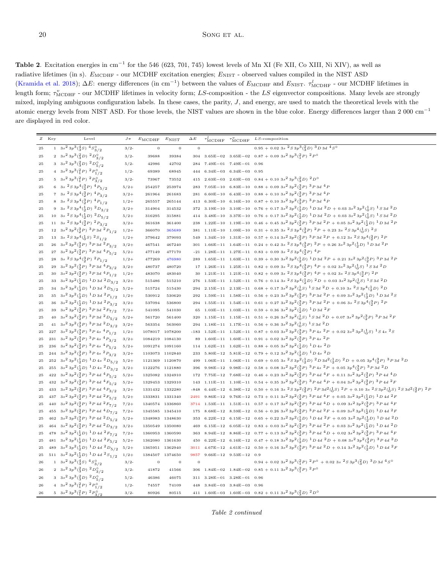<span id="page-19-0"></span>Table 2. Excitation energies in cm<sup>-1</sup> for the 546 (623, 701, 745) lowest levels of Mn XI (Fe XII, Co XIII, Ni XIV), as well as radiative lifetimes (in s).  $E_{\text{MCDHF}}$  - our MCDHF excitation energies;  $E_{\text{NIST}}$  - observed values compiled in the NIST ASD [\(Kramida et al. 2018](#page-6-27));  $\Delta E$ : energy differences (in cm<sup>-1</sup>) between the values of  $E_{\text{MCDHF}}$  and  $E_{\text{NIST}}$ .  $\tau_{\text{MCDHF}}^l$  - our MCDHF lifetimes in length form;  $\tau_{\text{MCDHF}}^v$  - our MCDHF lifetimes in velocity form; LS-composition - the LS eigenvector compositions. Many levels are strongly mixed, implying ambiguous configuration labels. In these cases, the parity,  $J$ , and energy, are used to match the theoretical levels with the atomic energy levels from NIST ASD. For those levels, the NIST values are shown in the blue color. Energy differences larger than 2 000 cm<sup>−</sup><sup>1</sup> are displayed in red color.

|            | Z Key | Level                                                                                                                    | $J\,\pi$ | $E_{\text{MCDHF}}$ | $E_{\text{NIST}}$      | $\Delta\,E$    |              | $\tau_{\text{MCDHF}}^t$ $\tau_{\text{MCDHF}}^v$                      | $LS$ -composition                                                                                                                                                                                                                                                                                                                                                                                |
|------------|-------|--------------------------------------------------------------------------------------------------------------------------|----------|--------------------|------------------------|----------------|--------------|----------------------------------------------------------------------|--------------------------------------------------------------------------------------------------------------------------------------------------------------------------------------------------------------------------------------------------------------------------------------------------------------------------------------------------------------------------------------------------|
| 25         |       | $1 \quad 3s^2 \frac{3p^3(\frac{4}{3}S) \frac{4S_0}{3}}{3/2}$                                                             | 3/2      | $\mathbf{0}$       | $\mathbf 0$            | $\overline{0}$ |              |                                                                      | $0.95 + 0.02$ 3s ${}^{2}S3p{}^{3}({}^{2}_{3}D)$ ${}^{3}D3d$ ${}^{4}S^{0}$                                                                                                                                                                                                                                                                                                                        |
| 25         |       | 2 $3s^2 3p^3(\frac{2}{3}D)^2D_{3/2}^0$                                                                                   | 3/2      | 39688              | 39384                  | 304            |              |                                                                      | $3.65\mathrm{E}{-}\mathrm{02} \quad 3.65\mathrm{E}{-}\mathrm{02} \quad 0.87\,+\,0.09\,\,3s^2\,3p^3\bigl(\tfrac{2}{1}P\bigr)\,\,2\,P^{\,\mathrm{0}}$                                                                                                                                                                                                                                              |
| $\bf 25$   |       | 3 $3s^2 3p^3(\frac{2}{3}D)^2D_{5/2}^0$                                                                                   | $5/2-$   | 42986              | 42702                  |                |              | $284$ $7.49E-01$ $7.49E-01$ 0.96                                     |                                                                                                                                                                                                                                                                                                                                                                                                  |
| 25         |       | 4 $3s^2 3p^3({2 P})$ $2P^0_{1/2}$                                                                                        | 1/2      | 69389              | 68945                  |                |              | $444$ 6.34E-03 6.34E-03 0.95                                         |                                                                                                                                                                                                                                                                                                                                                                                                  |
| 25         |       | 5 $3s^2 3p^3({2 \over 1}P)^2 P_{3/2}^0$                                                                                  | $3/2-$   | 73967              | 73552                  | 415            |              |                                                                      | 2.63E-03 2.63E-03 0.84 + 0.10 3s <sup>2</sup> 3p <sup>3</sup> ( $\frac{2}{3}D$ ) <sup>2</sup> D <sup>o</sup>                                                                                                                                                                                                                                                                                     |
| $\bf 25$   |       | 6 3s ${}^{2}S3p^{4}({}^{3}_{2}P)$ ${}^{4}P_{5/2}$                                                                        | $5/2+$   | 254257             | 253974                 | 283            |              |                                                                      | 7.05E-10 6.83E-10 0.88 + 0.09 3s <sup>2</sup> 3p <sup>2</sup> (3p) 3p 3d <sup>4</sup> p                                                                                                                                                                                                                                                                                                          |
| $\bf 25$   |       | 7 3s ${}^{2}S3p^{4}({}^{3}_{2}P)$ ${}^{4}P_{3/2}$                                                                        | $3/2+$   | 261964             | 261683                 | 281            |              |                                                                      | 6.60E-10 6.43E-10 0.88 + 0.10 3s <sup>2</sup> 3p <sup>2</sup> (3P) 3p3d <sup>4</sup> P                                                                                                                                                                                                                                                                                                           |
| 25         |       | 8 3s ${}^{2}S3p^{4}({}^{3}_{2}P)$ ${}^{4}P_{1/2}$                                                                        | $1/2 +$  | 265557             | 265144                 | 413            | $6.30E - 10$ |                                                                      | 6.16E-10 0.87 + 0.10 3s <sup>2</sup> 3p <sup>2</sup> (3P) ${}^{3}P$ 3d <sup>4</sup> P                                                                                                                                                                                                                                                                                                            |
| 25         |       | 9 3s ${}^{2}S3p^{4}({}^{1}_{2}D)$ ${}^{2}D_{3/2}$                                                                        | $3/2+$   | 314904             | 314532                 | 372            |              |                                                                      | 3.19E-10 3.10E-10 0.76 + 0.17 3s <sup>2</sup> 3p <sup>2</sup> ( $\frac{1}{2}$ D) <sup>1</sup> D 3d <sup>2</sup> D + 0.03 3s <sup>2</sup> 3p <sup>2</sup> ( $\frac{1}{6}$ S) <sup>1</sup> S 3d <sup>2</sup> D                                                                                                                                                                                     |
| 25         |       | 10 3s ${}^{2}S3p^{4}(\frac{1}{2}D)$ ${}^{2}D_{5/2}$                                                                      | $5/2+$   | 316295             | 315881                 |                |              |                                                                      | 414 3.48E-10 3.37E-10 0.76 + 0.17 3s <sup>2</sup> 3p <sup>2</sup> ( $\frac{1}{2}D$ ) <sup>1</sup> D 3d <sup>2</sup> D + 0.03 3s <sup>2</sup> 3p <sup>2</sup> ( $\frac{1}{0}S$ ) <sup>1</sup> S 3d <sup>2</sup> D                                                                                                                                                                                 |
| 25         |       | 11 3s ${}^{2}S\,3p^4({3 \over 2}P)\, {}^{2}P_{3/2}$                                                                      | $3/2+$   | 361638             | 361400                 |                |              |                                                                      | 238 1.22E-10 1.19E-10 0.46 + 0.45 3s <sup>2</sup> 3p <sup>2</sup> (3p) <sup>3</sup> P 3d <sup>2</sup> P + 0.05 3s <sup>2</sup> 3p <sup>2</sup> (3p) <sup>1</sup> D 3d <sup>2</sup> P                                                                                                                                                                                                             |
| $\bf 25$   |       | 12 3s <sup>2</sup> 3p <sup>2</sup> ( $\frac{3}{2}P$ ) <sup>3</sup> P3d <sup>2</sup> P <sub>1/2</sub>                     | $1/2 +$  | 366070             | 365689                 |                |              |                                                                      | 381 1.11E-10 1.09E-10 0.31 + 0.35 3s ${}^{2}S3p^{4}({}^{3}_{3}P)$ ${}^{2}P$ + 0.23 3s ${}^{2}S3p^{4}({}^{1}_{0}S)$ ${}^{2}S$                                                                                                                                                                                                                                                                     |
| 25         |       | 13 3s ${}^{2}S \, 3p^{4} \left({}^{1}_{0}S\right) \, {}^{2}S_{1/2}$                                                      | $1/2+$   | 379642             | 379093                 | 549            |              |                                                                      | 1.34E-10 1.31E-10 0.57 + 0.14 $3s^2 3p^2 (3P)^3 P 3d^2 P$ + 0.12 $3s^2 S 3p^4 (3P)^2 P$                                                                                                                                                                                                                                                                                                          |
| 25         |       | 26 3s <sup>2</sup> 3p <sup>2</sup> ( $\frac{3}{2}P$ ) <sup>3</sup> P3d <sup>2</sup> P <sub>3/2</sub>                     | $3/2+$   | 467541             | 467240                 |                |              |                                                                      | 301 1.66E-11 1.64E-11 0.24 + 0.42 3s ${}^{2}S3p^{4}(3P)$ ${}^{2}P$ + 0.26 3s ${}^{2}3p^{2}(\frac{1}{2}D)$ ${}^{1}D$ 3d ${}^{2}P$                                                                                                                                                                                                                                                                 |
| 25         |       | 27 $3s^2$ $3p^2$ $\binom{3}{2}$ $P$ $3P$ $3d$ $4P_{5/2}$                                                                 | $5/2+$   | 477149             | 477170                 |                |              |                                                                      | -21 1.28E-11 1.27E-11 0.83 + 0.09 3s ${}^{2}S3p^{4}({}^{3}_{2}P)$ ${}^{4}P$                                                                                                                                                                                                                                                                                                                      |
| 25         |       | 28 3s ${}^{2}S3p^{4}({}^{3}_{2}P)$ ${}^{2}P_{1/2}$                                                                       | $1/2+$   | 477269             | 476980                 |                |              |                                                                      | 289 1.65E-11 1.63E-11 0.39 + 0.30 3s <sup>2</sup> 3p <sup>2</sup> ( $\frac{1}{2}D$ ) <sup>1</sup> D 3d <sup>2</sup> P + 0.21 3s <sup>2</sup> 3p <sup>2</sup> ( $\frac{3}{2}P$ ) <sup>3</sup> P 3d <sup>2</sup> P                                                                                                                                                                                 |
| 25         |       | 29 $3s^23p^2({3 \over 2}P)^3P3d^4P_{3/2}$                                                                                | $3/2+$   | 480737             | 480720                 |                |              |                                                                      | 17 1.26E-11 1.25E-11 0.82 + 0.09 3s ${}^{2}S3p^{4}({}^{3}P)$ ${}^{4}P$ + 0.02 3s ${}^{2}3p^{2}({}^{1}_{0}S)$ 1 $S$ 3d ${}^{2}D$                                                                                                                                                                                                                                                                  |
| 25         |       | 30 $3s^2 3p^2(\frac{3}{2}P)$ $3P 3d$ $4P_{1/2}$                                                                          | $1/2 +$  | 483070             | 483040                 |                |              |                                                                      | 1.21E-11 1.21E-11 0.82 + 0.09 3s ${}^{2}S3p^{4}({}^{3}_{2}P)$ ${}^{4}P$ + 0.02 3s ${}^{2}S3p^{4}({}^{3}_{2}P)$ ${}^{2}P$                                                                                                                                                                                                                                                                         |
| 25         |       | 33 $3s^2 3p^2(\frac{1}{2}D)^1 D 3d^2D_{3/2} 3/2 +$                                                                       |          | 515486             | 515210                 |                |              |                                                                      | 276 1.53E-11 1.52E-11 0.76 + 0.14 3s ${}^{2}S3p^{4}({}^{1}_{2}D)$ ${}^{2}D$ + 0.03 3s <sup>2</sup> 3p <sup>2</sup> ( $^{1}_{0}S$ ) ${}^{1}S$ 3d ${}^{2}D$                                                                                                                                                                                                                                        |
| 25         |       | 34 $3s^2 3p^2(\frac{1}{2}D)^1 D 3d^2D_{5/2}$                                                                             | $5/2+$   | 515724             | 515430                 |                |              |                                                                      | 294 2.15E-11 2.13E-11 $0.68 + 0.173s^23p^2(\frac{1}{0}s)^1S3d^2D + 0.103s^2S3p^4(\frac{1}{2}D)^2D$                                                                                                                                                                                                                                                                                               |
| 25         |       | 35 $3s^2 3p^2(\frac{1}{2}D)^{-1}D 3d^{-2}P_{1/2}$                                                                        | $1/2+$   | 530912             | 530620                 |                |              |                                                                      | 292 1.59E-11 1.58E-11 0.56 + 0.23 $3s^2$ $3p^2$ $({}^3_3P)$ $^3P$ $3d^2P$ + 0.09 $3s^2$ $3p^2$ $({}^1_2D)$ $^1D$ $3d^2S$                                                                                                                                                                                                                                                                         |
| 25         |       | 36 $3s^2$ $3p^2(\frac{1}{2}D)^{-1}D$ 3d ${}^2P_{3/2}$                                                                    | $3/2+$   | 537094             | 536800                 |                |              |                                                                      | 294 1.55E-11 1.54E-11 0.61 + 0.27 3s <sup>2</sup> 3p <sup>2</sup> (3p) <sup>3</sup> P3d <sup>2</sup> P + 0.06 3s <sup>2</sup> S3p <sup>4</sup> (3p) <sup>2</sup> P                                                                                                                                                                                                                               |
| 25         |       | 39 $3s^2$ $3p^2$ $(\frac{3}{2}P)^3$ P $3d^2$ $F_{7/2}$                                                                   | $7/2+$   | 541095             | 541030                 |                |              |                                                                      | 65 1.03E-11 1.03E-11 0.59 + 0.36 3s <sup>2</sup> 3p <sup>2</sup> ( $\frac{1}{2}D$ ) <sup>1</sup> D 3d <sup>2</sup> F                                                                                                                                                                                                                                                                             |
| $\bf 25$   |       | 40 $3s^2 3p^2(\frac{3}{2}P)$ $3P 3d$ $2D_{5/2}$                                                                          | $5/2 +$  | 561720             | 561400                 | 320            |              |                                                                      | 1.15E-11 1.15E-11 0.51 + 0.26 3s <sup>2</sup> 3p <sup>2</sup> ( $\frac{1}{9}S$ ) <sup>1</sup> S 3d <sup>2</sup> D + 0.07 3s <sup>2</sup> 3p <sup>2</sup> ( $\frac{3}{9}P$ ) <sup>3</sup> P 3d <sup>2</sup> F                                                                                                                                                                                     |
| 25         |       | 41 $3s^23p^2({}^3_2P)^3P3d~^2D_{3/2}$                                                                                    | $3/2+$   | 563354             | 563060                 |                |              |                                                                      | 294 1.18E-11 1.17E-11 0.56 + 0.36 3s <sup>2</sup> 3p <sup>2</sup> ( $\frac{1}{0}$ S) <sup>1</sup> S 3d <sup>2</sup> D                                                                                                                                                                                                                                                                            |
| 25         |       | 227 3s <sup>2</sup> 3p <sup>2</sup> ( $\frac{3}{2}P$ ) <sup>3</sup> P <sub>4s</sub> <sup>4</sup> P <sub>1/2</sub>        | $1/2 +$  |                    | 1078017 1078200        |                |              |                                                                      | -183 1.52E-11 1.52E-11 0.87 + 0.03 3s <sup>2</sup> 3p <sup>2</sup> (3p) <sup>3</sup> P 4s <sup>2</sup> P + 0.02 3s <sup>2</sup> 3p <sup>2</sup> ( $\frac{1}{6}S$ ) <sup>1</sup> S 4s <sup>2</sup> S                                                                                                                                                                                              |
| 25         |       | 231 3s <sup>2</sup> 3p <sup>2</sup> ( $\frac{3}{2}P$ ) <sup>3</sup> P <sub>4s</sub> <sup>4</sup> P <sub>3/2</sub>        | $3/2+$   | 1084219            | 1084130                | 89             |              |                                                                      | 1.60E-11 1.60E-11 0.91 + 0.02 3s <sup>2</sup> 3p <sup>2</sup> (3P) <sup>3</sup> P <sub>4s</sub> <sup>2</sup> P                                                                                                                                                                                                                                                                                   |
| 25         |       | $236 \quad 3s^2 \; 3p^2 \, (\substack{3 \\ 2}P) \; \substack{3 \\ 2}P \; 4s \; \substack{4 \\ 2}P_{\substack{5 \\ 1/2}}$ | $5/2+$   |                    | 1091274 1091160        | 114            |              |                                                                      | 1.62E-11 1.62E-11 0.88 + 0.05 3s <sup>2</sup> 3p <sup>2</sup> ( $\frac{1}{2}D$ ) <sup>1</sup> D 4s <sup>2</sup> D                                                                                                                                                                                                                                                                                |
| 25         |       | 244 3s <sup>2</sup> 3p <sup>2</sup> ( $\frac{3}{2}P$ ) <sup>3</sup> P <sub>4s</sub> <sup>2</sup> P <sub>3/2</sub>        | $3/2 +$  |                    | 1103073 1102840        | 233            |              |                                                                      | 5.80E-12 5.81E-12 0.79 + 0.12 $3s^2 3p^2(\frac{1}{2}D)^1 D 4s^2 D$                                                                                                                                                                                                                                                                                                                               |
| 25         |       | 252 $3s^2 3p^2(\frac{1}{2}D)^1 D 4s 2D_{5/2}$                                                                            | $5/2+$   |                    | 1121369 1120870        | 499            |              |                                                                      | 1.06E-11 1.06E-11 0.69 + 0.05 3s ${}^{2}S3p^{2}(\frac{1}{2}D)$ ${}^{2}D3d^{2}(\frac{1}{2}D)$ ${}^{2}D + 0.053p^{4}(\frac{3}{2}P)$ ${}^{3}P3d^{2}D$                                                                                                                                                                                                                                               |
| 25         |       | 255 3s <sup>2</sup> 3p <sup>2</sup> ( $\frac{1}{2}$ D) <sup>1</sup> D 4s <sup>2</sup> D <sub>3/2</sub>                   | $3/2+$   |                    | 1122276 1121880        |                |              |                                                                      | 396 9.98E-12 9.98E-12 0.58 + 0.08 3s <sup>2</sup> 3p <sup>2</sup> (3p) <sup>3</sup> P 4s <sup>2</sup> P + 0.05 3p <sup>4</sup> (3p) <sup>3</sup> P 3d <sup>2</sup> D                                                                                                                                                                                                                             |
| 25         |       | 422 $3s^23p^2({3 \over 2}P)^3P4d^4P_{5/2}$                                                                               | $5/2+$   |                    | 1325082 1324910        |                |              |                                                                      | $172\quad 7.75E-12\quad 7.68E-12\quad 0.46\,+\,0.23\ 3s^2\,3p^2\,({3\over 2}P)\,\,^3P\,4d\,\,^4F\,+\,0.11\ 3s^2\,3p^2\,({3\over 2}P)\,\,^3P\,4d\,\,^4D$                                                                                                                                                                                                                                          |
| 25         |       | 432 $3s^2 3p^2(\frac{3}{2}P)^3 P 4d^4 F_{5/2}$                                                                           | $5/2+$   |                    | 1329453 1329310        |                |              |                                                                      | $143 \quad 1.11E-11 \quad 1.10E-11 \quad 0.54 \, + \, 0.35 \, \, 3s^2 \, 3p^2 \, (\substack{3 \\ 2}P) \, \, ^3P \, 4d \, \, ^4P \, + \, 0.04 \, \, 3s^2 \, 3p^2 \, (\substack{3 \\ 2}P) \, \, ^3P \, 4d \, \, ^2F$                                                                                                                                                                               |
| 25         |       | 433 $3s^2 3p^2(\frac{3}{2}P)^3 P 4d^4 P_{3/2}$                                                                           | $3/2+$   |                    | 1331432 1332280        | $-848$         |              |                                                                      | 6.44E-12 6.38E-12 0.50 + 0.16 3s ${}^{2}S3p^{2}({}^{3}P)$ ${}^{2}P3d^{2}({}^{1}_{0}S)$ ${}^{2}P$ + 0.10 3s ${}^{2}S3p^{2}({}^{1}_{0}S)$ ${}^{2}S3d^{2}({}^{3}P)$ ${}^{2}P$                                                                                                                                                                                                                       |
| 25         |       | 437 $3s^2 3p^2(\frac{3}{2}P)$ $3P 4d$ $2F_{5/2}$                                                                         | $5/2+$   | 1333831            | 1331340                | 2491           |              |                                                                      | 9.86E-12 9.76E-12 0.73 + 0.11 3s <sup>2</sup> 3p <sup>2</sup> (3p) <sup>3</sup> P 4d <sup>4</sup> F + 0.05 3s <sup>2</sup> 3p <sup>2</sup> (3p) <sup>1</sup> D 4d <sup>2</sup> F                                                                                                                                                                                                                 |
| $\bf 25$   |       | 440 $3s^2 3p^2(\frac{3}{2}P)$ $3P 4d$ $2F_{7/2}$                                                                         | $7/2+$   | 1340574            | 1336860                |                |              |                                                                      | 3714 1.53E-11 1.51E-11 0.57 + 0.17 3s <sup>2</sup> 3p <sup>2</sup> (3p) $3P4d4D$ + 0.09 3s <sup>2</sup> 3p <sup>2</sup> (3p) $3P4d4F$                                                                                                                                                                                                                                                            |
| 25         |       | 455 $3s^2 3p^2(\frac{3}{2}P)$ $3P 4d$ $4D_{7/2}$                                                                         | $7/2+$   | 1345585            | 1345410                | 175            |              |                                                                      | 8.68E-12 8.59E-12 0.56 + 0.26 3s <sup>2</sup> 3p <sup>2</sup> (3p) <sup>3</sup> P 4d <sup>2</sup> F + 0.09 3s <sup>2</sup> 3p <sup>2</sup> (3p) <sup>1</sup> D 4d <sup>2</sup> F                                                                                                                                                                                                                 |
| 25         |       | 462 $3s^2 3p^2({3 \over 2}P)^3 P 4d^2D_{5/2}$                                                                            | $5/2+$   |                    | 1348983 1348630        | 353            |              |                                                                      | 6.22E-12 6.15E-12 0.65 + 0.22 3s <sup>2</sup> 3p <sup>2</sup> ( $\frac{1}{2}D$ ) <sup>1</sup> D 4d <sup>2</sup> F + 0.05 3s <sup>2</sup> 3p <sup>2</sup> ( $\frac{1}{2}D$ ) <sup>1</sup> D 4d <sup>2</sup> D<br>6.15E-12 6.05E-12 0.83 + 0.03 3s <sup>2</sup> 3p <sup>2</sup> (3p) <sup>3</sup> P 4d <sup>2</sup> P + 0.03 3s <sup>2</sup> 3p <sup>2</sup> (3p) <sup>1</sup> D 4d <sup>2</sup> D |
| 25         |       | 464 $3s^2 3p^2(\frac{3}{2}P)^3 P 4d^2D_{3/2}$                                                                            | $3/2+$   | 1350549            | 1350080                | 469            |              |                                                                      | 8.94E-12 8.86E-12 0.77 + 0.13 3s <sup>2</sup> 3p <sup>2</sup> (3p) <sup>3</sup> P 4d <sup>4</sup> D + 0.02 3s <sup>2</sup> 3p <sup>2</sup> (3p) <sup>3</sup> P 4d <sup>4</sup> F                                                                                                                                                                                                                 |
| 25         |       | 478 $3s^2 3p^2(\frac{1}{2}D)^1 D 4d^2 F_{7/2}$<br>481 $3s^2 3p^2(\frac{1}{2}D)^1 D 4d^2 F_{5/2}$                         | $7/2+$   | 1360953            | 1360590                | 363            |              |                                                                      | 450 6.22E-12 6.16E-12 0.47 + 0.18 3s <sup>2</sup> 3p <sup>2</sup> ( $\frac{1}{2}$ D) <sup>1</sup> D 4d <sup>2</sup> D + 0.08 3s <sup>2</sup> 3p <sup>2</sup> ( $\frac{3}{2}P$ ) <sup>3</sup> P 4d <sup>2</sup> D                                                                                                                                                                                 |
| 25         |       |                                                                                                                          | $5/2 +$  | 1362080            | 1361630                |                |              |                                                                      |                                                                                                                                                                                                                                                                                                                                                                                                  |
| 25         |       | 489 $3s^2 3p^2(\frac{1}{2}D)$ $1D4d$ $2D_{5/2}$                                                                          | $5/2+$   | 1365951            | 1362940                |                |              |                                                                      | 3011 4.67E-12 4.61E-12 0.50 + 0.16 3s <sup>2</sup> 3p <sup>2</sup> (3p) ${}^{3}P$ 4d ${}^{2}D$ + 0.14 3s <sup>2</sup> 3p <sup>2</sup> (3p) ${}^{1}D$ 4d ${}^{2}F$                                                                                                                                                                                                                                |
| 25<br>26   |       | 511 $3s^2 3p^2(\frac{1}{2}D)^1 D 4d^2S_{1/2}$<br>1 $3s^2 3p^3(\frac{4}{3}S)^4S^0_{3/2}$                                  | $1/2 +$  | 1384507            | 1374650<br>$\mathbf 0$ | 9857           |              | $9.66E-12$ $9.53E-12$ 0.9                                            | $0.94 + 0.023s^23p^3(^2_1P)^2P^0 + 0.023s^2S3p^3(^2_3D)^3D3d^4S^0$                                                                                                                                                                                                                                                                                                                               |
|            |       |                                                                                                                          | $3/2-$   | $\boldsymbol{0}$   |                        | $\,0\,$        |              |                                                                      |                                                                                                                                                                                                                                                                                                                                                                                                  |
| 26         |       | 2 $3s^2 3p^3(\frac{2}{3}D)^2D_{3/2}^0$                                                                                   | 3/2      | 41872              | 41566                  |                |              |                                                                      | 306 1.84E-02 1.84E-02 0.85 + 0.11 3s <sup>2</sup> 3p <sup>3</sup> ( $^{2}_{1}P$ ) <sup>2</sup> P <sup>o</sup>                                                                                                                                                                                                                                                                                    |
| 26         |       | 3 $3s^2 3p^3(\frac{2}{3}D)^2D_{5/2}^0$                                                                                   | $5/2-$   | 46386              | 46075                  | 311            |              | $3.28E - 01$ $3.28E - 01$ 0.96                                       |                                                                                                                                                                                                                                                                                                                                                                                                  |
| ${\bf 26}$ |       | 4 3s <sup>2</sup> 3p <sup>3</sup> ( ${}^{2}_{1}P$ ) <sup>2</sup> $P^{0}_{1/2}$                                           | 1/2      | 74557              | 74109                  |                |              | $448 \quad 3.84\mathrm{E}{-03} \quad 3.84\mathrm{E}{-03} \quad 0.96$ |                                                                                                                                                                                                                                                                                                                                                                                                  |
| ${\bf 26}$ |       | 5 3s <sup>2</sup> 3p <sup>3</sup> ( ${}^{2}_{1}P$ ) <sup>2</sup> $P^{0}_{3/2}$                                           | $3/2-$   | 80926              | 80515                  |                |              |                                                                      | 411 1.60E-03 1.60E-03 0.82 + 0.11 $3s^2 3p^3(\frac{2}{3}D)^2 D^{\circ}$                                                                                                                                                                                                                                                                                                                          |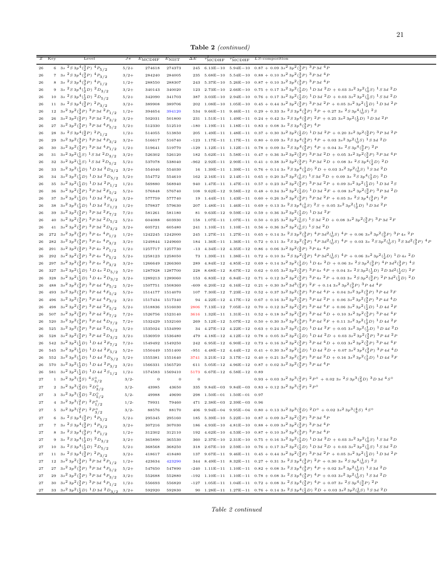Table 2 (continued)

|             | Z Key | Level                                                                                                                     | $J\pi$  | $E_{\text{MCDHF}}$ | $E_{\text{NIST}}$ | $\Delta E$ | $\tau_{\text{MCDHF}}$             | $\tau_{\text{MCDHF}}$          | $LS$ -composition                                                                                                                                                                                                                                                                           |
|-------------|-------|---------------------------------------------------------------------------------------------------------------------------|---------|--------------------|-------------------|------------|-----------------------------------|--------------------------------|---------------------------------------------------------------------------------------------------------------------------------------------------------------------------------------------------------------------------------------------------------------------------------------------|
| 26          |       | 6 3s $^{2}S3p^{4}(\frac{3}{2}P)^{4}P_{5/2}$                                                                               | $5/2+$  | 274618             | 274373            | 245        |                                   |                                | 6.13E-10 5.94E-10 0.87 + 0.09 3s <sup>2</sup> 3p <sup>2</sup> (3p) <sup>3</sup> P 3d <sup>4</sup> P                                                                                                                                                                                         |
| 26          |       | 7 3s ${}^{2}S3p^{4}({}^{3}_{2}P)$ ${}^{4}P_{3/2}$                                                                         | $3/2+$  | 284240             | 284005            |            |                                   |                                | 235 5.68E-10 5.54E-10 0.88 + 0.10 3s <sup>2</sup> 3p <sup>2</sup> (3P) <sup>3</sup> P 3d <sup>4</sup> P                                                                                                                                                                                     |
| 26          |       | 8 3s ${}^{2}S3p^{4}({}^{3}_{2}P)$ ${}^{4}P_{1/2}$                                                                         | $1/2+$  | 288550             | 288307            |            |                                   |                                | 243 5.37E-10 5.26E-10 0.87 + 0.10 3s <sup>2</sup> 3p <sup>2</sup> (3p) 3p3d <sup>4</sup> P                                                                                                                                                                                                  |
| 26          |       | 9 3s ${}^{2}S3p^{4}(\frac{1}{2}D)$ ${}^{2}D_{3/2}$                                                                        | $3/2+$  | 340143             | 340020            |            |                                   |                                | 123 2.73E-10 2.66E-10 0.75 + 0.17 3s <sup>2</sup> 3p <sup>2</sup> ( $\frac{1}{2}D$ ) <sup>1</sup> D 3d <sup>2</sup> D + 0.03 3s <sup>2</sup> 3p <sup>2</sup> ( $\frac{1}{0}S$ ) <sup>1</sup> S 3d <sup>2</sup> D                                                                            |
|             |       |                                                                                                                           |         |                    |                   |            |                                   |                                | 387 3.03E-10 2.94E-10 0.76 + 0.17 3s <sup>2</sup> 3p <sup>2</sup> ( $\frac{1}{2}D$ ) <sup>1</sup> D 3d <sup>2</sup> D + 0.03 3s <sup>2</sup> 3p <sup>2</sup> ( $\frac{1}{6}S$ ) <sup>1</sup> S 3d <sup>2</sup> D                                                                            |
| 26          |       | 10 3s ${}^{2}S\,3p^{4}(\frac{1}{2}D)\,$ ${}^{2}D_{5/2}$                                                                   | $5/2+$  | 342090             | 341703            |            |                                   |                                | $1.08E-10$ $1.05E-10$ $0.45 + 0.44$ $3s2 3p2(3p)$ $3p3d2P + 0.05$ $3s2 3p2(3p)$ $1D$ $3d2P$                                                                                                                                                                                                 |
| 26          |       | 11 3s ${}^{2}S3p^{4}({}^{3}_{2}P)$ ${}^{2}P_{3/2}$                                                                        | $3/2+$  | 389908             | 389706            | 202        |                                   |                                |                                                                                                                                                                                                                                                                                             |
| 26          |       | 12 $3s^2 3p^2({3 \over 2}P)^3 P 3d^2P_{1/2}$                                                                              | $1/2+$  | 394654             | 394120            |            |                                   |                                | 534 9.66E-11 9.46E-11 0.29 + 0.33 3s ${}^{2}S3p^{4}({}^{3}_{2}P)$ ${}^{2}P$ + 0.27 3s ${}^{2}S3p^{4}({}^{1}_{0}S)$ ${}^{2}S$<br>231 1.51E-11 1.49E-11 0.24 + 0.42 3s ${}^{2}S3p^{4}({}^{3}_{2}P)$ ${}^{2}P$ + 0.25 3s <sup>2</sup> 3p <sup>2</sup> ( ${}^{1}_{2}D$ ) ${}^{1}D$ 3d ${}^{2}P$ |
| 26          |       | 26 $3s^23p^2({3 \over 2}P)^3P3d~^2P_{3/2}$                                                                                | $3/2+$  | 502031             | 501800            |            |                                   |                                |                                                                                                                                                                                                                                                                                             |
| 26          |       | 27 3 $s^2$ 3 $p^2$ ( $\frac{3}{2}P$ ) $\frac{3}{2}P$ 3d $\frac{4}{5}P$                                                    | $5/2+$  | 512330             | 512510            |            |                                   |                                | -180 $1.19E-11$ $1.18E-11$ $0.83 + 0.08$ 3s $^{2}S3p^{4}(\frac{3}{2}P)^{4}P$                                                                                                                                                                                                                |
| 26          |       | 28 3s ${}^{2}S3p^{4}({}^{3}_{2}P)$ ${}^{2}P_{1/2}$                                                                        | $1/2+$  | 514055             | 513850            |            |                                   |                                | $205 \quad 1.49 \mathrm{E-11} \quad 1.48 \mathrm{E-11} \quad 0.37 \, + \, 0.30 \, \, 3s^2 \, 3p^2 \, (\frac{1}{2}D) \, \, ^1D \, 3d \, \, ^2P \, + \, 0.20 \, \, 3s^2 \, 3p^2 \, (\frac{3}{2}P) \, \, ^3P \, 3d \, \, ^2P$                                                                  |
| 26          |       | 29 3s <sup>2</sup> 3p <sup>2</sup> ( $\frac{3}{2}P$ ) <sup>3</sup> P3d <sup>4</sup> P <sub>3/2</sub>                      | $3/2+$  | 516617             | 516740            |            |                                   |                                |                                                                                                                                                                                                                                                                                             |
| 26          |       | 30 $3s^2 3p^2(\frac{3}{2}P)^3 P 3d^4P_{1/2}$                                                                              | $1/2+$  | 519641             | 519770            |            |                                   |                                | -129 1.12E-11 1.12E-11 0.78 + 0.09 3s ${}^{2}S3p^{4}({}^{3}_{2}P)$ ${}^{4}P$ + 0.04 3s ${}^{2}S3p^{4}({}^{3}_{2}P)$ ${}^{2}P$                                                                                                                                                               |
| 26          |       | 31 $3s^2 3p^2(\frac{1}{0}S)^1 S 3d^2D_{3/2}$                                                                              | $3/2+$  | 526302             | 526120            |            |                                   |                                | 182 5.62E-11 5.58E-11 0.47 + 0.36 3s <sup>2</sup> 3p <sup>2</sup> (3p) <sup>3</sup> p 3d <sup>2</sup> D + 0.05 3s <sup>2</sup> 3p <sup>2</sup> (3p) <sup>3</sup> p 3d <sup>4</sup> p                                                                                                        |
| 26          |       | 32 $3s^2 3p^2(\frac{1}{0}S)$ $\frac{1}{S}$ 3d $\frac{2D_{5/2}}{S}$                                                        | $5/2+$  | 537078             | 538040            |            |                                   |                                | -962 2.92E-11 2.90E-11 0.41 + 0.38 3s <sup>2</sup> 3p <sup>2</sup> (3 <sup>2</sup> P) ${}^{3}P$ 3d <sup>2</sup> D + 0.08 3s <sup>2</sup> S3p <sup>4</sup> (3 <sup>1</sup> D) <sup>2</sup> D                                                                                                 |
| 26          |       | 33 $3s^2 3p^2(\frac{1}{2}D)^1 D 3d^2D_{3/2}$                                                                              | $3/2+$  | 554046             | 554030            |            |                                   |                                | 16 1.39E-11 1.39E-11 0.76 + 0.14 3s ${}^{2}S3p^{4}(\frac{1}{2}D)$ ${}^{2}D$ + 0.03 3s ${}^{2}3p^{2}(\frac{1}{0}S)$ ${}^{1}S3d$ ${}^{2}D$                                                                                                                                                    |
| 26          |       | 34 3s <sup>2</sup> 3p <sup>2</sup> ( $\frac{1}{2}$ D) <sup>1</sup> D 3d <sup>2</sup> D <sub>5/2</sub>                     | $5/2+$  | 554772             | 554610            |            |                                   |                                | 162 2.16E-11 2.14E-11 0.65 + 0.20 $3s^2 3p^2(\frac{1}{0}S)$ 1 S 3d $^2D$ + 0.09 3s $^2S 3p^4(\frac{1}{2}D)$ $^2D$                                                                                                                                                                           |
| 26          |       | 35 $3s^2 3p^2(\frac{1}{2}D)^1 D 3d^2 P_{1/2}$                                                                             | $1/2+$  | 569880             | 568940            |            |                                   |                                | $940 \quad 1.47\mathrm{E}-11 \quad 1.47\mathrm{E}-11 \quad 0.57 \, + \, 0.23\, \, 3s^2\, 3p^2 \, (\substack{3 \\ 2}P) \, \, ^3P\, 3d \, \, ^2P \, + \, 0.09\, \, 3s^2\, 3p^2 \, (\substack{1 \\ 2}D) \, \, ^1D\, 3d \, \, ^2S$                                                              |
| 26          |       | 36 $3s^2 3p^2(\frac{3}{2}P)$ $3P 3d$ $2F_{5/2}$                                                                           | $5/2+$  | 576848             | 576740            |            |                                   |                                | 108 9.62E-12 9.58E-12 0.48 + 0.34 3s <sup>2</sup> 3p <sup>2</sup> ( $\frac{1}{2}D$ ) <sup>1</sup> D 3d <sup>2</sup> F + 0.08 3s <sup>2</sup> 3p <sup>2</sup> ( $\frac{3}{2}P$ ) <sup>3</sup> P 3d <sup>2</sup> D                                                                            |
| 26          |       | 37 $3s^2 3p^2(\frac{1}{2}D)^1 D 3d^2 P_{3/2}$                                                                             | $3/2+$  | 577759             | 577740            |            |                                   |                                | 19 1.44E-11 1.43E-11 0.60 + 0.26 3s <sup>2</sup> 3p <sup>2</sup> (3p) <sup>3</sup> P 3d <sup>2</sup> P + 0.05 3s <sup>2</sup> S 3p <sup>4</sup> (3p) <sup>2</sup> P                                                                                                                         |
| 26          |       | 38 $3s^2 3p^2(\frac{1}{2}D)^1 D 3d^2S_{1/2}$                                                                              | $1/2+$  | 579837             | 579630            |            |                                   |                                | 207 1.48E-11 1.46E-11 0.69 + 0.13 3s ${}^{2}S3p^{4}({}^{1}_{0}S)$ ${}^{2}S+0.05$ 3s ${}^{2}3p^{2}({}^{1}_{2}D)$ ${}^{1}D$ 3d ${}^{2}P$                                                                                                                                                      |
| 26          |       | 39 $3s^2 3p^2(\frac{3}{2}P)$ $3P 3d$ $2F_{7/2}$                                                                           | $7/2+$  | 581261             | 581180            |            |                                   |                                | 81 9.63E-12 9.59E-12 0.59 + 0.36 3s <sup>2</sup> 3p <sup>2</sup> ( $\frac{1}{2}D$ ) <sup>1</sup> D 3d <sup>2</sup> F                                                                                                                                                                        |
| 26          |       | 40 $3s^2 3p^2(\frac{3}{2}P)$ $3P 3d$ $2D_{5/2}$                                                                           | $5/2+$  | 604088             | 603930            |            |                                   |                                | 158 1.07E-11 1.07E-11 0.50 + 0.25 3s <sup>2</sup> 3p <sup>2</sup> ( $^{1}_{0}S$ ) <sup>1</sup> S 3d <sup>2</sup> D + 0.08 3s <sup>2</sup> 3p <sup>2</sup> ( $^{3}_{3}P$ ) <sup>3</sup> P 3d <sup>2</sup> F                                                                                  |
| 26          |       | 41 $3s^2 3p^2(\frac{3}{2}P)$ $3P 3d$ $2D_{3/2}$                                                                           | $3/2+$  | 605721             | 605480            |            |                                   |                                | 241 1.10E-11 1.10E-11 0.56 + 0.36 $3s^2 3p^2(\frac{1}{6}S)^1 S 3d^2 D$                                                                                                                                                                                                                      |
| 26          |       | 272 $3s^2 3p^2({3 \over 2}P)^3 P 4s^4 P_{1/2}$                                                                            | $1/2+$  |                    | 1242245 1242000   |            |                                   |                                | 245 1.27E-11 1.27E-11 0.65 + 0.14 3s ${}^{2}S3p^{2}({}^{3}_{2}P)$ ${}^{4}P3d^{2}({}^{1}_{0}S)$ ${}^{4}P$ + 0.06 $3s^{2}3p^{2}({}^{3}_{2}P)$ ${}^{3}P4s$ ${}^{2}P$                                                                                                                           |
| 26          |       | 282 $3s^23p^2({3 \over 2}P)^3P4s~^4P_{3/2}$                                                                               | $3/2+$  |                    | 1249844 1249660   |            |                                   |                                | 184 1.36E-11 1.36E-11 0.72 + 0.11 3s ${}^{2}S3p^{2}({}^{3}_{2}P)$ ${}^{4}P3d^{2}({}^{1}_{0}S)$ ${}^{4}P$ + 0.03 3s ${}^{2}S3p^{2}({}^{1}_{0}S)$ ${}^{2}S3d^{2}({}^{3}_{2}P)$ ${}^{4}P$                                                                                                      |
| 26          |       | 291 $3s^23p^2({3 \over 2}P)^3P4s~^2P_{1/2}$                                                                               | $1/2+$  |                    | 1257717 1257730   |            |                                   |                                | -13 4.34E-12 4.35E-12 $0.86 + 0.06$ 3s <sup>2</sup> 3p <sup>2</sup> (3p) <sup>3</sup> P <sub>4s</sub> <sup>4</sup> P                                                                                                                                                                        |
| 26          |       | 292 $3s^2 3p^2(\frac{3}{2}P)$ $3P 4s$ $4P_{5/2}$                                                                          | $5/2+$  |                    | 1258123 1258050   |            |                                   |                                | 73 1.39E-11 1.38E-11 0.72 + 0.10 3s ${}^{2}S3p^{2}({}^{3}_{2}P)$ ${}^{4}P3d^{2}({}^{1}_{0}S)$ ${}^{4}P$ + 0.06 3s ${}^{2}3p^{2}({}^{1}_{2}D)$ ${}^{1}D$ 4s ${}^{2}D$                                                                                                                        |
| 26          |       | 297 $3s^2 3p^2(\frac{3}{2}P)$ $3P 4s$ $2P_{3/2}$                                                                          | $3/2+$  |                    | 1266649 1266360   |            |                                   |                                | $289\quad 4.84\mathrm{E}-12\quad 4.85\mathrm{E}-12\quad 0.69\,+\,0.14\,\,3s^2\,3p^2\,({1\over 2}D)\,\,{}^1D\,4s\,\,{}^2D\,+\,0.06\,\,3s\,\,{}^2S\,3p^2\,({3\over 2}P)\,\,{}^4P\,3d^2\,({3\over 2}P)\,\,{}^4S$                                                                               |
| 26          |       | 327 $3s^2 3p^2(\frac{1}{2}D)^1 D 4s^2 D_{5/2}$                                                                            | $5/2+$  |                    | 1287928 1287700   |            |                                   |                                | $228 \quad 8.68\mathrm{E}-12 \quad 8.67\mathrm{E}-12 \quad 0.62\,+\, 0.05\, \, 3s^2\, 3p^2 \bigl( \tfrac{3}{2} P \bigr) \,\, ^3P \, 4s \,\, ^4P \, + \, 0.04\, \, 3s \,\, ^2S \, 3p^2 \bigl( \tfrac{1}{2} D \bigr) \,\, ^2D \, 3d^2 \bigl( \tfrac{1}{2} G \bigr) \,\, ^2F$                  |
| 26          |       | 328 $3s^2 3p^2(\frac{1}{2}D)^1 D 4s^2 D_{3/2}$                                                                            | $3/2+$  |                    | 1289213 1289060   | 153        |                                   |                                | 6.83E-12 6.84E-12 0.71 + 0.12 3s <sup>2</sup> 3p <sup>2</sup> (3p) <sup>3</sup> P 4s <sup>2</sup> P + 0.03 3s <sup>2</sup> S3p <sup>2</sup> (3p) <sup>2</sup> P 3d <sup>2</sup> (3p) <sup>2</sup> D                                                                                         |
| 26          |       | 488 $3s^2 3p^2(\frac{3}{2}P)$ $3P 4d$ $4P_{5/2}$                                                                          | $5/2+$  |                    | 1507751 1508360   | -609       |                                   |                                | 6.20E-12 6.16E-12 0.21 + 0.30 $3s^2$ $3d^3(\frac{2}{3}F)^2F$ + 0.14 $3s^2$ $3p^2(\frac{3}{2}P)^3P$ 4d $^4F$                                                                                                                                                                                 |
| 26          |       | 493 $3s^23p^2({3 \over 2}P)^3P4d~^4F_{5/2}$                                                                               | $5/2+$  |                    | 1514177 1514070   |            |                                   |                                | 107 7.30E-12 7.23E-12 0.52 + 0.37 3s <sup>2</sup> 3p <sup>2</sup> (3p) ${}^{3}P4d$ <sup>4</sup> P + 0.04 3s <sup>2</sup> 3p <sup>2</sup> (3p) ${}^{3}P4d$ <sup>2</sup> F                                                                                                                    |
|             |       | 496 $3s^2 3p^2(\frac{3}{2}P)$ $3P 4d$ $4P_{3/2}$                                                                          | $3/2+$  |                    | 1517434 1517340   | 94         |                                   |                                | 4.22E-12 4.17E-12 $0.67 + 0.163s^23p^2(\frac{3}{2}P)^3P4d^2P + 0.063s^23p^2(\frac{3}{2}P)^3P4d^4D$                                                                                                                                                                                          |
| 26          |       | 498 $3s^2 3p^2(\frac{3}{2}P)$ $3P 4d$ $2F_{5/2}$                                                                          |         |                    |                   |            |                                   |                                | 2806 7.13E-12 7.05E-12 0.70 + 0.12 $3s^23p^2(\frac{3}{2}P)^3P4d^4F + 0.063s^23p^2(\frac{1}{2}D)^1D4d^2F$                                                                                                                                                                                    |
| 26          |       |                                                                                                                           | $5/2+$  |                    | 1518836 1516030   |            |                                   |                                | 3616 1.32E-11 1.31E-11 0.52 + 0.18 3s <sup>2</sup> 3p <sup>2</sup> (3p) ${}^{3}P$ 4d ${}^{4}D$ + 0.10 3s <sup>2</sup> 3p <sup>2</sup> (3p) ${}^{3}P$ 4d ${}^{4}F$                                                                                                                           |
| 26          |       | 507 $3s^2 3p^2(\frac{3}{2}P)$ $3P 4d$ $2F_{7/2}$                                                                          | $7/2+$  |                    | 1526756 1523140   |            |                                   |                                | 269 5.12E-12 5.07E-12 0.50 + 0.30 3s <sup>2</sup> 3p <sup>2</sup> (3p) <sup>3</sup> P 4d <sup>2</sup> F + 0.11 3s <sup>2</sup> 3p <sup>2</sup> (3p) <sup>1</sup> D 4d <sup>2</sup> F                                                                                                        |
| 26          |       | 520 $3s^2 3p^2(\frac{3}{2}P)^3 P 4d^4D_{7/2}$                                                                             | $7/2+$  |                    | 1532429 1532160   |            |                                   |                                |                                                                                                                                                                                                                                                                                             |
| 26          |       | 525 $3s^2 3p^2(\frac{3}{2}P)^3 P 4d^2D_{5/2}$                                                                             | $5/2+$  |                    | 1535024 1534990   |            |                                   |                                | $34 \quad 4.27 \mathrm{E}-12 \quad 4.22 \mathrm{E}-12 \quad 0.63 \, + \, 0.24 \, \, 3s^2 \, \, 3p^2 \, (\textstyle{\frac{1}{2}} D \,)^{\ 1} D \, 4d \, \, ^2F \, + \, 0.05 \, \, 3s^2 \, \, 3p^2 \, (\textstyle{\frac{1}{2}} D \,)^{\ 1} D \, 4d \, \, ^2D$                                 |
| 26          |       | 528 $3s^2 3p^2(\frac{3}{2}P)$ $3P 4d$ $2D_{3/2}$                                                                          | $3/2+$  |                    | 1536959 1536480   |            |                                   |                                | 479 4.18E-12 4.12E-12 $0.78 + 0.053s^23p^2(\frac{1}{2}D)^1D4d^2D + 0.033s^23p^2(\frac{3}{2}P)^3P4d^2P$                                                                                                                                                                                      |
| 26          |       | 542 $3s^2 3p^2(\frac{1}{2}D)^1 D 4d^2 F_{7/2}$                                                                            | $7/2+$  |                    | 1549492 1549250   |            |                                   |                                | 242 6.95E-12 6.90E-12 0.73 + 0.16 3s <sup>2</sup> 3p <sup>2</sup> (3 <sup>2</sup> P) ${}^{3}P$ 4d ${}^{4}D$ + 0.03 3s <sup>2</sup> 3p <sup>2</sup> (3 <sup>2</sup> P) ${}^{3}P$ 4d ${}^{4}F$                                                                                                |
| 26          |       | 545 $3s^2 3p^2(\frac{1}{2}D)^1 D 4d^2 F_{5/2}$                                                                            | $5/2+$  |                    | 1550449 1551400   |            |                                   |                                | -951 4.48E-12 4.44E-12 0.41 + 0.30 $3s^2 3p^2(\frac{1}{2}D)^1 D 4d^2 D$ + 0.07 $3s^2 3p^2(\frac{3}{2}P)^3 P 4d^4 D$                                                                                                                                                                         |
| 26          |       | 552 $3s^2 3p^2(\frac{1}{2}D)^1 D 4d^2 D_{5/2} 5/2+$                                                                       |         |                    | 1555381 1551640   |            |                                   |                                | 3741 3.21E-12 3.17E-12 $0.40 + 0.213s^23p^2(\frac{3}{2}P)^3P4d^2D + 0.163s^23p^2(\frac{1}{2}D)^1D4d^2F$                                                                                                                                                                                     |
| 26          |       | 570 $3s^2 3p^2(\frac{1}{2}D)^1 D 4d^2 P_{3/2}$                                                                            | $3/2+$  |                    | 1566331 1565720   |            |                                   |                                | 611 5.05E-12 4.96E-12 0.87 + 0.02 $3s^23p^2({}^3_2P)^3P4d^4P$                                                                                                                                                                                                                               |
| 26          |       | 581 $3s^2 3p^2(\frac{1}{2}D)^1 D 4d^2S_{1/2}$ 1/2+                                                                        |         |                    | 1574583 1569410   |            | $5173$ $6.67E-12$ $6.58E-12$ 0.89 |                                |                                                                                                                                                                                                                                                                                             |
| $^{\rm 27}$ |       | 1 $3s^2 3p^3(\frac{4}{3}S)^4S^0_{3/2}$                                                                                    | $3/2 -$ | $\mathbf 0$        | $\boldsymbol{0}$  | $\,$ O     |                                   |                                | $0.93 + 0.03 \, 3s^2 \, 3p^3 \left(\frac{2}{1}P\right) \, 2P^{\circ} \, + 0.02 \, 3s \, 2S \, 3p^3 \left(\frac{2}{3}D\right) \, 3D \, 3d \, 4S^{\circ}$                                                                                                                                     |
| 27          |       | 2 $3s^2 3p^3(\frac{2}{3}D)^2D_{3/2}^0$                                                                                    | $3/2-$  | 43985              | 43650             |            |                                   |                                | 335 9.84E-03 9.84E-03 0.83 + 0.12 3s <sup>2</sup> 3p <sup>3</sup> ( $^{2}_{1}P$ ) <sup>2</sup> P <sup>o</sup>                                                                                                                                                                               |
| 27          |       | 3 3s <sup>2</sup> 3p <sup>3</sup> ( $\frac{2}{3}$ D) <sup>2</sup> D <sub>5</sub> <sup>o</sup> <sub>5</sub> / <sub>2</sub> | $5/2-$  | 49988              | 49690             |            | 298 1.50E-01 1.50E-01 0.97        |                                |                                                                                                                                                                                                                                                                                             |
| 27          |       | 4 3s <sup>2</sup> 3p <sup>3</sup> ( ${}^{2}_{1}P$ ) <sup>2</sup> $P^{0}_{1/2}$                                            | $1/2-$  | 79931              | 79460             | 471        |                                   | $2.38E - 03$ $2.39E - 03$ 0.96 |                                                                                                                                                                                                                                                                                             |
| 27          |       | 5 3s <sup>2</sup> 3p <sup>3</sup> ( ${}^{2}_{1}P$ ) <sup>2</sup> $P^{0}_{3/2}$                                            | $3/2-$  | 88576              | 88170             | 406        |                                   |                                | $9.94E-04 \quad 9.95E-04 \quad 0.80 \, + \, 0.13\,\, 3s^2 \, 3p^3 \, (\substack{2 \\ 3}D) \, \substack{2 \\ 2}D^{\,0} \, + \, 0.02\,\, 3s^2 \, 3p^3 \, (\substack{4 \\ 3}S) \, \substack{4 \\ 5} \, 0$                                                                                      |
| 27          |       | 6 3s ${}^{2}S3p^{4}({}^{3}_{2}P)^{4}P_{5/2}$                                                                              | $5/2+$  | 295345             | 295160            |            |                                   |                                | 185 5.39E-10 5.22E-10 0.87 + 0.09 $3s^23p^2(\frac{3}{2}P)^3P3d^4P$                                                                                                                                                                                                                          |
| 27          |       | 7 3s ${}^{2}S3p^{4}({}^{3}_{2}P)$ ${}^{4}P_{3/2}$                                                                         | $3/2+$  | 307216             | 307030            |            |                                   |                                | 186    4.93E-10    4.81E-10    0.88    + 0.09 3s <sup>2</sup> 3p <sup>2</sup> ( $\frac{3}{2}P$ ) <sup>3</sup> P 3d <sup>4</sup> P                                                                                                                                                           |
|             |       | 8 3s ${}^{2}S3p^{4}({}^{3}_{2}P)$ ${}^{4}P_{1/2}$                                                                         | $1/2+$  | 312302             | 312110            | 192        |                                   |                                | 4.62E-10 4.53E-10 $0.87 + 0.10 3s^2 3p^2(\frac{3}{2}P)^3 P 3d^4 P$                                                                                                                                                                                                                          |
| 27          |       | 9 3s ${}^{2}S3p^{4}({}^{1}_{2}D)$ ${}^{2}D_{3/2}$                                                                         | $3/2+$  |                    |                   |            |                                   |                                | 360 2.37E-10 2.31E-10 0.75 + 0.16 3s <sup>2</sup> 3p <sup>2</sup> ( $\frac{1}{2}D$ ) <sup>1</sup> D 3d <sup>2</sup> D + 0.03 3s <sup>2</sup> 3p <sup>2</sup> ( $\frac{1}{0}S$ ) <sup>1</sup> S 3d <sup>2</sup> D                                                                            |
| 27          |       | 10 3s ${}^{2}S3p^{4}(\frac{1}{2}D)$ ${}^{2}D_{5/2}$                                                                       |         | 365890             | 365530            |            |                                   |                                | $318 \quad 2.67E-10 \quad 2.59E-10 \quad 0.76 \, + \, 0.17\,\, 3s^2 \, 3p^2 \, ({1\over 2}D) \, \, ^1D \, 3d \, \, ^2D \, + \, 0.03\,\, 3s^2 \, 3p^2 \, ({1\over 0}S) \, \, ^1S \, 3d \, \, ^2D$                                                                                            |
| 27          |       |                                                                                                                           | $5/2+$  | 368568             | 368250            |            |                                   |                                | $137 \quad 9.67E-11 \quad 9.46E-11 \quad 0.45 \, + \, 0.44 \, \, 3 s^2 \, \, 3 p^2 \, (^3_2P)^{-3} \, P \, 3 d^{-2} P \, + \, 0.05 \, \, 3 s^2 \, \, 3 p^2 \, (^{\frac{1}{2}}_2D)^{-1} \, D \, 3 d^{-2} P$                                                                                  |
| 27          |       | 11 3s ${}^{2}S3p^{4}({}^{3}_{2}P)$ ${}^{2}P_{3/2}$                                                                        | $3/2+$  | 418617             | 418480            |            |                                   |                                | 344 8.49E-11 8.32E-11 0.27 + 0.31 3s ${}^{2}S3p^{4}({}^{3}_{2}P)$ ${}^{2}P$ + 0.30 3s ${}^{2}S3p^{4}({}^{1}_{0}S)$ ${}^{2}S$                                                                                                                                                                |
| 27          |       | 12 $3s^23p^2({3 \over 2}P)^3P3d^2P_{1/2}$                                                                                 | $1/2+$  | 423634             | 423290            |            |                                   |                                |                                                                                                                                                                                                                                                                                             |
| 27          |       | 27 3s <sup>2</sup> 3p <sup>2</sup> ( $\frac{3}{2}P$ ) <sup>3</sup> P3d <sup>4</sup> P <sub>5/2</sub>                      | $5/2+$  | 547650             | 547890            |            |                                   |                                | -240 1.11E-11 1.10E-11 0.82 + 0.08 3s ${}^{2}S3p^{4}({}^{3}_{2}P)$ ${}^{4}P$ + 0.02 3s ${}^{2}3p^{2}({}^{1}_{0}S)$ ${}^{1}S3d$ ${}^{2}D$                                                                                                                                                    |
| 27          |       | 29 $3s^23p^2(\frac{3}{2}P)^3P3d^4P_{3/2}$                                                                                 | $3/2+$  | 552688             | 552880            |            |                                   |                                | -192    1.10E-11    1.10E-11    0.78 + 0.08 3<br>s $^2S\,3p^4({}^3_2P)$ $^4P$ + 0.03 3s $^2$<br>$3p^2({}^1_0S)$ $^1S$ 3d $^2D$                                                                                                                                                              |
| 27          |       | 30 $3s^2$ $3p^2({3 \over 2}P)^3$ P 3d ${}^4P_{1/2}$                                                                       | $1/2 +$ | 556693             | 556820            |            |                                   |                                | -127 1.05E-11 1.04E-11 0.72 + 0.08 3s ${}^{2}S3p^{4}({}^{3}_{2}P)$ ${}^{4}P$ + 0.07 3s ${}^{2}S3p^{4}({}^{3}_{2}P)$ ${}^{2}P$                                                                                                                                                               |
| $^{\rm 27}$ |       | 33 $3s^2 3p^2(\frac{1}{2}D)^{-1}D 3d^{-2}D_{3/2}$ $3/2+$                                                                  |         | 592920             | 592830            |            |                                   |                                | $90\quad 1.28\mathrm{E}-11\quad 1.27\mathrm{E}-11\quad 0.76\,+\,0.14\,\,3s\, \,{}^2\,S\,3p^4 \big(\frac{1}{2}D\big)\,\,{}^2D\,+\,0.03\,\,3s^2\,3p^2 \big(\frac{1}{0}S\big)\,\,{}^1S\,3d\,\,{}^2D$                                                                                           |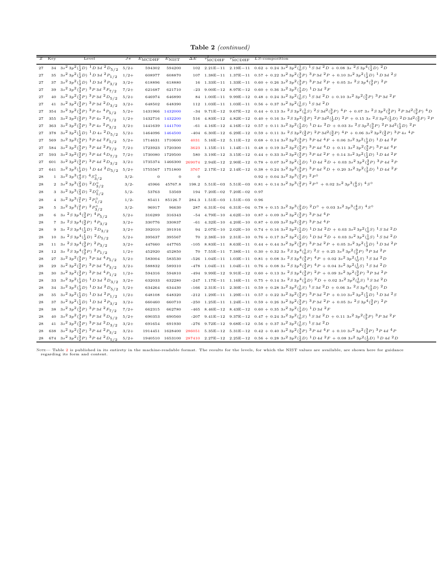Table 2 (continued)

|          | Z Key | Level                                                                                                                                    | $J\pi$  | $E_{\text{MCDHF}}$ | $E_{NIST}$      | $\Delta E$     | $\tau_{\text{MCDHF}}$ $\tau_{\text{MCDHF}}$ | $LS$ -composition                                                                                                                                                                                                                                                                              |
|----------|-------|------------------------------------------------------------------------------------------------------------------------------------------|---------|--------------------|-----------------|----------------|---------------------------------------------|------------------------------------------------------------------------------------------------------------------------------------------------------------------------------------------------------------------------------------------------------------------------------------------------|
| 27       |       | 34 3s <sup>2</sup> 3p <sup>2</sup> ( $\frac{1}{2}$ D) <sup>1</sup> D 3d <sup>2</sup> D <sub>5/2</sub> 5/2+                               |         | 594302             | 594200          |                |                                             | 102 2.21E-11 2.19E-11 $0.62 + 0.243s^23p^2(\frac{1}{0}s)^1S3d^2D + 0.083s^2S3p^4(\frac{1}{2}D)^2D$                                                                                                                                                                                             |
| 27       |       | 35 $3s^2 3p^2(\frac{1}{2}D)^{-1}D 3d \ ^2P_{1/2}$ 1/2+                                                                                   |         | 608977             | 608870          |                |                                             | 107 1.38E-11 1.37E-11 0.57 + 0.22 $3s^2 3p^2(\frac{3}{2}P)^3 ^2 3p 3d^2 P$ + 0.10 $3s^2 3p^2(\frac{1}{2}D)^1 D 3d^2 S$                                                                                                                                                                         |
| 27       |       | 37 $3s^2 3p^2(\frac{1}{2}D)^1 D 3d^2P_{3/2}$                                                                                             | $3/2+$  | 618896             | 618880          |                |                                             | $16 \quad 1.33E-11 \quad 1.33E-11 \quad 0.60 \; + \; 0.26 \; 3s^2 \; 3p^2 \left( \frac{3}{2} P \right) \; 3 \; P \; 3d \; \; ^2P \; + \; 0.05 \; 3s \; \; ^2S \; 3p^4 \left( \frac{3}{2} P \right) \; ^2P$                                                                                     |
| 27       |       | 39 $3s^2 3p^2(\frac{3}{2}P)$ $3P 3d$ $2F_{7/2}$                                                                                          | $7/2+$  | 621687             | 621710          |                |                                             | -23 9.00E-12 8.97E-12 0.60 + 0.36 $3s^2\,3p^2\,({1\over2}D)\,$ $^1D$ 3d $^2F$                                                                                                                                                                                                                  |
| 27       |       | 40 $3s^23p^2(\frac{3}{2}P)^3P3d^2D_{5/2}$                                                                                                | $5/2+$  | 646974             | 646890          |                |                                             | 84 1.00E-11 9.99E-12 0.48 + 0.24 3s <sup>2</sup> 3p <sup>2</sup> ( $\frac{1}{9}S$ ) <sup>1</sup> S 3d <sup>2</sup> D + 0.10 3s <sup>2</sup> 3p <sup>2</sup> ( $\frac{3}{9}P$ ) <sup>3</sup> P 3d <sup>2</sup> F                                                                                |
| 27       |       | 41 $3s^23p^2({3 \over 2}P)^3P3d^2D_{3/2}$                                                                                                | $3/2+$  | 648502             | 648390          |                |                                             | 112 1.03E-11 1.03E-11 0.56 + 0.37 3s <sup>2</sup> 3p <sup>2</sup> ( $\frac{1}{0}$ S) <sup>1</sup> S 3d <sup>2</sup> D                                                                                                                                                                          |
| 27       |       | 354 3 $s^2$ 3 $p^2$ ( $\frac{3}{2}P$ ) $\frac{3}{2}P$ 4 $s$ $\frac{4}{2}P_{5/2}$                                                         | $5/2+$  |                    | 1431966 1432000 |                |                                             | -34 9.71E-12 9.67E-12 0.44 + 0.13 3s ${}^{2}S3p^{2}({}^{1}_{0}S)^{2}S3d^{2}({}^{3}_{2}P)^{4}P$ + 0.07 3s ${}^{2}S3p^{2}({}^{3}_{2}P)^{2}P3d^{2}({}^{3}_{2}P)^{4}D$                                                                                                                             |
| 27       |       | 355 $3s^2 3p^2(\frac{3}{2}P)$ $3P 4s$ $2P_{1/2}$                                                                                         | $1/2+$  | 1432716 1432200    |                 |                |                                             | 516 4.83E-12 4.82E-12 0.40 + 0.16 3s ${}^{2}S$ 3p <sup>2</sup> ( ${}^{3}_{2}P$ ) ${}^{2}P$ 3d <sup>2</sup> ( ${}^{1}_{2}D$ ) ${}^{2}P$ + 0.15 3s ${}^{2}S$ 3p <sup>2</sup> ( ${}^{1}_{3}D$ ) ${}^{2}D$ 3d <sup>2</sup> ( ${}^{3}_{3}P$ ) ${}^{2}D$ 3d <sup>2</sup> ( ${}^{3}_{3}P$ ) ${}^{2}P$ |
| 27       |       | 363 $3s^2 3p^2(\frac{3}{2}P)$ $3P 4s$ $2P_{3/2}$                                                                                         | $3/2+$  | 1441639 1441700    |                 |                |                                             | -61 4.16E-12 4.16E-12 0.57 + 0.11 $3s^2 3p^2(\frac{1}{2}D)$ $1 D 4s$ $2 D$ + 0.03 $3s$ $2 S 3p^2(\frac{3}{2}P)$ $2 P 3d^2(\frac{1}{2}D)$ $2 P$                                                                                                                                                 |
|          |       | 27 378 $3s^2 3p^2(\frac{1}{2}D)^1 D 4s^2 D_{5/2} 5/2^+$                                                                                  |         | 1464096 1464500    |                 |                |                                             | $-404$ 6.30E-12 6.29E-12 0.59 + 0.11 3s $^2S3p^2(3P)$ $^2P3d^2(3P)$ $^4P$ + 0.06 3s $^23p^2(3P)$ $^3P4s$ $^4P$                                                                                                                                                                                 |
| 27       |       | 569 $3s^2 3p^2(\frac{3}{2}P)$ $3P 4d$ $2F_{5/2}$                                                                                         | $5/2+$  | 1714631 1710600    |                 |                |                                             | 4031 5.16E-12 5.11E-12 0.68 + 0.14 3s <sup>2</sup> 3p <sup>2</sup> (3p) <sup>3</sup> P 4d <sup>4</sup> F + 0.06 3s <sup>2</sup> 3p <sup>2</sup> (3p) <sup>1</sup> D 4d <sup>2</sup> F                                                                                                          |
|          |       | 27 584 3s <sup>2</sup> 3p <sup>2</sup> ( $\frac{3}{2}P$ ) <sup>3</sup> P <sub>4d</sub> <sup>2</sup> F <sub>7/2</sub>                     | $7/2+$  | 1723923 1720300    |                 |                |                                             | 3623 1.15E-11 1.14E-11 0.48 + 0.19 3s <sup>2</sup> 3p <sup>2</sup> ( $\frac{3}{2}$ P) <sup>3</sup> P 4d <sup>4</sup> D + 0.11 3s <sup>2</sup> 3p <sup>2</sup> ( $\frac{3}{2}$ P) <sup>3</sup> P 4d <sup>4</sup> F                                                                              |
| 27       |       | 593 $3s^2 3p^2(\frac{3}{2}P)^3 P 4d^4D_{7/2}$ 7/2+                                                                                       |         | 1730080 1729500    |                 |                |                                             | 580 3.19E-12 3.15E-12 0.44 + 0.33 3s <sup>2</sup> 3p <sup>2</sup> ( $\frac{3}{2}P$ ) <sup>3</sup> P 4d <sup>2</sup> F + 0.14 3s <sup>2</sup> 3p <sup>2</sup> ( $\frac{1}{2}D$ ) <sup>1</sup> D 4d <sup>2</sup> F                                                                               |
| 27       |       | 601 $3s^2 3p^2(\frac{3}{2}P)$ $3P 4d$ $2D_{3/2}$                                                                                         | $3/2+$  |                    | 1735374 1466300 |                |                                             | $269074 \quad 2.94 \mathrm{E-12} \quad 2.90 \mathrm{E-12} \quad 0.78 \, + \, 0.07 \, \, 3 s^2 \, 3 p^2 \, (\frac{1}{2} D) \, \, ^1D \, 4 d \, \, ^2D \, + \, 0.03 \, \, 3 s^2 \, 3 p^2 \, (\frac{3}{2} P) \, \, ^3P \, 4 d \, \, ^2P$                                                          |
|          |       | 27 641 $3s^2 3p^2(\frac{1}{2}D)^1 D 4d^2 D_{5/2}$                                                                                        | $5/2+$  | 1755567 1751800    |                 |                |                                             | 3767 2.17E-12 2.14E-12 $0.38 + 0.24$ $3s^2$ $3p^2$ $(\frac{3}{2}P)$ $3P$ 4d $2D + 0.20$ $3s^2$ $3p^2$ $(\frac{1}{2}D)$ $1D$ 4d $2F$                                                                                                                                                            |
| 28       |       | 1 $3s^2 3p^3(\frac{4}{3}S)^4S^0_{3/2}$                                                                                                   | $3/2-$  | $\overline{0}$     | $\overline{0}$  | $\overline{0}$ |                                             | $0.92 + 0.04 \ 3s^2 \ 3p^3 \left(\frac{2}{1}P\right) \ 2P^{\circ}$                                                                                                                                                                                                                             |
| 28       |       | 2 $3s^2 3p^3(\frac{2}{3}D)^2D_{3/2}^0$                                                                                                   | $3/2-$  | 45966              | 45767.8         |                |                                             | $198.2 \quad 5.51\mathrm{E}-03 \quad 5.51\mathrm{E}-03 \quad 0.81 \, + \, 0.14 \, \, 3s^2 \, 3p^3 \bigl( \frac{2}{1} P \bigr) \, \, ^2P^{\, \mathrm{O}} \, \, + \, 0.02 \, \, 3s^2 \, \, 3p^3 \bigl( \frac{4}{3} S \bigr) \, \, ^4S^{\, \mathrm{O}}$                                           |
| 28       |       | 3 $3s^2 3p^3(\frac{2}{3}D)^2D_{5/2}^0$                                                                                                   | $5/2-$  | 53763              | 53569           |                | $194$ $7.20E-02$ $7.20E-02$ 0.97            |                                                                                                                                                                                                                                                                                                |
| 28       |       | 4 3s <sup>2</sup> 3p <sup>3</sup> ( ${}^{2}_{1}P$ ) <sup>2</sup> $P^{0}_{1/2}$                                                           | $1/2-$  | 85411              | 85126.7         |                | 284.3 1.51E-03 1.51E-03 0.96                |                                                                                                                                                                                                                                                                                                |
| 28       |       | 5 $3s^2 3p^3({2 \over 1}P)^2 P^0_{3/2}$                                                                                                  | $3/2-$  | 96917              | 96630           |                |                                             | 287 6.31E-04 6.31E-04 0.78 + 0.15 3s <sup>2</sup> 3p <sup>3</sup> ( $\frac{2}{3}$ D) <sup>2</sup> D <sup>o</sup> + 0.03 3s <sup>2</sup> 3p <sup>3</sup> ( $\frac{4}{3}$ S) <sup>4</sup> S <sup>o</sup>                                                                                         |
| $\bf 28$ |       | 6 3s ${}^{2}S3p^{4}({}^{3}_{2}P)$ ${}^{4}P_{5/2}$                                                                                        | $5/2+$  | 316289             | 316343          |                |                                             | -54 4.79E-10 4.62E-10 0.87 + 0.09 3s <sup>2</sup> 3p <sup>2</sup> (3p) 3p3d <sup>4</sup> p                                                                                                                                                                                                     |
| $\bf 28$ |       | 7 3s ${}^{2}S\,3p^{4}({}^{3}_{2}P)\,$ ${}^{4}P_{3/2}$                                                                                    | $3/2+$  | 330776             | 330837          |                |                                             | -61 4.32E-10 4.20E-10 0.87 + 0.09 3s <sup>2</sup> 3p <sup>2</sup> (3p) 3p3d <sup>4</sup> p                                                                                                                                                                                                     |
| 28       |       | 9 3s ${}^{2}S3p^{4}(\frac{1}{2}D)$ ${}^{2}D_{3/2}$                                                                                       | $3/2+$  | 392010             | 391916          |                |                                             | $94 \quad 2.07\mathrm{E}-10 \quad 2.02\mathrm{E}-10 \quad 0.74 \, + \, 0.16\, \, 3s^2\, 3p^2 \big(\tfrac{1}{2}D\big)\, \, ^1D\, 3d\, \, ^2D \, + \, 0.03\, \, 3s^2\, 3p^2 \big(\tfrac{1}{0}S\big)\, \, ^1S\, 3d\, \, ^2D$                                                                      |
| 28       |       | 10 3s ${}^{2}S\,3p^{4}(\frac{1}{2}D)\, {}^{2}D_{5/2}$                                                                                    | $5/2+$  | 395637             | 395567          |                |                                             | 70 2.38E-10 2.31E-10 0.76 + 0.17 3s <sup>2</sup> 3p <sup>2</sup> ( $\frac{1}{2}D$ ) <sup>1</sup> D 3d <sup>2</sup> D + 0.03 3s <sup>2</sup> 3p <sup>2</sup> ( $\frac{1}{0}S$ ) <sup>1</sup> S 3d <sup>2</sup> D                                                                                |
| 28       |       | 11 3s ${}^{2}S3p^{4}({}^{3}_{2}P)$ ${}^{2}P_{3/2}$                                                                                       | $3/2+$  | 447660             | 447765          |                |                                             | -105 8.83E-11 8.63E-11 0.44 + 0.44 3s <sup>2</sup> 3p <sup>2</sup> ( $\frac{3}{2}P$ ) <sup>3</sup> P3d <sup>2</sup> P + 0.05 3s <sup>2</sup> 3p <sup>2</sup> ( $\frac{1}{2}D$ ) <sup>1</sup> D3d <sup>2</sup> P                                                                                |
| 28       |       | 12 3s ${}^{2}S3p^{4}({}^{3}_{2}P)$ ${}^{2}P_{1/2}$                                                                                       | $1/2+$  | 452920             | 452850          |                |                                             | 70 7.55E-11 7.38E-11 0.30 + 0.32 3s ${}^{2}S$ 3p <sup>4</sup> ( ${}^{1}_{0}S$ ) ${}^{2}S$ + 0.25 3s <sup>2</sup> 3p <sup>2</sup> ( ${}^{3}_{2}P$ ) ${}^{3}P$ 3d ${}^{2}P$                                                                                                                      |
| 28       |       | 27 $3s^2 3p^2(\frac{3}{2}P)$ $3P 3d$ $4P_{5/2}$                                                                                          | $5/2+$  | 583004             | 583530          |                |                                             | -526 1.04E-11 1.03E-11 0.81 + 0.08 3s ${}^{2}S3p^{4}({}^{3}_{2}P)$ ${}^{4}P$ + 0.02 3s <sup>2</sup> 3p <sup>2</sup> ( ${}^{1}_{0}S$ ) <sup>1</sup> S 3d <sup>2</sup> D                                                                                                                         |
| 28       |       | 29 3s <sup>2</sup> 3p <sup>2</sup> ( $\frac{3}{2}P$ ) <sup>3</sup> P3d <sup>4</sup> P <sub>3/2</sub>                                     | $3/2+$  | 588832             | 589310          |                |                                             | -478 1.04E-11 1.04E-11 0.76 + 0.08 3s ${}^{2}S3p^{4}({}^{3}_{3}P)$ ${}^{4}P$ + 0.04 3s <sup>2</sup> 3p <sup>2</sup> ( ${}^{1}_{0}S$ ) ${}^{1}S$ 3d ${}^{2}D$                                                                                                                                   |
| 28       |       | 30 $3s^2 3p^2(\frac{3}{2}P)$ $3P 3d$ $4P_{1/2}$                                                                                          | $1/2+$  | 594316             | 594810          |                |                                             | -494 9.99E-12 9.91E-12 0.60 + 0.13 3s ${}^{2}S3p^{4}({}^{3}_{2}P)$ ${}^{2}P$ + 0.09 3s <sup>2</sup> 3p <sup>2</sup> ( ${}^{3}P$ ) ${}^{3}P$ 3d ${}^{2}P$                                                                                                                                       |
| 28       |       | 33 $3s^2 3p^2(\frac{1}{2}D)^{-1}D 3d \ ^2D_{3/2}$ 3/2+                                                                                   |         | 632033             | 632280          |                |                                             | -247 1.17E-11 1.16E-11 0.75 + 0.14 3s ${}^{2}S3p^{4}(\frac{1}{2}D)$ ${}^{2}D$ + 0.02 3s ${}^{2}3p^{2}(\frac{1}{0}S)$ ${}^{1}S3d$ ${}^{2}D$                                                                                                                                                     |
| 28       |       | 34 3s <sup>2</sup> 3p <sup>2</sup> ( $\frac{1}{2}$ D) <sup>1</sup> D 3d <sup>2</sup> D <sub>5/2</sub> 5/2+                               |         | 634264             | 634430          |                |                                             | -166 2.31E-11 2.30E-11 0.59 + 0.28 3s <sup>2</sup> 3p <sup>2</sup> ( $\frac{1}{0}S$ ) <sup>1</sup> S 3d <sup>2</sup> D + 0.06 3s <sup>2</sup> S 3p <sup>4</sup> ( $\frac{1}{2}D$ ) <sup>2</sup> D                                                                                              |
| 28       |       | 35 $3s^2 3p^2(\frac{1}{2}D)^1 D 3d^2 P_{1/2}$                                                                                            | $1/2+$  | 648108             | 648320          |                |                                             | -212 1.29E-11 1.29E-11 0.57 + 0.22 $3s^2 3p^2(\frac{3}{2}P)$ $^3P 3d^2P$ + 0.10 $3s^2 3p^2(\frac{1}{2}D)$ $^1D 3d^2S$                                                                                                                                                                          |
| 28       |       | 37 $3s^2 3p^2(\frac{1}{2}D)^1 D 3d^2P_{3/2}$                                                                                             | $3/2+$  | 660460             | 660710          |                |                                             | -250 1.25E-11 1.24E-11 0.59 + 0.26 3s <sup>2</sup> 3p <sup>2</sup> (3p) <sup>3</sup> P 3d <sup>2</sup> P + 0.05 3s <sup>2</sup> S 3p <sup>4</sup> (3p) <sup>2</sup> P                                                                                                                          |
| 28       |       | 38 $3s^2 3p^2(\frac{3}{2}P)$ $\frac{3}{2}P 3d \frac{2F_7}{2}$                                                                            | $7/2+$  | 662315             | 662780          |                |                                             | -465 8.46E-12 8.43E-12 0.60 + 0.35 3s <sup>2</sup> 3p <sup>2</sup> ( $\frac{1}{2}D$ ) <sup>1</sup> D 3d <sup>2</sup> F                                                                                                                                                                         |
| 28       |       | 40 $3s^2 3p^2(\frac{3}{2}P)$ $3P 3d$ $2D_{5/2}$ $5/2+$                                                                                   |         | 690353             | 690560          |                |                                             | -207 9.41E-12 9.37E-12 0.47 + 0.24 $3s^2 3p^2(\frac{1}{0}S)^1 S 3d^2D + 0.11 3s^2 3p^2(\frac{3}{2}P)^3 P 3d^2F$                                                                                                                                                                                |
| 28       |       | 41 $3s^2 3p^2(\frac{3}{2}P)^3 P 3d^2D_{3/2} 3/2+$                                                                                        |         | 691654             | 691930          |                |                                             | -276 9.72E-12 9.68E-12 0.56 + 0.37 3s <sup>2</sup> 3p <sup>2</sup> ( $_{0}^{1}$ S) <sup>1</sup> S 3d <sup>2</sup> D                                                                                                                                                                            |
| $\bf 28$ |       | 638 3s <sup>2</sup> 3p <sup>2</sup> ( $\frac{3}{2}P$ ) <sup>3</sup> P <sub>4d</sub> <sup>2</sup> P <sub>3/2</sub>                        | $3/2 +$ |                    |                 |                |                                             | 1914451 1628400 286051 5.35E-12 5.31E-12 0.42 + 0.40 3s <sup>2</sup> 3p <sup>2</sup> ( $\frac{3}{2}P$ ) <sup>3</sup> P 4d <sup>4</sup> F + 0.10 3s <sup>2</sup> 3p <sup>2</sup> ( $\frac{3}{2}P$ ) <sup>3</sup> P 4d <sup>4</sup> P                                                            |
|          |       | $28 \quad 674 \quad 3s^2 \ 3p^2 \bigl( \substack{ 3 \\ 2} P \bigr) \ {\substack{ 3\ 2 \\ 2}} \ P \ 4d \ ^2D_{\,5 \,/\, 2} \quad \, 5/2+$ |         |                    |                 |                |                                             | $1940510 \quad 1653100 \quad 287410 \quad 2.27E-12 \quad 2.25E-12 \quad 0.56 + 0.28 \quad 3s^2 \cdot 3p^2 \left(\frac{1}{2}D\right) \quad 1 \quad D \quad 4d \quad ^2F \; + \; 0.08 \quad 3s^2 \cdot 3p^2 \left(\frac{1}{2}D\right) \quad ^1D \quad 4d \quad ^2D$                              |

Note— Table [2](#page-19-0) is published in its entirety in the machine-readable format. The results for the levels, for which the NIST values are available, are shown here for guidance regarding its form and content.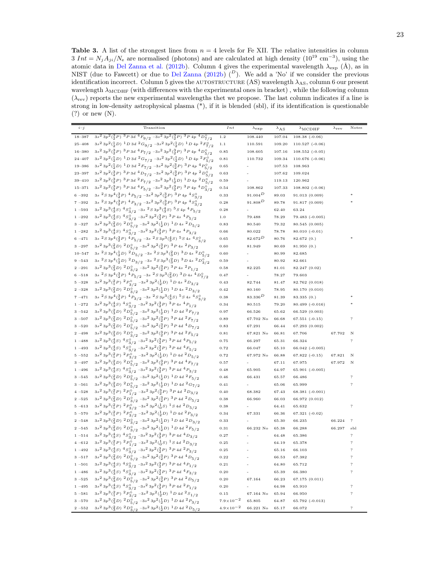<span id="page-22-0"></span>**Table 3.** A list of the strongest lines from  $n = 4$  levels for Fe XII. The relative intensities in column  $3 Int = N<sub>j</sub>A<sub>ji</sub>/N<sub>e</sub>$  are normalised (photons) and are calculated at high density  $(10^{19} \text{ cm}^{-3})$ , using the atomic data in [Del Zanna et al.](#page-6-32) [\(2012b\)](#page-6-32). Column 4 gives the experimental wavelength  $\lambda_{\exp}$  (Å), as in NIST (due to Fawcett) or due to [Del Zanna](#page-6-9) [\(2012b](#page-6-9))  $(1)$ . We add a 'No' if we consider the previous identification incorrect. Column 5 gives the AUTOSTRUCTURE (AS) wavelength  $\lambda_{AS}$ , column 6 our present wavelength  $λ$ <sub>MCDHF</sub> (with differences with the experimental ones in bracket), while the following column  $(\lambda_{rev})$  reports the new experimental wavelengths thet we propose. The last column indicates if a line is strong in low-density astrophysical plasma (\*), if it is blended (sbl), if its identification is questionable (?) or new (N).

| $i - j$    | Transition                                                                                                                                                                                                                                                                   | Int                  | $\lambda$ exp | $\lambda_{\rm AS}$ | $\lambda$ MCDHF     | $\lambda$ rev | Notes                      |
|------------|------------------------------------------------------------------------------------------------------------------------------------------------------------------------------------------------------------------------------------------------------------------------------|----------------------|---------------|--------------------|---------------------|---------------|----------------------------|
| 18-387     | $3s^2\ 3p^2(\frac{3}{2}P)\ \frac{3\,P\,3d\ ^4\,F_{9/2}\ - 3s^2\ 3p^2(\frac{3}{2}P)\ ^3\,P\ 4p\ ^4\,D^{\circ}_{7/2}$                                                                                                                                                          | 1.2                  | 108.440       | 107.04             | $108.38(-0.06)$     |               |                            |
| $25 - 408$ | $3s^2\ 3p^2(\frac{1}{2}D)\ ^1D\ 3d\ ^2G_{9/2}\ -3s^2\ 3p^2(\frac{1}{2}D)\ ^1D\ 4p\ ^2F^{\circ}_{7/2}$                                                                                                                                                                        | 1.1                  | 110.591       | 109.20             | $110.527(-0.06)$    |               |                            |
| 16-380     | $3s^2\ 3p^2\binom{3}{2}P\ 3d\ ^4F_{7/2}\ -3s^2\ 3p^2\binom{3}{2}P\ 3P\ 4p\ ^4D^{\circ}_{5/2}$                                                                                                                                                                                | 0.85                 | 108.605       | 107.16             | $108.552$ $(-0.05)$ |               |                            |
| $24 - 407$ | $3s^23p^2({1\over 2}D)^{-1}D3d~^2G_{7/2}$ $-3s^23p^2({1\over 2}D)^{-1}D4p~^2F^{\circ}_{5/2}$                                                                                                                                                                                 | 0.81                 | 110.732       | 109.34             | $110.676$ (-0.06)   |               |                            |
| $19 - 386$ | $3s^23p^2(\frac{1}{2}D)^{-1}D3d^{-2}F_{7/2}$ $-3s^23p^2(\frac{3}{2}P)^{-3}P4p^{-4}P_{5/2}^{\circ}$                                                                                                                                                                           | 0.65                 |               | 107.53             | 108.963             |               |                            |
| $23 - 397$ | $3s^23p^2({}^3_2P)^3P3d~^4D_{7/2}$ -3 $s^23p^2({}^3_2P)^3P4p~^2D^0_{5/2}$                                                                                                                                                                                                    | 0.63                 |               | 107.62             | 109.024             |               |                            |
| $39 - 410$ | $3s^23p^2({3 \over 2}P)^3P3d~^2F_{7/2}$ -3s <sup>2</sup> $3p^2({1 \over 2}D)^1D4p~^2D^0_{5/2}$                                                                                                                                                                               | 0.59                 |               | 119.13             | 120.962             |               |                            |
| $15 - 371$ | $3s^2\ 3p^2(\frac{3}{2}P)\ ^3P\ 3d\ ^4F_{5/2}\ -3s^2\ 3p^2(\frac{3}{2}P)\ ^3P\ 4p\ ^4D^{\circ}_{3/2}$                                                                                                                                                                        | 0.54                 | 108.862       | 107.33             | $108.802$ (-0.06)   |               |                            |
| $6 - 392$  | $3s\,\,{}^2S\,3p^4(\substack{3\\2}P)\,\,{}^4P_{5/2}\,\,{}^{-3s^2}\,3p^2(\substack{3\\2}P)\,\,{}^3P\,4p\,\,{}^4S^{\circ}_{3/2}$                                                                                                                                               | 0.33                 | 91.004 $D$    | 89.03              | 91.013(0.009)       |               |                            |
| $7 - 392$  | 3s ${}^{2}S\,3p^4({}^{3}_{2}P)\,$ ${}^{4}P_{3/2}$ $-3s^2\,3p^2({}^{3}_{2}P)\,$ ${}^{3}P\,4p\,$ ${}^{4}S^{\circ}_{3/2}$                                                                                                                                                       | 0.28                 | $91.808^D$    | 89.78              | 91.817(0.009)       |               |                            |
| $1 - 593$  | $3s^2\ 3p^3(^4_S)^{-4}S^{\circ}_{3/2}$ -3s $^2S\ 3p^3(^4_S)^{-5}S\ 4p\ ^4P_{5/2}$                                                                                                                                                                                            | 0.28                 |               | 62.40              | 63.24               |               |                            |
| $1 - 292$  | $3s^2\ 3p^3(\frac{4}{3}S)\ \frac{4}{3}\frac{S^{\circ}}{2}\ - 3s^2\ 3p^2(\frac{3}{2}P)\ \frac{3}{2}\ P\ 4s\ \frac{4}{3}P_{5/2}$                                                                                                                                               | 1.0                  | 79.488        | 78.29              | $79.483$ $(-0.005)$ |               |                            |
| $3 - 327$  | $3s^2\ 3p^3\binom{2}{3}D\!\!\!\quad^2D^{\,\circ}_{5/2}\!\!\!\quad^{-3s^2}\ 3p^2\binom{1}{2}D\!\!\!\quad^1D\ 4s\ \!\!\!\!\!\!\!\!^2D_{5/2}$                                                                                                                                   | 0.83                 | 80.540        | 79.32              | 80.545(0.005)       |               |                            |
| $1 - 282$  | $3s^2\ 3p^3(^4_S)^{-4}S^{\circ}_{3/2} \ - 3s^2\ 3p^2(^3_SP)^{-3}P\ 4s\ 4P_{3/2}$                                                                                                                                                                                             | 0.66                 | 80.022        | 78.78              | $80.010(-0.01)$     |               |                            |
| $6 - 471$  | $3s2S3p4(32P)4P5/2 -3s2S3p3(43S)5S4s4So3/2$                                                                                                                                                                                                                                  | 0.65                 | $82.672^D$    | 80.76              | 82.672(0.)          |               |                            |
| $3 - 297$  | $3s^2\ 3p^3(\frac{2}{3}D)\ \frac{2\,D^{\,\circ}_{\,5/2}\ \, -3s^2\ 3p^2(\frac{3}{2}P)\ \frac{3\,P\ 4s\ \ ^2\,P_{3/2}}{}$                                                                                                                                                     | 0.60                 | 81.949        | 80.69              | 81.950(0.)          |               |                            |
| $10 - 547$ | $3s~^2S\,3p^4(\frac{1}{2}D)~^2D_{5/2}~\text{--}3s~^2S\,3p^3(\frac{2}{3}D)~^3D\,4s~^2D^0_{5/2}$                                                                                                                                                                               | 0.60                 |               | 80.99              | 82.685              |               |                            |
| $9 - 543$  | $3s\,\,{^{2}S}\,3p^{4}(\frac{1}{2}D)\,\,{^{2}D_{3/2}}\,\,{-3s}\,\,{^{2}S}\,3p^{3}(\frac{2}{3}D)\,\,{^{3}D}\,4s\,\,{^{2}D_{3/2}^{\circ}}$                                                                                                                                     | 0.59                 |               | 80.92              | 82.661              |               |                            |
| $2 - 291$  | $3s^2\ 3p^3\binom{2}{3}D\!\!\!\quad^2D^{\,\mathsf{o}}_{3/2}\!\!\!\quad^{-3s^2}\,3p^2\binom{3}{2}P\!\!\!\quad^3P\,4s\,\,^2P_{1/2}$                                                                                                                                            | 0.58                 | 82.225        | 81.01              | 82.247 (0.02)       |               |                            |
| $6 - 518$  | $3s2S3p4(32P)4P5/2 - 3s2S3p3(23D)3D4s4Do7/2$                                                                                                                                                                                                                                 | 0.47                 |               | 78.27              | 79.603              |               |                            |
| $5 - 328$  | $3s^2\ 3p^3(^2_1P)\ ^2P^{\circ}_{3/2}\ -3s^2\ 3p^2(^1_2D)\ ^1D\ 4s\ ^2D_{3/2}$                                                                                                                                                                                               | 0.43                 | 82.744        | 81.47              | 82.762 (0.018)      |               |                            |
| $2 - 328$  | $3s^23p^3({3\over 3}D)^2D^{\circ}_{3/2}$ -3s <sup>2</sup> $3p^2({1\over 2}D)^1D4s^2D_{3/2}$                                                                                                                                                                                  | 0.42                 | 80.160        | 78.95              | 80.170 (0.010)      |               |                            |
| $7 - 471$  | 3s ${}^{2}S\,3p^4({3 \over 2}P)\,$ ${}^{4}P_{3/2}$ -3s ${}^{2}S\,3p^3({4 \over 3}S)\,$ ${}^{5}S\,4s$ ${}^{4}S^{\circ}_{3/2}$                                                                                                                                                 | 0.38                 | $83.336^{D}$  | 81.39              | 83.335(0.)          |               |                            |
| $1 - 272$  | $3s^2\ 3p^3(\frac43S)\ \frac43S^{\,\mathsf{O}}_{\,\mathsf{3/2}}\ - 3s^2\ 3p^2(\frac32P)\ \frac32P\ 4s\ \frac4P_{\,\mathsf{1/2}}$                                                                                                                                             | 0.34                 | 80.515        | 79.20              | $80.499(-0.016)$    |               |                            |
| $3 - 542$  | $3s^23p^3(\frac{2}{3}D)^2D^0_{5/2}$ -3s <sup>2</sup> $3p^2(\frac{1}{2}D)^1D4d^2F_{7/2}$                                                                                                                                                                                      | 0.97                 | 66.526        | 65.62              | 66.529 (0.003)      |               |                            |
| $3 - 507$  | $3s^23p^3(\frac{2}{3}D)^2D^{\circ}_{5/2}$ -3s <sup>2</sup> $3p^2(\frac{3}{2}P)^3P4d^2F_{7/2}$                                                                                                                                                                                | 0.89                 | 67.702 No     | 66.68              | $67.551(-0.15)$     |               | ?                          |
| $3 - 520$  | $3s^2\ 3p^3(\frac23D)\ ^2D^{\circ}_{5/2}\ ^{-3s^2}\ 3p^2(\frac32P)\ ^3P\ 4d\ ^4D_{7/2}$                                                                                                                                                                                      | 0.83                 | 67.291        | 66.44              | 67.293 (0.002)      |               |                            |
| $2 - 498$  | $3s^2\ 3p^3(\substack{2\\ 3} D)\ ^2D^{\circ}_{3/2}\ ^{-3s^2}\ 3p^2(\substack{3\\ 2} P)\ ^3P\ 4d\ ^2F_{5/2}$                                                                                                                                                                  | 0.81                 | 67.821 No     | 66.81              | 67.706              | 67.702        | N                          |
| $1 - 488$  | $3s^2\ 3p^3(^4_S)^{-4}S^{\circ}_{3/2} \ - 3s^2\ 3p^2(^3_SP)^{-3}P\ 4d\ ^4P_{5/2}$                                                                                                                                                                                            | 0.75                 | 66.297        | 65.31              | 66.324              |               | ?                          |
| $1 - 493$  | $3s^2\ 3p^3(\frac{4}{3}S)\ \frac{4}{3}\frac{S}{2}\frac{9}{2}\ - 3s^2\ 3p^2(\frac{3}{2}P)\ \frac{3}{2}\ P\ 4d\ ^4F_{\frac{5}{2}}/2$                                                                                                                                           | 0.72                 | 66.047        | 65.10              | $66.042$ $(-0.005)$ |               |                            |
| $5 - 552$  | $3s^2\ 3p^3\bigl( \begin{smallmatrix} 2 \\ 1 \end{smallmatrix} P \bigr) \,\, 2\, P \overset{\circ}{\underset{3}{9}} \bigl( \begin{smallmatrix} -3s^2 \\ 2 \end{smallmatrix} 3p^2\bigl( \begin{smallmatrix} 1 \\ 2 \end{smallmatrix} D \bigr) \,\,{}^1D \,4d \,\,{}^2D_{5/2}$ | 0.72                 | 67.972 No     | 66.88              | $67.822(-0.15)$     | 67.821        | Ν                          |
| $3 - 497$  | $3s^2\ 3p^3(\substack{2\\ 3}D)\ ^2D^{\circ}_{\substack{5/2}}\ ^{-3s^2}\ 3p^2(\substack{3\\ 2}P)\ ^3P\ 4d\ ^4F_{7/2}$                                                                                                                                                         | 0.57                 |               | 67.11              | 67.975              | 67.972        | N                          |
| $1 - 496$  | $3s^23p^3({4\over 3}S)^4S^0_{3/2}$ -3s <sup>2</sup> $3p^2({3\over 2}P)^3P4d~^4P_{3/2}$                                                                                                                                                                                       | 0.48                 | 65.905        | 64.97              | $65.901$ $(-0.005)$ |               |                            |
| $3 - 545$  | $3s^23p^3(\frac{2}{3}D)^2D^0_{5/2}$ -3s <sup>2</sup> $3p^2(\frac{1}{2}D)^1D4d^2F_{5/2}$                                                                                                                                                                                      | 0.46                 | 66.431        | 65.57              | 66.486              |               | ?                          |
| $3 - 561$  | $3s^23p^3({3\over 3}D)~^2D^{\circ}_{5/2}$ -3s <sup>2</sup> $3p^2({1\over 2}D)~^1D$ 4d $^2G_{7/2}$                                                                                                                                                                            | 0.41                 |               | 65.06              | 65.999              |               | ?                          |
| $4 - 528$  | $3s^23p^3({}^2_1P)^2P^{\circ}_{1/2}$ -3s <sup>2</sup> $3p^2({}^3_2P)^3P4d^2D_{3/2}$                                                                                                                                                                                          | 0.40                 | 68.382        | 67.43              | $68.381(-0.001)$    |               |                            |
| $2 - 525$  | $3s^2\ 3p^3(\frac{2}{3}D)\ ^2D^{\circ}_{3/2}\ - 3s^2\ 3p^2(\frac{3}{2}P)\ ^3P\ 4d\ ^2D_{5/2}$                                                                                                                                                                                | 0.38                 | 66.960        | 66.03              | 66.972 (0.012)      |               |                            |
| $5 - 613$  | $3s^2\ 3p^3\binom{2}{1}P)\ ^2P^{\circledcirc}_{3/2}\ -3s^2\ 3p^2\binom{1}{0}S)\ ^1S\ 4d\ ^2D_{5/2}$                                                                                                                                                                          | 0.38                 |               | 64.41              | 65.632              |               | ?                          |
| $5 - 570$  | $3s^2\ 3p^3(^2_1P)\ ^2P^{\circledcirc}_{3/2}\ -3s^2\ 3p^2(^1_2D)\ ^1D\ 4d\ ^2P_{3/2}$                                                                                                                                                                                        | 0.34                 | 67.331        | 66.36              | $67.321(-0.02)$     |               |                            |
| $2 - 548$  | $3s^23p^3({3\over 3}D)^2D_{3/2}^{\circ}$ -3s <sup>2</sup> $3p^2({1\over 2}D)^1D4d^2D_{3/2}$                                                                                                                                                                                  | 0.33                 |               | 65.30              | 66.235              | 66.224        | ?                          |
| $2\ -545$  | $3s^23p^3(\frac{2}{3}D)^2D^0_{3/2}$ -3s <sup>2</sup> $3p^2(\frac{1}{2}D)^1D4d^2F_{5/2}$                                                                                                                                                                                      | 0.31                 | 66.232 No     | 65.38              | 66.288              | 66.297        | sbl                        |
| $1 - 514$  | $3s^2\ 3p^3(\frac43S)\ \frac43S^{\,\mathsf{0}}_{3/2}\ - 3s^2\ 3p^2(\frac32P)\ \frac3P\ 4d\ ^4D_{3/2}$                                                                                                                                                                        | 0.27                 |               | 64.48              | 65.386              |               | ?                          |
| $4 - 612$  | $3s^2\ 3p^3(^2_1P)\ ^2P^{\circ}_{1/2}\ -3s^2\ 3p^2(^1_0S)\ ^1S\ 4d\ ^2D_{3/2}$                                                                                                                                                                                               | $_{0.25}$            |               | 64.19              | 65.378              |               |                            |
| $1 - 492$  | $3s^2\ 3p^3(\frac43S)\ \frac45S^{\circ}_{3/2}\ - 3s^2\ 3p^2(\frac32P)\ \frac39P\ 4d\ ^2P_{3/2}$                                                                                                                                                                              | 0.25                 |               | 65.16              | 66.103              |               | ?                          |
| $3 - 517$  | $3s^2\ 3p^3(\substack{2\\3}D)\ ^2D^{\circ}_{5/2}\ -3s^2\ 3p^2(\substack{3\\2}P)\ ^3P\ 4d\ ^4D^{\circ}_{5/2}$                                                                                                                                                                 | 0.22                 |               | 66.53              | 67.382              |               | $\boldsymbol{\mathcal{P}}$ |
| $1\; -501$ | $3s^2\ 3p^3(^4_3S)^{-4}S^{\circ}_{3/2} \ - 3s^2\ 3p^2(^3_2P)^{-3}P\ 4d^{-4}P_{1/2}$                                                                                                                                                                                          | 0.21                 |               | 64.80              | 65.712              |               | ?                          |
| $1 - 486$  | $3s^2\ 3p^3(\frac43S)\ \frac45S^{\circ}_{3/2}\ - 3s^2\ 3p^2(\frac32P)\ \frac39P\ 4d\ ^4F_{3/2}$                                                                                                                                                                              | 0.20                 |               | 65.39              | 66.380              |               | ?                          |
| $3 - 525$  | $3s^2\ 3p^3(\substack{2\\ 3}D)\ ^2D^{\,\stackrel{\rightharpoonup}{\circ}}_{5/2}\ -3s^2\ 3p^2(\substack{3\\ 2}P)\ ^3P\ 4d\ ^2D^{\,\rule{0pt}{5pt}}_{5/2}$                                                                                                                     | 0.20                 | 67.164        | 66.23              | 67.175 (0.011)      |               |                            |
| $1 - 495$  | $3s^23p^3(\frac{4}{3}S)$ $4S^{\circ}_{3/2}$ $-3s^23p^2(\frac{3}{2}P)$ $3P4d$ $2P_{1/2}$                                                                                                                                                                                      | 0.20                 |               | 64.98              | 65.910              |               | ?                          |
| $5 - 581$  | $3s^2\ 3p^3\binom{2}{1}P)\ ^2P^{\circ}_{3/2}\ ^{-3s^2}\ 3p^2\binom{1}{2}D)\ ^1D\ 4d\ ^2S^{}_{1/2}$                                                                                                                                                                           | 0.15                 | 67.164 No     | 65.94              | 66.950              |               | $\boldsymbol{\mathcal{P}}$ |
| $3 - 570$  | $3s^2\ 3p^3\binom{2}{3}D\!\!\!\quad^2D^{\circ\!\!\!\!\!\!\phantom{^0} 0}_{5/2}\!\!\!\quad^{-3s^2}\,3p^2\binom{1}{2}D\!\!\!\quad^1D\ 4d\!\!\!\quad^2P^{\prime\!\!\!\!\phantom{^0} 0}_{3/2}$                                                                                   | $7.9 \times 10^{-2}$ | 65.805        | 64.87              | $65.792$ $(-0.013)$ |               |                            |
| $2 - 552$  | $3s^23p^3(\frac{2}{3}D)^2D^{\circ}_{3/2}$ -3s <sup>2</sup> $3p^2(\frac{1}{2}D)^1D4d^2D_{5/2}$                                                                                                                                                                                | $4.9 \times 10^{-2}$ | 66.221 No     | 65.17              | 66.072              |               | $\boldsymbol{\mathcal{P}}$ |